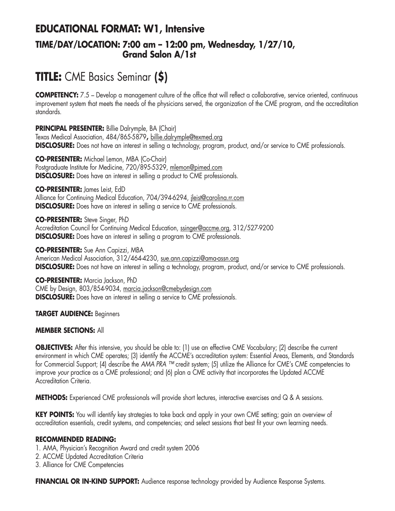## **EDUCATIONAL FORMAT: W1, Intensive TIME/DAY/LOCATION: 7:00 am – 12:00 pm, Wednesday, 1/27/10, Grand Salon A/1st**

# **TITLE:** CME Basics Seminar **(\$)**

**COMPETENCY:** 7.5 – Develop a management culture of the office that will reflect a collaborative, service oriented, continuous improvement system that meets the needs of the physicians served, the organization of the CME program, and the accreditation standards.

**PRINCIPAL PRESENTER:** Billie Dalrymple, BA (Chair) Texas Medical Association, 484/865-5879**,** billie.dalrymple@texmed.org **DISCLOSURE:** Does not have an interest in selling a technology, program, product, and/or service to CME professionals.

**CO-PRESENTER:** Michael Lemon, MBA (Co-Chair) Postgraduate Institute for Medicine, 720/895-5329, mlemon@pimed.com **DISCLOSURE:** Does have an interest in selling a product to CME professionals.

**CO-PRESENTER:** James Leist, EdD

Alliance for Continuing Medical Education, 704/394-6294, jleist@carolina.rr.com **DISCLOSURE:** Does have an interest in selling a service to CME professionals.

**CO-PRESENTER:** Steve Singer, PhD Accreditation Council for Continuing Medical Education, ssinger@accme.org, 312/527-9200 **DISCLOSURE:** Does have an interest in selling a program to CME professionals.

**CO-PRESENTER:** Sue Ann Capizzi, MBA American Medical Association, 312/464-4230, sue.ann.capizzi@ama-assn.org **DISCLOSURE:** Does not have an interest in selling a technology, program, product, and/or service to CME professionals.

**CO-PRESENTER:** Marcia Jackson, PhD CME by Design, 803/854-9034, marcia.jackson@cmebydesign.com **DISCLOSURE:** Does have an interest in selling a service to CME professionals.

**TARGET AUDIENCE:** Beginners

#### **MEMBER SECTIONS:** All

**OBJECTIVES:** After this intensive, you should be able to: (1) use an effective CME Vocabulary; (2) describe the current environment in which CME operates; (3) identify the ACCME's accreditation system: Essential Areas, Elements, and Standards for Commercial Support; (4) describe the *AMA PRA ™* credit system; (5) utilize the Alliance for CME's CME competencies to improve *your* practice as a CME professional; and (6) plan a CME activity that incorporates the Updated ACCME Accreditation Criteria.

**METHODS:** Experienced CME professionals will provide short lectures, interactive exercises and Q & A sessions.

**KEY POINTS:** You will identify key strategies to take back and apply in your own CME setting; gain an overview of accreditation essentials, credit systems, and competencies; and select sessions that best fit your own learning needs.

#### **RECOMMENDED READING:**

- 1. AMA, Physician's Recognition Award and credit system 2006
- 2. ACCME Updated Accreditation Criteria
- 3. Alliance for CME Competencies

**FINANCIAL OR IN-KIND SUPPORT:** Audience response technology provided by Audience Response Systems.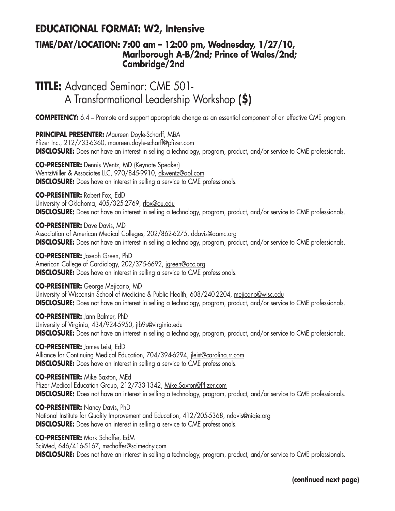## **EDUCATIONAL FORMAT: W2, Intensive**

### **TIME/DAY/LOCATION: 7:00 am – 12:00 pm, Wednesday, 1/27/10, Marlborough A-B/2nd; Prince of Wales/2nd; Cambridge/2nd**

**TITLE:** Advanced Seminar: CME 501- A Transformational Leadership Workshop **(\$)**

**COMPETENCY:** 6.4 – Promote and support appropriate change as an essential component of an effective CME program.

**PRINCIPAL PRESENTER:** Maureen Doyle-Scharff, MBA Pfizer Inc., 212/733-6360, maureen.doyle-scharff@pfizer.com **DISCLOSURE:** Does not have an interest in selling a technology, program, product, and/or service to CME professionals.

**CO-PRESENTER:** Dennis Wentz, MD (Keynote Speaker) WentzMiller & Associates LLC, 970/845-9910, dkwentz@aol.com **DISCLOSURE:** Does have an interest in selling a service to CME professionals.

**CO-PRESENTER:** Robert Fox, EdD University of Oklahoma, 405/325-2769, rfox@ou.edu **DISCLOSURE:** Does not have an interest in selling a technology, program, product, and/or service to CME professionals.

**CO-PRESENTER:** Dave Davis, MD Association of American Medical Colleges, 202/862-6275, ddavis@aamc.org **DISCLOSURE:** Does not have an interest in selling a technology, program, product, and/or service to CME professionals.

**CO-PRESENTER:** Joseph Green, PhD American College of Cardiology, 202/375-6692, jgreen@acc.org **DISCLOSURE:** Does have an interest in selling a service to CME professionals.

**CO-PRESENTER:** George Mejicano, MD University of Wisconsin School of Medicine & Public Health, 608/240-2204, mejicano@wisc.edu **DISCLOSURE:** Does not have an interest in selling a technology, program, product, and/or service to CME professionals.

**CO-PRESENTER:** Jann Balmer, PhD University of Virginia, 434/924-5950, jtb9s@virginia.edu **DISCLOSURE:** Does not have an interest in selling a technology, program, product, and/or service to CME professionals.

**CO-PRESENTER:** James Leist, EdD Alliance for Continuing Medical Education, 704/394-6294, jleist@carolina.rr.com **DISCLOSURE:** Does have an interest in selling a service to CME professionals.

**CO-PRESENTER:** Mike Saxton, MEd Pfizer Medical Education Group, 212/733-1342, Mike.Saxton@Pfizer.com **DISCLOSURE:** Does not have an interest in selling a technology, program, product, and/or service to CME professionals.

**CO-PRESENTER:** Nancy Davis, PhD National Institute for Quality Improvement and Education, 412/205-5368, ndavis@niqie.org **DISCLOSURE:** Does have an interest in selling a service to CME professionals.

**CO-PRESENTER:** Mark Schaffer, EdM SciMed, 646/416-5167, mschaffer@scimedny.com **DISCLOSURE:** Does not have an interest in selling a technology, program, product, and/or service to CME professionals.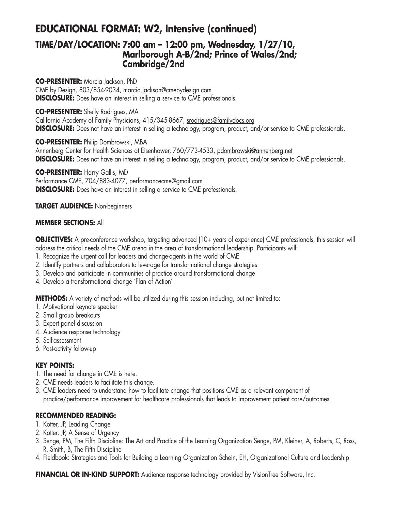## **EDUCATIONAL FORMAT: W2, Intensive (continued)**

### **TIME/DAY/LOCATION: 7:00 am – 12:00 pm, Wednesday, 1/27/10, Marlborough A-B/2nd; Prince of Wales/2nd; Cambridge/2nd**

**CO-PRESENTER:** Marcia Jackson, PhD

CME by Design, 803/854-9034, marcia.jackson@cmebydesign.com **DISCLOSURE:** Does have an interest in selling a service to CME professionals.

#### **CO-PRESENTER:** Shelly Rodrigues, MA

California Academy of Family Physicians, 415/345-8667, srodrigues@familydocs.org **DISCLOSURE:** Does not have an interest in selling a technology, program, product, and/or service to CME professionals.

**CO-PRESENTER:** Philip Dombrowski, MBA

Annenberg Center for Health Sciences at Eisenhower, 760/773-4533, pdombrowski@annenberg.net **DISCLOSURE:** Does not have an interest in selling a technology, program, product, and/or service to CME professionals.

**CO-PRESENTER:** Harry Gallis, MD Performance CME, 704/883-4077, performancecme@gmail.com **DISCLOSURE:** Does have an interest in selling a service to CME professionals.

#### **TARGET AUDIENCE:** Non-beginners

#### **MEMBER SECTIONS:** All

**OBJECTIVES:** A pre-conference workshop, targeting advanced (10+ years of experience) CME professionals, this session will address the critical needs of the CME arena in the area of transformational leadership. Participants will:

- 1. Recognize the urgent call for leaders and change-agents in the world of CME
- 2. Identify partners and collaborators to leverage for transformational change strategies
- 3. Develop and participate in communities of practice around transformational change
- 4. Develop a transformational change 'Plan of Action'

**METHODS:** A variety of methods will be utilized during this session including, but not limited to:

- 1. Motivational keynote speaker
- 2. Small group breakouts
- 3. Expert panel discussion
- 4. Audience response technology
- 5. Self-assessment
- 6. Post-activity follow-up

#### **KEY POINTS:**

- 1. The need for change in CME is here.
- 2. CME needs leaders to facilitate this change.
- 3. CME leaders need to understand how to facilitate change that positions CME as a relevant component of practice/performance improvement for healthcare professionals that leads to improvement patient care/outcomes.

#### **RECOMMENDED READING:**

- 1. Kotter, JP, Leading Change
- 2. Kotter, JP, A Sense of Urgency
- 3. Senge, PM, The Fifth Discipline: The Art and Practice of the Learning Organization Senge, PM, Kleiner, A, Roberts, C, Ross, R, Smith, B, The Fifth Discipline
- 4. Fieldbook: Strategies and Tools for Building a Learning Organization Schein, EH, Organizational Culture and Leadership

**FINANCIAL OR IN-KIND SUPPORT:** Audience response technology provided by VisionTree Software, Inc.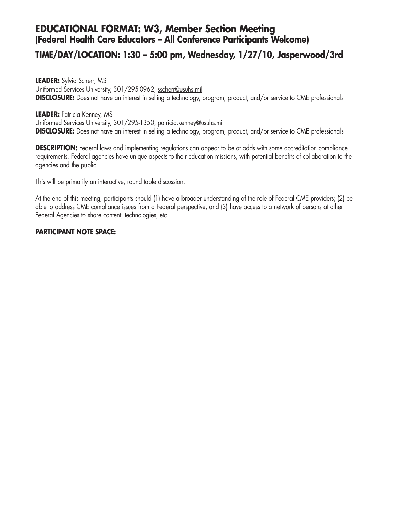### **EDUCATIONAL FORMAT: W3, Member Section Meeting (Federal Health Care Educators – All Conference Participants Welcome)**

### **TIME/DAY/LOCATION: 1:30 – 5:00 pm, Wednesday, 1/27/10, Jasperwood/3rd**

**LEADER:** Sylvia Scherr, MS Uniformed Services University, 301/295-0962, sscherr@usuhs.mil **DISCLOSURE:** Does not have an interest in selling a technology, program, product, and/or service to CME professionals

#### **LEADER:** Patricia Kenney, MS

Uniformed Services University, 301/295-1350, patricia.kenney@usuhs.mil **DISCLOSURE:** Does not have an interest in selling a technology, program, product, and/or service to CME professionals

**DESCRIPTION:** Federal laws and implementing regulations can appear to be at odds with some accreditation compliance requirements. Federal agencies have unique aspects to their education missions, with potential benefits of collaboration to the agencies and the public.

This will be primarily an interactive, round table discussion.

At the end of this meeting, participants should (1) have a broader understanding of the role of Federal CME providers; (2) be able to address CME compliance issues from a Federal perspective, and (3) have access to a network of persons at other Federal Agencies to share content, technologies, etc.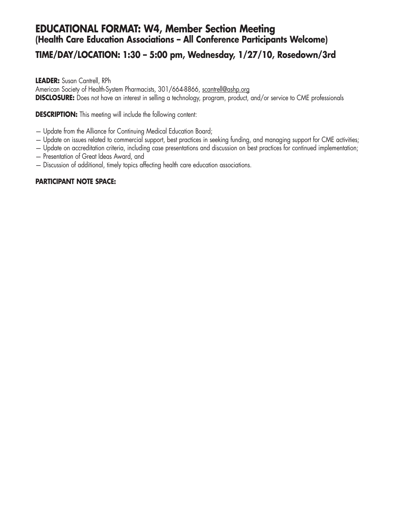## **EDUCATIONAL FORMAT: W4, Member Section Meeting (Health Care Education Associations – All Conference Participants Welcome)**

## **TIME/DAY/LOCATION: 1:30 – 5:00 pm, Wednesday, 1/27/10, Rosedown/3rd**

#### **LEADER:** Susan Cantrell, RPh

American Society of Health-System Pharmacists, 301/664-8866, scantrell@ashp.org **DISCLOSURE:** Does not have an interest in selling a technology, program, product, and/or service to CME professionals

**DESCRIPTION:** This meeting will include the following content:

- Update from the Alliance for Continuing Medical Education Board;
- Update on issues related to commercial support, best practices in seeking funding, and managing support for CME activities;
- Update on accreditation criteria, including case presentations and discussion on best practices for continued implementation;
- Presentation of Great Ideas Award, and
- Discussion of additional, timely topics affecting health care education associations.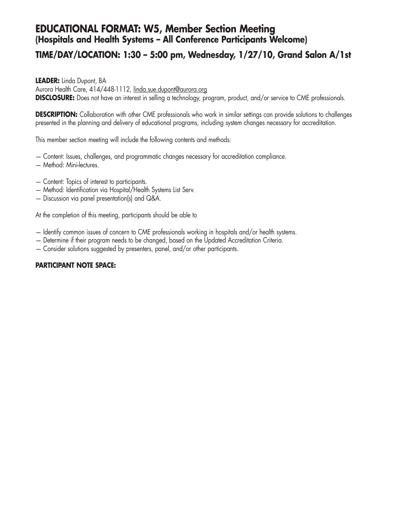## **EDUCATIONAL FORMAT: W5, Member Section Meeting (Hospitals and Health Systems – All Conference Participants Welcome)**

## **TIME/DAY/LOCATION: 1:30 – 5:00 pm, Wednesday, 1/27/10, Grand Salon A/1st**

**LEADER:** Linda Dupont, BA

Aurora Health Care, 414/448-1112, linda.sue.dupont@aurora.org

**DISCLOSURE:** Does not have an interest in selling a technology, program, product, and/or service to CME professionals.

**DESCRIPTION:** Collaboration with other CME professionals who work in similar settings can provide solutions to challenges presented in the planning and delivery of educational programs, including system changes necessary for accreditation.

This member section meeting will include the following contents and methods:

- Content: Issues, challenges, and programmatic changes necessary for accreditation compliance.
- Method: Mini-lectures.
- Content: Topics of interest to participants.
- Method: Identification via Hospital/Health Systems List Serv.
- Discussion via panel presentation(s) and Q&A.

At the completion of this meeting, participants should be able to

- Identify common issues of concern to CME professionals working in hospitals and/or health systems.
- Determine if their program needs to be changed, based on the Updated Accreditation Criteria.
- Consider solutions suggested by presenters, panel, and/or other participants.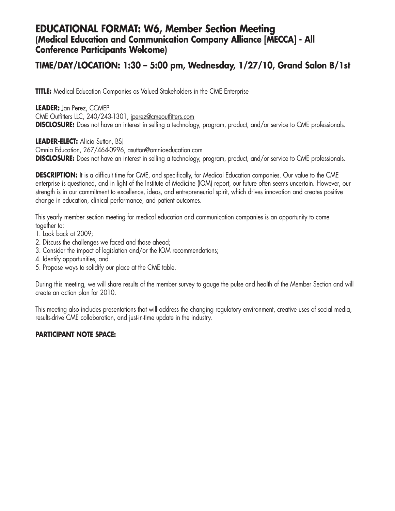### **EDUCATIONAL FORMAT: W6, Member Section Meeting (Medical Education and Communication Company Alliance [MECCA] - All Conference Participants Welcome)**

### **TIME/DAY/LOCATION: 1:30 – 5:00 pm, Wednesday, 1/27/10, Grand Salon B/1st**

**TITLE:** Medical Education Companies as Valued Stakeholders in the CME Enterprise

**LEADER:** Jan Perez, CCMEP CME Outfitters LLC, 240/243-1301, jperez@cmeoutfitters.com **DISCLOSURE:** Does not have an interest in selling a technology, program, product, and/or service to CME professionals.

**LEADER-ELECT:** Alicia Sutton, BSJ Omnia Education, 267/464-0996, asutton@omniaeducation.com **DISCLOSURE:** Does not have an interest in selling a technology, program, product, and/or service to CME professionals.

**DESCRIPTION:** It is a difficult time for CME, and specifically, for Medical Education companies. Our value to the CME enterprise is questioned, and in light of the Institute of Medicine (IOM) report, our future often seems uncertain. However, our strength is in our commitment to excellence, ideas, and entrepreneurial spirit, which drives innovation and creates positive change in education, clinical performance, and patient outcomes.

This yearly member section meeting for medical education and communication companies is an opportunity to come together to:

- 1. Look back at 2009;
- 2. Discuss the challenges we faced and those ahead;
- 3. Consider the impact of legislation and/or the IOM recommendations;
- 4. Identify opportunities, and
- 5. Propose ways to solidify our place at the CME table.

During this meeting, we will share results of the member survey to gauge the pulse and health of the Member Section and will create an action plan for 2010.

This meeting also includes presentations that will address the changing regulatory environment, creative uses of social media, results-drive CME collaboration, and just-in-time update in the industry.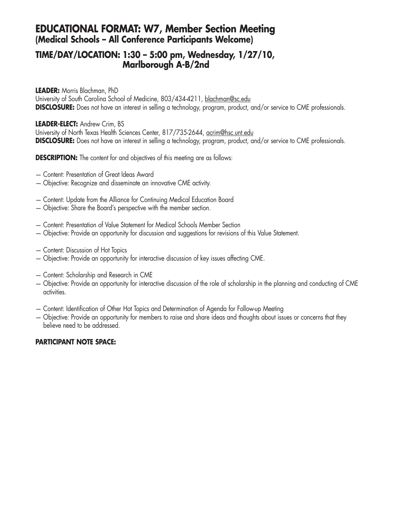## **EDUCATIONAL FORMAT: W7, Member Section Meeting (Medical Schools – All Conference Participants Welcome)**

### **TIME/DAY/LOCATION: 1:30 – 5:00 pm, Wednesday, 1/27/10, Marlborough A-B/2nd**

**LEADER:** Morris Blachman, PhD

University of South Carolina School of Medicine, 803/434-4211, blachman@sc.edu **DISCLOSURE:** Does not have an interest in selling a technology, program, product, and/or service to CME professionals.

#### **LEADER-ELECT:** Andrew Crim, BS

University of North Texas Health Sciences Center, 817/735-2644, acrim@hsc.unt.edu **DISCLOSURE:** Does not have an interest in selling a technology, program, product, and/or service to CME professionals.

**DESCRIPTION:** The content for and objectives of this meeting are as follows:

- Content: Presentation of Great Ideas Award
- Objective: Recognize and disseminate an innovative CME activity.
- Content: Update from the Alliance for Continuing Medical Education Board
- Objective: Share the Board's perspective with the member section.
- Content: Presentation of Value Statement for Medical Schools Member Section
- Objective: Provide an opportunity for discussion and suggestions for revisions of this Value Statement.
- Content: Discussion of Hot Topics
- Objective: Provide an opportunity for interactive discussion of key issues affecting CME.
- Content: Scholarship and Research in CME
- Objective: Provide an opportunity for interactive discussion of the role of scholarship in the planning and conducting of CME activities.
- Content: Identification of Other Hot Topics and Determination of Agenda for Follow-up Meeting
- Objective: Provide an opportunity for members to raise and share ideas and thoughts about issues or concerns that they believe need to be addressed.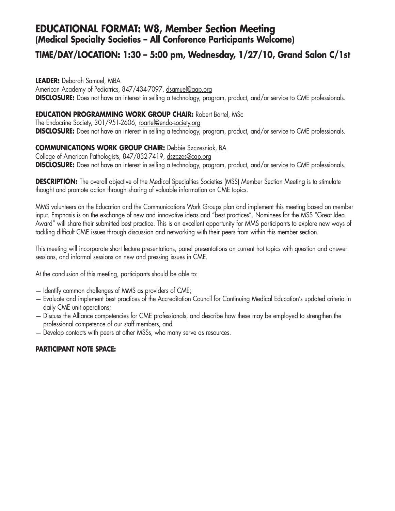## **EDUCATIONAL FORMAT: W8, Member Section Meeting (Medical Specialty Societies – All Conference Participants Welcome)**

## **TIME/DAY/LOCATION: 1:30 – 5:00 pm, Wednesday, 1/27/10, Grand Salon C/1st**

**LEADER:** Deborah Samuel, MBA American Academy of Pediatrics, 847/434-7097, dsamuel@aap.org **DISCLOSURE:** Does not have an interest in selling a technology, program, product, and/or service to CME professionals.

#### **EDUCATION PROGRAMMING WORK GROUP CHAIR:** Robert Bartel, MSc

The Endocrine Society, 301/951-2606, rbartel@endo-society.org **DISCLOSURE:** Does not have an interest in selling a technology, program, product, and/or service to CME professionals.

#### **COMMUNICATIONS WORK GROUP CHAIR:** Debbie Szczesniak, BA

College of American Pathologists, 847/832-7419, dszczes@cap.org **DISCLOSURE:** Does not have an interest in selling a technology, program, product, and/or service to CME professionals.

**DESCRIPTION:** The overall objective of the Medical Specialties Societies (MSS) Member Section Meeting is to stimulate thought and promote action through sharing of valuable information on CME topics.

MMS volunteers on the Education and the Communications Work Groups plan and implement this meeting based on member input. Emphasis is on the exchange of new and innovative ideas and "best practices". Nominees for the MSS "Great Idea Award" will share their submitted best practice. This is an excellent opportunity for MMS participants to explore new ways of tackling difficult CME issues through discussion and networking with their peers from within this member section.

This meeting will incorporate short lecture presentations, panel presentations on current hot topics with question and answer sessions, and informal sessions on new and pressing issues in CME.

At the conclusion of this meeting, participants should be able to:

- Identify common challenges of MMS as providers of CME;
- Evaluate and implement best practices of the Accreditation Council for Continuing Medical Education's updated criteria in daily CME unit operations;
- Discuss the Alliance competencies for CME professionals, and describe how these may be employed to strengthen the professional competence of our staff members, and
- Develop contacts with peers at other MSSs, who many serve as resources.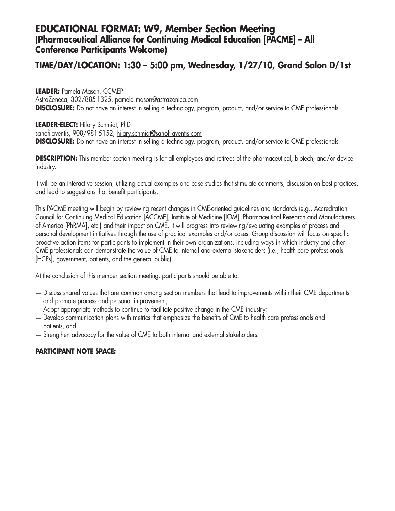### **EDUCATIONAL FORMAT: W9, Member Section Meeting (Pharmaceutical Alliance for Continuing Medical Education [PACME] – All Conference Participants Welcome)**

## **TIME/DAY/LOCATION: 1:30 – 5:00 pm, Wednesday, 1/27/10, Grand Salon D/1st**

#### **LEADER:** Pamela Mason, CCMEP

AstraZeneca, 302/885-1325, pamela.mason@astrazenica.com **DISCLOSURE:** Do not have an interest in selling a technology, program, product, and/or service to CME professionals.

#### **LEADER-ELECT:** Hilary Schmidt, PhD

sanofi-aventis, 908/981-5152, hilary.schmidt@sanofi-aventis.com **DISCLOSURE:** Do not have an interest in selling a technology, program, product, and/or service to CME professionals.

**DESCRIPTION:** This member section meeting is for all employees and retirees of the pharmaceutical, biotech, and/or device industry.

It will be an interactive session, utilizing actual examples and case studies that stimulate comments, discussion on best practices, and lead to suggestions that benefit participants.

This PACME meeting will begin by reviewing recent changes in CME-oriented guidelines and standards (e.g., Accreditation Council for Continuing Medical Education [ACCME], Institute of Medicine [IOM], Pharmaceutical Research and Manufacturers of America [PhRMA], etc.) and their impact on CME. It will progress into reviewing/evaluating examples of process and personal development initiatives through the use of practical examples and/or cases. Group discussion will focus on specific proactive action items for participants to implement in their own organizations, including ways in which industry and other CME professionals can demonstrate the value of CME to internal and external stakeholders (i.e., health care professionals [HCPs], government, patients, and the general public).

At the conclusion of this member section meeting, participants should be able to:

- Discuss shared values that are common among section members that lead to improvements within their CME departments and promote process and personal improvement;
- Adopt appropriate methods to continue to facilitate positive change in the CME industry;
- Develop communication plans with metrics that emphasize the benefits of CME to health care professionals and patients, and
- Strengthen advocacy for the value of CME to both internal and external stakeholders.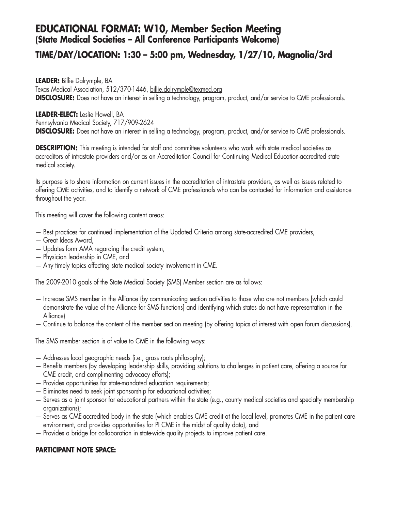### **EDUCATIONAL FORMAT: W10, Member Section Meeting (State Medical Societies – All Conference Participants Welcome)**

### **TIME/DAY/LOCATION: 1:30 – 5:00 pm, Wednesday, 1/27/10, Magnolia/3rd**

**LEADER:** Billie Dalrymple, BA Texas Medical Association, 512/370-1446, billie.dalrymple@texmed.org **DISCLOSURE:** Does not have an interest in selling a technology, program, product, and/or service to CME professionals.

#### **LEADER-ELECT:** Leslie Howell, BA

Pennsylvania Medical Society, 717/909-2624 **DISCLOSURE:** Does not have an interest in selling a technology, program, product, and/or service to CME professionals.

**DESCRIPTION:** This meeting is intended for staff and committee volunteers who work with state medical societies as accreditors of intrastate providers and/or as an Accreditation Council for Continuing Medical Education-accredited state medical society.

Its purpose is to share information on current issues in the accreditation of intrastate providers, as well as issues related to offering CME activities, and to identify a network of CME professionals who can be contacted for information and assistance throughout the year.

This meeting will cover the following content areas:

- Best practices for continued implementation of the Updated Criteria among state-accredited CME providers,
- Great Ideas Award,
- Updates form AMA regarding the credit system,
- Physician leadership in CME, and
- Any timely topics affecting state medical society involvement in CME.

The 2009-2010 goals of the State Medical Society (SMS) Member section are as follows:

- Increase SMS member in the Alliance (by communicating section activities to those who are not members [which could demonstrate the value of the Alliance for SMS functions] and identifying which states do not have representation in the Alliance)
- Continue to balance the content of the member section meeting (by offering topics of interest with open forum discussions).

The SMS member section is of value to CME in the following ways:

- Addresses local geographic needs (i.e., grass roots philosophy);
- Benefits members (by developing leadership skills, providing solutions to challenges in patient care, offering a source for CME credit, and complimenting advocacy efforts);
- Provides opportunities for state-mandated education requirements;
- Eliminates need to seek joint sponsorship for educational activities;
- Serves as a joint sponsor for educational partners within the state (e.g., county medical societies and specialty membership organizations);
- Serves as CME-accredited body in the state (which enables CME credit at the local level, promotes CME in the patient care environment, and provides opportunities for PI CME in the midst of quality data), and
- Provides a bridge for collaboration in state-wide quality projects to improve patient care.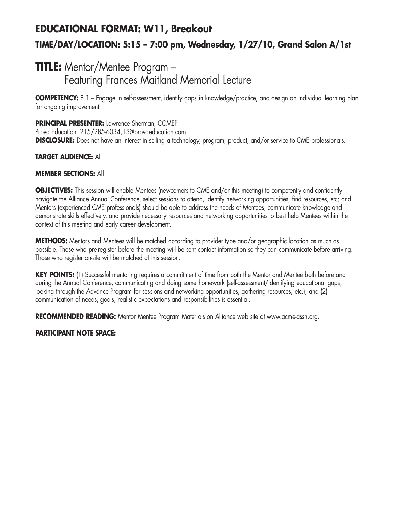# **EDUCATIONAL FORMAT: W11, Breakout TIME/DAY/LOCATION: 5:15 – 7:00 pm, Wednesday, 1/27/10, Grand Salon A/1st**

## **TITLE:** Mentor/Mentee Program – Featuring Frances Maitland Memorial Lecture

**COMPETENCY:** 8.1 – Engage in self-assessment, identify gaps in knowledge/practice, and design an individual learning plan for ongoing improvement.

#### **PRINCIPAL PRESENTER:** Lawrence Sherman, CCMEP

Prova Education, 215/285-6034, LS@provaeducation.com **DISCLOSURE:** Does not have an interest in selling a technology, program, product, and/or service to CME professionals.

#### **TARGET AUDIENCE:** All

#### **MEMBER SECTIONS:** All

**OBJECTIVES:** This session will enable Mentees (newcomers to CME and/or this meeting) to competently and confidently navigate the Alliance Annual Conference, select sessions to attend, identify networking opportunities, find resources, etc; and Mentors (experienced CME professionals) should be able to address the needs of Mentees, communicate knowledge and demonstrate skills effectively, and provide necessary resources and networking opportunities to best help Mentees within the context of this meeting and early career development.

**METHODS:** Mentors and Mentees will be matched according to provider type and/or geographic location as much as possible. Those who pre-register before the meeting will be sent contact information so they can communicate before arriving. Those who register on-site will be matched at this session.

**KEY POINTS:** (1) Successful mentoring requires a commitment of time from both the Mentor and Mentee both before and during the Annual Conference, communicating and doing some homework (self-assessment/identifying educational gaps, looking through the Advance Program for sessions and networking opportunities, gathering resources, etc.); and (2) communication of needs, goals, realistic expectations and responsibilities is essential.

**RECOMMENDED READING:** Mentor Mentee Program Materials on Alliance web site at www.acme-assn.org.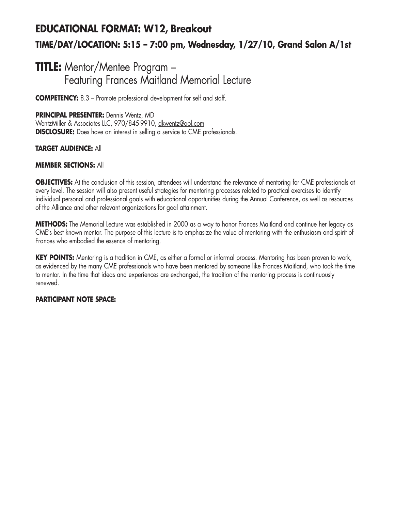# **EDUCATIONAL FORMAT: W12, Breakout TIME/DAY/LOCATION: 5:15 – 7:00 pm, Wednesday, 1/27/10, Grand Salon A/1st**

## **TITLE:** Mentor/Mentee Program – Featuring Frances Maitland Memorial Lecture

**COMPETENCY:** 8.3 – Promote professional development for self and staff.

#### **PRINCIPAL PRESENTER:** Dennis Wentz, MD

WentzMiller & Associates LLC, 970/845-9910, dkwentz@aol.com **DISCLOSURE:** Does have an interest in selling a service to CME professionals.

#### **TARGET AUDIENCE:** All

#### **MEMBER SECTIONS:** All

**OBJECTIVES:** At the conclusion of this session, attendees will understand the relevance of mentoring for CME professionals at every level. The session will also present useful strategies for mentoring processes related to practical exercises to identify individual personal and professional goals with educational opportunities during the Annual Conference, as well as resources of the Alliance and other relevant organizations for goal attainment.

**METHODS:** The Memorial Lecture was established in 2000 as a way to honor Frances Maitland and continue her legacy as CME's best known mentor. The purpose of this lecture is to emphasize the value of mentoring with the enthusiasm and spirit of Frances who embodied the essence of mentoring.

**KEY POINTS:** Mentoring is a tradition in CME, as either a formal or informal process. Mentoring has been proven to work, as evidenced by the many CME professionals who have been mentored by someone like Frances Maitland, who took the time to mentor. In the time that ideas and experiences are exchanged, the tradition of the mentoring process is continuously renewed.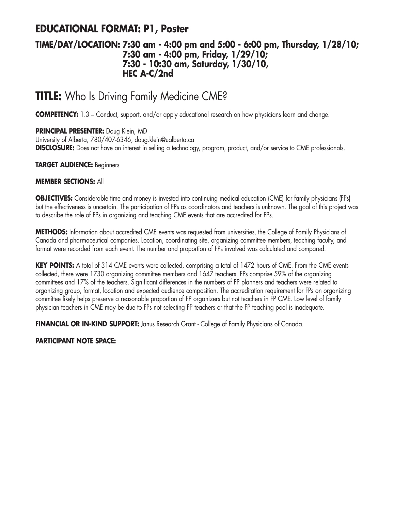## **EDUCATIONAL FORMAT: P1, Poster**

### **TIME/DAY/LOCATION: 7:30 am - 4:00 pm and 5:00 - 6:00 pm, Thursday, 1/28/10; 7:30 am - 4:00 pm, Friday, 1/29/10; 7:30 - 10:30 am, Saturday, 1/30/10, HEC A-C/2nd**

# **TITLE:** Who Is Driving Family Medicine CME?

**COMPETENCY:** 1.3 – Conduct, support, and/or apply educational research on how physicians learn and change.

**PRINCIPAL PRESENTER:** Doug Klein, MD University of Alberta, 780/407-6346, doug.klein@ualberta.ca **DISCLOSURE:** Does not have an interest in selling a technology, program, product, and/or service to CME professionals.

#### **TARGET AUDIENCE:** Beginners

#### **MEMBER SECTIONS:** All

**OBJECTIVES:** Considerable time and money is invested into continuing medical education (CME) for family physicians (FPs) but the effectiveness is uncertain. The participation of FPs as coordinators and teachers is unknown. The goal of this project was to describe the role of FPs in organizing and teaching CME events that are accredited for FPs.

**METHODS:** Information about accredited CME events was requested from universities, the College of Family Physicians of Canada and pharmaceutical companies. Location, coordinating site, organizing committee members, teaching faculty, and format were recorded from each event. The number and proportion of FPs involved was calculated and compared.

**KEY POINTS:** A total of 314 CME events were collected, comprising a total of 1472 hours of CME. From the CME events collected, there were 1730 organizing committee members and 1647 teachers. FPs comprise 59% of the organizing committees and 17% of the teachers. Significant differences in the numbers of FP planners and teachers were related to organizing group, format, location and expected audience composition. The accreditation requirement for FPs on organizing committee likely helps preserve a reasonable proportion of FP organizers but not teachers in FP CME. Low level of family physician teachers in CME may be due to FPs not selecting FP teachers or that the FP teaching pool is inadequate.

**FINANCIAL OR IN-KIND SUPPORT:** Janus Research Grant - College of Family Physicians of Canada.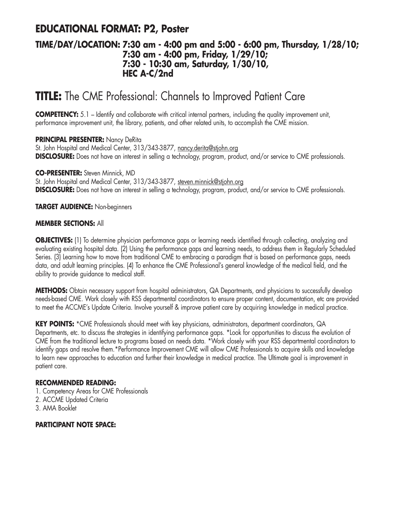## **EDUCATIONAL FORMAT: P2, Poster**

### **TIME/DAY/LOCATION: 7:30 am - 4:00 pm and 5:00 - 6:00 pm, Thursday, 1/28/10; 7:30 am - 4:00 pm, Friday, 1/29/10; 7:30 - 10:30 am, Saturday, 1/30/10, HEC A-C/2nd**

# **TITLE:** The CME Professional: Channels to Improved Patient Care

**COMPETENCY:** 5.1 – Identify and collaborate with critical internal partners, including the quality improvement unit, performance improvement unit, the library, patients, and other related units, to accomplish the CME mission.

#### **PRINCIPAL PRESENTER:** Nancy DeRita

St. John Hospital and Medical Center, 313/343-3877, nancy.derita@stjohn.org **DISCLOSURE:** Does not have an interest in selling a technology, program, product, and/or service to CME professionals.

#### **CO-PRESENTER:** Steven Minnick, MD

St. John Hospital and Medical Center, 313/343-3877, steven.minnick@stjohn.org **DISCLOSURE:** Does not have an interest in selling a technology, program, product, and/or service to CME professionals.

**TARGET AUDIENCE:** Non-beginners

#### **MEMBER SECTIONS:** All

**OBJECTIVES:** (1) To determine physician performance gaps or learning needs identified through collecting, analyzing and evaluating existing hospital data. (2) Using the performance gaps and learning needs, to address them in Regularly Scheduled Series. (3) Learning how to move from traditional CME to embracing a paradigm that is based on performance gaps, needs data, and adult learning principles. (4) To enhance the CME Professional's general knowledge of the medical field, and the ability to provide guidance to medical staff.

**METHODS:** Obtain necessary support from hospital administrators, QA Departments, and physicians to successfully develop needs-based CME. Work closely with RSS departmental coordinators to ensure proper content, documentation, etc are provided to meet the ACCME's Update Criteria. Involve yourself & improve patient care by acquiring knowledge in medical practice.

**KEY POINTS:** \*CME Professionals should meet with key physicians, administrators, department coordinators, QA Departments, etc. to discuss the strategies in identifying performance gaps. \*Look for opportunities to discuss the evolution of CME from the traditional lecture to programs based on needs data. \*Work closely with your RSS departmental coordinators to identify gaps and resolve them.\*Performance Improvement CME will allow CME Professionals to acquire skills and knowledge to learn new approaches to education and further their knowledge in medical practice. The Ultimate goal is improvement in patient care.

#### **RECOMMENDED READING:**

- 1. Competency Areas for CME Professionals
- 2. ACCME Updated Criteria
- 3. AMA Booklet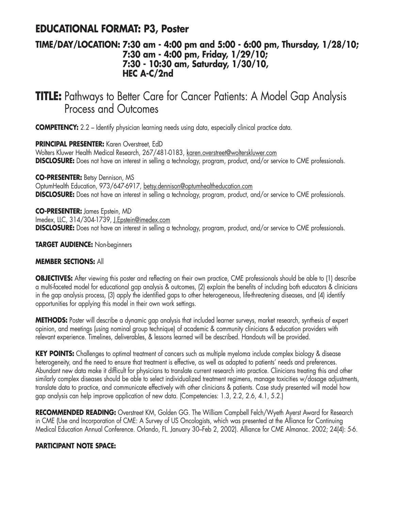## **EDUCATIONAL FORMAT: P3, Poster**

### **TIME/DAY/LOCATION: 7:30 am - 4:00 pm and 5:00 - 6:00 pm, Thursday, 1/28/10; 7:30 am - 4:00 pm, Friday, 1/29/10; 7:30 - 10:30 am, Saturday, 1/30/10, HEC A-C/2nd**

# **TITLE:** Pathways to Better Care for Cancer Patients: A Model Gap Analysis Process and Outcomes

**COMPETENCY:** 2.2 – Identify physician learning needs using data, especially clinical practice data.

**PRINCIPAL PRESENTER:** Karen Overstreet, EdD

Wolters Kluwer Health Medical Research, 267/481-0183, karen.overstreet@wolterskluwer.com **DISCLOSURE:** Does not have an interest in selling a technology, program, product, and/or service to CME professionals.

**CO-PRESENTER:** Betsy Dennison, MS

OptumHealth Education, 973/647-6917, betsy.dennison@optumhealtheducation.com **DISCLOSURE:** Does not have an interest in selling a technology, program, product, and/or service to CME professionals.

**CO-PRESENTER:** James Epstein, MD Imedex, LLC, 314/304-1739, J.Epstein@imedex.com **DISCLOSURE:** Does not have an interest in selling a technology, program, product, and/or service to CME professionals.

**TARGET AUDIENCE:** Non-beginners

#### **MEMBER SECTIONS:** All

**OBJECTIVES:** After viewing this poster and reflecting on their own practice, CME professionals should be able to (1) describe a multi-faceted model for educational gap analysis & outcomes, (2) explain the benefits of including both educators & clinicians in the gap analysis process, (3) apply the identified gaps to other heterogeneous, life-threatening diseases, and (4) identify opportunities for applying this model in their own work settings.

**METHODS:** Poster will describe a dynamic gap analysis that included learner surveys, market research, synthesis of expert opinion, and meetings (using nominal group technique) of academic & community clinicians & education providers with relevant experience. Timelines, deliverables, & lessons learned will be described. Handouts will be provided.

**KEY POINTS:** Challenges to optimal treatment of cancers such as multiple myeloma include complex biology & disease heterogeneity, and the need to ensure that treatment is effective, as well as adapted to patients' needs and preferences. Abundant new data make it difficult for physicians to translate current research into practice. Clinicians treating this and other similarly complex diseases should be able to select individualized treatment regimens, manage toxicities w/dosage adjustments, translate data to practice, and communicate effectively with other clinicians & patients. Case study presented will model how gap analysis can help improve application of new data. (Competencies: 1.3, 2.2, 2.6, 4.1, 5.2.)

**RECOMMENDED READING:** Overstreet KM, Golden GG. The William Campbell Felch/Wyeth Ayerst Award for Research in CME (Use and Incorporation of CME: A Survey of US Oncologists, which was presented at the Alliance for Continuing Medical Education Annual Conference. Orlando, FL. January 30–Feb 2, 2002). Alliance for CME Almanac. 2002; 24(4): 5-6.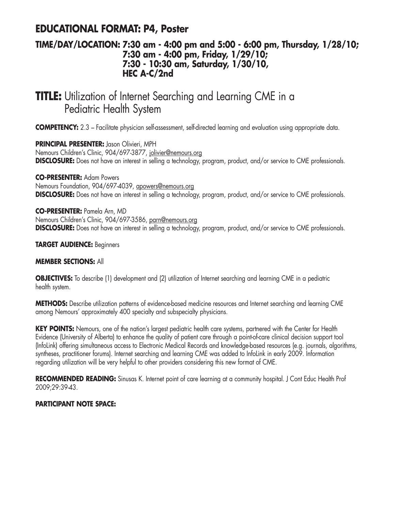## **EDUCATIONAL FORMAT: P4, Poster**

### **TIME/DAY/LOCATION: 7:30 am - 4:00 pm and 5:00 - 6:00 pm, Thursday, 1/28/10; 7:30 am - 4:00 pm, Friday, 1/29/10; 7:30 - 10:30 am, Saturday, 1/30/10, HEC A-C/2nd**

# **TITLE:** Utilization of Internet Searching and Learning CME in a Pediatric Health System

**COMPETENCY:** 2.3 – Facilitate physician self-assessment, self-directed learning and evaluation using appropriate data.

**PRINCIPAL PRESENTER:** Jason Olivieri, MPH Nemours Children's Clinic, 904/697-3877, jolivier@nemours.org **DISCLOSURE:** Does not have an interest in selling a technology, program, product, and/or service to CME professionals.

**CO-PRESENTER:** Adam Powers Nemours Foundation, 904/697-4039, apowers@nemours.org **DISCLOSURE:** Does not have an interest in selling a technology, program, product, and/or service to CME professionals.

**CO-PRESENTER:** Pamela Arn, MD Nemours Children's Clinic, 904/697-3586, parn@nemours.org **DISCLOSURE:** Does not have an interest in selling a technology, program, product, and/or service to CME professionals.

#### **TARGET AUDIENCE:** Beginners

#### **MEMBER SECTIONS:** All

**OBJECTIVES:** To describe (1) development and (2) utilization of Internet searching and learning CME in a pediatric health system.

**METHODS:** Describe utilization patterns of evidence-based medicine resources and Internet searching and learning CME among Nemours' approximately 400 specialty and subspecialty physicians.

**KEY POINTS:** Nemours, one of the nation's largest pediatric health care systems, partnered with the Center for Health Evidence (University of Alberta) to enhance the quality of patient care through a point-of-care clinical decision support tool (InfoLink) offering simultaneous access to Electronic Medical Records and knowledge-based resources (e.g. journals, algorithms, syntheses, practitioner forums). Internet searching and learning CME was added to InfoLink in early 2009. Information regarding utilization will be very helpful to other providers considering this new format of CME.

**RECOMMENDED READING:** Sinusas K. Internet point of care learning at a community hospital. J Cont Educ Health Prof 2009;29:39-43.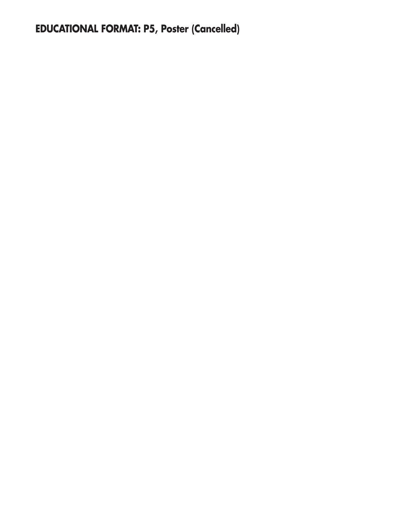# **EDUCATIONAL FORMAT: P5, Poster (Cancelled)**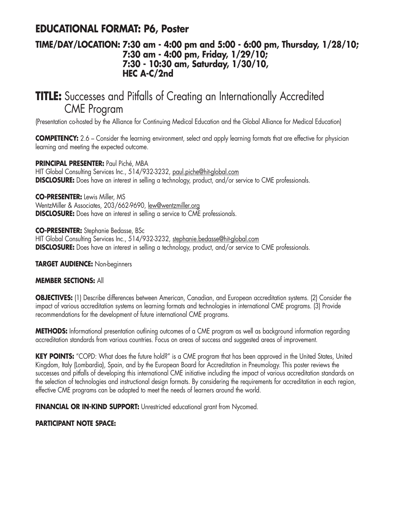## **EDUCATIONAL FORMAT: P6, Poster**

### **TIME/DAY/LOCATION: 7:30 am - 4:00 pm and 5:00 - 6:00 pm, Thursday, 1/28/10; 7:30 am - 4:00 pm, Friday, 1/29/10; 7:30 - 10:30 am, Saturday, 1/30/10, HEC A-C/2nd**

# **TITLE:** Successes and Pitfalls of Creating an Internationally Accredited CME Program

(Presentation co-hosted by the Alliance for Continuing Medical Education and the Global Alliance for Medical Education)

**COMPETENCY:** 2.6 – Consider the learning environment, select and apply learning formats that are effective for physician learning and meeting the expected outcome.

**PRINCIPAL PRESENTER:** Paul Piché, MBA HIT Global Consulting Services Inc., 514/932-3232, paul.piche@hit-global.com **DISCLOSURE:** Does have an interest in selling a technology, product, and/or service to CME professionals.

#### **CO-PRESENTER:** Lewis Miller, MS

WentzMiller & Associates, 203/662-9690, lew@wentzmiller.org **DISCLOSURE:** Does have an interest in selling a service to CME professionals.

**CO-PRESENTER:** Stephanie Bedasse, BSc

HIT Global Consulting Services Inc., 514/932-3232, stephanie.bedasse@hit-global.com **DISCLOSURE:** Does have an interest in selling a technology, product, and/or service to CME professionals.

**TARGET AUDIENCE:** Non-beginners

#### **MEMBER SECTIONS:** All

**OBJECTIVES:** (1) Describe differences between American, Canadian, and European accreditation systems. (2) Consider the impact of various accreditation systems on learning formats and technologies in international CME programs. (3) Provide recommendations for the development of future international CME programs.

**METHODS:** Informational presentation outlining outcomes of a CME program as well as background information regarding accreditation standards from various countries. Focus on areas of success and suggested areas of improvement.

**KEY POINTS:** "COPD: What does the future hold?" is a CME program that has been approved in the United States, United Kingdom, Italy (Lombardia), Spain, and by the European Board for Accreditation in Pneumology. This poster reviews the successes and pitfalls of developing this international CME initiative including the impact of various accreditation standards on the selection of technologies and instructional design formats. By considering the requirements for accreditation in each region, effective CME programs can be adapted to meet the needs of learners around the world.

**FINANCIAL OR IN-KIND SUPPORT:** Unrestricted educational grant from Nycomed.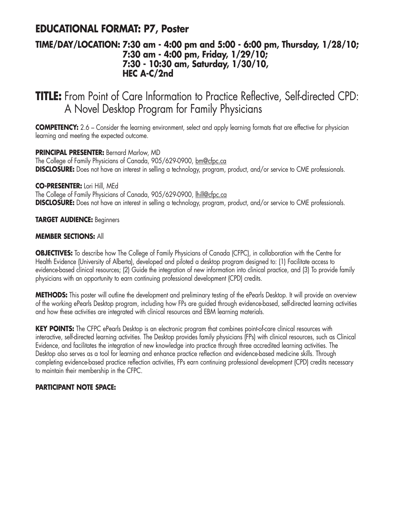## **EDUCATIONAL FORMAT: P7, Poster**

### **TIME/DAY/LOCATION: 7:30 am - 4:00 pm and 5:00 - 6:00 pm, Thursday, 1/28/10; 7:30 am - 4:00 pm, Friday, 1/29/10; 7:30 - 10:30 am, Saturday, 1/30/10, HEC A-C/2nd**

## **TITLE:** From Point of Care Information to Practice Reflective, Self-directed CPD: A Novel Desktop Program for Family Physicians

**COMPETENCY:** 2.6 – Consider the learning environment, select and apply learning formats that are effective for physician learning and meeting the expected outcome.

**PRINCIPAL PRESENTER:** Bernard Marlow, MD The College of Family Physicians of Canada, 905/629-0900, bm@cfpc.ca

**DISCLOSURE:** Does not have an interest in selling a technology, program, product, and/or service to CME professionals.

**CO-PRESENTER:** Lori Hill, MEd

The College of Family Physicians of Canada, 905/629-0900, lhill@cfpc.ca **DISCLOSURE:** Does not have an interest in selling a technology, program, product, and/or service to CME professionals.

**TARGET AUDIENCE:** Beginners

#### **MEMBER SECTIONS:** All

**OBJECTIVES:** To describe how The College of Family Physicians of Canada (CFPC), in collaboration with the Centre for Health Evidence (University of Alberta), developed and piloted a desktop program designed to: (1) Facilitate access to evidence-based clinical resources; (2) Guide the integration of new information into clinical practice, and (3) To provide family physicians with an opportunity to earn continuing professional development (CPD) credits.

**METHODS:** This poster will outline the development and preliminary testing of the ePearls Desktop. It will provide an overview of the working ePearls Desktop program, including how FPs are guided through evidence-based, self-directed learning activities and how these activities are integrated with clinical resources and EBM learning materials.

**KEY POINTS:** The CFPC ePearls Desktop is an electronic program that combines point-of-care clinical resources with interactive, self-directed learning activities. The Desktop provides family physicians (FPs) with clinical resources, such as Clinical Evidence, and facilitates the integration of new knowledge into practice through three accredited learning activities. The Desktop also serves as a tool for learning and enhance practice reflection and evidence-based medicine skills. Through completing evidence-based practice reflection activities, FPs earn continuing professional development (CPD) credits necessary to maintain their membership in the CFPC.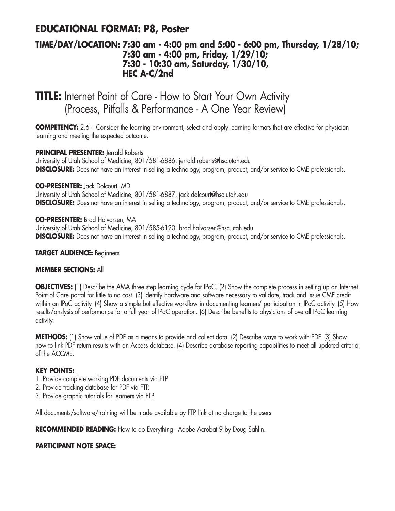## **EDUCATIONAL FORMAT: P8, Poster**

### **TIME/DAY/LOCATION: 7:30 am - 4:00 pm and 5:00 - 6:00 pm, Thursday, 1/28/10; 7:30 am - 4:00 pm, Friday, 1/29/10; 7:30 - 10:30 am, Saturday, 1/30/10, HEC A-C/2nd**

# **TITLE:** Internet Point of Care - How to Start Your Own Activity (Process, Pitfalls & Performance - A One Year Review)

**COMPETENCY:** 2.6 – Consider the learning environment, select and apply learning formats that are effective for physician learning and meeting the expected outcome.

#### **PRINCIPAL PRESENTER:** Jerrald Roberts

University of Utah School of Medicine, 801/581-6886, jerrald.roberts@hsc.utah.edu **DISCLOSURE:** Does not have an interest in selling a technology, program, product, and/or service to CME professionals.

#### **CO-PRESENTER:** Jack Dolcourt, MD

University of Utah School of Medicine, 801/581-6887, jack.dolcourt@hsc.utah.edu **DISCLOSURE:** Does not have an interest in selling a technology, program, product, and/or service to CME professionals.

#### **CO-PRESENTER:** Brad Halvorsen, MA

University of Utah School of Medicine, 801/585-6120, brad.halvorsen@hsc.utah.edu **DISCLOSURE:** Does not have an interest in selling a technology, program, product, and/or service to CME professionals.

#### **TARGET AUDIENCE:** Beginners

#### **MEMBER SECTIONS:** All

**OBJECTIVES:** (1) Describe the AMA three step learning cycle for IPoC. (2) Show the complete process in setting up an Internet Point of Care portal for little to no cost. (3) Identify hardware and software necessary to validate, track and issue CME credit within an IPoC activity. (4) Show a simple but effective workflow in documenting learners' participation in IPoC activity. (5) How results/anslysis of performance for a full year of IPoC operation. (6) Describe benefits to physicians of overall IPoC learning activity.

**METHODS:** (1) Show value of PDF as a means to provide and collect data. (2) Describe ways to work with PDF. (3) Show how to link PDF return results with an Access database. (4) Describe database reporting capabilities to meet all updated criteria of the ACCME.

#### **KEY POINTS:**

- 1. Provide complete working PDF documents via FTP.
- 2. Provide tracking database for PDF via FTP.
- 3. Provide graphic tutorials for learners via FTP.

All documents/software/training will be made available by FTP link at no charge to the users.

**RECOMMENDED READING:** How to do Everything - Adobe Acrobat 9 by Doug Sahlin.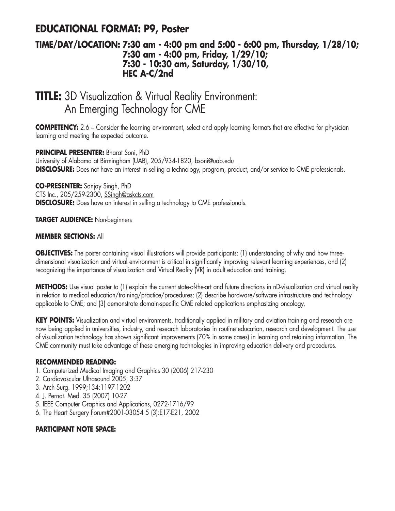## **EDUCATIONAL FORMAT: P9, Poster**

### **TIME/DAY/LOCATION: 7:30 am - 4:00 pm and 5:00 - 6:00 pm, Thursday, 1/28/10; 7:30 am - 4:00 pm, Friday, 1/29/10; 7:30 - 10:30 am, Saturday, 1/30/10, HEC A-C/2nd**

# **TITLE:** 3D Visualization & Virtual Reality Environment: An Emerging Technology for CME

**COMPETENCY:** 2.6 – Consider the learning environment, select and apply learning formats that are effective for physician learning and meeting the expected outcome.

**PRINCIPAL PRESENTER:** Bharat Soni, PhD University of Alabama at Birmingham (UAB), 205/934-1820, bsoni@uab.edu **DISCLOSURE:** Does not have an interest in selling a technology, program, product, and/or service to CME professionals.

**CO-PRESENTER:** Sanjay Singh, PhD

CTS Inc., 205/259-2300, SSingh@askcts.com

**DISCLOSURE:** Does have an interest in selling a technology to CME professionals.

**TARGET AUDIENCE:** Non-beginners

#### **MEMBER SECTIONS:** All

**OBJECTIVES:** The poster containing visual illustrations will provide participants: (1) understanding of why and how threedimensional visualization and virtual environment is critical in significantly improving relevant learning experiences, and (2) recognizing the importance of visualization and Virtual Reality (VR) in adult education and training.

**METHODS:** Use visual poster to (1) explain the current state-of-the-art and future directions in nD-visualization and virtual reality in relation to medical education/training/practice/procedures; (2) describe hardware/software infrastructure and technology applicable to CME; and (3) demonstrate domain-specific CME related applications emphasizing oncology,

**KEY POINTS:** Visualization and virtual environments, traditionally applied in military and aviation training and research are now being applied in universities, industry, and research laboratories in routine education, research and development. The use of visualization technology has shown significant improvements (70% in some cases) in learning and retaining information. The CME community must take advantage of these emerging technologies in improving education delivery and procedures.

#### **RECOMMENDED READING:**

- 1. Computerized Medical Imaging and Graphics 30 (2006) 217-230
- 2. Cardiovascular Ultrasound 2005, 3:37
- 3. Arch Surg. 1999;134:1197-1202
- 4. J. Pernat. Med. 35 (2007) 10-27
- 5. IEEE Computer Graphics and Applications, 0272-1716/99
- 6. The Heart Surgery Forum#2001-03054 5 (3):E17-E21, 2002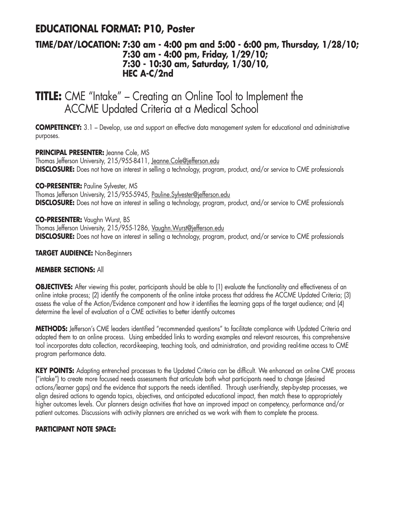## **EDUCATIONAL FORMAT: P10, Poster**

### **TIME/DAY/LOCATION: 7:30 am - 4:00 pm and 5:00 - 6:00 pm, Thursday, 1/28/10; 7:30 am - 4:00 pm, Friday, 1/29/10; 7:30 - 10:30 am, Saturday, 1/30/10, HEC A-C/2nd**

## **TITLE:** CME "Intake" – Creating an Online Tool to Implement the ACCME Updated Criteria at a Medical School

**COMPETENCEY:** 3.1 – Develop, use and support an effective data management system for educational and administrative purposes.

#### **PRINCIPAL PRESENTER:** Jeanne Cole, MS

Thomas Jefferson University, 215/955-8411, Jeanne.Cole@jefferson.edu **DISCLOSURE:** Does not have an interest in selling a technology, program, product, and/or service to CME professionals

#### **CO-PRESENTER:** Pauline Sylvester, MS

Thomas Jefferson University, 215/955-5945, Pauline. Sylvester@jefferson.edu **DISCLOSURE:** Does not have an interest in selling a technology, program, product, and/or service to CME professionals

#### **CO-PRESENTER:** Vaughn Wurst, BS

Thomas Jefferson University, 215/955-1286, Vaughn.Wurst@jefferson.edu **DISCLOSURE:** Does not have an interest in selling a technology, program, product, and/or service to CME professionals

#### **TARGET AUDIENCE:** Non-Beginners

#### **MEMBER SECTIONS:** All

**OBJECTIVES:** After viewing this poster, participants should be able to (1) evaluate the functionality and effectiveness of an online intake process; (2) identify the components of the online intake process that address the ACCME Updated Criteria; (3) assess the value of the Action/Evidence component and how it identifies the learning gaps of the target audience; and (4) determine the level of evaluation of a CME activities to better identify outcomes

**METHODS:** Jefferson's CME leaders identified "recommended questions" to facilitate compliance with Updated Criteria and adapted them to an online process. Using embedded links to wording examples and relevant resources, this comprehensive tool incorporates data collection, record-keeping, teaching tools, and administration, and providing real-time access to CME program performance data.

**KEY POINTS:** Adapting entrenched processes to the Updated Criteria can be difficult. We enhanced an online CME process ("intake") to create more focused needs assessments that articulate both what participants need to change (desired actions/learner gaps) and the evidence that supports the needs identified. Through user-friendly, step-by-step processes, we align desired actions to agenda topics, objectives, and anticipated educational impact, then match these to appropriately higher outcomes levels. Our planners design activities that have an improved impact on competency, performance and/or patient outcomes. Discussions with activity planners are enriched as we work with them to complete the process.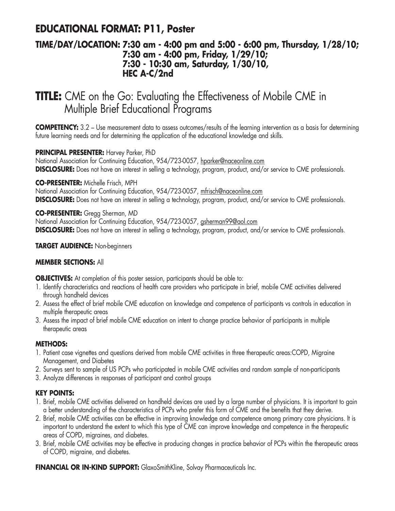## **EDUCATIONAL FORMAT: P11, Poster**

### **TIME/DAY/LOCATION: 7:30 am - 4:00 pm and 5:00 - 6:00 pm, Thursday, 1/28/10; 7:30 am - 4:00 pm, Friday, 1/29/10; 7:30 - 10:30 am, Saturday, 1/30/10, HEC A-C/2nd**

# **TITLE:** CME on the Go: Evaluating the Effectiveness of Mobile CME in Multiple Brief Educational Programs

**COMPETENCY:** 3.2 – Use measurement data to assess outcomes/results of the learning intervention as a basis for determining future learning needs and for determining the application of the educational knowledge and skills.

#### **PRINCIPAL PRESENTER:** Harvey Parker, PhD

National Association for Continuing Education, 954/723-0057, hparker@naceonline.com **DISCLOSURE:** Does not have an interest in selling a technology, program, product, and/or service to CME professionals.

**CO-PRESENTER:** Michelle Frisch, MPH

National Association for Continuing Education, 954/723-0057, mfrisch@naceonline.com **DISCLOSURE:** Does not have an interest in selling a technology, program, product, and/or service to CME professionals.

**CO-PRESENTER:** Gregg Sherman, MD National Association for Continuing Education, 954/723-0057, gsherman99@aol.com **DISCLOSURE:** Does not have an interest in selling a technology, program, product, and/or service to CME professionals.

#### **TARGET AUDIENCE:** Non-beginners

#### **MEMBER SECTIONS:** All

**OBJECTIVES:** At completion of this poster session, participants should be able to:

- 1. Identify characteristics and reactions of health care providers who participate in brief, mobile CME activities delivered through handheld devices
- 2. Assess the effect of brief mobile CME education on knowledge and competence of participants vs controls in education in multiple therapeutic areas
- 3. Assess the impact of brief mobile CME education on intent to change practice behavior of participants in multiple therapeutic areas

#### **METHODS:**

- 1. Patient case vignettes and questions derived from mobile CME activities in three therapeutic areas:COPD, Migraine Management, and Diabetes
- 2. Surveys sent to sample of US PCPs who participated in mobile CME activities and random sample of non-participants
- 3. Analyze differences in responses of participant and control groups

#### **KEY POINTS:**

- 1. Brief, mobile CME activities delivered on handheld devices are used by a large number of physicians. It is important to gain a better understanding of the characteristics of PCPs who prefer this form of CME and the benefits that they derive.
- 2. Brief, mobile CME activities can be effective in improving knowledge and competence among primary care physicians. It is important to understand the extent to which this type of CME can improve knowledge and competence in the therapeutic areas of COPD, migraines, and diabetes.
- 3. Brief, mobile CME activities may be effective in producing changes in practice behavior of PCPs within the therapeutic areas of COPD, migraine, and diabetes.

**FINANCIAL OR IN-KIND SUPPORT:** GlaxoSmithKline, Solvay Pharmaceuticals Inc.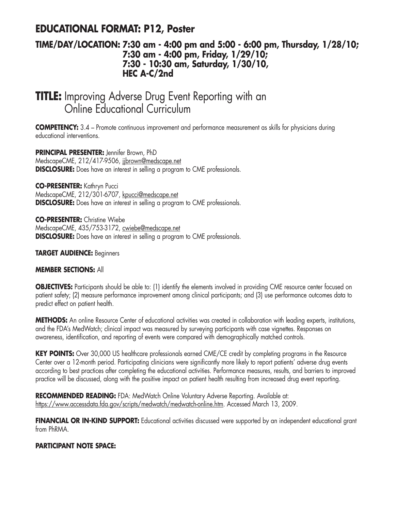## **EDUCATIONAL FORMAT: P12, Poster**

### **TIME/DAY/LOCATION: 7:30 am - 4:00 pm and 5:00 - 6:00 pm, Thursday, 1/28/10; 7:30 am - 4:00 pm, Friday, 1/29/10; 7:30 - 10:30 am, Saturday, 1/30/10, HEC A-C/2nd**

# **TITLE:** Improving Adverse Drug Event Reporting with an Online Educational Curriculum

**COMPETENCY:** 3.4 – Promote continuous improvement and performance measurement as skills for physicians during educational interventions.

**PRINCIPAL PRESENTER:** Jennifer Brown, PhD MedscapeCME, 212/417-9506, jjbrown@medscape.net **DISCLOSURE:** Does have an interest in selling a program to CME professionals.

**CO-PRESENTER:** Kathryn Pucci MedscapeCME, 212/301-6707, kpucci@medscape.net **DISCLOSURE:** Does have an interest in selling a program to CME professionals.

**CO-PRESENTER:** Christine Wiebe MedscapeCME, 435/753-3172, cwiebe@medscape.net **DISCLOSURE:** Does have an interest in selling a program to CME professionals.

#### **TARGET AUDIENCE:** Beginners

#### **MEMBER SECTIONS:** All

**OBJECTIVES:** Participants should be able to: (1) identify the elements involved in providing CME resource center focused on patient safety; (2) measure performance improvement among clinical participants; and (3) use performance outcomes data to predict effect on patient health.

**METHODS:** An online Resource Center of educational activities was created in collaboration with leading experts, institutions, and the FDA's MedWatch; clinical impact was measured by surveying participants with case vignettes. Responses on awareness, identification, and reporting of events were compared with demographically matched controls.

**KEY POINTS:** Over 30,000 US healthcare professionals earned CME/CE credit by completing programs in the Resource Center over a 12-month period. Participating clinicians were significantly more likely to report patients' adverse drug events according to best practices after completing the educational activities. Performance measures, results, and barriers to improved practice will be discussed, along with the positive impact on patient health resulting from increased drug event reporting.

**RECOMMENDED READING:** FDA: MedWatch Online Voluntary Adverse Reporting. Available at: https://www.accessdata.fda.gov/scripts/medwatch/medwatch-online.htm. Accessed March 13, 2009.

**FINANCIAL OR IN-KIND SUPPORT:** Educational activities discussed were supported by an independent educational grant from PhRMA.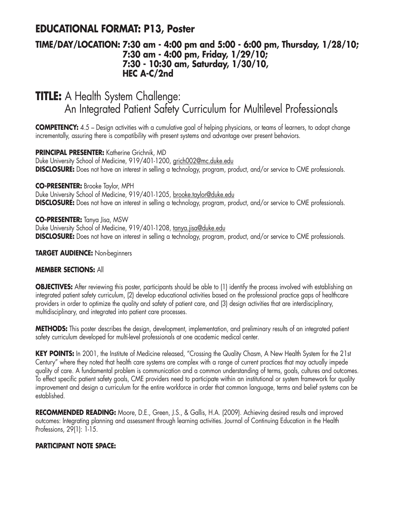## **EDUCATIONAL FORMAT: P13, Poster**

### **TIME/DAY/LOCATION: 7:30 am - 4:00 pm and 5:00 - 6:00 pm, Thursday, 1/28/10; 7:30 am - 4:00 pm, Friday, 1/29/10; 7:30 - 10:30 am, Saturday, 1/30/10, HEC A-C/2nd**

# **TITLE:** A Health System Challenge: An Integrated Patient Safety Curriculum for Multilevel Professionals

**COMPETENCY:** 4.5 – Design activities with a cumulative goal of helping physicians, or teams of learners, to adopt change incrementally, assuring there is compatibility with present systems and advantage over present behaviors.

#### **PRINCIPAL PRESENTER:** Katherine Grichnik, MD

Duke University School of Medicine, 919/401-1200, grich002@mc.duke.edu **DISCLOSURE:** Does not have an interest in selling a technology, program, product, and/or service to CME professionals.

#### **CO-PRESENTER:** Brooke Taylor, MPH

Duke University School of Medicine, 919/401-1205, brooke.taylor@duke.edu **DISCLOSURE:** Does not have an interest in selling a technology, program, product, and/or service to CME professionals.

#### **CO-PRESENTER:** Tanya Jisa, MSW

Duke University School of Medicine, 919/401-1208, tanya.jisa@duke.edu **DISCLOSURE:** Does not have an interest in selling a technology, program, product, and/or service to CME professionals.

#### **TARGET AUDIENCE:** Non-beginners

#### **MEMBER SECTIONS:** All

**OBJECTIVES:** After reviewing this poster, participants should be able to (1) identify the process involved with establishing an integrated patient safety curriculum, (2) develop educational activities based on the professional practice gaps of healthcare providers in order to optimize the quality and safety of patient care, and (3) design activities that are interdisciplinary, multidisciplinary, and integrated into patient care processes.

**METHODS:** This poster describes the design, development, implementation, and preliminary results of an integrated patient safety curriculum developed for multi-level professionals at one academic medical center.

KEY POINTS: In 2001, the Institute of Medicine released, "Crossing the Quality Chasm, A New Health System for the 21st Century" where they noted that health care systems are complex with a range of current practices that may actually impede quality of care. A fundamental problem is communication and a common understanding of terms, goals, cultures and outcomes. To effect specific patient safety goals, CME providers need to participate within an institutional or system framework for quality improvement and design a curriculum for the entire workforce in order that common language, terms and belief systems can be established.

**RECOMMENDED READING:** Moore, D.E., Green, J.S., & Gallis, H.A. (2009). Achieving desired results and improved outcomes: Integrating planning and assessment through learning activities. Journal of Continuing Education in the Health Professions, 29(1): 1-15.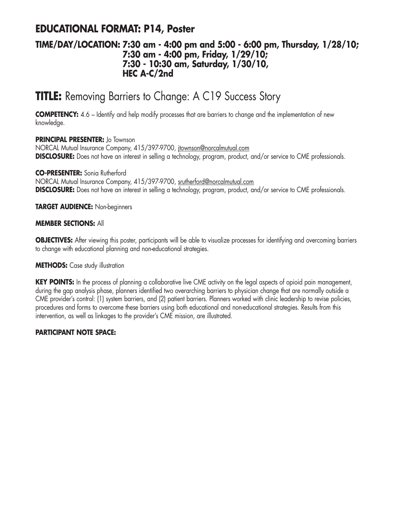## **EDUCATIONAL FORMAT: P14, Poster**

### **TIME/DAY/LOCATION: 7:30 am - 4:00 pm and 5:00 - 6:00 pm, Thursday, 1/28/10; 7:30 am - 4:00 pm, Friday, 1/29/10; 7:30 - 10:30 am, Saturday, 1/30/10, HEC A-C/2nd**

# **TITLE:** Removing Barriers to Change: A C19 Success Story

**COMPETENCY:** 4.6 – Identify and help modify processes that are barriers to change and the implementation of new knowledge.

#### **PRINCIPAL PRESENTER:** Jo Townson

NORCAL Mutual Insurance Company, 415/397-9700, jtownson@norcalmutual.com **DISCLOSURE:** Does not have an interest in selling a technology, program, product, and/or service to CME professionals.

**CO-PRESENTER:** Sonia Rutherford NORCAL Mutual Insurance Company, 415/397-9700, srutherford@norcalmutual.com **DISCLOSURE:** Does not have an interest in selling a technology, program, product, and/or service to CME professionals.

**TARGET AUDIENCE:** Non-beginners

#### **MEMBER SECTIONS:** All

**OBJECTIVES:** After viewing this poster, participants will be able to visualize processes for identifying and overcoming barriers to change with educational planning and non-educational strategies.

#### **METHODS:** Case study illustration

**KEY POINTS:** In the process of planning a collaborative live CME activity on the legal aspects of opioid pain management, during the gap analysis phase, planners identified two overarching barriers to physician change that are normally outside a CME provider's control: (1) system barriers, and (2) patient barriers. Planners worked with clinic leadership to revise policies, procedures and forms to overcome these barriers using both educational and non-educational strategies. Results from this intervention, as well as linkages to the provider's CME mission, are illustrated.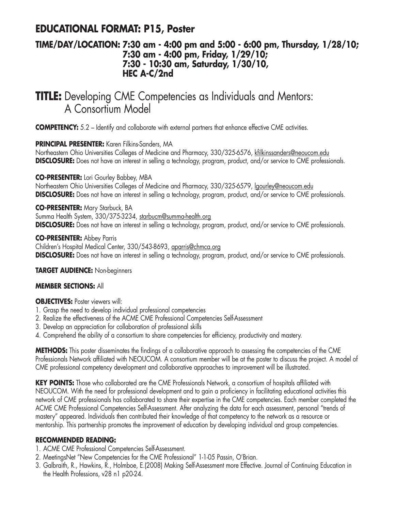## **EDUCATIONAL FORMAT: P15, Poster**

### **TIME/DAY/LOCATION: 7:30 am - 4:00 pm and 5:00 - 6:00 pm, Thursday, 1/28/10; 7:30 am - 4:00 pm, Friday, 1/29/10; 7:30 - 10:30 am, Saturday, 1/30/10, HEC A-C/2nd**

## **TITLE:** Developing CME Competencies as Individuals and Mentors: A Consortium Model

**COMPETENCY:** 5.2 – Identify and collaborate with external partners that enhance effective CME activities.

#### **PRINCIPAL PRESENTER:** Karen Filkins-Sanders, MA

Northeastern Ohio Universities Colleges of Medicine and Pharmacy, 330/325-6576, kfilkinssanders@neoucom.edu **DISCLOSURE:** Does not have an interest in selling a technology, program, product, and/or service to CME professionals.

#### **CO-PRESENTER:** Lori Gourley Babbey, MBA

Northeastern Ohio Universities Colleges of Medicine and Pharmacy, 330/325-6579, lgourley@neoucom.edu **DISCLOSURE:** Does not have an interest in selling a technology, program, product, and/or service to CME professionals.

**CO-PRESENTER:** Mary Starbuck, BA Summa Health System, 330/375-3234, starbucm@summa-health.org **DISCLOSURE:** Does not have an interest in selling a technology, program, product, and/or service to CME professionals.

**CO-PRESENTER:** Abbey Parris Children's Hospital Medical Center, 330/543-8693, aparris@chmca.org **DISCLOSURE:** Does not have an interest in selling a technology, program, product, and/or service to CME professionals.

#### **TARGET AUDIENCE:** Non-beginners

#### **MEMBER SECTIONS:** All

**OBJECTIVES:** Poster viewers will:

- 1. Grasp the need to develop individual professional competencies
- 2. Realize the effectiveness of the ACME CME Professional Competencies Self-Assessment
- 3. Develop an appreciation for collaboration of professional skills
- 4. Comprehend the ability of a consortium to share competencies for efficiency, productivity and mastery.

**METHODS:** This poster disseminates the findings of a collaborative approach to assessing the competencies of the CME Professionals Network affiliated with NEOUCOM. A consortium member will be at the poster to discuss the project. A model of CME professional competency development and collaborative approaches to improvement will be illustrated.

**KEY POINTS:** Those who collaborated are the CME Professionals Network, a consortium of hospitals affiliated with NEOUCOM. With the need for professional development and to gain a proficiency in facilitating educational activities this network of CME professionals has collaborated to share their expertise in the CME competencies. Each member completed the ACME CME Professional Competencies Self-Assessment. After analyzing the data for each assessment, personal "trends of mastery" appeared. Individuals then contributed their knowledge of that competency to the network as a resource or mentorship. This partnership promotes the improvement of education by developing individual and group competencies.

#### **RECOMMENDED READING:**

- 1. ACME CME Professional Competencies Self-Assessment.
- 2. MeetingsNet "New Competencies for the CME Professional" 1-1-05 Passin, O'Brian.
- 3. Galbraith, R., Hawkins, R., Holmboe, E.(2008) Making Self-Assessment more Effective. Journal of Continuing Education in the Health Professions, v28 n1 p20-24.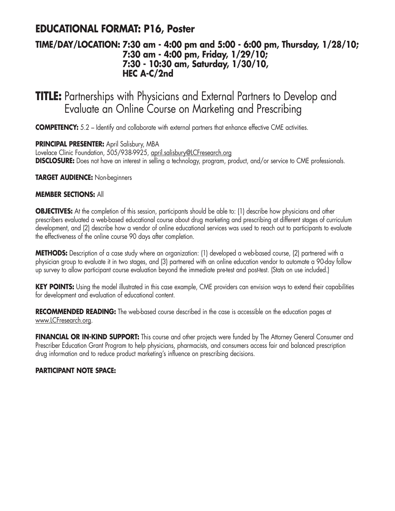## **EDUCATIONAL FORMAT: P16, Poster**

### **TIME/DAY/LOCATION: 7:30 am - 4:00 pm and 5:00 - 6:00 pm, Thursday, 1/28/10; 7:30 am - 4:00 pm, Friday, 1/29/10; 7:30 - 10:30 am, Saturday, 1/30/10, HEC A-C/2nd**

# **TITLE:** Partnerships with Physicians and External Partners to Develop and Evaluate an Online Course on Marketing and Prescribing

**COMPETENCY:** 5.2 – Identify and collaborate with external partners that enhance effective CME activities.

**PRINCIPAL PRESENTER:** April Salisbury, MBA

Lovelace Clinic Foundation, 505/938-9925, april.salisbury@LCFresearch.org **DISCLOSURE:** Does not have an interest in selling a technology, program, product, and/or service to CME professionals.

**TARGET AUDIENCE:** Non-beginners

#### **MEMBER SECTIONS:** All

**OBJECTIVES:** At the completion of this session, participants should be able to: (1) describe how physicians and other prescribers evaluated a web-based educational course about drug marketing and prescribing at different stages of curriculum development, and (2) describe how a vendor of online educational services was used to reach out to participants to evaluate the effectiveness of the online course 90 days after completion.

**METHODS:** Description of a case study where an organization: (1) developed a web-based course, (2) partnered with a physician group to evaluate it in two stages, and (3) partnered with an online education vendor to automate a 90-day follow up survey to allow participant course evaluation beyond the immediate pre-test and post-test. (Stats on use included.)

KEY POINTS: Using the model illustrated in this case example, CME providers can envision ways to extend their capabilities for development and evaluation of educational content.

**RECOMMENDED READING:** The web-based course described in the case is accessible on the education pages at www.LCFresearch.org.

**FINANCIAL OR IN-KIND SUPPORT:** This course and other projects were funded by The Attorney General Consumer and Prescriber Education Grant Program to help physicians, pharmacists, and consumers access fair and balanced prescription drug information and to reduce product marketing's influence on prescribing decisions.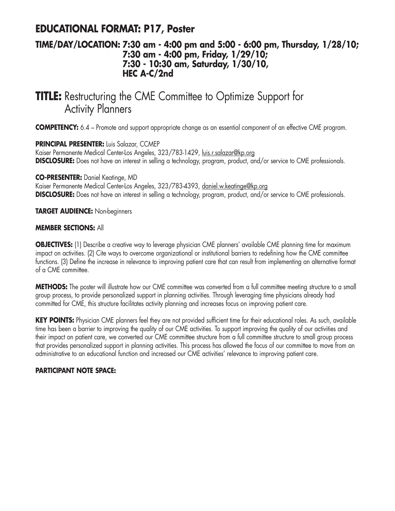## **EDUCATIONAL FORMAT: P17, Poster**

### **TIME/DAY/LOCATION: 7:30 am - 4:00 pm and 5:00 - 6:00 pm, Thursday, 1/28/10; 7:30 am - 4:00 pm, Friday, 1/29/10; 7:30 - 10:30 am, Saturday, 1/30/10, HEC A-C/2nd**

# **TITLE:** Restructuring the CME Committee to Optimize Support for Activity Planners

**COMPETENCY:** 6.4 – Promote and support appropriate change as an essential component of an effective CME program.

**PRINCIPAL PRESENTER:** Luis Salazar, CCMEP

Kaiser Permanente Medical Center-Los Angeles, 323/783-1429, luis.r.salazar@kp.org **DISCLOSURE:** Does not have an interest in selling a technology, program, product, and/or service to CME professionals.

**CO-PRESENTER:** Daniel Keatinge, MD

Kaiser Permanente Medical Center-Los Angeles, 323/783-4393, daniel.w.keatinge@kp.org **DISCLOSURE:** Does not have an interest in selling a technology, program, product, and/or service to CME professionals.

**TARGET AUDIENCE:** Non-beginners

#### **MEMBER SECTIONS:** All

**OBJECTIVES:** (1) Describe a creative way to leverage physician CME planners' available CME planning time for maximum impact on activities. (2) Cite ways to overcome organizational or institutional barriers to redefining how the CME committee functions. (3) Define the increase in relevance to improving patient care that can result from implementing an alternative format of a CME committee.

**METHODS:** The poster will illustrate how our CME committee was converted from a full committee meeting structure to a small group process, to provide personalized support in planning activities. Through leveraging time physicians already had committed for CME, this structure facilitates activity planning and increases focus on improving patient care.

**KEY POINTS:** Physician CME planners feel they are not provided sufficient time for their educational roles. As such, available time has been a barrier to improving the quality of our CME activities. To support improving the quality of our activities and their impact on patient care, we converted our CME committee structure from a full committee structure to small group process that provides personalized support in planning activities. This process has allowed the focus of our committee to move from an administrative to an educational function and increased our CME activities' relevance to improving patient care.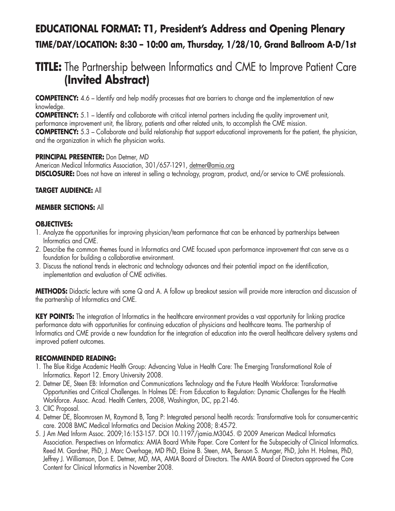# **EDUCATIONAL FORMAT: T1, President's Address and Opening Plenary TIME/DAY/LOCATION: 8:30 – 10:00 am, Thursday, 1/28/10, Grand Ballroom A-D/1st**

# **TITLE:** The Partnership between Informatics and CME to Improve Patient Care **(Invited Abstract)**

**COMPETENCY:** 4.6 – Identify and help modify processes that are barriers to change and the implementation of new knowledge.

**COMPETENCY:** 5.1 – Identify and collaborate with critical internal partners including the quality improvement unit, performance improvement unit, the library, patients and other related units, to accomplish the CME mission.

**COMPETENCY:** 5.3 – Collaborate and build relationship that support educational improvements for the patient, the physician, and the organization in which the physician works.

#### **PRINCIPAL PRESENTER:** Don Detmer, MD

American Medical Informatics Association, 301/657-1291, detmer@amia.org **DISCLOSURE:** Does not have an interest in selling a technology, program, product, and/or service to CME professionals.

#### **TARGET AUDIENCE:** All

#### **MEMBER SECTIONS:** All

#### **OBJECTIVES:**

- 1. Analyze the opportunities for improving physician/team performance that can be enhanced by partnerships between Informatics and CME.
- 2. Describe the common themes found in Informatics and CME focused upon performance improvement that can serve as a foundation for building a collaborative environment.
- 3. Discuss the national trends in electronic and technology advances and their potential impact on the identification, implementation and evaluation of CME activities.

**METHODS:** Didactic lecture with some Q and A. A follow up breakout session will provide more interaction and discussion of the partnership of Informatics and CME.

**KEY POINTS:** The integration of Informatics in the healthcare environment provides a vast opportunity for linking practice performance data with opportunities for continuing education of physicians and healthcare teams. The partnership of Informatics and CME provide a new foundation for the integration of education into the overall healthcare delivery systems and improved patient outcomes.

#### **RECOMMENDED READING:**

- 1. The Blue Ridge Academic Health Group: Advancing Value in Health Care: The Emerging Transformational Role of Informatics. Report 12*.* Emory University 2008.
- 2. Detmer DE, Steen EB: Information and Communications Technology and the Future Health Workforce: Transformative Opportunities and Critical Challenges. In Holmes DE: From Education to Regulation: Dynamic Challenges for the Health Workforce. Assoc. Acad. Health Centers, 2008, Washington, DC, pp.21-46.
- 3. CIIC Proposal.
- 4. Detmer DE, Bloomrosen M, Raymond B, Tang P: Integrated personal health records: Transformative tools for consumer-centric care. 2008 BMC Medical Informatics and Decision Making 2008; 8:45-72.
- 5. J Am Med Inform Assoc. 2009;16:153-157. DOI 10.1197/jamia.M3045. © 2009 American Medical Informatics Association. Perspectives on Informatics: AMIA Board White Paper. Core Content for the Subspecialty of Clinical Informatics. Reed M. Gardner, PhD, J. Marc Overhage, MD PhD, Elaine B. Steen, MA, Benson S. Munger, PhD, John H. Holmes, PhD, Jeffrey J. Williamson, Don E. Detmer, MD, MA, AMIA Board of Directors. The AMIA Board of Directors approved the Core Content for Clinical Informatics in November 2008.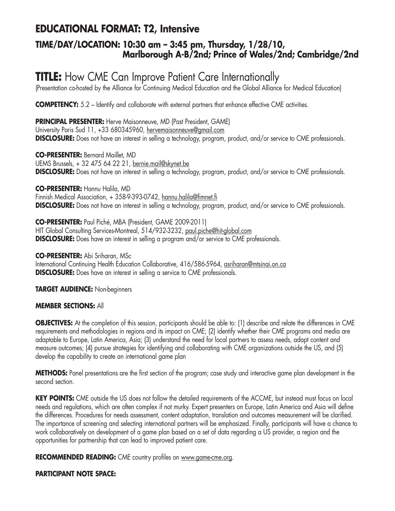## **EDUCATIONAL FORMAT: T2, Intensive**

### **TIME/DAY/LOCATION: 10:30 am – 3:45 pm, Thursday, 1/28/10, Marlborough A-B/2nd; Prince of Wales/2nd; Cambridge/2nd**

# **TITLE:** How CME Can Improve Patient Care Internationally

(Presentation co-hosted by the Alliance for Continuing Medical Education and the Global Alliance for Medical Education)

**COMPETENCY:** 5.2 – Identify and collaborate with external partners that enhance effective CME activities.

**PRINCIPAL PRESENTER:** Herve Maisonneuve, MD (Past President, GAME) University Paris Sud 11, +33 680345960, hervemaisonneuve@gmail.com **DISCLOSURE:** Does not have an interest in selling a technology, program, product, and/or service to CME professionals.

**CO-PRESENTER:** Bernard Maillet, MD UEMS Brussels, + 32 475 64 22 21, bernie.mail@skynet.be **DISCLOSURE:** Does not have an interest in selling a technology, program, product, and/or service to CME professionals.

**CO-PRESENTER:** Hannu Halila, MD Finnish Medical Association, + 358-9-393-0742, hannu.halila@fimnet.fi **DISCLOSURE:** Does not have an interest in selling a technology, program, product, and/or service to CME professionals.

**CO-PRESENTER:** Paul Piché, MBA (President, GAME 2009-2011) HIT Global Consulting Services-Montreal, 514/932-3232, paul.piche@hit-global.com **DISCLOSURE:** Does have an interest in selling a program and/or service to CME professionals.

**CO-PRESENTER:** Abi Sriharan, MSc International Continuing Health Education Collaborative, 416/586-5964, asriharan@mtsinai.on.ca **DISCLOSURE:** Does have an interest in selling a service to CME professionals.

**TARGET AUDIENCE:** Non-beginners

#### **MEMBER SECTIONS:** All

**OBJECTIVES:** At the completion of this session, participants should be able to: (1) describe and relate the differences in CME requirements and methodologies in regions and its impact on CME; (2) identify whether their CME programs and media are adaptable to Europe, Latin America, Asia; (3) understand the need for local partners to assess needs, adapt content and measure outcomes; (4) pursue strategies for identifying and collaborating with CME organizations outside the US, and (5) develop the capability to create an international game plan

**METHODS:** Panel presentations are the first section of the program; case study and interactive game plan development in the second section.

**KEY POINTS:** CME outside the US does not follow the detailed requirements of the ACCME, but instead must focus on local needs and regulations, which are often complex if not murky. Expert presenters on Europe, Latin America and Asia will define the differences. Procedures for needs assessment, content adaptation, translation and outcomes measurement will be clarified. The importance of screening and selecting international partners will be emphasized. Finally, participants will have a chance to work collaboratively on development of a game plan based on a set of data regarding a US provider, a region and the opportunities for partnership that can lead to improved patient care.

**RECOMMENDED READING:** CME country profiles on www.game-cme.org.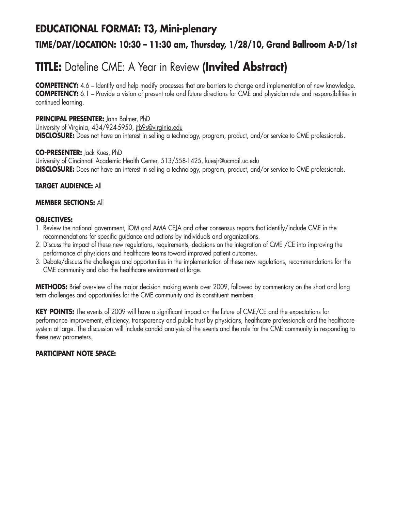## **EDUCATIONAL FORMAT: T3, Mini-plenary**

## **TIME/DAY/LOCATION: 10:30 – 11:30 am, Thursday, 1/28/10, Grand Ballroom A-D/1st**

# **TITLE:** Dateline CME: A Year in Review **(Invited Abstract)**

**COMPETENCY:** 4.6 – Identify and help modify processes that are barriers to change and implementation of new knowledge. **COMPETENCY:** 6.1 – Provide a vision of present role and future directions for CME and physician role and responsibilities in continued learning.

#### **PRINCIPAL PRESENTER:** Jann Balmer, PhD

University of Virginia, 434/924-5950, jtb9s@virginia.edu **DISCLOSURE:** Does not have an interest in selling a technology, program, product, and/or service to CME professionals.

#### **CO-PRESENTER:** Jack Kues, PhD

University of Cincinnati Academic Health Center, 513/558-1425, kuesjr@ucmail.uc.edu **DISCLOSURE:** Does not have an interest in selling a technology, program, product, and/or service to CME professionals.

#### **TARGET AUDIENCE:** All

#### **MEMBER SECTIONS:** All

#### **OBJECTIVES:**

- 1. Review the national government, IOM and AMA CEJA and other consensus reports that identify/include CME in the recommendations for specific guidance and actions by individuals and organizations.
- 2. Discuss the impact of these new regulations, requirements, decisions on the integration of CME /CE into improving the performance of physicians and healthcare teams toward improved patient outcomes.
- 3. Debate/discuss the challenges and opportunities in the implementation of these new regulations, recommendations for the CME community and also the healthcare environment at large.

**METHODS:** Brief overview of the major decision making events over 2009, followed by commentary on the short and long term challenges and opportunities for the CME community and its constituent members.

**KEY POINTS:** The events of 2009 will have a significant impact on the future of CME/CE and the expectations for performance improvement, efficiency, transparency and public trust by physicians, healthcare professionals and the healthcare system at large. The discussion will include candid analysis of the events and the role for the CME community in responding to these new parameters.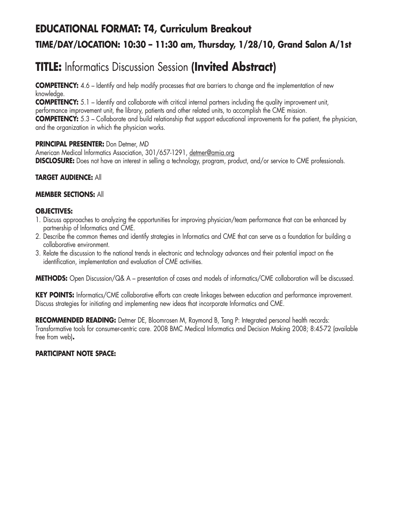# **EDUCATIONAL FORMAT: T4, Curriculum Breakout TIME/DAY/LOCATION: 10:30 – 11:30 am, Thursday, 1/28/10, Grand Salon A/1st**

# **TITLE:** Informatics Discussion Session **(Invited Abstract)**

**COMPETENCY:** 4.6 – Identify and help modify processes that are barriers to change and the implementation of new knowledge.

**COMPETENCY:** 5.1 – Identify and collaborate with critical internal partners including the quality improvement unit, performance improvement unit, the library, patients and other related units, to accomplish the CME mission. **COMPETENCY:** 5.3 – Collaborate and build relationship that support educational improvements for the patient, the physician, and the organization in which the physician works.

#### **PRINCIPAL PRESENTER:** Don Detmer, MD

American Medical Informatics Association, 301/657-1291, detmer@amia.org **DISCLOSURE:** Does not have an interest in selling a technology, program, product, and/or service to CME professionals.

#### **TARGET AUDIENCE:** All

#### **MEMBER SECTIONS:** All

#### **OBJECTIVES:**

- 1. Discuss approaches to analyzing the opportunities for improving physician/team performance that can be enhanced by partnership of Informatics and CME.
- 2. Describe the common themes and identify strategies in Informatics and CME that can serve as a foundation for building a collaborative environment.
- 3. Relate the discussion to the national trends in electronic and technology advances and their potential impact on the identification, implementation and evaluation of CME activities.

**METHODS:** Open Discussion/Q& A – presentation of cases and models of informatics/CME collaboration will be discussed.

**KEY POINTS:** Informatics/CME collaborative efforts can create linkages between education and performance improvement. Discuss strategies for initiating and implementing new ideas that incorporate Informatics and CME.

**RECOMMENDED READING:** Detmer DE, Bloomrosen M, Raymond B, Tang P: Integrated personal health records: Transformative tools for consumer-centric care. 2008 BMC Medical Informatics and Decision Making 2008; 8:45-72 (available free from web)**.**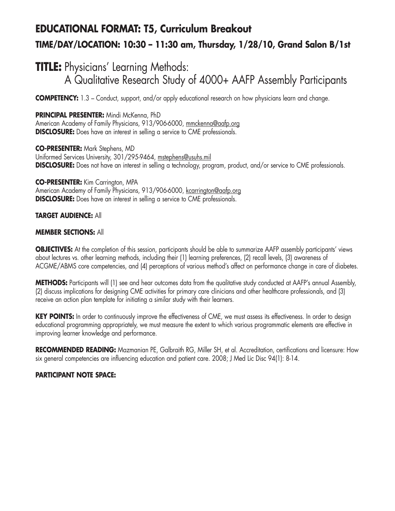# **EDUCATIONAL FORMAT: T5, Curriculum Breakout TIME/DAY/LOCATION: 10:30 – 11:30 am, Thursday, 1/28/10, Grand Salon B/1st**

# **TITLE:** Physicians' Learning Methods: A Qualitative Research Study of 4000+ AAFP Assembly Participants

**COMPETENCY:** 1.3 – Conduct, support, and/or apply educational research on how physicians learn and change.

#### **PRINCIPAL PRESENTER:** Mindi McKenna, PhD

American Academy of Family Physicians, 913/906-6000, mmckenna@aafp.org **DISCLOSURE:** Does have an interest in selling a service to CME professionals.

**CO-PRESENTER:** Mark Stephens, MD Uniformed Services University, 301/295-9464, mstephens@usuhs.mil **DISCLOSURE:** Does not have an interest in selling a technology, program, product, and/or service to CME professionals.

**CO-PRESENTER:** Kim Carrington, MPA American Academy of Family Physicians, 913/906-6000, kcarrington@aafp.org **DISCLOSURE:** Does have an interest in selling a service to CME professionals.

#### **TARGET AUDIENCE:** All

#### **MEMBER SECTIONS:** All

**OBJECTIVES:** At the completion of this session, participants should be able to summarize AAFP assembly participants' views about lectures vs. other learning methods, including their (1) learning preferences, (2) recall levels, (3) awareness of ACGME/ABMS core competencies, and (4) perceptions of various method's affect on performance change in care of diabetes.

**METHODS:** Participants will (1) see and hear outcomes data from the qualitative study conducted at AAFP's annual Assembly, (2) discuss implications for designing CME activities for primary care clinicians and other healthcare professionals, and (3) receive an action plan template for initiating a similar study with their learners.

KEY POINTS: In order to continuously improve the effectiveness of CME, we must assess its effectiveness. In order to design educational programming appropriately, we must measure the extent to which various programmatic elements are effective in improving learner knowledge and performance.

**RECOMMENDED READING:** Mazmanian PE, Galbraith RG, Miller SH, et al. Accreditation, certifications and licensure: How six general competencies are influencing education and patient care. 2008; J Med Lic Disc 94(1): 8-14.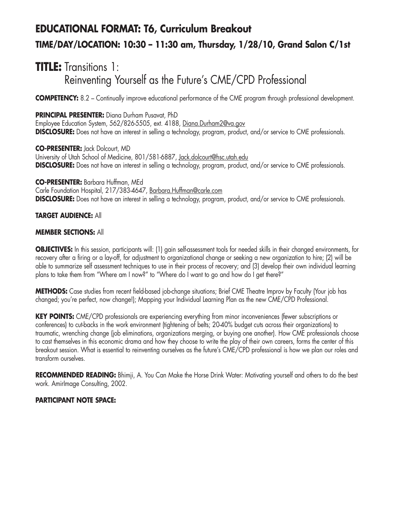# **EDUCATIONAL FORMAT: T6, Curriculum Breakout TIME/DAY/LOCATION: 10:30 – 11:30 am, Thursday, 1/28/10, Grand Salon C/1st**

# **TITLE:** Transitions 1: Reinventing Yourself as the Future's CME/CPD Professional

**COMPETENCY:** 8.2 – Continually improve educational performance of the CME program through professional development.

**PRINCIPAL PRESENTER:** Diana Durham Pusavat, PhD

Employee Education System, 562/826-5505, ext. 4188, Diana.Durham2@va.gov **DISCLOSURE:** Does not have an interest in selling a technology, program, product, and/or service to CME professionals.

**CO-PRESENTER:** Jack Dolcourt, MD University of Utah School of Medicine, 801/581-6887, Jack.dolcourt@hsc.utah.edu **DISCLOSURE:** Does not have an interest in selling a technology, program, product, and/or service to CME professionals.

**CO-PRESENTER:** Barbara Huffman, MEd Carle Foundation Hospital, 217/383-4647, Barbara.Huffman@carle.com **DISCLOSURE:** Does not have an interest in selling a technology, program, product, and/or service to CME professionals.

#### **TARGET AUDIENCE:** All

#### **MEMBER SECTIONS:** All

**OBJECTIVES:** In this session, participants will: (1) gain self-assessment tools for needed skills in their changed environments, for recovery after a firing or a lay-off, for adjustment to organizational change or seeking a new organization to hire; (2) will be able to summarize self assessment techniques to use in their process of recovery; and (3) develop their own individual learning plans to take them from "Where am I now?" to "Where do I want to go and how do I get there?"

**METHODS:** Case studies from recent field-based job-change situations; Brief CME Theatre Improv by Faculty (Your job has changed; you're perfect, now change!); Mapping your Individual Learning Plan as the new CME/CPD Professional.

**KEY POINTS:** CME/CPD professionals are experiencing everything from minor inconveniences (fewer subscriptions or conferences) to cut-backs in the work environment (tightening of belts; 20-40% budget cuts across their organizations) to traumatic, wrenching change (job eliminations, organizations merging, or buying one another). How CME professionals choose to cast themselves in this economic drama and how they choose to write the play of their own careers, forms the center of this breakout session. What is essential to reinventing ourselves as the future's CME/CPD professional is how we plan our roles and transform ourselves.

**RECOMMENDED READING:** Bhimji, A. You Can Make the Horse Drink Water: Motivating yourself and others to do the best work. AmirImage Consulting, 2002.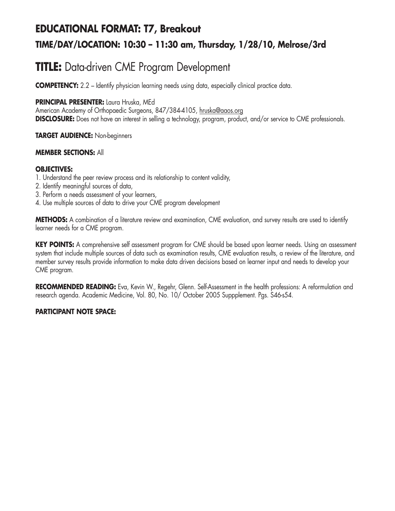## **EDUCATIONAL FORMAT: T7, Breakout TIME/DAY/LOCATION: 10:30 – 11:30 am, Thursday, 1/28/10, Melrose/3rd**

## **TITLE:** Data-driven CME Program Development

**COMPETENCY:** 2.2 – Identify physician learning needs using data, especially clinical practice data.

### **PRINCIPAL PRESENTER:** Laura Hruska, MEd

American Academy of Orthopaedic Surgeons, 847/384-4105, hruska@aaos.org **DISCLOSURE:** Does not have an interest in selling a technology, program, product, and/or service to CME professionals.

### **TARGET AUDIENCE:** Non-beginners

### **MEMBER SECTIONS:** All

### **OBJECTIVES:**

- 1. Understand the peer review process and its relationship to content validity,
- 2. Identify meaningful sources of data,
- 3. Perform a needs assessment of your learners,
- 4. Use multiple sources of data to drive your CME program development

**METHODS:** A combination of a literature review and examination, CME evaluation, and survey results are used to identify learner needs for a CME program.

**KEY POINTS:** A comprehensive self assessment program for CME should be based upon learner needs. Using an assessment system that include multiple sources of data such as examination results, CME evaluation results, a review of the literature, and member survey results provide information to make data driven decisions based on learner input and needs to develop your CME program.

**RECOMMENDED READING:** Eva, Kevin W., Regehr, Glenn. Self-Assessment in the health professions: A reformulation and research agenda. Academic Medicine, Vol. 80, No. 10/ October 2005 Suppplement. Pgs. S46-s54.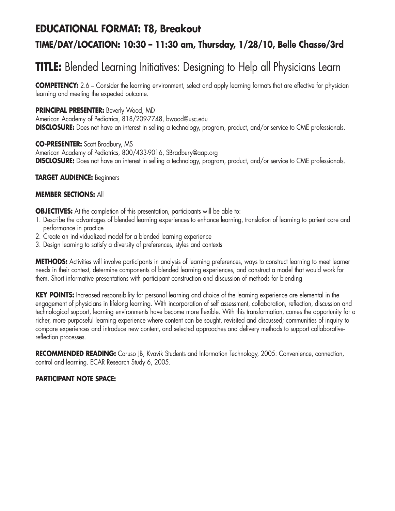### **EDUCATIONAL FORMAT: T8, Breakout**

### **TIME/DAY/LOCATION: 10:30 – 11:30 am, Thursday, 1/28/10, Belle Chasse/3rd**

# **TITLE:** Blended Learning Initiatives: Designing to Help all Physicians Learn

**COMPETENCY:** 2.6 – Consider the learning environment, select and apply learning formats that are effective for physician learning and meeting the expected outcome.

### **PRINCIPAL PRESENTER:** Beverly Wood, MD

American Academy of Pediatrics, 818/209-7748, bwood@usc.edu **DISCLOSURE:** Does not have an interest in selling a technology, program, product, and/or service to CME professionals.

**CO-PRESENTER:** Scott Bradbury, MS American Academy of Pediatrics, 800/433-9016, SBradbury@aap.org **DISCLOSURE:** Does not have an interest in selling a technology, program, product, and/or service to CME professionals.

#### **TARGET AUDIENCE:** Beginners

### **MEMBER SECTIONS:** All

**OBJECTIVES:** At the completion of this presentation, participants will be able to:

- 1. Describe the advantages of blended learning experiences to enhance learning, translation of learning to patient care and performance in practice
- 2. Create an individualized model for a blended learning experience
- 3. Design learning to satisfy a diversity of preferences, styles and contexts

**METHODS:** Activities will involve participants in analysis of learning preferences, ways to construct learning to meet learner needs in their context, determine components of blended learning experiences, and construct a model that would work for them. Short informative presentations with participant construction and discussion of methods for blending

**KEY POINTS:** Increased responsibility for personal learning and choice of the learning experience are elemental in the engagement of physicians in lifelong learning. With incorporation of self assessment, collaboration, reflection, discussion and technological support, learning environments have become more flexible. With this transformation, comes the opportunity for a richer, more purposeful learning experience where content can be sought, revisited and discussed; communities of inquiry to compare experiences and introduce new content, and selected approaches and delivery methods to support collaborativereflection processes.

RECOMMENDED READING: Caruso JB, Kvavik Students and Information Technology, 2005: Convenience, connection, control and learning. ECAR Research Study 6, 2005.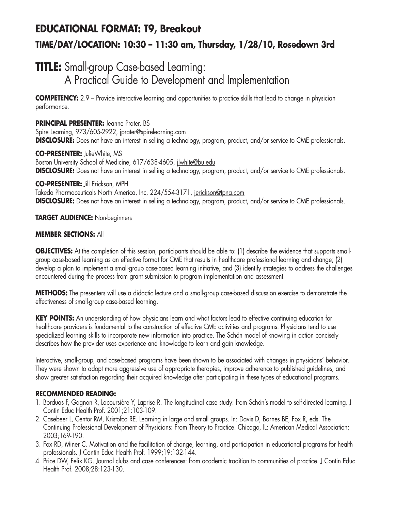# **EDUCATIONAL FORMAT: T9, Breakout TIME/DAY/LOCATION: 10:30 – 11:30 am, Thursday, 1/28/10, Rosedown 3rd**

## **TITLE:** Small-group Case-based Learning: A Practical Guide to Development and Implementation

**COMPETENCY:** 2.9 – Provide interactive learning and opportunities to practice skills that lead to change in physician performance.

**PRINCIPAL PRESENTER:** Jeanne Prater, BS Spire Learning, 973/605-2922, jprater@spirelearning.com **DISCLOSURE:** Does not have an interest in selling a technology, program, product, and/or service to CME professionals.

**CO-PRESENTER:** JulieWhite, MS Boston University School of Medicine, 617/638-4605, jlwhite@bu.edu **DISCLOSURE:** Does not have an interest in selling a technology, program, product, and/or service to CME professionals.

**CO-PRESENTER:** Jill Erickson, MPH

Takeda Pharmaceuticals North America, Inc, 224/554-3171, jerickson@tpna.com **DISCLOSURE:** Does not have an interest in selling a technology, program, product, and/or service to CME professionals.

**TARGET AUDIENCE:** Non-beginners

### **MEMBER SECTIONS:** All

**OBJECTIVES:** At the completion of this session, participants should be able to: (1) describe the evidence that supports smallgroup case-based learning as an effective format for CME that results in healthcare professional learning and change; (2) develop a plan to implement a small-group case-based learning initiative, and (3) identify strategies to address the challenges encountered during the process from grant submission to program implementation and assessment.

**METHODS:** The presenters will use a didactic lecture and a small-group case-based discussion exercise to demonstrate the effectiveness of small-group case-based learning.

**KEY POINTS:** An understanding of how physicians learn and what factors lead to effective continuing education for healthcare providers is fundamental to the construction of effective CME activities and programs. Physicians tend to use specialized learning skills to incorporate new information into practice. The Schön model of knowing in action concisely describes how the provider uses experience and knowledge to learn and gain knowledge.

Interactive, small-group, and case-based programs have been shown to be associated with changes in physicians' behavior. They were shown to adopt more aggressive use of appropriate therapies, improve adherence to published guidelines, and show greater satisfaction regarding their acquired knowledge after participating in these types of educational programs.

### **RECOMMENDED READING:**

- 1. Borduas F, Gagnon R, Lacoursière Y, Laprise R. The longitudinal case study: from Schön's model to self-directed learning. J Contin Educ Health Prof. 2001;21:103-109.
- 2. Casebeer L, Centor RM, Kristofco RE. Learning in large and small groups. In: Davis D, Barnes BE, Fox R, eds. The Continuing Professional Development of Physicians: From Theory to Practice. Chicago, IL: American Medical Association; 2003;169-190.
- 3. Fox RD, Miner C. Motivation and the facilitation of change, learning, and participation in educational programs for health professionals. J Contin Educ Health Prof. 1999;19:132-144.
- 4. Price DW, Felix KG. Journal clubs and case conferences: from academic tradition to communities of practice. J Contin Educ Health Prof. 2008;28:123-130.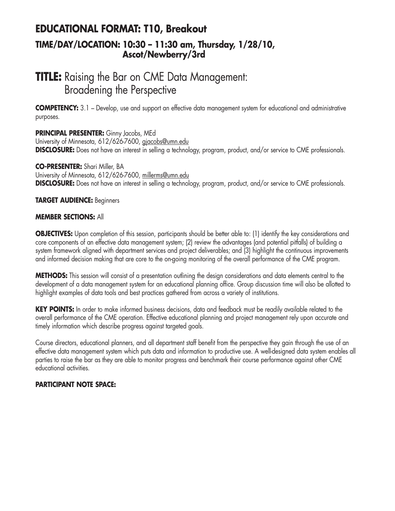### **EDUCATIONAL FORMAT: T10, Breakout TIME/DAY/LOCATION: 10:30 – 11:30 am, Thursday, 1/28/10, Ascot/Newberry/3rd**

### **TITLE:** Raising the Bar on CME Data Management: Broadening the Perspective

**COMPETENCY:** 3.1 – Develop, use and support an effective data management system for educational and administrative purposes.

### **PRINCIPAL PRESENTER:** Ginny Jacobs, MEd

University of Minnesota, 612/626-7600, gjacobs@umn.edu **DISCLOSURE:** Does not have an interest in selling a technology, program, product, and/or service to CME professionals.

### **CO-PRESENTER:** Shari Miller, BA

University of Minnesota, 612/626-7600, millerms@umn.edu **DISCLOSURE:** Does not have an interest in selling a technology, program, product, and/or service to CME professionals.

### **TARGET AUDIENCE:** Beginners

### **MEMBER SECTIONS:** All

**OBJECTIVES:** Upon completion of this session, participants should be better able to: (1) identify the key considerations and core components of an effective data management system; (2) review the advantages (and potential pitfalls) of building a system framework aligned with department services and project deliverables; and (3) highlight the continuous improvements and informed decision making that are core to the on-going monitoring of the overall performance of the CME program.

**METHODS:** This session will consist of a presentation outlining the design considerations and data elements central to the development of a data management system for an educational planning office. Group discussion time will also be allotted to highlight examples of data tools and best practices gathered from across a variety of institutions.

**KEY POINTS:** In order to make informed business decisions, data and feedback must be readily available related to the overall performance of the CME operation. Effective educational planning and project management rely upon accurate and timely information which describe progress against targeted goals.

Course directors, educational planners, and all department staff benefit from the perspective they gain through the use of an effective data management system which puts data and information to productive use. A well-designed data system enables all parties to raise the bar as they are able to monitor progress and benchmark their course performance against other CME educational activities.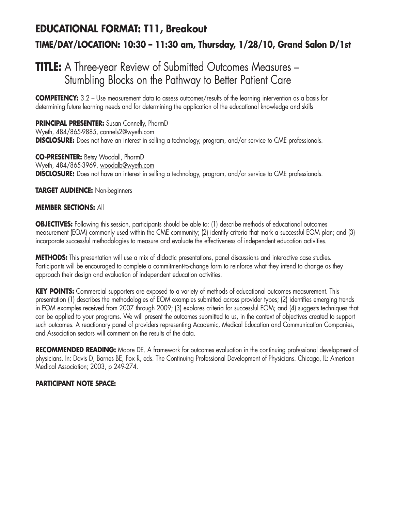# **EDUCATIONAL FORMAT: T11, Breakout TIME/DAY/LOCATION: 10:30 – 11:30 am, Thursday, 1/28/10, Grand Salon D/1st**

## **TITLE:** A Three-year Review of Submitted Outcomes Measures – Stumbling Blocks on the Pathway to Better Patient Care

**COMPETENCY:** 3.2 – Use measurement data to assess outcomes/results of the learning intervention as a basis for determining future learning needs and for determining the application of the educational knowledge and skills

**PRINCIPAL PRESENTER:** Susan Connelly, PharmD Wyeth, 484/865-9885, connels2@wyeth.com **DISCLOSURE:** Does not have an interest in selling a technology, program, and/or service to CME professionals.

**CO-PRESENTER:** Betsy Woodall, PharmD Wyeth, 484/865-3969, woodalb@wyeth.com **DISCLOSURE:** Does not have an interest in selling a technology, program, and/or service to CME professionals.

### **TARGET AUDIENCE:** Non-beginners

### **MEMBER SECTIONS:** All

**OBJECTIVES:** Following this session, participants should be able to: (1) describe methods of educational outcomes measurement (EOM) commonly used within the CME community; (2) identify criteria that mark a successful EOM plan; and (3) incorporate successful methodologies to measure and evaluate the effectiveness of independent education activities.

**METHODS:** This presentation will use a mix of didactic presentations, panel discussions and interactive case studies. Participants will be encouraged to complete a commitment-to-change form to reinforce what they intend to change as they approach their design and evaluation of independent education activities.

**KEY POINTS:** Commercial supporters are exposed to a variety of methods of educational outcomes measurement. This presentation (1) describes the methodologies of EOM examples submitted across provider types; (2) identifies emerging trends in EOM examples received from 2007 through 2009; (3) explores criteria for successful EOM; and (4) suggests techniques that can be applied to your programs. We will present the outcomes submitted to us, in the context of objectives created to support such outcomes. A reactionary panel of providers representing Academic, Medical Education and Communication Companies, and Association sectors will comment on the results of the data.

**RECOMMENDED READING:** Moore DE. A framework for outcomes evaluation in the continuing professional development of physicians. In: Davis D, Barnes BE, Fox R, eds. The Continuing Professional Development of Physicians. Chicago, IL: American Medical Association; 2003, p 249-274.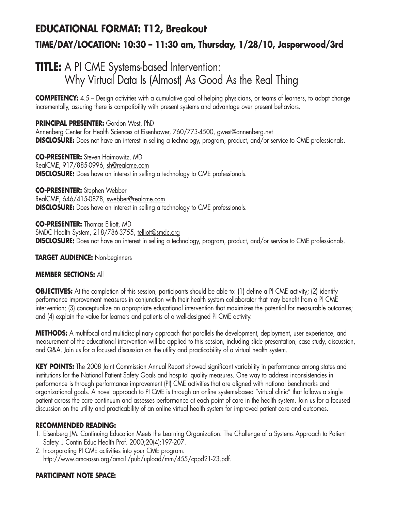# **EDUCATIONAL FORMAT: T12, Breakout TIME/DAY/LOCATION: 10:30 – 11:30 am, Thursday, 1/28/10, Jasperwood/3rd**

# **TITLE:** A PI CME Systems-based Intervention: Why Virtual Data Is (Almost) As Good As the Real Thing

**COMPETENCY:** 4.5 – Design activities with a cumulative goal of helping physicians, or teams of learners, to adopt change incrementally, assuring there is compatibility with present systems and advantage over present behaviors.

**PRINCIPAL PRESENTER:** Gordon West, PhD Annenberg Center for Health Sciences at Eisenhower, 760/773-4500, gwest@annenberg.net **DISCLOSURE:** Does not have an interest in selling a technology, program, product, and/or service to CME professionals.

**CO-PRESENTER:** Steven Haimowitz, MD RealCME, 917/885-0996, sh@realcme.com **DISCLOSURE:** Does have an interest in selling a technology to CME professionals.

**CO-PRESENTER:** Stephen Webber RealCME, 646/415-0878, swebber@realcme.com **DISCLOSURE:** Does have an interest in selling a technology to CME professionals.

**CO-PRESENTER:** Thomas Elliott, MD SMDC Health System, 218/786-3755, telliott@smdc.org **DISCLOSURE:** Does not have an interest in selling a technology, program, product, and/or service to CME professionals.

**TARGET AUDIENCE:** Non-beginners

### **MEMBER SECTIONS:** All

**OBJECTIVES:** At the completion of this session, participants should be able to: (1) define a PI CME activity; (2) identify performance improvement measures in conjunction with their health system collaborator that may benefit from a PI CME intervention; (3) conceptualize an appropriate educational intervention that maximizes the potential for measurable outcomes; and (4) explain the value for learners and patients of a well-designed PI CME activity.

**METHODS:** A multifocal and multidisciplinary approach that parallels the development, deployment, user experience, and measurement of the educational intervention will be applied to this session, including slide presentation, case study, discussion, and Q&A. Join us for a focused discussion on the utility and practicability of a virtual health system.

**KEY POINTS:** The 2008 Joint Commission Annual Report showed significant variability in performance among states and institutions for the National Patient Safety Goals and hospital quality measures. One way to address inconsistencies in performance is through performance improvement (PI) CME activities that are aligned with national benchmarks and organizational goals. A novel approach to PI CME is through an online systems-based "virtual clinic" that follows a single patient across the care continuum and assesses performance at each point of care in the health system. Join us for a focused discussion on the utility and practicability of an online virtual health system for improved patient care and outcomes.

### **RECOMMENDED READING:**

- 1. Eisenberg JM. Continuing Education Meets the Learning Organization: The Challenge of a Systems Approach to Patient Safety. J Contin Educ Health Prof. 2000;20(4):197-207.
- 2. Incorporating PI CME activities into your CME program. http://www.ama-assn.org/ama1/pub/upload/mm/455/cppd21-23.pdf.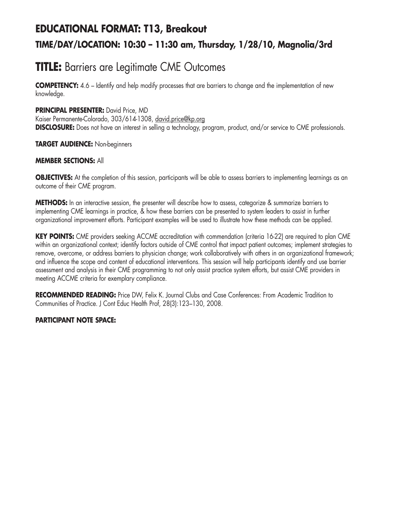# **EDUCATIONAL FORMAT: T13, Breakout TIME/DAY/LOCATION: 10:30 – 11:30 am, Thursday, 1/28/10, Magnolia/3rd**

## **TITLE:** Barriers are Legitimate CME Outcomes

**COMPETENCY:** 4.6 – Identify and help modify processes that are barriers to change and the implementation of new knowledge.

### **PRINCIPAL PRESENTER:** David Price, MD

Kaiser Permanente-Colorado, 303/614-1308, david.price@kp.org **DISCLOSURE:** Does not have an interest in selling a technology, program, product, and/or service to CME professionals.

### **TARGET AUDIENCE:** Non-beginners

### **MEMBER SECTIONS:** All

**OBJECTIVES:** At the completion of this session, participants will be able to assess barriers to implementing learnings as an outcome of their CME program.

**METHODS:** In an interactive session, the presenter will describe how to assess, categorize & summarize barriers to implementing CME learnings in practice, & how these barriers can be presented to system leaders to assist in further organizational improvement efforts. Participant examples will be used to illustrate how these methods can be applied.

**KEY POINTS:** CME providers seeking ACCME accreditation with commendation (criteria 16-22) are required to plan CME within an organizational context; identify factors outside of CME control that impact patient outcomes; implement strategies to remove, overcome, or address barriers to physician change; work collaboratively with others in an organizational framework; and influence the scope and content of educational interventions. This session will help participants identify and use barrier assessment and analysis in their CME programming to not only assist practice system efforts, but assist CME providers in meeting ACCME criteria for exemplary compliance.

**RECOMMENDED READING:** Price DW, Felix K. Journal Clubs and Case Conferences: From Academic Tradition to Communities of Practice. J Cont Educ Health Prof, 28(3):123–130, 2008.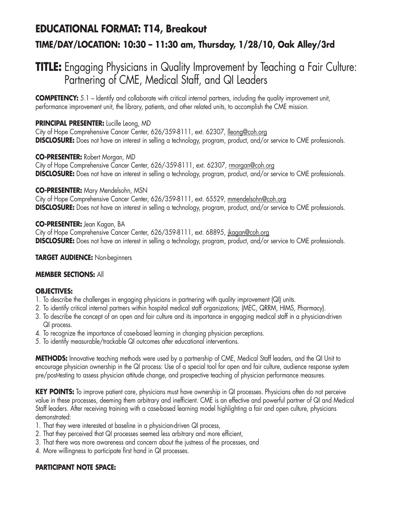### **EDUCATIONAL FORMAT: T14, Breakout**

### **TIME/DAY/LOCATION: 10:30 – 11:30 am, Thursday, 1/28/10, Oak Alley/3rd**

## **TITLE:** Engaging Physicians in Quality Improvement by Teaching a Fair Culture: Partnering of CME, Medical Staff, and QI Leaders

**COMPETENCY:** 5.1 – Identify and collaborate with critical internal partners, including the quality improvement unit, performance improvement unit, the library, patients, and other related units, to accomplish the CME mission.

### **PRINCIPAL PRESENTER:** Lucille Leong, MD

City of Hope Comprehensive Cancer Center, 626/359-8111, ext. 62307, lleong@coh.org **DISCLOSURE:** Does not have an interest in selling a technology, program, product, and/or service to CME professionals.

### **CO-PRESENTER:** Robert Morgan, MD

City of Hope Comprehensive Cancer Center, 626/-359-8111, ext. 62307, rmorgan@coh.org **DISCLOSURE:** Does not have an interest in selling a technology, program, product, and/or service to CME professionals.

### **CO-PRESENTER:** Mary Mendelsohn, MSN

City of Hope Comprehensive Cancer Center, 626/359-8111, ext. 65529, mmendelsohn@coh.org **DISCLOSURE:** Does not have an interest in selling a technology, program, product, and/or service to CME professionals.

### **CO-PRESENTER:** Jean Kagan, BA

City of Hope Comprehensive Cancer Center, 626/359-8111, ext. 68895, jkagan@coh.org **DISCLOSURE:** Does not have an interest in selling a technology, program, product, and/or service to CME professionals.

### **TARGET AUDIENCE:** Non-beginners

### **MEMBER SECTIONS:** All

### **OBJECTIVES:**

- 1. To describe the challenges in engaging physicians in partnering with quality improvement (QI) units.
- 2. To identify critical internal partners within hospital medical staff organizations; (MEC, QRRM, HIMS, Pharmacy).
- 3. To describe the concept of an open and fair culture and its importance in engaging medical staff in a physician-driven QI process.
- 4. To recognize the importance of case-based learning in changing physician perceptions.
- 5. To identify measurable/trackable QI outcomes after educational interventions.

**METHODS:** Innovative teaching methods were used by a partnership of CME, Medical Staff leaders, and the QI Unit to encourage physician ownership in the QI process: Use of a special tool for open and fair culture, audience response system pre/post-testing to assess physician attitude change, and prospective teaching of physician performance measures.

**KEY POINTS:** To improve patient care, physicians must have ownership in QI processes. Physicians often do not perceive value in these processes, deeming them arbitrary and inefficient. CME is an effective and powerful partner of QI and Medical Staff leaders. After receiving training with a case-based learning model highlighting a fair and open culture, physicians demonstrated:

- 1. That they were interested at baseline in a physician-driven QI process,
- 2. That they perceived that QI processes seemed less arbitrary and more efficient,
- 3. That there was more awareness and concern about the justness of the processes, and
- 4. More willingness to participate first hand in QI processes.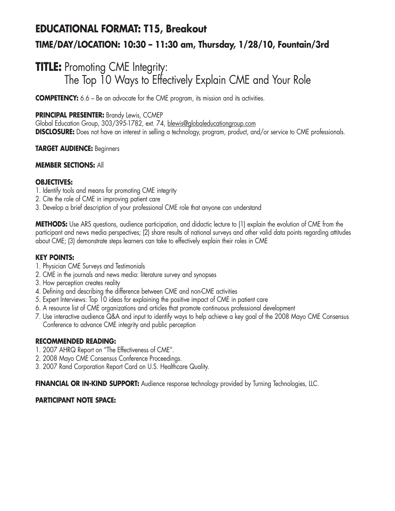# **EDUCATIONAL FORMAT: T15, Breakout TIME/DAY/LOCATION: 10:30 – 11:30 am, Thursday, 1/28/10, Fountain/3rd**

## **TITLE:** Promoting CME Integrity: The Top 10 Ways to Effectively Explain CME and Your Role

**COMPETENCY:** 6.6 – Be an advocate for the CME program, its mission and its activities.

### **PRINCIPAL PRESENTER:** Brandy Lewis, CCMEP

Global Education Group, 303/395-1782, ext. 74, blewis@globaleducationgroup.com **DISCLOSURE:** Does not have an interest in selling a technology, program, product, and/or service to CME professionals.

### **TARGET AUDIENCE:** Beginners

### **MEMBER SECTIONS:** All

### **OBJECTIVES:**

- 1. Identify tools and means for promoting CME integrity
- 2. Cite the role of CME in improving patient care
- 3. Develop a brief description of your professional CME role that anyone can understand

**METHODS:** Use ARS questions, audience participation, and didactic lecture to (1) explain the evolution of CME from the participant and news media perspectives; (2) share results of national surveys and other valid data points regarding attitudes about CME; (3) demonstrate steps learners can take to effectively explain their roles in CME

#### **KEY POINTS:**

- 1. Physician CME Surveys and Testimonials
- 2. CME in the journals and news media: literature survey and synopses
- 3. How perception creates reality
- 4. Defining and describing the difference between CME and non-CME activities
- 5. Expert Interviews: Top 10 ideas for explaining the positive impact of CME in patient care
- 6. A resource list of CME organizations and articles that promote continuous professional development
- 7. Use interactive audience Q&A and input to identify ways to help achieve a key goal of the 2008 Mayo CME Consensus Conference to advance CME integrity and public perception

### **RECOMMENDED READING:**

- 1. 2007 AHRQ Report on "The Effectiveness of CME".
- 2. 2008 Mayo CME Consensus Conference Proceedings.
- 3. 2007 Rand Corporation Report Card on U.S. Healthcare Quality.

**FINANCIAL OR IN-KIND SUPPORT:** Audience response technology provided by Turning Technologies, LLC.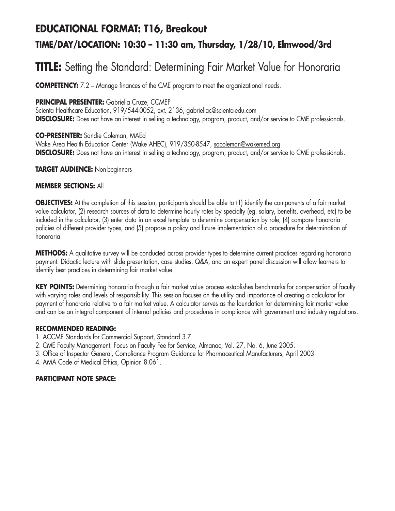### **EDUCATIONAL FORMAT: T16, Breakout**

### **TIME/DAY/LOCATION: 10:30 – 11:30 am, Thursday, 1/28/10, Elmwood/3rd**

## **TITLE:** Setting the Standard: Determining Fair Market Value for Honoraria

**COMPETENCY:** 7.2 – Manage finances of the CME program to meet the organizational needs.

### **PRINCIPAL PRESENTER:** Gabriella Cruze, CCMEP

Scienta Healthcare Education, 919/544-0052, ext. 2136, gabriellac@scienta-edu.com **DISCLOSURE:** Does not have an interest in selling a technology, program, product, and/or service to CME professionals.

### **CO-PRESENTER:** Sandie Coleman, MAEd

Wake Area Health Education Center (Wake AHEC), 919/350-8547, sacoleman@wakemed.org **DISCLOSURE:** Does not have an interest in selling a technology, program, product, and/or service to CME professionals.

#### **TARGET AUDIENCE:** Non-beginners

### **MEMBER SECTIONS:** All

**OBJECTIVES:** At the completion of this session, participants should be able to (1) identify the components of a fair market value calculator, (2) research sources of data to determine hourly rates by specialty (eg. salary, benefits, overhead, etc) to be included in the calculator, (3) enter data in an excel template to determine compensation by role, (4) compare honoraria policies of different provider types, and (5) propose a policy and future implementation of a procedure for determination of honoraria

**METHODS:** A qualitative survey will be conducted across provider types to determine current practices regarding honoraria payment. Didactic lecture with slide presentation, case studies, Q&A, and an expert panel discussion will allow learners to identify best practices in determining fair market value.

**KEY POINTS:** Determining honoraria through a fair market value process establishes benchmarks for compensation of faculty with varying roles and levels of responsibility. This session focuses on the utility and importance of creating a calculator for payment of honoraria relative to a fair market value. A calculator serves as the foundation for determining fair market value and can be an integral component of internal policies and procedures in compliance with government and industry regulations.

#### **RECOMMENDED READING:**

- 1. ACCME Standards for Commercial Support, Standard 3.7.
- 2. CME Faculty Management: Focus on Faculty Fee for Service, Almanac, Vol. 27, No. 6, June 2005.
- 3. Office of Inspector General, Compliance Program Guidance for Pharmaceutical Manufacturers, April 2003.
- 4. AMA Code of Medical Ethics, Opinion 8.061.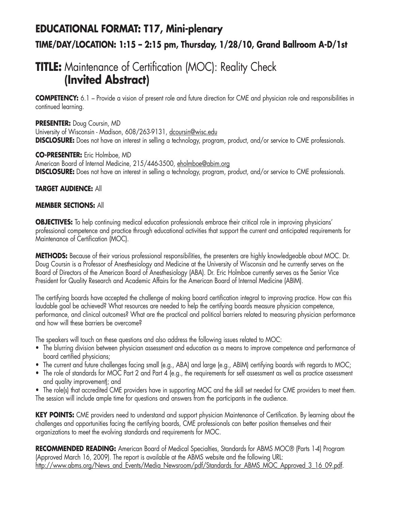# **EDUCATIONAL FORMAT: T17, Mini-plenary TIME/DAY/LOCATION: 1:15 – 2:15 pm, Thursday, 1/28/10, Grand Ballroom A-D/1st**

## **TITLE:** Maintenance of Certification (MOC): Reality Check **(Invited Abstract)**

**COMPETENCY:** 6.1 – Provide a vision of present role and future direction for CME and physician role and responsibilities in continued learning.

**PRESENTER:** Doug Coursin, MD University of Wisconsin - Madison, 608/263-9131, dcoursin@wisc.edu **DISCLOSURE:** Does not have an interest in selling a technology, program, product, and/or service to CME professionals.

### **CO-PRESENTER:** Eric Holmboe, MD

American Board of Internal Medicine, 215/446-3500, eholmboe@abim.org **DISCLOSURE:** Does not have an interest in selling a technology, program, product, and/or service to CME professionals.

### **TARGET AUDIENCE:** All

### **MEMBER SECTIONS:** All

**OBJECTIVES:** To help continuing medical education professionals embrace their critical role in improving physicians' professional competence and practice through educational activities that support the current and anticipated requirements for Maintenance of Certification (MOC).

**METHODS:** Because of their various professional responsibilities, the presenters are highly knowledgeable about MOC. Dr. Doug Coursin is a Professor of Anesthesiology and Medicine at the University of Wisconsin and he currently serves on the Board of Directors of the American Board of Anesthesiology (ABA). Dr. Eric Holmboe currently serves as the Senior Vice President for Quality Research and Academic Affairs for the American Board of Internal Medicine (ABIM).

The certifying boards have accepted the challenge of making board certification integral to improving practice. How can this laudable goal be achieved? What resources are needed to help the certifying boards measure physician competence, performance, and clinical outcomes? What are the practical and political barriers related to measuring physician performance and how will these barriers be overcome?

The speakers will touch on these questions and also address the following issues related to MOC:

- The blurring division between physician assessment and education as a means to improve competence and performance of board certified physicians;
- The current and future challenges facing small (e.g., ABA) and large (e.g., ABIM) certifying boards with regards to MOC;
- The role of standards for MOC Part 2 and Part 4 (e.g., the requirements for self assessment as well as practice assessment and quality improvement); and
- The role(s) that accredited CME providers have in supporting MOC and the skill set needed for CME providers to meet them. The session will include ample time for questions and answers from the participants in the audience.

**KEY POINTS:** CME providers need to understand and support physician Maintenance of Certification. By learning about the challenges and opportunities facing the certifying boards, CME professionals can better position themselves and their organizations to meet the evolving standards and requirements for MOC.

**RECOMMENDED READING:** American Board of Medical Specialties, Standards for ABMS MOC® (Parts 1-4) Program (Approved March 16, 2009). The report is available at the ABMS website and the following URL: http://www.abms.org/News\_and\_Events/Media\_Newsroom/pdf/Standards\_for\_ABMS\_MOC\_Approved\_3\_16\_09.pdf.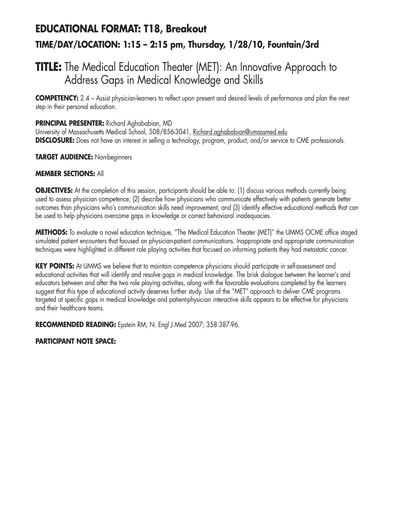# **EDUCATIONAL FORMAT: T18, Breakout TIME/DAY/LOCATION: 1:15 – 2:15 pm, Thursday, 1/28/10, Fountain/3rd**

## **TITLE:** The Medical Education Theater (MET): An Innovative Approach to Address Gaps in Medical Knowledge and Skills

**COMPETENCY:** 2.4 – Assist physician-learners to reflect upon present and desired levels of performance and plan the next step in their personal education.

### **PRINCIPAL PRESENTER:** Richard Aghababian, MD

University of Massachusetts Medical School, 508/856-3041, Richard.aghababian@umassmed.edu **DISCLOSURE:** Does not have an interest in selling a technology, program, product, and/or service to CME professionals.

### **TARGET AUDIENCE:** Non-beginners

### **MEMBER SECTIONS:** All

**OBJECTIVES:** At the completion of this session, participants should be able to: (1) discuss various methods currently being used to assess physician competence; (2) describe how physicians who communicate effectively with patients generate better outcomes than physicians who's communication skills need improvement, and (3) identify effective educational methods that can be used to help physicians overcome gaps in knowledge or correct behavioral inadequacies.

**METHODS:** To evaluate a novel education technique, "The Medical Education Theater (MET)" the UMMS OCME office staged simulated patient encounters that focused on physician-patient communications. Inappropriate and appropriate communication techniques were highlighted in different role playing activities that focused on informing patients they had metastatic cancer.

**KEY POINTS:** At UMMS we believe that to maintain competence physicians should participate in self-assessment and educational activities that will identify and resolve gaps in medical knowledge. The brisk dialogue between the learner's and educators between and after the two role playing activities, along with the favorable evaluations completed by the learners suggest that this type of educational activity deserves further study. Use of the "MET" approach to deliver CME programs targeted at specific gaps in medical knowledge and patient-physician interactive skills appears to be effective for physicians and their healthcare teams.

**RECOMMENDED READING:** Epstein RM, N. Engl J Med 2007; 358:387-96.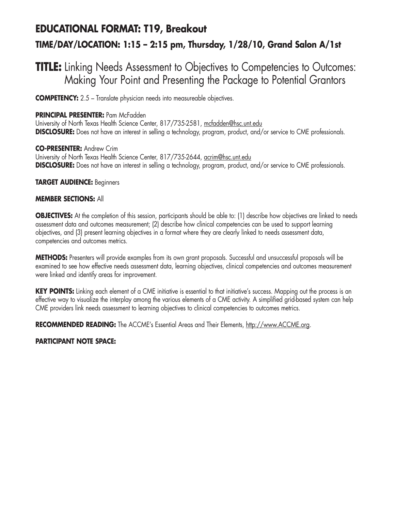# **EDUCATIONAL FORMAT: T19, Breakout TIME/DAY/LOCATION: 1:15 – 2:15 pm, Thursday, 1/28/10, Grand Salon A/1st**

### **TITLE:** Linking Needs Assessment to Objectives to Competencies to Outcomes: Making Your Point and Presenting the Package to Potential Grantors

**COMPETENCY:** 2.5 – Translate physician needs into measureable objectives.

### **PRINCIPAL PRESENTER:** Pam McFadden

University of North Texas Health Science Center, 817/735-2581, mcfadden@hsc.unt.edu **DISCLOSURE:** Does not have an interest in selling a technology, program, product, and/or service to CME professionals.

#### **CO-PRESENTER:** Andrew Crim University of North Texas Health Science Center, 817/735-2644, acrim@hsc.unt.edu **DISCLOSURE:** Does not have an interest in selling a technology, program, product, and/or service to CME professionals.

**TARGET AUDIENCE:** Beginners

### **MEMBER SECTIONS:** All

**OBJECTIVES:** At the completion of this session, participants should be able to: (1) describe how objectives are linked to needs assessment data and outcomes measurement; (2) describe how clinical competencies can be used to support learning objectives, and (3) present learning objectives in a format where they are clearly linked to needs assessment data, competencies and outcomes metrics.

**METHODS:** Presenters will provide examples from its own grant proposals. Successful and unsuccessful proposals will be examined to see how effective needs assessment data, learning objectives, clinical competencies and outcomes measurement were linked and identify areas for improvement.

**KEY POINTS:** Linking each element of a CME initiative is essential to that initiative's success. Mapping out the process is an effective way to visualize the interplay among the various elements of a CME activity. A simplified grid-based system can help CME providers link needs assessment to learning objectives to clinical competencies to outcomes metrics.

**RECOMMENDED READING:** The ACCME's Essential Areas and Their Elements, http://www.ACCME.org.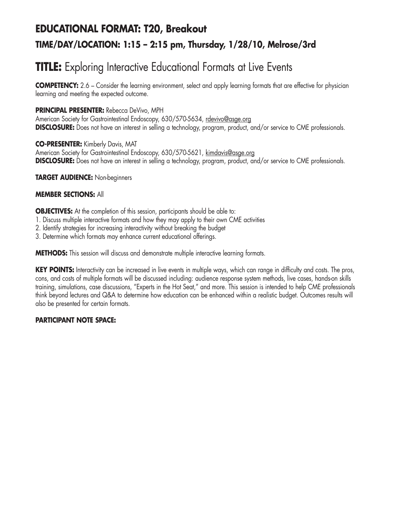# **EDUCATIONAL FORMAT: T20, Breakout TIME/DAY/LOCATION: 1:15 – 2:15 pm, Thursday, 1/28/10, Melrose/3rd**

# **TITLE:** Exploring Interactive Educational Formats at Live Events

**COMPETENCY:** 2.6 – Consider the learning environment, select and apply learning formats that are effective for physician learning and meeting the expected outcome.

### **PRINCIPAL PRESENTER:** Rebecca DeVivo, MPH

American Society for Gastrointestinal Endoscopy, 630/570-5634, rdevivo@asge.org **DISCLOSURE:** Does not have an interest in selling a technology, program, product, and/or service to CME professionals.

**CO-PRESENTER:** Kimberly Davis, MAT American Society for Gastrointestinal Endoscopy, 630/570-5621, kimdavis@asge.org **DISCLOSURE:** Does not have an interest in selling a technology, program, product, and/or service to CME professionals.

**TARGET AUDIENCE:** Non-beginners

### **MEMBER SECTIONS:** All

**OBJECTIVES:** At the completion of this session, participants should be able to:

- 1. Discuss multiple interactive formats and how they may apply to their own CME activities
- 2. Identify strategies for increasing interactivity without breaking the budget
- 3. Determine which formats may enhance current educational offerings.

**METHODS:** This session will discuss and demonstrate multiple interactive learning formats.

**KEY POINTS:** Interactivity can be increased in live events in multiple ways, which can range in difficulty and costs. The pros, cons, and costs of multiple formats will be discussed including: audience response system methods, live cases, hands-on skills training, simulations, case discussions, "Experts in the Hot Seat," and more. This session is intended to help CME professionals think beyond lectures and Q&A to determine how education can be enhanced within a realistic budget. Outcomes results will also be presented for certain formats.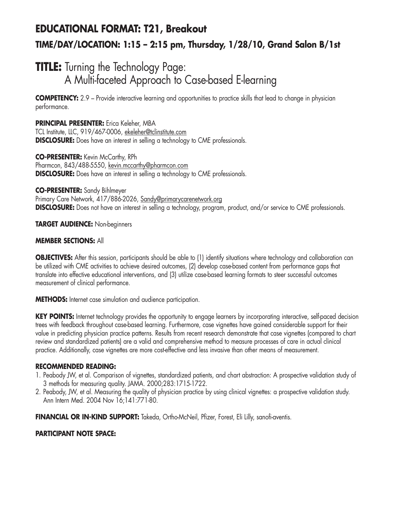# **EDUCATIONAL FORMAT: T21, Breakout TIME/DAY/LOCATION: 1:15 – 2:15 pm, Thursday, 1/28/10, Grand Salon B/1st**

## **TITLE:** Turning the Technology Page: A Multi-faceted Approach to Case-based E-learning

**COMPETENCY:** 2.9 – Provide interactive learning and opportunities to practice skills that lead to change in physician performance.

**PRINCIPAL PRESENTER:** Erica Keleher, MBA TCL Institute, LLC, 919/467-0006, ekeleher@tclinstitute.com **DISCLOSURE:** Does have an interest in selling a technology to CME professionals.

**CO-PRESENTER:** Kevin McCarthy, RPh Pharmcon, 843/488-5550, kevin.mccarthy@pharmcon.com **DISCLOSURE:** Does have an interest in selling a technology to CME professionals.

**CO-PRESENTER:** Sandy Bihlmeyer Primary Care Network, 417/886-2026, Sandy@primarycarenetwork.org **DISCLOSURE:** Does not have an interest in selling a technology, program, product, and/or service to CME professionals.

**TARGET AUDIENCE:** Non-beginners

### **MEMBER SECTIONS:** All

**OBJECTIVES:** After this session, participants should be able to (1) identify situations where technology and collaboration can be utilized with CME activities to achieve desired outcomes, (2) develop case-based content from performance gaps that translate into effective educational interventions, and (3) utilize case-based learning formats to steer successful outcomes measurement of clinical performance.

**METHODS:** Internet case simulation and audience participation.

**KEY POINTS:** Internet technology provides the opportunity to engage learners by incorporating interactive, self-paced decision trees with feedback throughout case-based learning. Furthermore, case vignettes have gained considerable support for their value in predicting physician practice patterns. Results from recent research demonstrate that case vignettes (compared to chart review and standardized patients) are a valid and comprehensive method to measure processes of care in actual clinical practice. Additionally, case vignettes are more cost-effective and less invasive than other means of measurement.

#### **RECOMMENDED READING:**

- 1. Peabody JW, et al. Comparison of vignettes, standardized patients, and chart abstraction: A prospective validation study of 3 methods for measuring quality. JAMA. 2000;283:1715-1722.
- 2. Peabody, JW, et al. Measuring the quality of physician practice by using clinical vignettes: a prospective validation study. Ann Intern Med. 2004 Nov 16;141:771-80.

**FINANCIAL OR IN-KIND SUPPORT:** Takeda, Ortho-McNeil, Pfizer, Forest, Eli Lilly, sanofi-aventis.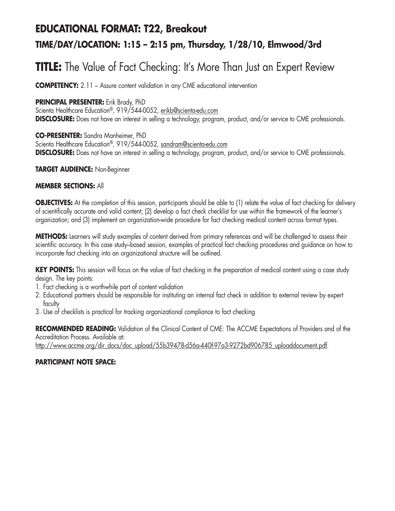## **EDUCATIONAL FORMAT: T22, Breakout TIME/DAY/LOCATION: 1:15 – 2:15 pm, Thursday, 1/28/10, Elmwood/3rd**

# **TITLE:** The Value of Fact Checking: It's More Than Just an Expert Review

**COMPETENCY:** 2.11 – Assure content validation in any CME educational intervention

### **PRINCIPAL PRESENTER:** Erik Brady, PhD

Scienta Healthcare Education®, 919/544-0052, erikb@scienta-edu.com **DISCLOSURE:** Does not have an interest in selling a technology, program, product, and/or service to CME professionals.

### **CO-PRESENTER:** Sandra Manheimer, PhD

Scienta Healthcare Education®, 919/544-0052, sandram@scienta-edu.com **DISCLOSURE:** Does not have an interest in selling a technology, program, product, and/or service to CME professionals.

### **TARGET AUDIENCE:** Non-Beginner

### **MEMBER SECTIONS:** All

**OBJECTIVES:** At the completion of this session, participants should be able to (1) relate the value of fact checking for delivery of scientifically accurate and valid content; (2) develop a fact check checklist for use within the framework of the learner's organization; and (3) implement an organization-wide procedure for fact checking medical content across format types.

**METHODS:** Learners will study examples of content derived from primary references and will be challenged to assess their scientific accuracy. In this case study–based session, examples of practical fact checking procedures and guidance on how to incorporate fact checking into an organizational structure will be outlined.

**KEY POINTS:** This session will focus on the value of fact checking in the preparation of medical content using a case study design. The key points:

- 1. Fact checking is a worthwhile part of content validation
- 2. Educational partners should be responsible for instituting an internal fact check in addition to external review by expert faculty
- 3. Use of checklists is practical for tracking organizational compliance to fact checking

**RECOMMENDED READING:** Validation of the Clinical Content of CME: The ACCME Expectations of Providers and of the Accreditation Process. Available at: http://www.accme.org/dir\_docs/doc\_upload/55b39478-d56a-440f-97a3-9272bd906785\_uploaddocument.pdf.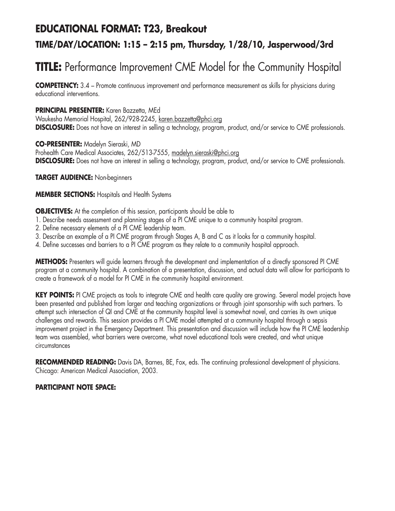# **EDUCATIONAL FORMAT: T23, Breakout TIME/DAY/LOCATION: 1:15 – 2:15 pm, Thursday, 1/28/10, Jasperwood/3rd**

# **TITLE:** Performance Improvement CME Model for the Community Hospital

**COMPETENCY:** 3.4 – Promote continuous improvement and performance measurement as skills for physicians during educational interventions.

### **PRINCIPAL PRESENTER:** Karen Bazzetta, MEd

Waukesha Memorial Hospital, 262/928-2245, karen.bazzetta@phci.org **DISCLOSURE:** Does not have an interest in selling a technology, program, product, and/or service to CME professionals.

**CO-PRESENTER:** Madelyn Sieraski, MD Prohealth Care Medical Associates, 262/513-7555, madelyn.sieraski@phci.org

**DISCLOSURE:** Does not have an interest in selling a technology, program, product, and/or service to CME professionals.

**TARGET AUDIENCE:** Non-beginners

### **MEMBER SECTIONS:** Hospitals and Health Systems

**OBJECTIVES:** At the completion of this session, participants should be able to

- 1. Describe needs assessment and planning stages of a PI CME unique to a community hospital program.
- 2. Define necessary elements of a PI CME leadership team.
- 3. Describe an example of a PI CME program through Stages A, B and C as it looks for a community hospital.
- 4. Define successes and barriers to a PI CME program as they relate to a community hospital approach.

**METHODS:** Presenters will guide learners through the development and implementation of a directly sponsored PI CME program at a community hospital. A combination of a presentation, discussion, and actual data will allow for participants to create a framework of a model for PI CME in the community hospital environment.

**KEY POINTS:** PI CME projects as tools to integrate CME and health care quality are growing. Several model projects have been presented and published from larger and teaching organizations or through joint sponsorship with such partners. To attempt such intersection of QI and CME at the community hospital level is somewhat novel, and carries its own unique challenges and rewards. This session provides a PI CME model attempted at a community hospital through a sepsis improvement project in the Emergency Department. This presentation and discussion will include how the PI CME leadership team was assembled, what barriers were overcome, what novel educational tools were created, and what unique circumstances

**RECOMMENDED READING:** Davis DA, Barnes, BE, Fox, eds. The continuing professional development of physicians. Chicago: American Medical Association, 2003.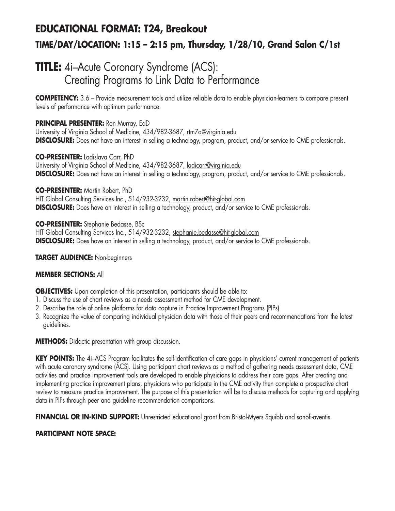# **EDUCATIONAL FORMAT: T24, Breakout TIME/DAY/LOCATION: 1:15 – 2:15 pm, Thursday, 1/28/10, Grand Salon C/1st**

## **TITLE:** 4i–Acute Coronary Syndrome (ACS): Creating Programs to Link Data to Performance

**COMPETENCY:** 3.6 – Provide measurement tools and utilize reliable data to enable physician-learners to compare present levels of performance with optimum performance.

### **PRINCIPAL PRESENTER:** Ron Murray, EdD

University of Virginia School of Medicine, 434/982-3687, rtm7a@virginia.edu **DISCLOSURE:** Does not have an interest in selling a technology, program, product, and/or service to CME professionals.

**CO-PRESENTER:** Ladislava Carr, PhD University of Virginia School of Medicine, 434/982-3687, *ladicarr@virginia.edu* **DISCLOSURE:** Does not have an interest in selling a technology, program, product, and/or service to CME professionals.

**CO-PRESENTER:** Martin Robert, PhD HIT Global Consulting Services Inc., 514/932-3232, martin.robert@hit-global.com **DISCLOSURE:** Does have an interest in selling a technology, product, and/or service to CME professionals.

**CO-PRESENTER:** Stephanie Bedasse, BSc HIT Global Consulting Services Inc., 514/932-3232, stephanie.bedasse@hit-global.com **DISCLOSURE:** Does have an interest in selling a technology, product, and/or service to CME professionals.

**TARGET AUDIENCE:** Non-beginners

### **MEMBER SECTIONS:** All

**OBJECTIVES:** Upon completion of this presentation, participants should be able to:

- 1. Discuss the use of chart reviews as a needs assessment method for CME development.
- 2. Describe the role of online platforms for data capture in Practice Improvement Programs (PIPs).
- 3. Recognize the value of comparing individual physician data with those of their peers and recommendations from the latest guidelines.

**METHODS:** Didactic presentation with group discussion.

KEY POINTS: The 4i-ACS Program facilitates the self-identification of care gaps in physicians' current management of patients with acute coronary syndrome (ACS). Using participant chart reviews as a method of gathering needs assessment data, CME activities and practice improvement tools are developed to enable physicians to address their care gaps. After creating and implementing practice improvement plans, physicians who participate in the CME activity then complete a prospective chart review to measure practice improvement. The purpose of this presentation will be to discuss methods for capturing and applying data in PIPs through peer and guideline recommendation comparisons.

**FINANCIAL OR IN-KIND SUPPORT:** Unrestricted educational grant from Bristol-Myers Squibb and sanofi-aventis.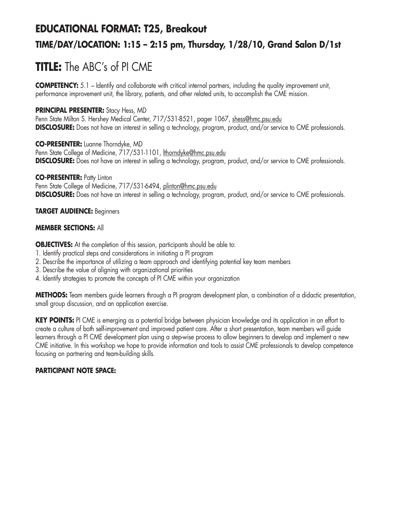# **EDUCATIONAL FORMAT: T25, Breakout TIME/DAY/LOCATION: 1:15 – 2:15 pm, Thursday, 1/28/10, Grand Salon D/1st**

# **TITLE:** The ABC's of PI CME

**COMPETENCY:** 5.1 – Identify and collaborate with critical internal partners, including the quality improvement unit, performance improvement unit, the library, patients, and other related units, to accomplish the CME mission.

### **PRINCIPAL PRESENTER:** Stacy Hess, MD

Penn State Milton S. Hershey Medical Center, 717/531-8521, pager 1067, shess@hmc.psu.edu **DISCLOSURE:** Does not have an interest in selling a technology, program, product, and/or service to CME professionals.

**CO-PRESENTER:** Luanne Thorndyke, MD Penn State College of Medicine, 717/531-1101, lthorndyke@hmc.psu.edu **DISCLOSURE:** Does not have an interest in selling a technology, program, product, and/or service to CME professionals.

### **CO-PRESENTER:** Patty Linton

Penn State College of Medicine, 717/531-6494, plinton@hmc.psu.edu **DISCLOSURE:** Does not have an interest in selling a technology, program, product, and/or service to CME professionals.

### **TARGET AUDIENCE:** Beginners

### **MEMBER SECTIONS:** All

**OBJECTIVES:** At the completion of this session, participants should be able to:

- 1. Identify practical steps and considerations in initiating a PI program
- 2. Describe the importance of utilizing a team approach and identifying potential key team members
- 3. Describe the value of aligning with organizational priorities
- 4. Identify strategies to promote the concepts of PI CME within your organization

**METHODS:** Team members guide learners through a PI program development plan, a combination of a didactic presentation, small group discussion, and an application exercise.

**KEY POINTS:** PI CME is emerging as a potential bridge between physician knowledge and its application in an effort to create a culture of both self-improvement and improved patient care. After a short presentation, team members will guide learners through a PI CME development plan using a step-wise process to allow beginners to develop and implement a new CME initiative. In this workshop we hope to provide information and tools to assist CME professionals to develop competence focusing on partnering and team-building skills.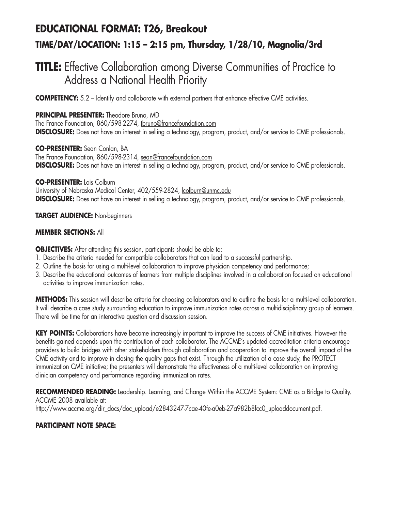# **EDUCATIONAL FORMAT: T26, Breakout TIME/DAY/LOCATION: 1:15 – 2:15 pm, Thursday, 1/28/10, Magnolia/3rd**

## **TITLE:** Effective Collaboration among Diverse Communities of Practice to Address a National Health Priority

**COMPETENCY:** 5.2 – Identify and collaborate with external partners that enhance effective CME activities.

### **PRINCIPAL PRESENTER:** Theodore Bruno, MD

The France Foundation, 860/598-2274, thruno@francefoundation.com **DISCLOSURE:** Does not have an interest in selling a technology, program, product, and/or service to CME professionals.

**CO-PRESENTER:** Sean Conlan, BA The France Foundation, 860/598-2314, sean@francefoundation.com **DISCLOSURE:** Does not have an interest in selling a technology, program, product, and/or service to CME professionals.

**CO-PRESENTER:** Lois Colburn University of Nebraska Medical Center, 402/559-2824, lcolburn@unmc.edu **DISCLOSURE:** Does not have an interest in selling a technology, program, product, and/or service to CME professionals.

### **TARGET AUDIENCE:** Non-beginners

### **MEMBER SECTIONS:** All

**OBJECTIVES:** After attending this session, participants should be able to:

- 1. Describe the criteria needed for compatible collaborators that can lead to a successful partnership.
- 2. Outline the basis for using a multi-level collaboration to improve physician competency and performance;
- 3. Describe the educational outcomes of learners from multiple disciplines involved in a collaboration focused on educational activities to improve immunization rates.

**METHODS:** This session will describe criteria for choosing collaborators and to outline the basis for a multi-level collaboration. It will describe a case study surrounding education to improve immunization rates across a multidisciplinary group of learners. There will be time for an interactive question and discussion session.

**KEY POINTS:** Collaborations have become increasingly important to improve the success of CME initiatives. However the benefits gained depends upon the contribution of each collaborator. The ACCME's updated accreditation criteria encourage providers to build bridges with other stakeholders through collaboration and cooperation to improve the overall impact of the CME activity and to improve in closing the quality gaps that exist. Through the utilization of a case study, the PROTECT immunization CME initiative; the presenters will demonstrate the effectiveness of a multi-level collaboration on improving clinician competency and performance regarding immunization rates.

**RECOMMENDED READING:** Leadership. Learning, and Change Within the ACCME System: CME as a Bridge to Quality. ACCME 2008 available at: http://www.accme.org/dir\_docs/doc\_upload/e2843247-7cae-40fe-a0eb-27a982b8fcc0\_uploaddocument.pdf.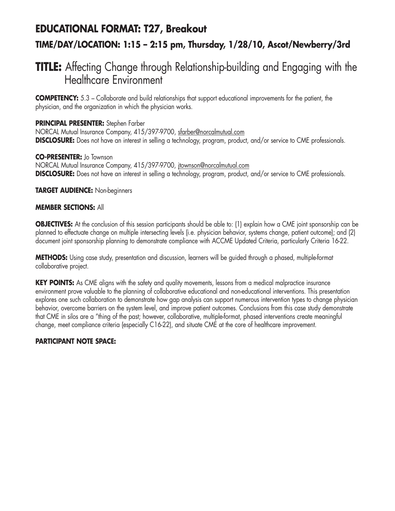### **EDUCATIONAL FORMAT: T27, Breakout**

### **TIME/DAY/LOCATION: 1:15 – 2:15 pm, Thursday, 1/28/10, Ascot/Newberry/3rd**

### **TITLE:** Affecting Change through Relationship-building and Engaging with the Healthcare Environment

**COMPETENCY:** 5.3 – Collaborate and build relationships that support educational improvements for the patient, the physician, and the organization in which the physician works.

### **PRINCIPAL PRESENTER:** Stephen Farber

NORCAL Mutual Insurance Company, 415/397-9700, sfarber@norcalmutual.com **DISCLOSURE:** Does not have an interest in selling a technology, program, product, and/or service to CME professionals.

### **CO-PRESENTER:** Jo Townson

NORCAL Mutual Insurance Company, 415/397-9700, jtownson@norcalmutual.com **DISCLOSURE:** Does not have an interest in selling a technology, program, product, and/or service to CME professionals.

### **TARGET AUDIENCE:** Non-beginners

### **MEMBER SECTIONS:** All

**OBJECTIVES:** At the conclusion of this session participants should be able to: (1) explain how a CME joint sponsorship can be planned to effectuate change on multiple intersecting levels (i.e. physician behavior, systems change, patient outcome); and (2) document joint sponsorship planning to demonstrate compliance with ACCME Updated Criteria, particularly Criteria 16-22.

**METHODS:** Using case study, presentation and discussion, learners will be guided through a phased, multiple-format collaborative project.

**KEY POINTS:** As CME aligns with the safety and quality movements, lessons from a medical malpractice insurance environment prove valuable to the planning of collaborative educational and non-educational interventions. This presentation explores one such collaboration to demonstrate how gap analysis can support numerous intervention types to change physician behavior, overcome barriers on the system level, and improve patient outcomes. Conclusions from this case study demonstrate that CME in silos are a "thing of the past; however, collaborative, multiple-format, phased interventions create meaningful change, meet compliance criteria (especially C16-22), and situate CME at the core of healthcare improvement.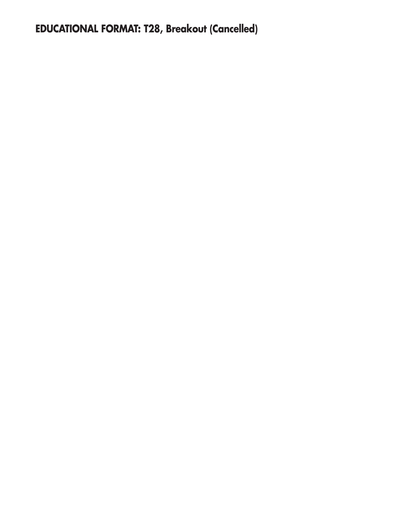**EDUCATIONAL FORMAT: T28, Breakout (Cancelled)**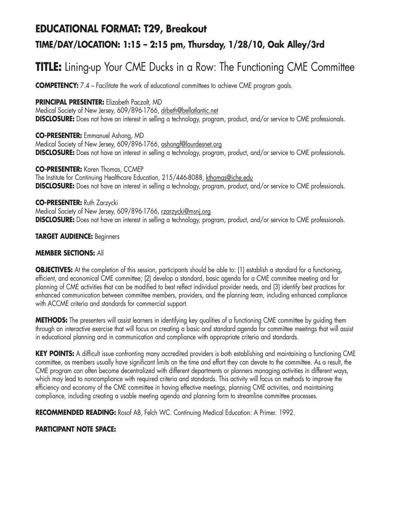### **EDUCATIONAL FORMAT: T29, Breakout**

### **TIME/DAY/LOCATION: 1:15 – 2:15 pm, Thursday, 1/28/10, Oak Alley/3rd**

# **TITLE:** Lining-up Your CME Ducks in a Row: The Functioning CME Committee

**COMPETENCY:** 7.4 – Facilitate the work of educational committees to achieve CME program goals.

### **PRINCIPAL PRESENTER:** Elizabeth Paczolt, MD

Medical Society of New Jersey, 609/896-1766, drbeth@bellatlantic.net **DISCLOSURE:** Does not have an interest in selling a technology, program, product, and/or service to CME professionals.

**CO-PRESENTER:** Emmanuel Ashong, MD Medical Society of New Jersey, 609/896-1766, ashongf@lourdesnet.org **DISCLOSURE:** Does not have an interest in selling a technology, program, product, and/or service to CME professionals.

**CO-PRESENTER:** Karen Thomas, CCMEP The Institute for Continuing Healthcare Education, 215/446-8088, kthomas@iche.edu **DISCLOSURE:** Does not have an interest in selling a technology, program, product, and/or service to CME professionals.

### **CO-PRESENTER:** Ruth Zarzycki

Medical Society of New Jersey, 609/896-1766, rzarzycki@msnj.org **DISCLOSURE:** Does not have an interest in selling a technology, program, product, and/or service to CME professionals.

### **TARGET AUDIENCE:** Beginners

### **MEMBER SECTIONS:** All

**OBJECTIVES:** At the completion of this session, participants should be able to: (1) establish a standard for a functioning, efficient, and economical CME committee; (2) develop a standard, basic agenda for a CME committee meeting and for planning of CME activities that can be modified to best reflect individual provider needs, and (3) identify best practices for enhanced communication between committee members, providers, and the planning team, including enhanced compliance with ACCME criteria and standards for commercial support.

**METHODS:** The presenters will assist learners in identifying key qualities of a functioning CME committee by quiding them through an interactive exercise that will focus on creating a basic and standard agenda for committee meetings that will assist in educational planning and in communication and compliance with appropriate criteria and standards.

**KEY POINTS:** A difficult issue confronting many accredited providers is both establishing and maintaining a functioning CME committee, as members usually have significant limits on the time and effort they can devote to the committee. As a result, the CME program can often become decentralized with different departments or planners managing activities in different ways, which may lead to noncompliance with required criteria and standards. This activity will focus on methods to improve the efficiency and economy of the CME committee in having effective meetings, planning CME activities, and maintaining compliance, including creating a usable meeting agenda and planning form to streamline committee processes.

**RECOMMENDED READING:** Rosof AB, Felch WC. Continuing Medical Education: A Primer. 1992.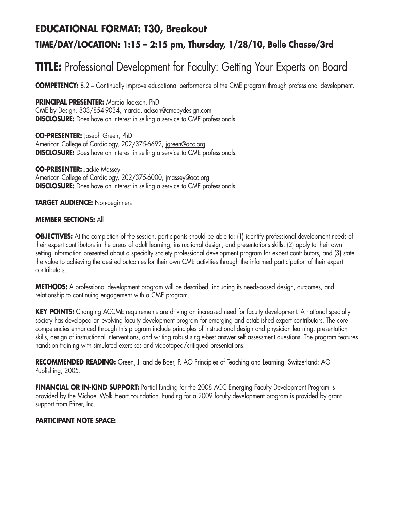## **EDUCATIONAL FORMAT: T30, Breakout TIME/DAY/LOCATION: 1:15 – 2:15 pm, Thursday, 1/28/10, Belle Chasse/3rd**

# **TITLE:** Professional Development for Faculty: Getting Your Experts on Board

**COMPETENCY:** 8.2 – Continually improve educational performance of the CME program through professional development.

**PRINCIPAL PRESENTER:** Marcia Jackson, PhD

CME by Design, 803/854-9034, marcia.jackson@cmebydesign.com **DISCLOSURE:** Does have an interest in selling a service to CME professionals.

**CO-PRESENTER:** Joseph Green, PhD American College of Cardiology, 202/375-6692, jgreen@acc.org **DISCLOSURE:** Does have an interest in selling a service to CME professionals.

**CO-PRESENTER:** Jackie Massey American College of Cardiology, 202/375-6000, jmassey@acc.org **DISCLOSURE:** Does have an interest in selling a service to CME professionals.

**TARGET AUDIENCE:** Non-beginners

#### **MEMBER SECTIONS:** All

**OBJECTIVES:** At the completion of the session, participants should be able to: (1) identify professional development needs of their expert contributors in the areas of adult learning, instructional design, and presentations skills; (2) apply to their own setting information presented about a specialty society professional development program for expert contributors, and (3) state the value to achieving the desired outcomes for their own CME activities through the informed participation of their expert contributors.

**METHODS:** A professional development program will be described, including its needs-based design, outcomes, and relationship to continuing engagement with a CME program.

**KEY POINTS:** Changing ACCME requirements are driving an increased need for faculty development. A national specialty society has developed an evolving faculty development program for emerging and established expert contributors. The core competencies enhanced through this program include principles of instructional design and physician learning, presentation skills, design of instructional interventions, and writing robust single-best answer self assessment questions. The program features hands-on training with simulated exercises and videotaped/critiqued presentations.

**RECOMMENDED READING:** Green, J. and de Boer, P. AO Principles of Teaching and Learning. Switzerland: AO Publishing, 2005.

**FINANCIAL OR IN-KIND SUPPORT:** Partial funding for the 2008 ACC Emerging Faculty Development Program is provided by the Michael Wolk Heart Foundation. Funding for a 2009 faculty development program is provided by grant support from Pfizer, Inc.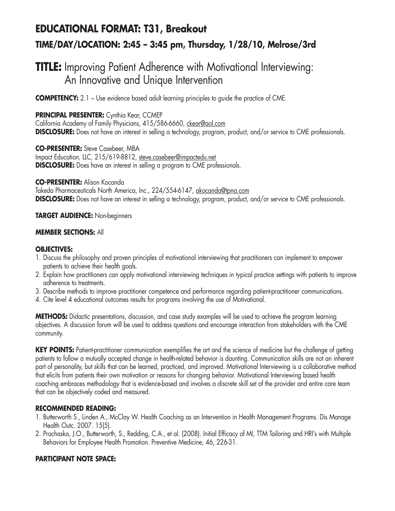# **EDUCATIONAL FORMAT: T31, Breakout TIME/DAY/LOCATION: 2:45 – 3:45 pm, Thursday, 1/28/10, Melrose/3rd**

## **TITLE:** Improving Patient Adherence with Motivational Interviewing: An Innovative and Unique Intervention

**COMPETENCY:** 2.1 – Use evidence based adult learning principles to quide the practice of CME.

### **PRINCIPAL PRESENTER:** Cynthia Kear, CCMEP

California Academy of Family Physicians, 415/586-6660, ckear@aol.com **DISCLOSURE:** Does not have an interest in selling a technology, program, product, and/or service to CME professionals.

**CO-PRESENTER:** Steve Casebeer, MBA Impact Education, LLC, 215/619-8812, steve.casebeer@impactedu.net **DISCLOSURE:** Does have an interest in selling a program to CME professionals.

**CO-PRESENTER:** Alison Kocanda

Takeda Pharmaceuticals North America, Inc., 224/554-6147, akocanda@tpna.com **DISCLOSURE:** Does not have an interest in selling a technology, program, product, and/or service to CME professionals.

### **TARGET AUDIENCE:** Non-beginners

### **MEMBER SECTIONS:** All

#### **OBJECTIVES:**

- 1. Discuss the philosophy and proven principles of motivational interviewing that practitioners can implement to empower patients to achieve their health goals.
- 2. Explain how practitioners can apply motivational interviewing techniques in typical practice settings with patients to improve adherence to treatments.
- 3. Describe methods to improve practitioner competence and performance regarding patient-practitioner communications.
- 4. Cite level 4 educational outcomes results for programs involving the use of Motivational.

**METHODS:** Didactic presentations, discussion, and case study examples will be used to achieve the program learning objectives. A discussion forum will be used to address questions and encourage interaction from stakeholders with the CME community.

**KEY POINTS:** Patient-practitioner communication exemplifies the art and the science of medicine but the challenge of getting patients to follow a mutually accepted change in health-related behavior is daunting. Communication skills are not an inherent part of personality, but skills that can be learned, practiced, and improved. Motivational Interviewing is a collaborative method that elicits from patients their own motivation or reasons for changing behavior. Motivational Interviewing based health coaching embraces methodology that is evidence-based and involves a discrete skill set of the provider and entire care team that can be objectively coded and measured.

#### **RECOMMENDED READING:**

- 1. Butterworth S., Linden A., McClay W. Health Coaching as an Intervention in Health Management Programs. Dis Manage Health Outc. 2007. 15(5).
- 2. Prochaska, J.O., Butterworth, S., Redding, C.A., et al. (2008). Initial Efficacy of MI, TTM Tailoring and HRI's with Multiple Behaviors for Employee Health Promotion. Preventive Medicine, 46, 226-31.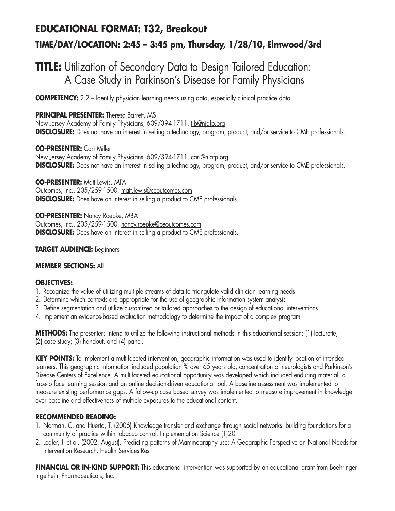# **EDUCATIONAL FORMAT: T32, Breakout TIME/DAY/LOCATION: 2:45 – 3:45 pm, Thursday, 1/28/10, Elmwood/3rd**

## **TITLE:** Utilization of Secondary Data to Design Tailored Education: A Case Study in Parkinson's Disease for Family Physicians

**COMPETENCY:** 2.2 – Identify physician learning needs using data, especially clinical practice data.

### **PRINCIPAL PRESENTER:** Theresa Barrett, MS

New Jersey Academy of Family Physicians, 609/394-1711, tib@njafp.org **DISCLOSURE:** Does not have an interest in selling a technology, program, product, and/or service to CME professionals.

### **CO-PRESENTER:** Cari Miller

New Jersey Academy of Family Physicians, 609/394-1711, cari@njafp.org **DISCLOSURE:** Does not have an interest in selling a technology, program, product, and/or service to CME professionals.

**CO-PRESENTER:** Matt Lewis, MPA Outcomes, Inc., 205/259-1500, matt.lewis@ceoutcomes.com **DISCLOSURE:** Does have an interest in selling a product to CME professionals.

**CO-PRESENTER:** Nancy Roepke, MBA Outcomes, Inc., 205/259-1500, nancy.roepke@ceoutcomes.com **DISCLOSURE:** Does have an interest in selling a product to CME professionals.

### **TARGET AUDIENCE:** Beginners

### **MEMBER SECTIONS:** All

### **OBJECTIVES:**

- 1. Recognize the value of utilizing multiple streams of data to triangulate valid clinician learning needs
- 2. Determine which contexts are appropriate for the use of geographic information system analysis
- 3. Define segmentation and utilize customized or tailored approaches to the design of educational interventions
- 4. Implement an evidence-based evaluation methodology to determine the impact of a complex program

**METHODS:** The presenters intend to utilize the following instructional methods in this educational session: (1) lecturette; (2) case study; (3) handout, and (4) panel.

KEY POINTS: To implement a multifaceted intervention, geographic information was used to identify location of intended learners. This geographic information included population % over 65 years old, concentration of neurologists and Parkinson's Disease Centers of Excellence. A multifaceted educational opportunity was developed which included enduring material, a face-to face learning session and an online decision-driven educational tool. A baseline assessment was implemented to measure existing performance gaps. A follow-up case based survey was implemented to measure improvement in knowledge over baseline and effectiveness of multiple exposures to the educational content.

### **RECOMMENDED READING:**

- 1. Norman, C. and Huerta, T. (2006) Knowledge transfer and exchange through social networks: building foundations for a community of practice within tobacco control. Implementation Science (1)20
- 2. Legler, J. et al. (2002, August). Predicting patterns of Mammography use: A Geographic Perspective on National Needs for Intervention Research. Health Services Res

**FINANCIAL OR IN-KIND SUPPORT:** This educational intervention was supported by an educational grant from Boehringer Ingelheim Pharmaceuticals, Inc.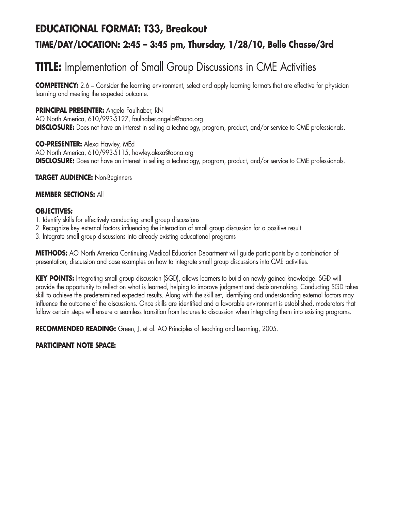## **EDUCATIONAL FORMAT: T33, Breakout TIME/DAY/LOCATION: 2:45 – 3:45 pm, Thursday, 1/28/10, Belle Chasse/3rd**

# **TITLE:** Implementation of Small Group Discussions in CME Activities

**COMPETENCY:** 2.6 – Consider the learning environment, select and apply learning formats that are effective for physician learning and meeting the expected outcome.

### **PRINCIPAL PRESENTER:** Angela Faulhaber, RN

AO North America, 610/993-5127, faulhaber.angela@aona.org **DISCLOSURE:** Does not have an interest in selling a technology, program, product, and/or service to CME professionals.

**CO-PRESENTER:** Alexa Hawley, MEd AO North America, 610/993-5115, hawley.alexa@aona.org **DISCLOSURE:** Does not have an interest in selling a technology, program, product, and/or service to CME professionals.

**TARGET AUDIENCE:** Non-Beginners

### **MEMBER SECTIONS:** All

### **OBJECTIVES:**

- 1. Identify skills for effectively conducting small group discussions
- 2. Recognize key external factors influencing the interaction of small group discussion for a positive result
- 3. Integrate small group discussions into already existing educational programs

**METHODS:** AO North America Continuing Medical Education Department will guide participants by a combination of presentation, discussion and case examples on how to integrate small group discussions into CME activities.

**KEY POINTS:** Integrating small group discussion (SGD), allows learners to build on newly gained knowledge. SGD will provide the opportunity to reflect on what is learned, helping to improve judgment and decision-making. Conducting SGD takes skill to achieve the predetermined expected results. Along with the skill set, identifying and understanding external factors may influence the outcome of the discussions. Once skills are identified and a favorable environment is established, moderators that follow certain steps will ensure a seamless transition from lectures to discussion when integrating them into existing programs.

**RECOMMENDED READING:** Green, J. et al. AO Principles of Teaching and Learning, 2005.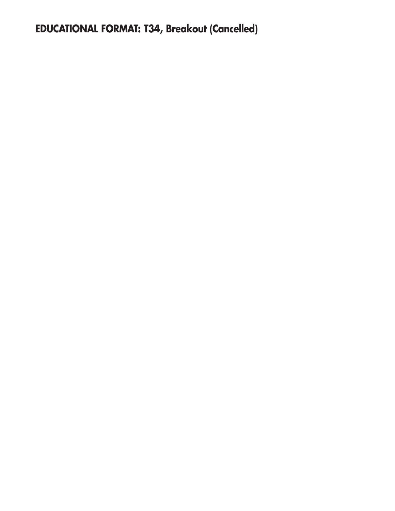**EDUCATIONAL FORMAT: T34, Breakout (Cancelled)**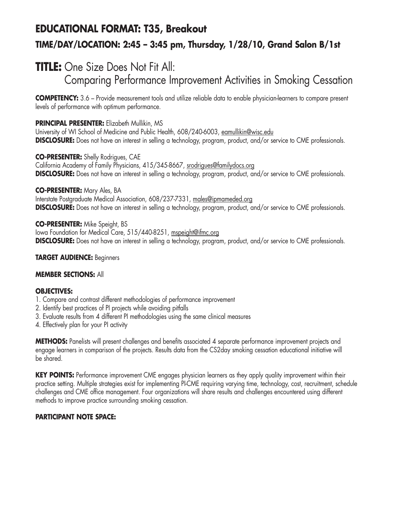# **EDUCATIONAL FORMAT: T35, Breakout TIME/DAY/LOCATION: 2:45 – 3:45 pm, Thursday, 1/28/10, Grand Salon B/1st**

# **TITLE:** One Size Does Not Fit All:

Comparing Performance Improvement Activities in Smoking Cessation

**COMPETENCY:** 3.6 – Provide measurement tools and utilize reliable data to enable physician-learners to compare present levels of performance with optimum performance.

### **PRINCIPAL PRESENTER:** Elizabeth Mullikin, MS

University of WI School of Medicine and Public Health, 608/240-6003, eamullikin@wisc.edu **DISCLOSURE:** Does not have an interest in selling a technology, program, product, and/or service to CME professionals.

**CO-PRESENTER:** Shelly Rodrigues, CAE California Academy of Family Physicians, 415/345-8667, srodrigues@familydocs.org **DISCLOSURE:** Does not have an interest in selling a technology, program, product, and/or service to CME professionals.

### **CO-PRESENTER:** Mary Ales, BA

Interstate Postgraduate Medical Association, 608/237-7331, males@ipmameded.org **DISCLOSURE:** Does not have an interest in selling a technology, program, product, and/or service to CME professionals.

**CO-PRESENTER:** Mike Speight, BS Iowa Foundation for Medical Care, 515/440-8251, mspeight@ifmc.org **DISCLOSURE:** Does not have an interest in selling a technology, program, product, and/or service to CME professionals.

### **TARGET AUDIENCE:** Beginners

### **MEMBER SECTIONS:** All

### **OBJECTIVES:**

- 1. Compare and contrast different methodologies of performance improvement
- 2. Identify best practices of PI projects while avoiding pitfalls
- 3. Evaluate results from 4 different PI methodologies using the same clinical measures
- 4. Effectively plan for your PI activity

**METHODS:** Panelists will present challenges and benefits associated 4 separate performance improvement projects and engage learners in comparison of the projects. Results data from the CS2day smoking cessation educational initiative will be shared.

**KEY POINTS:** Performance improvement CME engages physician learners as they apply quality improvement within their practice setting. Multiple strategies exist for implementing PI-CME requiring varying time, technology, cost, recruitment, schedule challenges and CME office management. Four organizations will share results and challenges encountered using different methods to improve practice surrounding smoking cessation.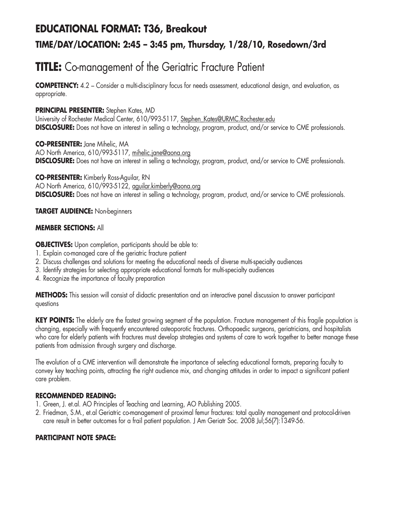## **EDUCATIONAL FORMAT: T36, Breakout TIME/DAY/LOCATION: 2:45 – 3:45 pm, Thursday, 1/28/10, Rosedown/3rd**

# **TITLE:** Co-management of the Geriatric Fracture Patient

**COMPETENCY:** 4.2 – Consider a multi-disciplinary focus for needs assessment, educational design, and evaluation, as appropriate.

### **PRINCIPAL PRESENTER:** Stephen Kates, MD

University of Rochester Medical Center, 610/993-5117, Stephen\_Kates@URMC.Rochester.edu **DISCLOSURE:** Does not have an interest in selling a technology, program, product, and/or service to CME professionals.

**CO-PRESENTER:** Jane Mihelic, MA AO North America, 610/993-5117, mihelic.jane@aona.org **DISCLOSURE:** Does not have an interest in selling a technology, program, product, and/or service to CME professionals.

**CO-PRESENTER:** Kimberly Ross-Aguilar, RN AO North America, 610/993-5122, aguilar.kimberly@aona.org **DISCLOSURE:** Does not have an interest in selling a technology, program, product, and/or service to CME professionals.

### **TARGET AUDIENCE:** Non-beginners

### **MEMBER SECTIONS:** All

**OBJECTIVES:** Upon completion, participants should be able to:

- 1. Explain co-managed care of the geriatric fracture patient
- 2. Discuss challenges and solutions for meeting the educational needs of diverse multi-specialty audiences
- 3. Identify strategies for selecting appropriate educational formats for multi-specialty audiences
- 4. Recognize the importance of faculty preparation

**METHODS:** This session will consist of didactic presentation and an interactive panel discussion to answer participant questions

**KEY POINTS:** The elderly are the fastest growing segment of the population. Fracture management of this fragile population is changing, especially with frequently encountered osteoporotic fractures. Orthopaedic surgeons, geriatricians, and hospitalists who care for elderly patients with fractures must develop strategies and systems of care to work together to better manage these patients from admission through surgery and discharge.

The evolution of a CME intervention will demonstrate the importance of selecting educational formats, preparing faculty to convey key teaching points, attracting the right audience mix, and changing attitudes in order to impact a significant patient care problem.

### **RECOMMENDED READING:**

- 1. Green, J. et.al. AO Principles of Teaching and Learning, AO Publishing 2005.
- 2. Friedman, S.M., et.al Geriatric co-management of proximal femur fractures: total quality management and protocol-driven care result in better outcomes for a frail patient population. J Am Geriatr Soc. 2008 Jul;56(7):1349-56.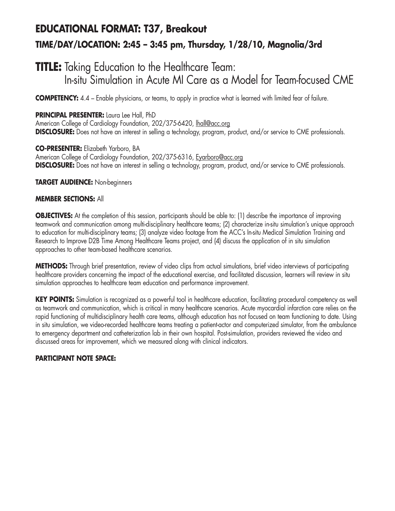# **EDUCATIONAL FORMAT: T37, Breakout TIME/DAY/LOCATION: 2:45 – 3:45 pm, Thursday, 1/28/10, Magnolia/3rd**

### **TITLE:** Taking Education to the Healthcare Team: In-situ Simulation in Acute MI Care as a Model for Team-focused CME

**COMPETENCY:** 4.4 – Enable physicians, or teams, to apply in practice what is learned with limited fear of failure.

### **PRINCIPAL PRESENTER:** Laura Lee Hall, PhD

American College of Cardiology Foundation, 202/375-6420, lhall@acc.org **DISCLOSURE:** Does not have an interest in selling a technology, program, product, and/or service to CME professionals.

**CO-PRESENTER:** Elizabeth Yarboro, BA American College of Cardiology Foundation, 202/375-6316, Eyarboro@acc.org **DISCLOSURE:** Does not have an interest in selling a technology, program, product, and/or service to CME professionals.

**TARGET AUDIENCE:** Non-beginners

### **MEMBER SECTIONS:** All

**OBJECTIVES:** At the completion of this session, participants should be able to: (1) describe the importance of improving teamwork and communication among multi-disciplinary healthcare teams; (2) characterize in-situ simulation's unique approach to education for multi-disciplinary teams; (3) analyze video footage from the ACC's In-situ Medical Simulation Training and Research to Improve D2B Time Among Healthcare Teams project, and (4) discuss the application of in situ simulation approaches to other team-based healthcare scenarios.

**METHODS:** Through brief presentation, review of video clips from actual simulations, brief video interviews of participating healthcare providers concerning the impact of the educational exercise, and facilitated discussion, learners will review in situ simulation approaches to healthcare team education and performance improvement.

**KEY POINTS:** Simulation is recognized as a powerful tool in healthcare education, facilitating procedural competency as well as teamwork and communication, which is critical in many healthcare scenarios. Acute myocardial infarction care relies on the rapid functioning of multidisciplinary health care teams, although education has not focused on team functioning to date. Using in situ simulation, we video-recorded healthcare teams treating a patient-actor and computerized simulator, from the ambulance to emergency department and catheterization lab in their own hospital. Post-simulation, providers reviewed the video and discussed areas for improvement, which we measured along with clinical indicators.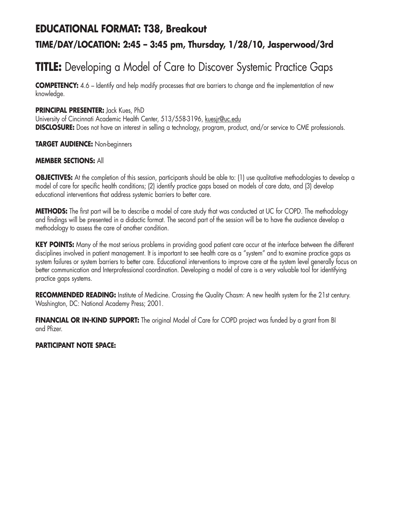### **EDUCATIONAL FORMAT: T38, Breakout**

### **TIME/DAY/LOCATION: 2:45 – 3:45 pm, Thursday, 1/28/10, Jasperwood/3rd**

# **TITLE:** Developing a Model of Care to Discover Systemic Practice Gaps

**COMPETENCY:** 4.6 – Identify and help modify processes that are barriers to change and the implementation of new knowledge.

### **PRINCIPAL PRESENTER:** Jack Kues, PhD

University of Cincinnati Academic Health Center, 513/558-3196, kuesjr@uc.edu **DISCLOSURE:** Does not have an interest in selling a technology, program, product, and/or service to CME professionals.

### **TARGET AUDIENCE:** Non-beginners

### **MEMBER SECTIONS:** All

**OBJECTIVES:** At the completion of this session, participants should be able to: (1) use qualitative methodologies to develop a model of care for specific health conditions; (2) identify practice gaps based on models of care data, and (3) develop educational interventions that address systemic barriers to better care.

**METHODS:** The first part will be to describe a model of care study that was conducted at UC for COPD. The methodology and findings will be presented in a didactic format. The second part of the session will be to have the audience develop a methodology to assess the care of another condition.

KEY POINTS: Many of the most serious problems in providing good patient care occur at the interface between the different disciplines involved in patient management. It is important to see health care as a "system" and to examine practice gaps as system failures or system barriers to better care. Educational interventions to improve care at the system level generally focus on better communication and Interprofessional coordination. Developing a model of care is a very valuable tool for identifying practice gaps systems.

**RECOMMENDED READING:** Institute of Medicine. Crossing the Quality Chasm: A new health system for the 21st century. Washington, DC: National Academy Press; 2001.

**FINANCIAL OR IN-KIND SUPPORT:** The original Model of Care for COPD project was funded by a grant from BI and Pfizer.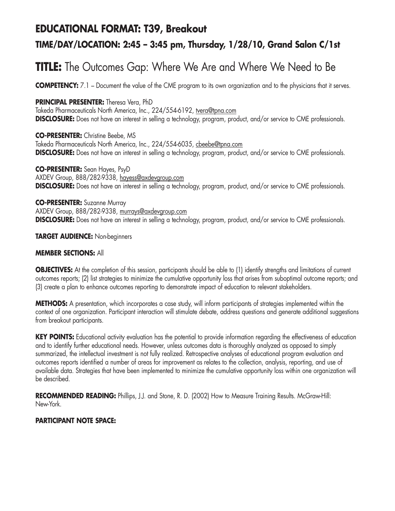### **EDUCATIONAL FORMAT: T39, Breakout**

### **TIME/DAY/LOCATION: 2:45 – 3:45 pm, Thursday, 1/28/10, Grand Salon C/1st**

## **TITLE:** The Outcomes Gap: Where We Are and Where We Need to Be

**COMPETENCY:** 7.1 – Document the value of the CME program to its own organization and to the physicians that it serves.

### **PRINCIPAL PRESENTER:** Theresa Vera, PhD

Takeda Pharmaceuticals North America, Inc., 224/554-6192, tvera@tpna.com **DISCLOSURE:** Does not have an interest in selling a technology, program, product, and/or service to CME professionals.

**CO-PRESENTER:** Christine Beebe, MS Takeda Pharmaceuticals North America, Inc., 224/554-6035, cbeebe@tpna.com **DISCLOSURE:** Does not have an interest in selling a technology, program, product, and/or service to CME professionals.

**CO-PRESENTER:** Sean Hayes, PsyD AXDEV Group, 888/282-9338, hayess@axdevgroup.com **DISCLOSURE:** Does not have an interest in selling a technology, program, product, and/or service to CME professionals.

**CO-PRESENTER:** Suzanne Murray AXDEV Group, 888/282-9338, murrays@axdevgroup.com **DISCLOSURE:** Does not have an interest in selling a technology, program, product, and/or service to CME professionals.

#### **TARGET AUDIENCE:** Non-beginners

### **MEMBER SECTIONS:** All

**OBJECTIVES:** At the completion of this session, participants should be able to (1) identify strengths and limitations of current outcomes reports; (2) list strategies to minimize the cumulative opportunity loss that arises from suboptimal outcome reports; and (3) create a plan to enhance outcomes reporting to demonstrate impact of education to relevant stakeholders.

**METHODS:** A presentation, which incorporates a case study, will inform participants of strategies implemented within the context of one organization. Participant interaction will stimulate debate, address questions and generate additional suggestions from breakout participants.

**KEY POINTS:** Educational activity evaluation has the potential to provide information regarding the effectiveness of education and to identify further educational needs. However, unless outcomes data is thoroughly analyzed as opposed to simply summarized, the intellectual investment is not fully realized. Retrospective analyses of educational program evaluation and outcomes reports identified a number of areas for improvement as relates to the collection, analysis, reporting, and use of available data. Strategies that have been implemented to minimize the cumulative opportunity loss within one organization will be described.

RECOMMENDED READING: Phillips, J.J. and Stone, R. D. (2002) How to Measure Training Results. McGraw-Hill: New-York.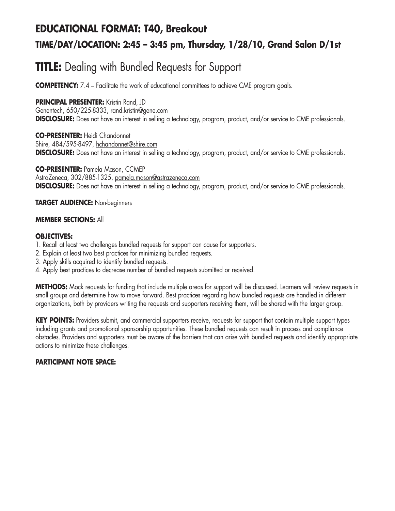# **EDUCATIONAL FORMAT: T40, Breakout TIME/DAY/LOCATION: 2:45 – 3:45 pm, Thursday, 1/28/10, Grand Salon D/1st**

# **TITLE:** Dealing with Bundled Requests for Support

**COMPETENCY:** 7.4 – Facilitate the work of educational committees to achieve CME program goals.

### **PRINCIPAL PRESENTER:** Kristin Rand, ID

Genentech, 650/225-8333, rand.kristin@gene.com **DISCLOSURE:** Does not have an interest in selling a technology, program, product, and/or service to CME professionals.

**CO-PRESENTER:** Heidi Chandonnet Shire, 484/595-8497, hchandonnet@shire.com **DISCLOSURE:** Does not have an interest in selling a technology, program, product, and/or service to CME professionals.

**CO-PRESENTER:** Pamela Mason, CCMEP AstraZeneca, 302/885-1325, pamela.mason@astrazeneca.com **DISCLOSURE:** Does not have an interest in selling a technology, program, product, and/or service to CME professionals.

### **TARGET AUDIENCE:** Non-beginners

### **MEMBER SECTIONS:** All

### **OBJECTIVES:**

- 1. Recall at least two challenges bundled requests for support can cause for supporters.
- 2. Explain at least two best practices for minimizing bundled requests.
- 3. Apply skills acquired to identify bundled requests.
- 4. Apply best practices to decrease number of bundled requests submitted or received.

**METHODS:** Mock requests for funding that include multiple areas for support will be discussed. Learners will review requests in small groups and determine how to move forward. Best practices regarding how bundled requests are handled in different organizations, both by providers writing the requests and supporters receiving them, will be shared with the larger group.

**KEY POINTS:** Providers submit, and commercial supporters receive, requests for support that contain multiple support types including grants and promotional sponsorship opportunities. These bundled requests can result in process and compliance obstacles. Providers and supporters must be aware of the barriers that can arise with bundled requests and identify appropriate actions to minimize these challenges.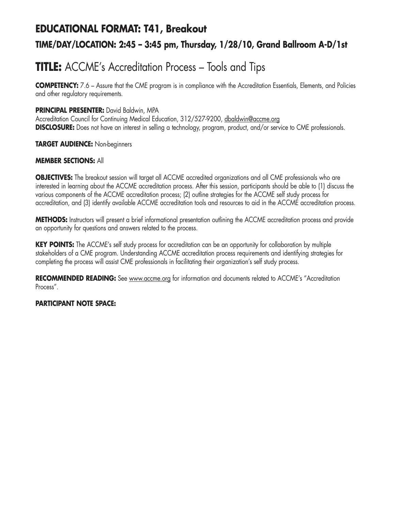### **EDUCATIONAL FORMAT: T41, Breakout**

### **TIME/DAY/LOCATION: 2:45 – 3:45 pm, Thursday, 1/28/10, Grand Ballroom A-D/1st**

# **TITLE:** ACCME's Accreditation Process – Tools and Tips

**COMPETENCY:** 7.6 – Assure that the CME program is in compliance with the Accreditation Essentials, Elements, and Policies and other regulatory requirements.

### **PRINCIPAL PRESENTER:** David Baldwin, MPA

Accreditation Council for Continuing Medical Education, 312/527-9200, dbaldwin@accme.org **DISCLOSURE:** Does not have an interest in selling a technology, program, product, and/or service to CME professionals.

### **TARGET AUDIENCE:** Non-beginners

### **MEMBER SECTIONS:** All

**OBJECTIVES:** The breakout session will target all ACCME accredited organizations and all CME professionals who are interested in learning about the ACCME accreditation process. After this session, participants should be able to (1) discuss the various components of the ACCME accreditation process; (2) outline strategies for the ACCME self study process for accreditation, and (3) identify available ACCME accreditation tools and resources to aid in the ACCME accreditation process.

**METHODS:** Instructors will present a brief informational presentation outlining the ACCME accreditation process and provide an opportunity for questions and answers related to the process.

**KEY POINTS:** The ACCME's self study process for accreditation can be an opportunity for collaboration by multiple stakeholders of a CME program. Understanding ACCME accreditation process requirements and identifying strategies for completing the process will assist CME professionals in facilitating their organization's self study process.

**RECOMMENDED READING:** See www.accme.org for information and documents related to ACCME's "Accreditation Process".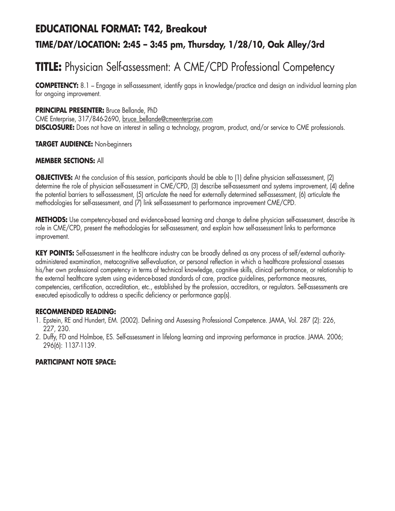# **EDUCATIONAL FORMAT: T42, Breakout TIME/DAY/LOCATION: 2:45 – 3:45 pm, Thursday, 1/28/10, Oak Alley/3rd**

# **TITLE:** Physician Self-assessment: A CME/CPD Professional Competency

**COMPETENCY:** 8.1 – Engage in self-assessment, identify gaps in knowledge/practice and design an individual learning plan for ongoing improvement.

### **PRINCIPAL PRESENTER:** Bruce Bellande, PhD

CME Enterprise, 317/846-2690, bruce\_bellande@cmeenterprise.com **DISCLOSURE:** Does not have an interest in selling a technology, program, product, and/or service to CME professionals.

#### **TARGET AUDIENCE:** Non-beginners

#### **MEMBER SECTIONS:** All

**OBJECTIVES:** At the conclusion of this session, participants should be able to (1) define physician self-assessment, (2) determine the role of physician self-assessment in CME/CPD, (3) describe self-assessment and systems improvement, (4) define the potential barriers to self-assessment, (5) articulate the need for externally determined self-assessment, (6) articulate the methodologies for self-assessment, and (7) link self-assessment to performance improvement CME/CPD.

**METHODS:** Use competency-based and evidence-based learning and change to define physician self-assessment, describe its role in CME/CPD, present the methodologies for self-assessment, and explain how self-assessment links to performance improvement.

**KEY POINTS:** Self-assessment in the healthcare industry can be broadly defined as any process of self/external authorityadministered examination, metacognitive self-evaluation, or personal reflection in which a healthcare professional assesses his/her own professional competency in terms of technical knowledge, cognitive skills, clinical performance, or relationship to the external healthcare system using evidence-based standards of care, practice guidelines, performance measures, competencies, certification, accreditation, etc., established by the profession, accreditors, or regulators. Self-assessments are executed episodically to address a specific deficiency or performance gap(s).

#### **RECOMMENDED READING:**

- 1. Epstein, RE and Hundert, EM. (2002). Defining and Assessing Professional Competence. JAMA, Vol. 287 (2): 226, 227, 230.
- 2. Duffy, FD and Holmboe, ES. Self-assessment in lifelong learning and improving performance in practice. JAMA. 2006; 296(6): 1137-1139.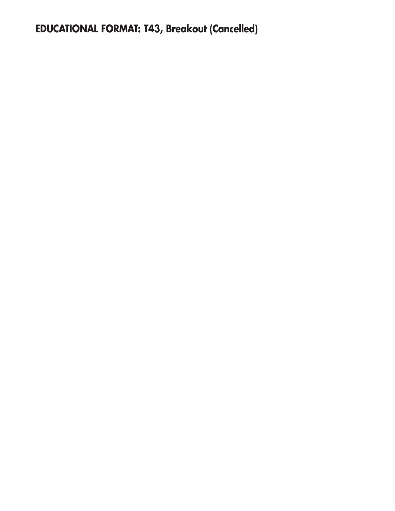# **EDUCATIONAL FORMAT: T43, Breakout (Cancelled)**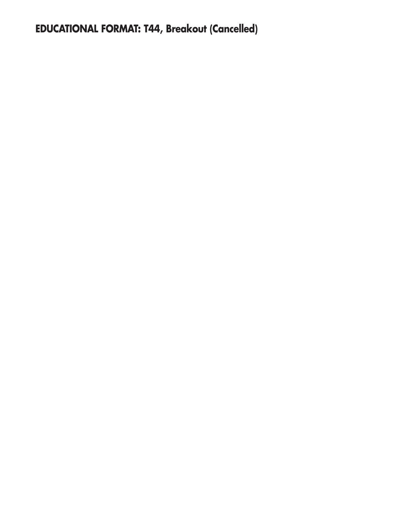# **EDUCATIONAL FORMAT: T44, Breakout (Cancelled)**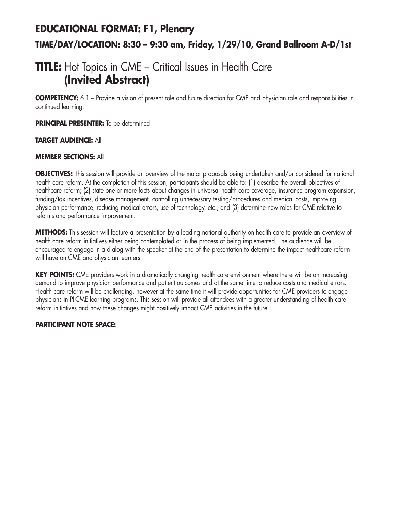# **EDUCATIONAL FORMAT: F1, Plenary TIME/DAY/LOCATION: 8:30 – 9:30 am, Friday, 1/29/10, Grand Ballroom A-D/1st**

## **TITLE:** Hot Topics in CME – Critical Issues in Health Care **(Invited Abstract)**

**COMPETENCY:** 6.1 – Provide a vision of present role and future direction for CME and physician role and responsibilities in continued learning.

**PRINCIPAL PRESENTER:** To be determined

### **TARGET AUDIENCE:** All

### **MEMBER SECTIONS:** All

**OBJECTIVES:** This session will provide an overview of the major proposals being undertaken and/or considered for national health care reform. At the completion of this session, participants should be able to: (1) describe the overall objectives of healthcare reform; (2) state one or more facts about changes in universal health care coverage, insurance program expansion, funding/tax incentives, disease management, controlling unnecessary testing/procedures and medical costs, improving physician performance, reducing medical errors, use of technology, etc., and (3) determine new roles for CME relative to reforms and performance improvement.

**METHODS:** This session will feature a presentation by a leading national authority on health care to provide an overview of health care reform initiatives either being contemplated or in the process of being implemented. The audience will be encouraged to engage in a dialog with the speaker at the end of the presentation to determine the impact healthcare reform will have on CME and physician learners.

**KEY POINTS:** CME providers work in a dramatically changing health care environment where there will be an increasing demand to improve physician performance and patient outcomes and at the same time to reduce costs and medical errors. Health care reform will be challenging, however at the same time it will provide opportunities for CME providers to engage physicians in PI-CME learning programs. This session will provide all attendees with a greater understanding of health care reform initiatives and how these changes might positively impact CME activities in the future.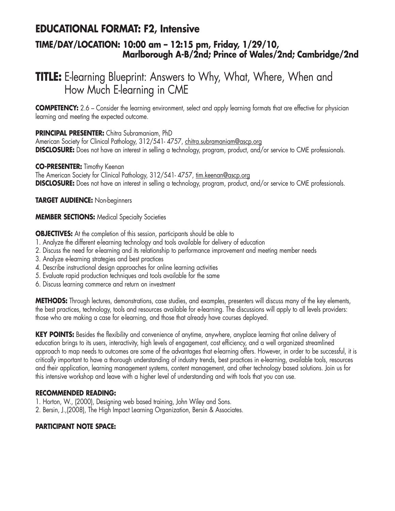### **EDUCATIONAL FORMAT: F2, Intensive**

### **TIME/DAY/LOCATION: 10:00 am – 12:15 pm, Friday, 1/29/10, Marlborough A-B/2nd; Prince of Wales/2nd; Cambridge/2nd**

## **TITLE:** E-learning Blueprint: Answers to Why, What, Where, When and How Much E-learning in CME

**COMPETENCY:** 2.6 – Consider the learning environment, select and apply learning formats that are effective for physician learning and meeting the expected outcome.

### **PRINCIPAL PRESENTER:** Chitra Subramaniam, PhD

American Society for Clinical Pathology, 312/541-4757, chitra.subramaniam@ascp.org **DISCLOSURE:** Does not have an interest in selling a technology, program, product, and/or service to CME professionals.

### **CO-PRESENTER:** Timothy Keenan

The American Society for Clinical Pathology, 312/541- 4757, tim.keenan@ascp.org **DISCLOSURE:** Does not have an interest in selling a technology, program, product, and/or service to CME professionals.

**TARGET AUDIENCE:** Non-beginners

### **MEMBER SECTIONS:** Medical Specialty Societies

**OBJECTIVES:** At the completion of this session, participants should be able to

- 1. Analyze the different e-learning technology and tools available for delivery of education
- 2. Discuss the need for e-learning and its relationship to performance improvement and meeting member needs
- 3. Analyze e-learning strategies and best practices
- 4. Describe instructional design approaches for online learning activities
- 5. Evaluate rapid production techniques and tools available for the same
- 6. Discuss learning commerce and return on investment

**METHODS:** Through lectures, demonstrations, case studies, and examples, presenters will discuss many of the key elements, the best practices, technology, tools and resources available for e-learning. The discussions will apply to all levels providers: those who are making a case for e-learning, and those that already have courses deployed.

**KEY POINTS:** Besides the flexibility and convenience of anytime, anywhere, anyplace learning that online delivery of education brings to its users, interactivity, high levels of engagement, cost efficiency, and a well organized streamlined approach to map needs to outcomes are some of the advantages that e-learning offers. However, in order to be successful, it is critically important to have a thorough understanding of industry trends, best practices in e-learning, available tools, resources and their application, learning management systems, content management, and other technology based solutions. Join us for this intensive workshop and leave with a higher level of understanding and with tools that you can use.

### **RECOMMENDED READING:**

- 1. Horton, W., (2000), Designing web based training, John Wiley and Sons.
- 2. Bersin, J.,(2008), The High Impact Learning Organization, Bersin & Associates.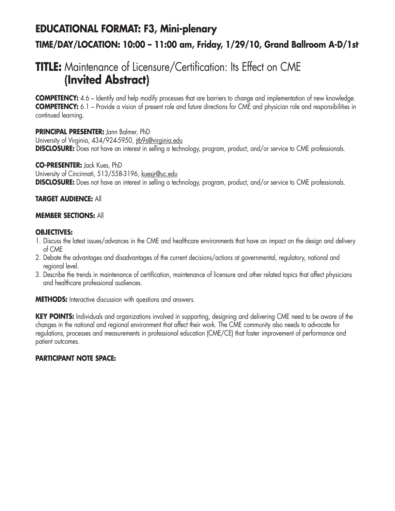## **EDUCATIONAL FORMAT: F3, Mini-plenary TIME/DAY/LOCATION: 10:00 – 11:00 am, Friday, 1/29/10, Grand Ballroom A-D/1st**

## **TITLE:** Maintenance of Licensure/Certification: Its Effect on CME **(Invited Abstract)**

**COMPETENCY:** 4.6 – Identify and help modify processes that are barriers to change and implementation of new knowledge. **COMPETENCY:** 6.1 – Provide a vision of present role and future directions for CME and physician role and responsibilities in continued learning.

### **PRINCIPAL PRESENTER:** Jann Balmer, PhD

University of Virginia, 434/924-5950, jtb9s@virginia.edu **DISCLOSURE:** Does not have an interest in selling a technology, program, product, and/or service to CME professionals.

#### **CO-PRESENTER:** Jack Kues, PhD

University of Cincinnati, 513/558-3196, kuesjr@uc.edu **DISCLOSURE:** Does not have an interest in selling a technology, program, product, and/or service to CME professionals.

### **TARGET AUDIENCE:** All

### **MEMBER SECTIONS:** All

### **OBJECTIVES:**

- 1. Discuss the latest issues/advances in the CME and healthcare environments that have an impact on the design and delivery of CME
- 2. Debate the advantages and disadvantages of the current decisions/actions at governmental, regulatory, national and regional level.
- 3. Describe the trends in maintenance of certification, maintenance of licensure and other related topics that affect physicians and healthcare professional audiences.

**METHODS:** Interactive discussion with questions and answers.

**KEY POINTS:** Individuals and organizations involved in supporting, designing and delivering CME need to be aware of the changes in the national and regional environment that affect their work. The CME community also needs to advocate for regulations, processes and measurements in professional education (CME/CE) that foster improvement of performance and patient outcomes.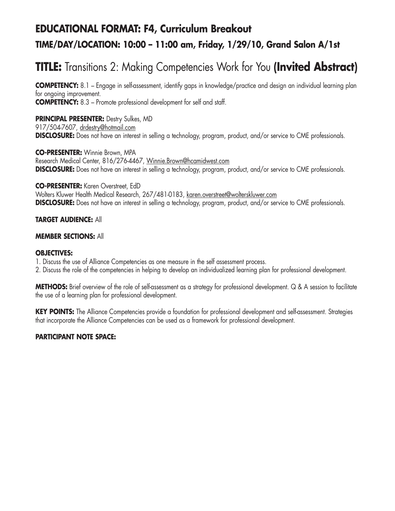# **EDUCATIONAL FORMAT: F4, Curriculum Breakout TIME/DAY/LOCATION: 10:00 – 11:00 am, Friday, 1/29/10, Grand Salon A/1st**

# **TITLE:** Transitions 2: Making Competencies Work for You **(Invited Abstract)**

**COMPETENCY:** 8.1 – Engage in self-assessment, identify gaps in knowledge/practice and design an individual learning plan for ongoing improvement. **COMPETENCY:** 8.3 – Promote professional development for self and staff.

**PRINCIPAL PRESENTER: Destry Sulkes, MD** 917/504-7607, drdestry@hotmail.com **DISCLOSURE:** Does not have an interest in selling a technology, program, product, and/or service to CME professionals.

**CO-PRESENTER:** Winnie Brown, MPA Research Medical Center, 816/276-4467, Winnie.Brown@hcamidwest.com **DISCLOSURE:** Does not have an interest in selling a technology, program, product, and/or service to CME professionals.

**CO-PRESENTER:** Karen Overstreet, EdD Wolters Kluwer Health Medical Research, 267/481-0183, karen.overstreet@wolterskluwer.com **DISCLOSURE:** Does not have an interest in selling a technology, program, product, and/or service to CME professionals.

### **TARGET AUDIENCE:** All

#### **MEMBER SECTIONS:** All

### **OBJECTIVES:**

- 1. Discuss the use of Alliance Competencies as one measure in the self assessment process.
- 2. Discuss the role of the competencies in helping to develop an individualized learning plan for professional development.

**METHODS:** Brief overview of the role of self-assessment as a strategy for professional development. Q & A session to facilitate the use of a learning plan for professional development.

KEY POINTS: The Alliance Competencies provide a foundation for professional development and self-assessment. Strategies that incorporate the Alliance Competencies can be used as a framework for professional development.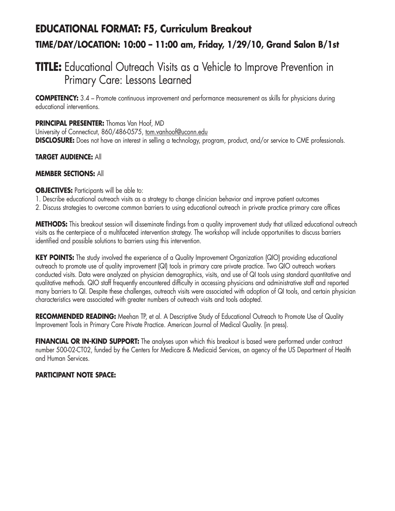## **EDUCATIONAL FORMAT: F5, Curriculum Breakout TIME/DAY/LOCATION: 10:00 – 11:00 am, Friday, 1/29/10, Grand Salon B/1st**

### **TITLE:** Educational Outreach Visits as a Vehicle to Improve Prevention in Primary Care: Lessons Learned

**COMPETENCY:** 3.4 – Promote continuous improvement and performance measurement as skills for physicians during educational interventions.

**PRINCIPAL PRESENTER:** Thomas Van Hoof, MD

University of Connecticut, 860/486-0575, tom.vanhoof@uconn.edu **DISCLOSURE:** Does not have an interest in selling a technology, program, product, and/or service to CME professionals.

### **TARGET AUDIENCE:** All

### **MEMBER SECTIONS:** All

### **OBJECTIVES:** Participants will be able to:

- 1. Describe educational outreach visits as a strategy to change clinician behavior and improve patient outcomes
- 2. Discuss strategies to overcome common barriers to using educational outreach in private practice primary care offices

**METHODS:** This breakout session will disseminate findings from a quality improvement study that utilized educational outreach visits as the centerpiece of a multifaceted intervention strategy. The workshop will include opportunities to discuss barriers identified and possible solutions to barriers using this intervention.

**KEY POINTS:** The study involved the experience of a Quality Improvement Organization (QIO) providing educational outreach to promote use of quality improvement (QI) tools in primary care private practice. Two QIO outreach workers conducted visits. Data were analyzed on physician demographics, visits, and use of QI tools using standard quantitative and qualitative methods. QIO staff frequently encountered difficulty in accessing physicians and administrative staff and reported many barriers to QI. Despite these challenges, outreach visits were associated with adoption of QI tools, and certain physician characteristics were associated with greater numbers of outreach visits and tools adopted.

**RECOMMENDED READING:** Meehan TP, et al. A Descriptive Study of Educational Outreach to Promote Use of Quality Improvement Tools in Primary Care Private Practice. American Journal of Medical Quality. (in press).

**FINANCIAL OR IN-KIND SUPPORT:** The analyses upon which this breakout is based were performed under contract number 500-02-CT02, funded by the Centers for Medicare & Medicaid Services, an agency of the US Department of Health and Human Services.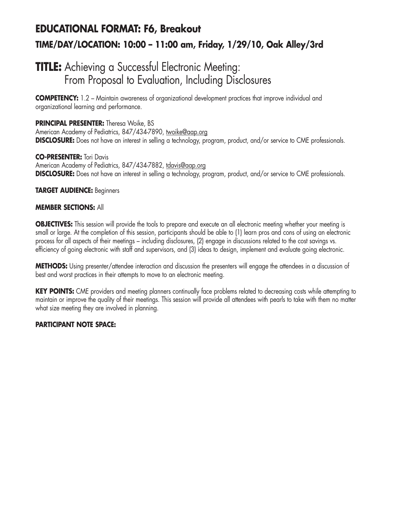## **EDUCATIONAL FORMAT: F6, Breakout TIME/DAY/LOCATION: 10:00 – 11:00 am, Friday, 1/29/10, Oak Alley/3rd**

### **TITLE:** Achieving a Successful Electronic Meeting: From Proposal to Evaluation, Including Disclosures

**COMPETENCY:** 1.2 – Maintain awareness of organizational development practices that improve individual and organizational learning and performance.

### **PRINCIPAL PRESENTER:** Theresa Woike, BS

American Academy of Pediatrics, 847/434-7890, twoike@aap.org **DISCLOSURE:** Does not have an interest in selling a technology, program, product, and/or service to CME professionals.

### **CO-PRESENTER:** Tori Davis

American Academy of Pediatrics, 847/434-7882, tdavis@aap.org **DISCLOSURE:** Does not have an interest in selling a technology, program, product, and/or service to CME professionals.

### **TARGET AUDIENCE:** Beginners

### **MEMBER SECTIONS:** All

**OBJECTIVES:** This session will provide the tools to prepare and execute an all electronic meeting whether your meeting is small or large. At the completion of this session, participants should be able to (1) learn pros and cons of using an electronic process for all aspects of their meetings – including disclosures, (2) engage in discussions related to the cost savings vs. efficiency of going electronic with staff and supervisors, and (3) ideas to design, implement and evaluate going electronic.

**METHODS:** Using presenter/attendee interaction and discussion the presenters will engage the attendees in a discussion of best and worst practices in their attempts to move to an electronic meeting.

**KEY POINTS:** CME providers and meeting planners continually face problems related to decreasing costs while attempting to maintain or improve the quality of their meetings. This session will provide all attendees with pearls to take with them no matter what size meeting they are involved in planning.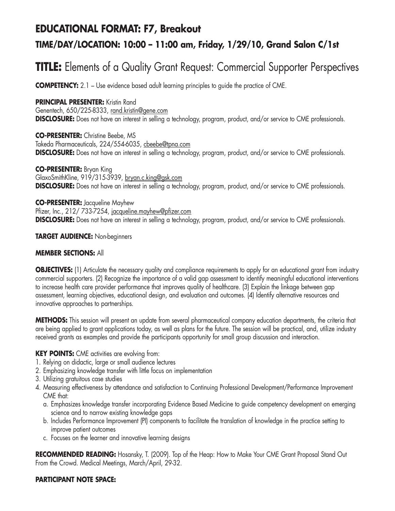### **EDUCATIONAL FORMAT: F7, Breakout**

### **TIME/DAY/LOCATION: 10:00 – 11:00 am, Friday, 1/29/10, Grand Salon C/1st**

## **TITLE:** Elements of a Quality Grant Request: Commercial Supporter Perspectives

**COMPETENCY:** 2.1 – Use evidence based adult learning principles to guide the practice of CME.

### **PRINCIPAL PRESENTER: Kristin Rand**

Genentech, 650/225-8333, rand.kristin@gene.com **DISCLOSURE:** Does not have an interest in selling a technology, program, product, and/or service to CME professionals.

**CO-PRESENTER:** Christine Beebe, MS Takeda Pharmaceuticals, 224/554-6035, cbeebe@tpna.com **DISCLOSURE:** Does not have an interest in selling a technology, program, product, and/or service to CME professionals.

**CO-PRESENTER:** Bryan King GlaxoSmithKline, 919/315-3939, bryan.c.king@gsk.com **DISCLOSURE:** Does not have an interest in selling a technology, program, product, and/or service to CME professionals.

**CO-PRESENTER:** Jacqueline Mayhew Pfizer, Inc., 212/ 733-7254, jacqueline.mayhew@pfizer.com **DISCLOSURE:** Does not have an interest in selling a technology, program, product, and/or service to CME professionals.

**TARGET AUDIENCE:** Non-beginners

### **MEMBER SECTIONS:** All

**OBJECTIVES:** (1) Articulate the necessary quality and compliance requirements to apply for an educational grant from industry commercial supporters. (2) Recognize the importance of a valid gap assessment to identify meaningful educational interventions to increase health care provider performance that improves quality of healthcare. (3) Explain the linkage between gap assessment, learning objectives, educational design, and evaluation and outcomes. (4) Identify alternative resources and innovative approaches to partnerships.

**METHODS:** This session will present an update from several pharmaceutical company education departments, the criteria that are being applied to grant applications today, as well as plans for the future. The session will be practical, and, utilize industry received grants as examples and provide the participants opportunity for small group discussion and interaction.

### **KEY POINTS:** CME activities are evolving from:

- 1. Relying on didactic, large or small audience lectures
- 2. Emphasizing knowledge transfer with little focus on implementation
- 3. Utilizing gratuitous case studies
- 4. Measuring effectiveness by attendance and satisfaction to Continuing Professional Development/Performance Improvement CME that:
	- a. Emphasizes knowledge transfer incorporating Evidence Based Medicine to guide competency development on emerging science and to narrow existing knowledge gaps
	- b. Includes Performance Improvement (PI) components to facilitate the translation of knowledge in the practice setting to improve patient outcomes
	- c. Focuses on the learner and innovative learning designs

**RECOMMENDED READING:** Hosansky, T. (2009). Top of the Heap: How to Make Your CME Grant Proposal Stand Out From the Crowd. Medical Meetings, March/April, 29-32.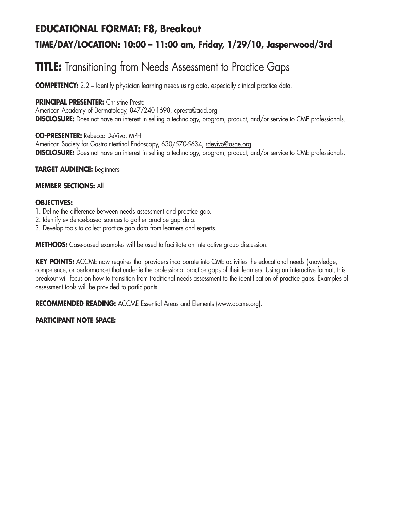### **EDUCATIONAL FORMAT: F8, Breakout**

### **TIME/DAY/LOCATION: 10:00 – 11:00 am, Friday, 1/29/10, Jasperwood/3rd**

## **TITLE:** Transitioning from Needs Assessment to Practice Gaps

**COMPETENCY:** 2.2 – Identify physician learning needs using data, especially clinical practice data.

### **PRINCIPAL PRESENTER:** Christine Presta

American Academy of Dermatology, 847/240-1698, cpresta@aad.org **DISCLOSURE:** Does not have an interest in selling a technology, program, product, and/or service to CME professionals.

### **CO-PRESENTER:** Rebecca DeVivo, MPH

American Society for Gastrointestinal Endoscopy, 630/570-5634, rdevivo@asge.org **DISCLOSURE:** Does not have an interest in selling a technology, program, product, and/or service to CME professionals.

### **TARGET AUDIENCE:** Beginners

### **MEMBER SECTIONS:** All

### **OBJECTIVES:**

- 1. Define the difference between needs assessment and practice gap.
- 2. Identify evidence-based sources to gather practice gap data.
- 3. Develop tools to collect practice gap data from learners and experts.

**METHODS:** Case-based examples will be used to facilitate an interactive group discussion.

**KEY POINTS:** ACCME now requires that providers incorporate into CME activities the educational needs (knowledge, competence, or performance) that underlie the professional practice gaps of their learners. Using an interactive format, this breakout will focus on how to transition from traditional needs assessment to the identification of practice gaps. Examples of assessment tools will be provided to participants.

**RECOMMENDED READING:** ACCME Essential Areas and Elements (www.accme.org).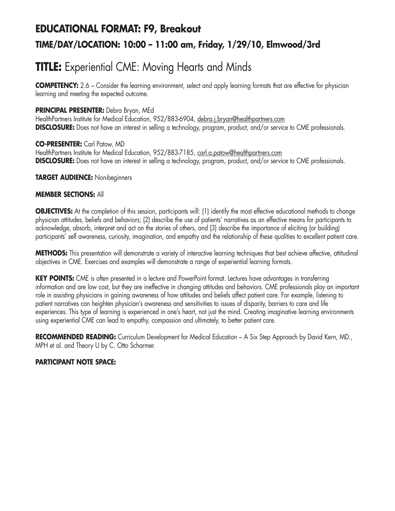## **EDUCATIONAL FORMAT: F9, Breakout TIME/DAY/LOCATION: 10:00 – 11:00 am, Friday, 1/29/10, Elmwood/3rd**

## **TITLE:** Experiential CME: Moving Hearts and Minds

**COMPETENCY:** 2.6 – Consider the learning environment, select and apply learning formats that are effective for physician learning and meeting the expected outcome.

### **PRINCIPAL PRESENTER:** Debra Bryan, MEd

HealthPartners Institute for Medical Education, 952/883-6904, debra.j.bryan@healthpartners.com **DISCLOSURE:** Does not have an interest in selling a technology, program, product, and/or service to CME professionals.

### **CO-PRESENTER:** Carl Patow, MD

HealthPartners Institute for Medical Education, 952/883-7185, carl.a.patow@healthpartners.com **DISCLOSURE:** Does not have an interest in selling a technology, program, product, and/or service to CME professionals.

### **TARGET AUDIENCE:** Non-beginners

### **MEMBER SECTIONS:** All

**OBJECTIVES:** At the completion of this session, participants will: (1) identify the most effective educational methods to change physician attitudes, beliefs and behaviors; (2) describe the use of patients' narratives as an effective means for participants to acknowledge, absorb, interpret and act on the stories of others, and (3) describe the importance of eliciting (or building) participants' self awareness, curiosity, imagination, and empathy and the relationship of these qualities to excellent patient care.

**METHODS:** This presentation will demonstrate a variety of interactive learning techniques that best achieve affective, attitudinal objectives in CME. Exercises and examples will demonstrate a range of experiential learning formats.

**KEY POINTS:** CME is often presented in a lecture and PowerPoint format. Lectures have advantages in transferring information and are low cost, but they are ineffective in changing attitudes and behaviors. CME professionals play an important role in assisting physicians in gaining awareness of how attitudes and beliefs affect patient care. For example, listening to patient narratives can heighten physician's awareness and sensitivities to issues of disparity, barriers to care and life experiences. This type of learning is experienced in one's heart, not just the mind. Creating imaginative learning environments using experiential CME can lead to empathy, compassion and ultimately, to better patient care.

RECOMMENDED READING: Curriculum Development for Medical Education - A Six Step Approach by David Kern, MD., MPH et al. and Theory U by C. Otto Scharmer.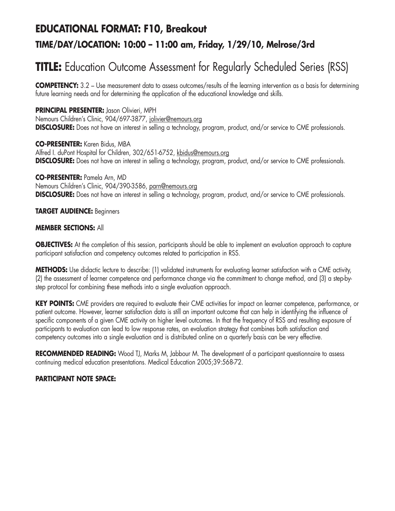## **EDUCATIONAL FORMAT: F10, Breakout**

### **TIME/DAY/LOCATION: 10:00 – 11:00 am, Friday, 1/29/10, Melrose/3rd**

# **TITLE:** Education Outcome Assessment for Regularly Scheduled Series (RSS)

**COMPETENCY:** 3.2 – Use measurement data to assess outcomes/results of the learning intervention as a basis for determining future learning needs and for determining the application of the educational knowledge and skills.

### **PRINCIPAL PRESENTER:** Jason Olivieri, MPH

Nemours Children's Clinic, 904/697-3877, jolivier@nemours.org **DISCLOSURE:** Does not have an interest in selling a technology, program, product, and/or service to CME professionals.

**CO-PRESENTER:** Karen Bidus, MBA Alfred I. duPont Hospital for Children, 302/651-6752, kbidus@nemours.org **DISCLOSURE:** Does not have an interest in selling a technology, program, product, and/or service to CME professionals.

#### **CO-PRESENTER:** Pamela Arn, MD

Nemours Children's Clinic, 904/390-3586, parn@nemours.org **DISCLOSURE:** Does not have an interest in selling a technology, program, product, and/or service to CME professionals.

#### **TARGET AUDIENCE:** Beginners

#### **MEMBER SECTIONS:** All

**OBJECTIVES:** At the completion of this session, participants should be able to implement an evaluation approach to capture participant satisfaction and competency outcomes related to participation in RSS.

**METHODS:** Use didactic lecture to describe: (1) validated instruments for evaluating learner satisfaction with a CME activity, (2) the assessment of learner competence and performance change via the commitment to change method, and (3) a step-bystep protocol for combining these methods into a single evaluation approach.

**KEY POINTS:** CME providers are required to evaluate their CME activities for impact on learner competence, performance, or patient outcome. However, learner satisfaction data is still an important outcome that can help in identifying the influence of specific components of a given CME activity on higher level outcomes. In that the frequency of RSS and resulting exposure of participants to evaluation can lead to low response rates, an evaluation strategy that combines both satisfaction and competency outcomes into a single evaluation and is distributed online on a quarterly basis can be very effective.

**RECOMMENDED READING:** Wood TJ, Marks M, Jabbour M. The development of a participant questionnaire to assess continuing medical education presentations. Medical Education 2005;39:568-72.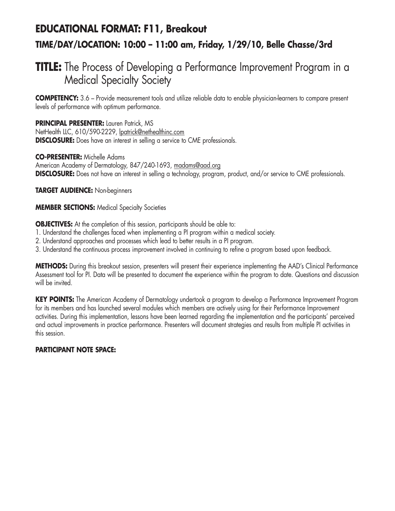## **EDUCATIONAL FORMAT: F11, Breakout TIME/DAY/LOCATION: 10:00 – 11:00 am, Friday, 1/29/10, Belle Chasse/3rd**

## **TITLE:** The Process of Developing a Performance Improvement Program in a Medical Specialty Society

**COMPETENCY:** 3.6 – Provide measurement tools and utilize reliable data to enable physician-learners to compare present levels of performance with optimum performance.

**PRINCIPAL PRESENTER:** Lauren Patrick, MS NetHealth LLC, 610/590-2229, lpatrick@nethealthinc.com **DISCLOSURE:** Does have an interest in selling a service to CME professionals.

### **CO-PRESENTER:** Michelle Adams

American Academy of Dermatology, 847/240-1693, madams@aad.org **DISCLOSURE:** Does not have an interest in selling a technology, program, product, and/or service to CME professionals.

### **TARGET AUDIENCE:** Non-beginners

### **MEMBER SECTIONS:** Medical Specialty Societies

**OBJECTIVES:** At the completion of this session, participants should be able to:

- 1. Understand the challenges faced when implementing a PI program within a medical society.
- 2. Understand approaches and processes which lead to better results in a PI program.
- 3. Understand the continuous process improvement involved in continuing to refine a program based upon feedback.

**METHODS:** During this breakout session, presenters will present their experience implementing the AAD's Clinical Performance Assessment tool for PI. Data will be presented to document the experience within the program to date. Questions and discussion will be invited.

**KEY POINTS:** The American Academy of Dermatology undertook a program to develop a Performance Improvement Program for its members and has launched several modules which members are actively using for their Performance Improvement activities. During this implementation, lessons have been learned regarding the implementation and the participants' perceived and actual improvements in practice performance. Presenters will document strategies and results from multiple PI activities in this session.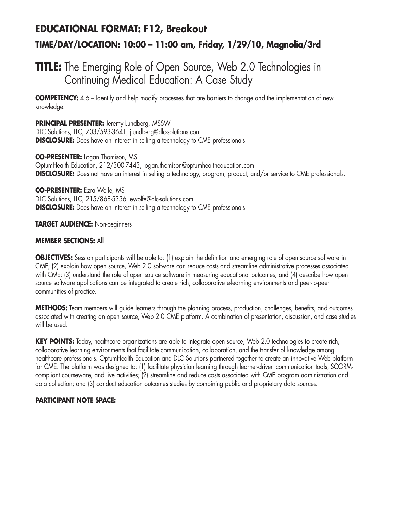## **EDUCATIONAL FORMAT: F12, Breakout TIME/DAY/LOCATION: 10:00 – 11:00 am, Friday, 1/29/10, Magnolia/3rd**

## **TITLE:** The Emerging Role of Open Source, Web 2.0 Technologies in Continuing Medical Education: A Case Study

**COMPETENCY:** 4.6 – Identify and help modify processes that are barriers to change and the implementation of new knowledge.

**PRINCIPAL PRESENTER:** Jeremy Lundberg, MSSW DLC Solutions, LLC, 703/593-3641, jlundberg@dlc-solutions.com **DISCLOSURE:** Does have an interest in selling a technology to CME professionals.

**CO-PRESENTER:** Logan Thomison, MS OptumHealth Education, 212/300-7443, logan.thomison@optumhealtheducation.com **DISCLOSURE:** Does not have an interest in selling a technology, program, product, and/or service to CME professionals.

**CO-PRESENTER:** Ezra Wolfe, MS DLC Solutions, LLC, 215/868-5336, ewolfe@dlc-solutions.com **DISCLOSURE:** Does have an interest in selling a technology to CME professionals.

**TARGET AUDIENCE:** Non-beginners

### **MEMBER SECTIONS:** All

**OBJECTIVES:** Session participants will be able to: (1) explain the definition and emerging role of open source software in CME; (2) explain how open source, Web 2.0 software can reduce costs and streamline administrative processes associated with CME; (3) understand the role of open source software in measuring educational outcomes; and (4) describe how open source software applications can be integrated to create rich, collaborative e-learning environments and peer-to-peer communities of practice.

**METHODS:** Team members will guide learners through the planning process, production, challenges, benefits, and outcomes associated with creating an open source, Web 2.0 CME platform. A combination of presentation, discussion, and case studies will be used.

**KEY POINTS:** Today, healthcare organizations are able to integrate open source, Web 2.0 technologies to create rich, collaborative learning environments that facilitate communication, collaboration, and the transfer of knowledge among healthcare professionals. OptumHealth Education and DLC Solutions partnered together to create an innovative Web platform for CME. The platform was designed to: (1) facilitate physician learning through learner-driven communication tools, SCORMcompliant courseware, and live activities; (2) streamline and reduce costs associated with CME program administration and data collection; and (3) conduct education outcomes studies by combining public and proprietary data sources.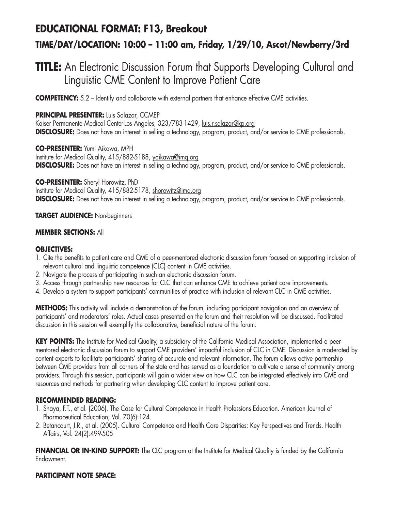### **EDUCATIONAL FORMAT: F13, Breakout**

### **TIME/DAY/LOCATION: 10:00 – 11:00 am, Friday, 1/29/10, Ascot/Newberry/3rd**

### **TITLE:** An Electronic Discussion Forum that Supports Developing Cultural and Linguistic CME Content to Improve Patient Care

**COMPETENCY:** 5.2 – Identify and collaborate with external partners that enhance effective CME activities.

### **PRINCIPAL PRESENTER:** Luis Salazar, CCMEP

Kaiser Permanente Medical Center-Los Angeles, 323/783-1429, luis.r.salazar@kp.org **DISCLOSURE:** Does not have an interest in selling a technology, program, product, and/or service to CME professionals.

**CO-PRESENTER:** Yumi Aikawa, MPH Institute for Medical Quality, 415/882-5188, yaikawa@imq.org **DISCLOSURE:** Does not have an interest in selling a technology, program, product, and/or service to CME professionals.

**CO-PRESENTER:** Sheryl Horowitz, PhD Institute for Medical Quality, 415/882-5178, shorowitz@imq.org **DISCLOSURE:** Does not have an interest in selling a technology, program, product, and/or service to CME professionals.

#### **TARGET AUDIENCE:** Non-beginners

#### **MEMBER SECTIONS:** All

#### **OBJECTIVES:**

- 1. Cite the benefits to patient care and CME of a peer-mentored electronic discussion forum focused on supporting inclusion of relevant cultural and linguistic competence (CLC) content in CME activities.
- 2. Navigate the process of participating in such an electronic discussion forum.
- 3. Access through partnership new resources for CLC that can enhance CME to achieve patient care improvements.
- 4. Develop a system to support participants' communities of practice with inclusion of relevant CLC in CME activities.

**METHODS:** This activity will include a demonstration of the forum, including participant navigation and an overview of participants' and moderators' roles. Actual cases presented on the forum and their resolution will be discussed. Facilitated discussion in this session will exemplify the collaborative, beneficial nature of the forum.

**KEY POINTS:** The Institute for Medical Quality, a subsidiary of the California Medical Association, implemented a peermentored electronic discussion forum to support CME providers' impactful inclusion of CLC in CME. Discussion is moderated by content experts to facilitate participants' sharing of accurate and relevant information. The forum allows active partnership between CME providers from all corners of the state and has served as a foundation to cultivate a sense of community among providers. Through this session, participants will gain a wider view on how CLC can be integrated effectively into CME and resources and methods for partnering when developing CLC content to improve patient care.

#### **RECOMMENDED READING:**

- 1. Shaya, F.T., et al. (2006). The Case for Cultural Competence in Health Professions Education. American Journal of Pharmaceutical Education; Vol. 70(6):124.
- 2. Betancourt, J.R., et al. (2005). Cultural Competence and Health Care Disparities: Key Perspectives and Trends. Health Affairs, Vol. 24(2):499-505

**FINANCIAL OR IN-KIND SUPPORT:** The CLC program at the Institute for Medical Quality is funded by the California Endowment.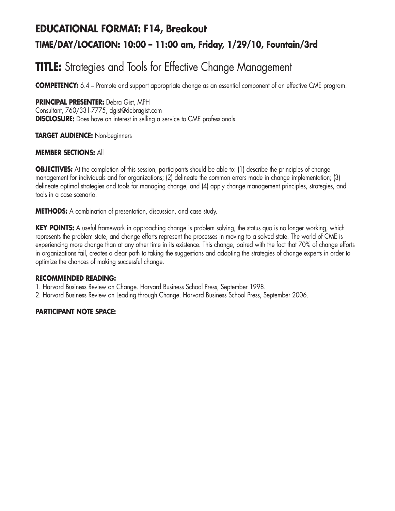# **EDUCATIONAL FORMAT: F14, Breakout TIME/DAY/LOCATION: 10:00 – 11:00 am, Friday, 1/29/10, Fountain/3rd**

## **TITLE:** Strategies and Tools for Effective Change Management

**COMPETENCY:** 6.4 – Promote and support appropriate change as an essential component of an effective CME program.

### **PRINCIPAL PRESENTER:** Debra Gist, MPH

Consultant, 760/331-7775, dgist@debragist.com **DISCLOSURE:** Does have an interest in selling a service to CME professionals.

### **TARGET AUDIENCE:** Non-beginners

### **MEMBER SECTIONS:** All

**OBJECTIVES:** At the completion of this session, participants should be able to: (1) describe the principles of change management for individuals and for organizations; (2) delineate the common errors made in change implementation; (3) delineate optimal strategies and tools for managing change, and (4) apply change management principles, strategies, and tools in a case scenario.

**METHODS:** A combination of presentation, discussion, and case study.

**KEY POINTS:** A useful framework in approaching change is problem solving, the status quo is no longer working, which represents the problem state, and change efforts represent the processes in moving to a solved state. The world of CME is experiencing more change than at any other time in its existence. This change, paired with the fact that 70% of change efforts in organizations fail, creates a clear path to taking the suggestions and adopting the strategies of change experts in order to optimize the chances of making successful change.

#### **RECOMMENDED READING:**

- 1. Harvard Business Review on Change. Harvard Business School Press, September 1998.
- 2. Harvard Business Review on Leading through Change. Harvard Business School Press, September 2006.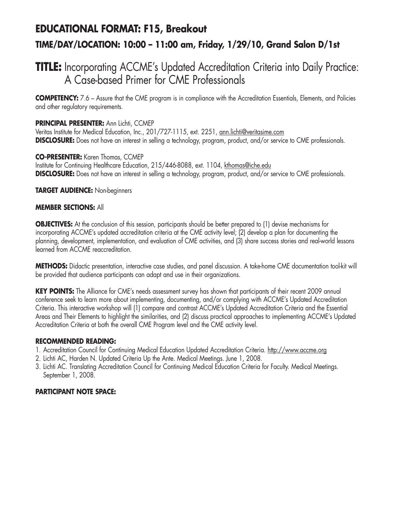## **EDUCATIONAL FORMAT: F15, Breakout TIME/DAY/LOCATION: 10:00 – 11:00 am, Friday, 1/29/10, Grand Salon D/1st**

### **TITLE:** Incorporating ACCME's Updated Accreditation Criteria into Daily Practice: A Case-based Primer for CME Professionals

**COMPETENCY:** 7.6 – Assure that the CME program is in compliance with the Accreditation Essentials, Elements, and Policies and other regulatory requirements.

### **PRINCIPAL PRESENTER:** Ann Lichti, CCMEP

Veritas Institute for Medical Education, Inc., 201/727-1115, ext. 2251, ann.lichti@veritasime.com **DISCLOSURE:** Does not have an interest in selling a technology, program, product, and/or service to CME professionals.

### **CO-PRESENTER:** Karen Thomas, CCMEP

Institute for Continuing Healthcare Education, 215/446-8088, ext. 1104, kthomas@iche.edu **DISCLOSURE:** Does not have an interest in selling a technology, program, product, and/or service to CME professionals.

### **TARGET AUDIENCE:** Non-beginners

### **MEMBER SECTIONS:** All

**OBJECTIVES:** At the conclusion of this session, participants should be better prepared to (1) devise mechanisms for incorporating ACCME's updated accreditation criteria at the CME activity level; (2) develop a plan for documenting the planning, development, implementation, and evaluation of CME activities, and (3) share success stories and real-world lessons learned from ACCME reaccreditation.

**METHODS:** Didactic presentation, interactive case studies, and panel discussion. A take-home CME documentation tool-kit will be provided that audience participants can adapt and use in their organizations.

**KEY POINTS:** The Alliance for CME's needs assessment survey has shown that participants of their recent 2009 annual conference seek to learn more about implementing, documenting, and/or complying with ACCME's Updated Accreditation Criteria. This interactive workshop will (1) compare and contrast ACCME's Updated Accreditation Criteria and the Essential Areas and Their Elements to highlight the similarities, and (2) discuss practical approaches to implementing ACCME's Updated Accreditation Criteria at both the overall CME Program level and the CME activity level.

### **RECOMMENDED READING:**

- 1. Accreditation Council for Continuing Medical Education Updated Accreditation Criteria. http://www.accme.org
- 2. Lichti AC, Harden N. Updated Criteria Up the Ante. Medical Meetings. June 1, 2008.
- 3. Lichti AC. Translating Accreditation Council for Continuing Medical Education Criteria for Faculty. Medical Meetings. September 1, 2008.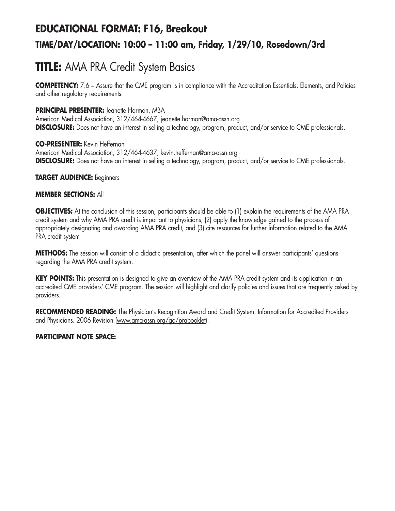# **EDUCATIONAL FORMAT: F16, Breakout TIME/DAY/LOCATION: 10:00 – 11:00 am, Friday, 1/29/10, Rosedown/3rd**

## **TITLE:** AMA PRA Credit System Basics

**COMPETENCY:** 7.6 – Assure that the CME program is in compliance with the Accreditation Essentials, Elements, and Policies and other regulatory requirements.

### **PRINCIPAL PRESENTER:** Jeanette Harmon, MBA

American Medical Association, 312/464-4667, jeanette.harmon@ama-assn.org **DISCLOSURE:** Does not have an interest in selling a technology, program, product, and/or service to CME professionals.

### **CO-PRESENTER:** Kevin Heffernan

American Medical Association, 312/464-4637, kevin.heffernan@ama-assn.org **DISCLOSURE:** Does not have an interest in selling a technology, program, product, and/or service to CME professionals.

### **TARGET AUDIENCE:** Beginners

### **MEMBER SECTIONS:** All

**OBJECTIVES:** At the conclusion of this session, participants should be able to (1) explain the requirements of the AMA PRA credit system and why AMA PRA credit is important to physicians, (2) apply the knowledge gained to the process of appropriately designating and awarding AMA PRA credit, and (3) cite resources for further information related to the AMA PRA credit system

**METHODS:** The session will consist of a didactic presentation, after which the panel will answer participants' questions regarding the AMA PRA credit system.

**KEY POINTS:** This presentation is designed to give an overview of the AMA PRA credit system and its application in an accredited CME providers' CME program. The session will highlight and clarify policies and issues that are frequently asked by providers.

**RECOMMENDED READING:** The Physician's Recognition Award and Credit System: Information for Accredited Providers and Physicians. 2006 Revision (www.ama-assn.org/go/prabooklet).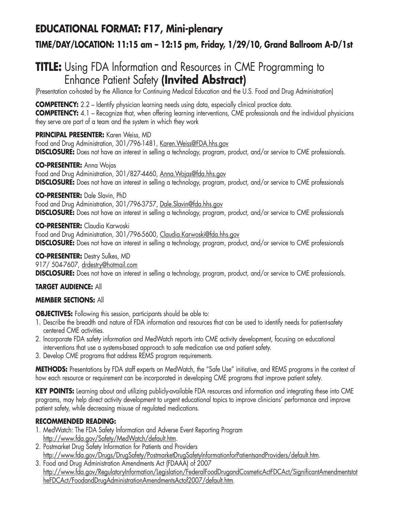### **EDUCATIONAL FORMAT: F17, Mini-plenary**

### **TIME/DAY/LOCATION: 11:15 am – 12:15 pm, Friday, 1/29/10, Grand Ballroom A-D/1st**

## **TITLE:** Using FDA Information and Resources in CME Programming to Enhance Patient Safety **(Invited Abstract)**

(Presentation co-hosted by the Alliance for Continuing Medical Education and the U.S. Food and Drug Administration)

**COMPETENCY:** 2.2 – Identify physician learning needs using data, especially clinical practice data. **COMPETENCY:** 4.1 – Recognize that, when offering learning interventions, CME professionals and the individual physicians they serve are part of a team and the system in which they work

### **PRINCIPAL PRESENTER:** Karen Weiss, MD

Food and Drug Administration, 301/796-1481, Karen. Weiss@FDA.hhs.gov **DISCLOSURE:** Does not have an interest in selling a technology, program, product, and/or service to CME professionals.

### **CO-PRESENTER:** Anna Wojas

Food and Drug Administration, 301/827-4460, Anna.Wojas@fda.hhs.gov **DISCLOSURE:** Does not have an interest in selling a technology, program, product, and/or service to CME professionals

### **CO-PRESENTER:** Dale Slavin, PhD

Food and Drug Administration, 301/796-3757, Dale.Slavin@fda.hhs.gov **DISCLOSURE:** Does not have an interest in selling a technology, program, product, and/or service to CME professionals

**CO-PRESENTER:** Claudia Karwoski

Food and Drug Administration, 301/796-5600, Claudia.Karwoski@fda.hhs.gov **DISCLOSURE:** Does not have an interest in selling a technology, program, product, and/or service to CME professionals

### **CO-PRESENTER:** Destry Sulkes, MD

917/ 504-7607, drdestry@hotmail.com **DISCLOSURE:** Does not have an interest in selling a technology, program, product, and/or service to CME professionals.

### **TARGET AUDIENCE:** All

### **MEMBER SECTIONS:** All

**OBJECTIVES:** Following this session, participants should be able to:

- 1. Describe the breadth and nature of FDA information and resources that can be used to identify needs for patient-safety centered CME activities.
- 2. Incorporate FDA safety information and MedWatch reports into CME activity development, focusing on educational interventions that use a systems-based approach to safe medication use and patient safety.
- 3. Develop CME programs that address REMS program requirements.

**METHODS:** Presentations by FDA staff experts on MedWatch, the "Safe Use" initiative, and REMS programs in the context of how each resource or requirement can be incorporated in developing CME programs that improve patient safety.

**KEY POINTS:** Learning about and utilizing publicly-available FDA resources and information and integrating these into CME programs, may help direct activity development to urgent educational topics to improve clinicians' performance and improve patient safety, while decreasing misuse of regulated medications.

### **RECOMMENDED READING:**

- 1. MedWatch: The FDA Safety Information and Adverse Event Reporting Program http://www.fda.gov/Safety/MedWatch/default.htm.
- 2. Postmarket Drug Safety Information for Patients and Providers http://www.fda.gov/Drugs/DrugSafety/PostmarketDrugSafetyInformationforPatientsandProviders/default.htm.
- 3. Food and Drug Administration Amendments Act (FDAAA) of 2007 http://www.fda.gov/RegulatoryInformation/Legislation/FederalFoodDrugandCosmeticActFDCAct/SignificantAmendmentstot heFDCAct/FoodandDrugAdministrationAmendmentsActof2007/default.htm.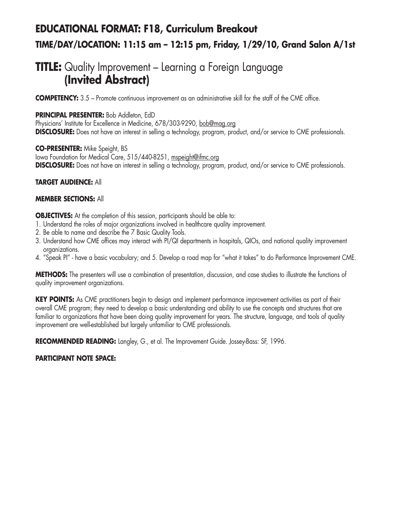# **EDUCATIONAL FORMAT: F18, Curriculum Breakout TIME/DAY/LOCATION: 11:15 am – 12:15 pm, Friday, 1/29/10, Grand Salon A/1st**

### **TITLE:** Quality Improvement – Learning a Foreign Language **(Invited Abstract)**

**COMPETENCY:** 3.5 – Promote continuous improvement as an administrative skill for the staff of the CME office.

### **PRINCIPAL PRESENTER:** Bob Addleton, EdD

Physicians' Institute for Excellence in Medicine, 678/303-9290, bob@mag.org **DISCLOSURE:** Does not have an interest in selling a technology, program, product, and/or service to CME professionals.

**CO-PRESENTER:** Mike Speight, BS Iowa Foundation for Medical Care, 515/440-8251, mspeight@ifmc.org **DISCLOSURE:** Does not have an interest in selling a technology, program, product, and/or service to CME professionals.

### **TARGET AUDIENCE:** All

### **MEMBER SECTIONS:** All

**OBJECTIVES:** At the completion of this session, participants should be able to:

- 1. Understand the roles of major organizations involved in healthcare quality improvement.
- 2. Be able to name and describe the 7 Basic Quality Tools.
- 3. Understand how CME offices may interact with PI/QI departments in hospitals, QIOs, and national quality improvement organizations.
- 4. "Speak PI" have a basic vocabulary; and 5. Develop a road map for "what it takes" to do Performance Improvement CME.

**METHODS:** The presenters will use a combination of presentation, discussion, and case studies to illustrate the functions of quality improvement organizations.

**KEY POINTS:** As CME practitioners begin to design and implement performance improvement activities as part of their overall CME program; they need to develop a basic understanding and ability to use the concepts and structures that are familiar to organizations that have been doing quality improvement for years. The structure, language, and tools of quality improvement are well-established but largely unfamiliar to CME professionals.

**RECOMMENDED READING:** Langley, G., et al. The Improvement Guide. Jossey-Bass: SF, 1996.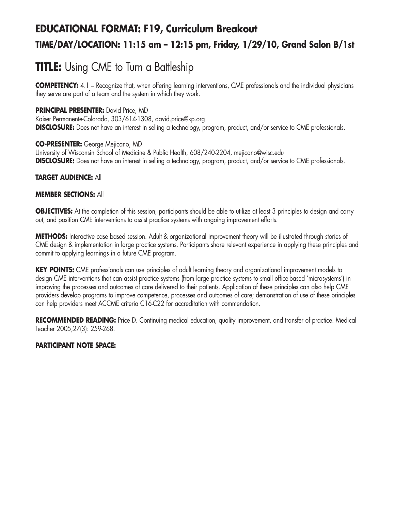# **EDUCATIONAL FORMAT: F19, Curriculum Breakout TIME/DAY/LOCATION: 11:15 am – 12:15 pm, Friday, 1/29/10, Grand Salon B/1st**

# **TITLE:** Using CME to Turn a Battleship

**COMPETENCY:** 4.1 – Recognize that, when offering learning interventions, CME professionals and the individual physicians they serve are part of a team and the system in which they work.

### **PRINCIPAL PRESENTER:** David Price, MD

Kaiser Permanente-Colorado, 303/614-1308, david.price@kp.org **DISCLOSURE:** Does not have an interest in selling a technology, program, product, and/or service to CME professionals.

### **CO-PRESENTER:** George Mejicano, MD

University of Wisconsin School of Medicine & Public Health, 608/240-2204, mejicano@wisc.edu **DISCLOSURE:** Does not have an interest in selling a technology, program, product, and/or service to CME professionals.

### **TARGET AUDIENCE:** All

### **MEMBER SECTIONS:** All

**OBJECTIVES:** At the completion of this session, participants should be able to utilize at least 3 principles to design and carry out, and position CME interventions to assist practice systems with ongoing improvement efforts.

**METHODS:** Interactive case based session. Adult & organizational improvement theory will be illustrated through stories of CME design & implementation in large practice systems. Participants share relevant experience in applying these principles and commit to applying learnings in a future CME program.

**KEY POINTS:** CME professionals can use principles of adult learning theory and organizational improvement models to design CME interventions that can assist practice systems (from large practice systems to small office-based 'microsystems') in improving the processes and outcomes of care delivered to their patients. Application of these principles can also help CME providers develop programs to improve competence, processes and outcomes of care; demonstration of use of these principles can help providers meet ACCME criteria C16-C22 for accreditation with commendation.

**RECOMMENDED READING:** Price D. Continuing medical education, quality improvement, and transfer of practice. Medical Teacher 2005;27(3): 259-268.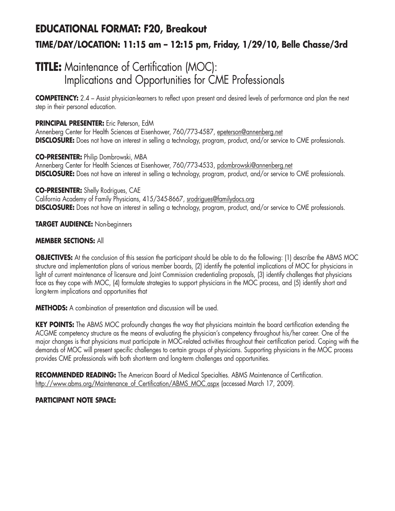# **EDUCATIONAL FORMAT: F20, Breakout TIME/DAY/LOCATION: 11:15 am – 12:15 pm, Friday, 1/29/10, Belle Chasse/3rd**

## **TITLE:** Maintenance of Certification (MOC): Implications and Opportunities for CME Professionals

**COMPETENCY:** 2.4 – Assist physician-learners to reflect upon present and desired levels of performance and plan the next step in their personal education.

### **PRINCIPAL PRESENTER:** Eric Peterson, EdM

Annenberg Center for Health Sciences at Eisenhower, 760/773-4587, epeterson@annenberg.net **DISCLOSURE:** Does not have an interest in selling a technology, program, product, and/or service to CME professionals.

**CO-PRESENTER:** Philip Dombrowski, MBA Annenberg Center for Health Sciences at Eisenhower, 760/773-4533, pdombrowski@annenberg.net **DISCLOSURE:** Does not have an interest in selling a technology, program, product, and/or service to CME professionals.

### **CO-PRESENTER:** Shelly Rodrigues, CAE

California Academy of Family Physicians, 415/345-8667, srodrigues@familydocs.org **DISCLOSURE:** Does not have an interest in selling a technology, program, product, and/or service to CME professionals.

**TARGET AUDIENCE:** Non-beginners

### **MEMBER SECTIONS:** All

**OBJECTIVES:** At the conclusion of this session the participant should be able to do the following: (1) describe the ABMS MOC structure and implementation plans of various member boards, (2) identify the potential implications of MOC for physicians in light of current maintenance of licensure and Joint Commission credentialing proposals, (3) identify challenges that physicians face as they cope with MOC, (4) formulate strategies to support physicians in the MOC process, and (5) identify short and long-term implications and opportunities that

**METHODS:** A combination of presentation and discussion will be used.

**KEY POINTS:** The ABMS MOC profoundly changes the way that physicians maintain the board certification extending the ACGME competency structure as the means of evaluating the physician's competency throughout his/her career. One of the major changes is that physicians must participate in MOC-related activities throughout their certification period. Coping with the demands of MOC will present specific challenges to certain groups of physicians. Supporting physicians in the MOC process provides CME professionals with both short-term and long-term challenges and opportunities.

**RECOMMENDED READING:** The American Board of Medical Specialties. ABMS Maintenance of Certification. http://www.abms.org/Maintenance\_of\_Certification/ABMS\_MOC.aspx (accessed March 17, 2009).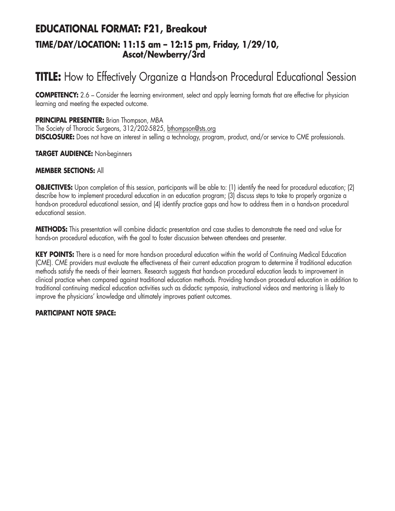### **EDUCATIONAL FORMAT: F21, Breakout TIME/DAY/LOCATION: 11:15 am – 12:15 pm, Friday, 1/29/10, Ascot/Newberry/3rd**

# **TITLE:** How to Effectively Organize a Hands-on Procedural Educational Session

**COMPETENCY:** 2.6 – Consider the learning environment, select and apply learning formats that are effective for physician learning and meeting the expected outcome.

### **PRINCIPAL PRESENTER:** Brian Thompson, MBA

The Society of Thoracic Surgeons, 312/202-5825, bthompson@sts.org **DISCLOSURE:** Does not have an interest in selling a technology, program, product, and/or service to CME professionals.

### **TARGET AUDIENCE:** Non-beginners

### **MEMBER SECTIONS:** All

**OBJECTIVES:** Upon completion of this session, participants will be able to: (1) identify the need for procedural education; (2) describe how to implement procedural education in an education program; (3) discuss steps to take to properly organize a hands-on procedural educational session, and (4) identify practice gaps and how to address them in a hands-on procedural educational session.

**METHODS:** This presentation will combine didactic presentation and case studies to demonstrate the need and value for hands-on procedural education, with the goal to foster discussion between attendees and presenter.

**KEY POINTS:** There is a need for more hands-on procedural education within the world of Continuing Medical Education (CME). CME providers must evaluate the effectiveness of their current education program to determine if traditional education methods satisfy the needs of their learners. Research suggests that hands-on procedural education leads to improvement in clinical practice when compared against traditional education methods. Providing hands-on procedural education in addition to traditional continuing medical education activities such as didactic symposia, instructional videos and mentoring is likely to improve the physicians' knowledge and ultimately improves patient outcomes.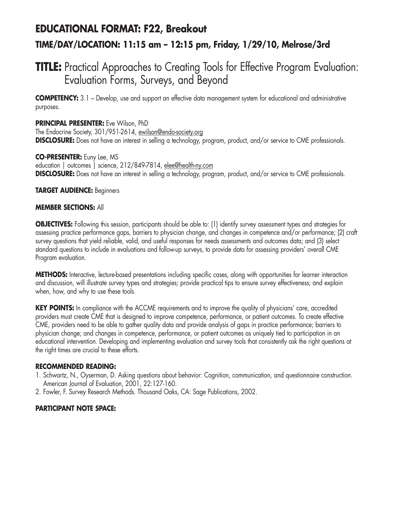## **EDUCATIONAL FORMAT: F22, Breakout TIME/DAY/LOCATION: 11:15 am – 12:15 pm, Friday, 1/29/10, Melrose/3rd**

## **TITLE:** Practical Approaches to Creating Tools for Effective Program Evaluation: Evaluation Forms, Surveys, and Beyond

**COMPETENCY:** 3.1 – Develop, use and support an effective data management system for educational and administrative purposes.

### **PRINCIPAL PRESENTER:** Eve Wilson, PhD

The Endocrine Society, 301/951-2614, ewilson@endo-society.org **DISCLOSURE:** Does not have an interest in selling a technology, program, product, and/or service to CME professionals.

### **CO-PRESENTER:** Euny Lee, MS

education | outcomes | science, 212/849-7814, elee@health-ny.com **DISCLOSURE:** Does not have an interest in selling a technology, program, product, and/or service to CME professionals.

### **TARGET AUDIENCE:** Beginners

### **MEMBER SECTIONS:** All

**OBJECTIVES:** Following this session, participants should be able to: (1) identify survey assessment types and strategies for assessing practice performance gaps, barriers to physician change, and changes in competence and/or performance; (2) craft survey questions that yield reliable, valid, and useful responses for needs assessments and outcomes data; and (3) select standard questions to include in evaluations and follow-up surveys, to provide data for assessing providers' overall CME Program evaluation.

**METHODS:** Interactive, lecture-based presentations including specific cases, along with opportunities for learner interaction and discussion, will illustrate survey types and strategies; provide practical tips to ensure survey effectiveness; and explain when, how, and why to use these tools.

**KEY POINTS:** In compliance with the ACCME requirements and to improve the quality of physicians' care, accredited providers must create CME that is designed to improve competence, performance, or patient outcomes. To create effective CME, providers need to be able to gather quality data and provide analysis of gaps in practice performance; barriers to physician change; and changes in competence, performance, or patient outcomes as uniquely tied to participation in an educational intervention. Developing and implementing evaluation and survey tools that consistently ask the right questions at the right times are crucial to these efforts.

### **RECOMMENDED READING:**

- 1. Schwartz, N., Oyserman, D. Asking questions about behavior: Cognition, communication, and questionnaire construction. American Journal of Evaluation, 2001, 22:127-160.
- 2. Fowler, F. Survey Research Methods. Thousand Oaks, CA: Sage Publications, 2002.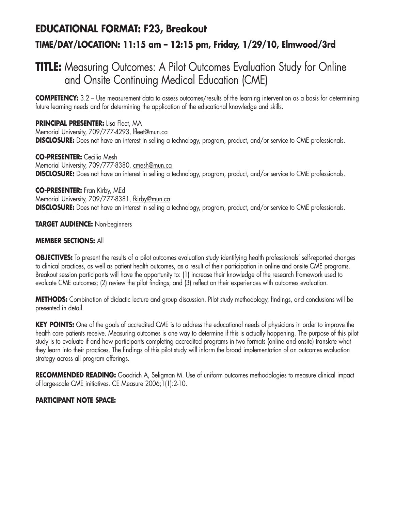## **EDUCATIONAL FORMAT: F23, Breakout TIME/DAY/LOCATION: 11:15 am – 12:15 pm, Friday, 1/29/10, Elmwood/3rd**

## **TITLE:** Measuring Outcomes: A Pilot Outcomes Evaluation Study for Online and Onsite Continuing Medical Education (CME)

**COMPETENCY:** 3.2 – Use measurement data to assess outcomes/results of the learning intervention as a basis for determining future learning needs and for determining the application of the educational knowledge and skills.

#### **PRINCIPAL PRESENTER:** Lisa Fleet, MA Memorial University, 709/777-4293, Ifleet@mun.ca **DISCLOSURE:** Does not have an interest in selling a technology, program, product, and/or service to CME professionals.

**CO-PRESENTER:** Cecilia Mesh Memorial University, 709/777-8380, cmesh@mun.ca **DISCLOSURE:** Does not have an interest in selling a technology, program, product, and/or service to CME professionals.

#### **CO-PRESENTER:** Fran Kirby, MEd Memorial University, 709/777-8381, fkirby@mun.ca **DISCLOSURE:** Does not have an interest in selling a technology, program, product, and/or service to CME professionals.

**TARGET AUDIENCE:** Non-beginners

### **MEMBER SECTIONS:** All

**OBJECTIVES:** To present the results of a pilot outcomes evaluation study identifying health professionals' self-reported changes to clinical practices, as well as patient health outcomes, as a result of their participation in online and onsite CME programs. Breakout session participants will have the opportunity to: (1) increase their knowledge of the research framework used to evaluate CME outcomes; (2) review the pilot findings; and (3) reflect on their experiences with outcomes evaluation.

**METHODS:** Combination of didactic lecture and group discussion. Pilot study methodology, findings, and conclusions will be presented in detail.

**KEY POINTS:** One of the goals of accredited CME is to address the educational needs of physicians in order to improve the health care patients receive. Measuring outcomes is one way to determine if this is actually happening. The purpose of this pilot study is to evaluate if and how participants completing accredited programs in two formats (online and onsite) translate what they learn into their practices. The findings of this pilot study will inform the broad implementation of an outcomes evaluation strategy across all program offerings.

**RECOMMENDED READING:** Goodrich A, Seligman M. Use of uniform outcomes methodologies to measure clinical impact of large-scale CME initiatives. CE Measure 2006;1(1):2-10.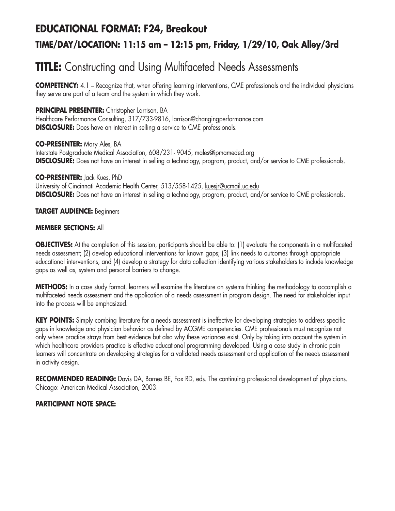## **EDUCATIONAL FORMAT: F24, Breakout TIME/DAY/LOCATION: 11:15 am – 12:15 pm, Friday, 1/29/10, Oak Alley/3rd**

## **TITLE:** Constructing and Using Multifaceted Needs Assessments

**COMPETENCY:** 4.1 – Recognize that, when offering learning interventions, CME professionals and the individual physicians they serve are part of a team and the system in which they work.

### **PRINCIPAL PRESENTER:** Christopher Larrison, BA

Healthcare Performance Consulting, 317/733-9816, larrison@changingperformance.com **DISCLOSURE:** Does have an interest in selling a service to CME professionals.

### **CO-PRESENTER:** Mary Ales, BA

Interstate Postgraduate Medical Association, 608/231- 9045, males@ipmameded.org **DISCLOSURE:** Does not have an interest in selling a technology, program, product, and/or service to CME professionals.

### **CO-PRESENTER:** Jack Kues, PhD

University of Cincinnati Academic Health Center, 513/558-1425, kuesjr@ucmail.uc.edu **DISCLOSURE:** Does not have an interest in selling a technology, program, product, and/or service to CME professionals.

### **TARGET AUDIENCE:** Beginners

### **MEMBER SECTIONS:** All

**OBJECTIVES:** At the completion of this session, participants should be able to: (1) evaluate the components in a multifaceted needs assessment; (2) develop educational interventions for known gaps; (3) link needs to outcomes through appropriate educational interventions, and (4) develop a strategy for data collection identifying various stakeholders to include knowledge gaps as well as, system and personal barriers to change.

**METHODS:** In a case study format, learners will examine the literature on systems thinking the methodology to accomplish a multifaceted needs assessment and the application of a needs assessment in program design. The need for stakeholder input into the process will be emphasized.

**KEY POINTS:** Simply combing literature for a needs assessment is ineffective for developing strategies to address specific gaps in knowledge and physician behavior as defined by ACGME competencies. CME professionals must recognize not only where practice strays from best evidence but also why these variances exist. Only by taking into account the system in which healthcare providers practice is effective educational programming developed. Using a case study in chronic pain learners will concentrate on developing strategies for a validated needs assessment and application of the needs assessment in activity design.

**RECOMMENDED READING:** Davis DA, Barnes BE, Fox RD, eds. The continuing professional development of physicians. Chicago: American Medical Association, 2003.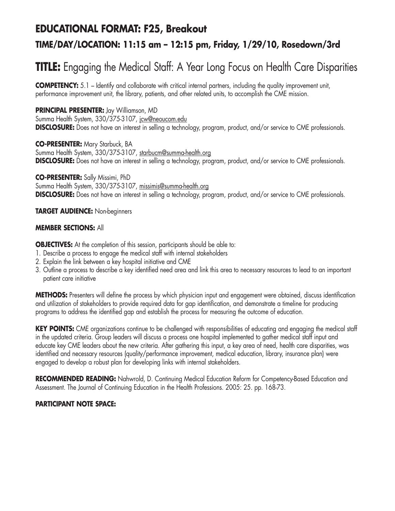### **EDUCATIONAL FORMAT: F25, Breakout**

### **TIME/DAY/LOCATION: 11:15 am – 12:15 pm, Friday, 1/29/10, Rosedown/3rd**

# **TITLE:** Engaging the Medical Staff: A Year Long Focus on Health Care Disparities

**COMPETENCY:** 5.1 – Identify and collaborate with critical internal partners, including the quality improvement unit, performance improvement unit, the library, patients, and other related units, to accomplish the CME mission.

### **PRINCIPAL PRESENTER:** Jay Williamson, MD

Summa Health System, 330/375-3107, jcw@neoucom.edu **DISCLOSURE:** Does not have an interest in selling a technology, program, product, and/or service to CME professionals.

**CO-PRESENTER:** Mary Starbuck, BA Summa Health System, 330/375-3107, starbucm@summa-health.org **DISCLOSURE:** Does not have an interest in selling a technology, program, product, and/or service to CME professionals.

**CO-PRESENTER:** Sally Missimi, PhD Summa Health System, 330/375-3107, missimis@summa-health.org **DISCLOSURE:** Does not have an interest in selling a technology, program, product, and/or service to CME professionals.

### **TARGET AUDIENCE:** Non-beginners

### **MEMBER SECTIONS:** All

**OBJECTIVES:** At the completion of this session, participants should be able to:

- 1. Describe a process to engage the medical staff with internal stakeholders
- 2. Explain the link between a key hospital initiative and CME
- 3. Outline a process to describe a key identified need area and link this area to necessary resources to lead to an important patient care initiative

**METHODS:** Presenters will define the process by which physician input and engagement were obtained, discuss identification and utilization of stakeholders to provide required data for gap identification, and demonstrate a timeline for producing programs to address the identified gap and establish the process for measuring the outcome of education.

**KEY POINTS:** CME organizations continue to be challenged with responsibilities of educating and engaging the medical staff in the updated criteria. Group leaders will discuss a process one hospital implemented to gather medical staff input and educate key CME leaders about the new criteria. After gathering this input, a key area of need, health care disparities, was identified and necessary resources (quality/performance improvement, medical education, library, insurance plan) were engaged to develop a robust plan for developing links with internal stakeholders.

**RECOMMENDED READING:** Nahwrold, D. Continuing Medical Education Reform for Competency-Based Education and Assessment. The Journal of Continuing Education in the Health Professions. 2005: 25. pp. 168-73.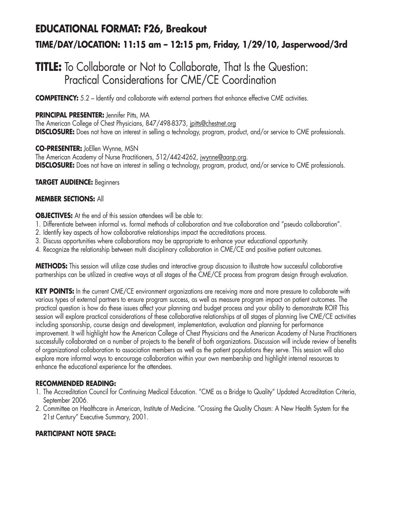## **EDUCATIONAL FORMAT: F26, Breakout TIME/DAY/LOCATION: 11:15 am – 12:15 pm, Friday, 1/29/10, Jasperwood/3rd**

### **TITLE:** To Collaborate or Not to Collaborate, That Is the Question: Practical Considerations for CME/CE Coordination

**COMPETENCY:** 5.2 – Identify and collaborate with external partners that enhance effective CME activities.

### **PRINCIPAL PRESENTER:** Jennifer Pitts, MA

The American College of Chest Physicians, 847/498-8373, jpitts@chestnet.org **DISCLOSURE:** Does not have an interest in selling a technology, program, product, and/or service to CME professionals.

**CO-PRESENTER:** JoEllen Wynne, MSN The American Academy of Nurse Practitioners, 512/442-4262, jwynne@aanp.org. **DISCLOSURE:** Does not have an interest in selling a technology, program, product, and/or service to CME professionals.

#### **TARGET AUDIENCE:** Beginners

### **MEMBER SECTIONS:** All

**OBJECTIVES:** At the end of this session attendees will be able to:

- 1. Differentiate between informal vs. formal methods of collaboration and true collaboration and "pseudo collaboration".
- 2. Identify key aspects of how collaborative relationships impact the accreditations process.
- 3. Discuss opportunities where collaborations may be appropriate to enhance your educational opportunity.
- 4. Recognize the relationship between multi disciplinary collaboration in CME/CE and positive patient outcomes.

**METHODS:** This session will utilize case studies and interactive group discussion to illustrate how successful collaborative partnerships can be utilized in creative ways at all stages of the CME/CE process from program design through evaluation.

**KEY POINTS:** In the current CME/CE environment organizations are receiving more and more pressure to collaborate with various types of external partners to ensure program success, as well as measure program impact on patient outcomes. The practical question is how do these issues affect your planning and budget process and your ability to demonstrate ROI? This session will explore practical considerations of these collaborative relationships at all stages of planning live CME/CE activities including sponsorship, course design and development, implementation, evaluation and planning for performance improvement. It will highlight how the American College of Chest Physicians and the American Academy of Nurse Practitioners successfully collaborated on a number of projects to the benefit of both organizations. Discussion will include review of benefits of organizational collaboration to association members as well as the patient populations they serve. This session will also explore more informal ways to encourage collaboration within your own membership and highlight internal resources to enhance the educational experience for the attendees.

### **RECOMMENDED READING:**

- 1. The Accreditation Council for Continuing Medical Education. "CME as a Bridge to Quality" Updated Accreditation Criteria, September 2006.
- 2. Committee on Healthcare in American, Institute of Medicine. "Crossing the Quality Chasm: A New Health System for the 21st Century" Executive Summary, 2001.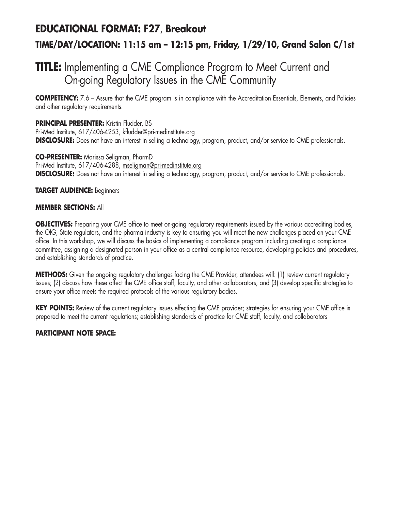## **EDUCATIONAL FORMAT: F27**, **Breakout TIME/DAY/LOCATION: 11:15 am – 12:15 pm, Friday, 1/29/10, Grand Salon C/1st**

## **TITLE:** Implementing a CME Compliance Program to Meet Current and On-going Regulatory Issues in the CME Community

**COMPETENCY:** 7.6 – Assure that the CME program is in compliance with the Accreditation Essentials, Elements, and Policies and other regulatory requirements.

**PRINCIPAL PRESENTER:** Kristin Fludder, BS Pri-Med Institute, 617/406-4253, kfludder@pri-medinstitute.org **DISCLOSURE:** Does not have an interest in selling a technology, program, product, and/or service to CME professionals.

**CO-PRESENTER:** Marissa Seligman, PharmD Pri-Med Institute, 617/406-4288, mseligman@pri-medinstitute.org **DISCLOSURE:** Does not have an interest in selling a technology, program, product, and/or service to CME professionals.

### **TARGET AUDIENCE:** Beginners

### **MEMBER SECTIONS:** All

**OBJECTIVES:** Preparing your CME office to meet on-going regulatory requirements issued by the various accrediting bodies, the OIG, State regulators, and the pharma industry is key to ensuring you will meet the new challenges placed on your CME office. In this workshop, we will discuss the basics of implementing a compliance program including creating a compliance committee, assigning a designated person in your office as a central compliance resource, developing policies and procedures, and establishing standards of practice.

**METHODS:** Given the ongoing regulatory challenges facing the CME Provider, attendees will: (1) review current regulatory issues; (2) discuss how these affect the CME office staff, faculty, and other collaborators, and (3) develop specific strategies to ensure your office meets the required protocols of the various regulatory bodies.

KEY POINTS: Review of the current regulatory issues effecting the CME provider; strategies for ensuring your CME office is prepared to meet the current regulations; establishing standards of practice for CME staff, faculty, and collaborators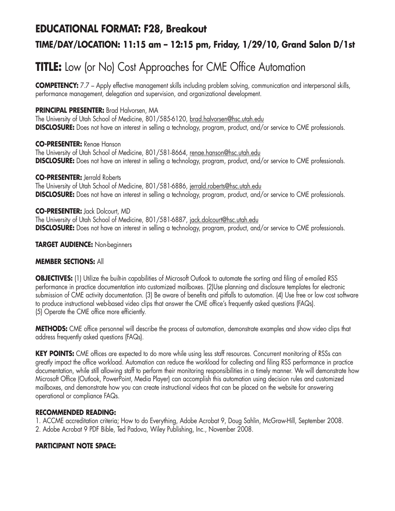### **EDUCATIONAL FORMAT: F28, Breakout**

### **TIME/DAY/LOCATION: 11:15 am – 12:15 pm, Friday, 1/29/10, Grand Salon D/1st**

# **TITLE:** Low (or No) Cost Approaches for CME Office Automation

**COMPETENCY:** 7.7 – Apply effective management skills including problem solving, communication and interpersonal skills, performance management, delegation and supervision, and organizational development.

### **PRINCIPAL PRESENTER:** Brad Halvorsen, MA

The University of Utah School of Medicine, 801/585-6120, brad.halvorsen@hsc.utah.edu **DISCLOSURE:** Does not have an interest in selling a technology, program, product, and/or service to CME professionals.

**CO-PRESENTER:** Renae Hanson The University of Utah School of Medicine, 801/581-8664, renae.hanson@hsc.utah.edu **DISCLOSURE:** Does not have an interest in selling a technology, program, product, and/or service to CME professionals.

**CO-PRESENTER:** Jerrald Roberts

The University of Utah School of Medicine, 801/581-6886, jerrald.roberts@hsc.utah.edu **DISCLOSURE:** Does not have an interest in selling a technology, program, product, and/or service to CME professionals.

**CO-PRESENTER:** Jack Dolcourt, MD The University of Utah School of Medicine, 801/581-6887, jack.dolcourt@hsc.utah.edu **DISCLOSURE:** Does not have an interest in selling a technology, program, product, and/or service to CME professionals.

**TARGET AUDIENCE:** Non-beginners

### **MEMBER SECTIONS:** All

**OBJECTIVES:** (1) Utilize the built-in capabilities of Microsoft Outlook to automate the sorting and filing of e-mailed RSS performance in practice documentation into customized mailboxes. (2)Use planning and disclosure templates for electronic submission of CME activity documentation. (3) Be aware of benefits and pitfalls to automation. (4) Use free or low cost software to produce instructional web-based video clips that answer the CME office's frequently asked questions (FAQs). (5) Operate the CME office more efficiently.

**METHODS:** CME office personnel will describe the process of automation, demonstrate examples and show video clips that address frequently asked questions (FAQs).

**KEY POINTS:** CME offices are expected to do more while using less staff resources. Concurrent monitoring of RSSs can greatly impact the office workload. Automation can reduce the workload for collecting and filing RSS performance in practice documentation, while still allowing staff to perform their monitoring responsibilities in a timely manner. We will demonstrate how Microsoft Office (Outlook, PowerPoint, Media Player) can accomplish this automation using decision rules and customized mailboxes, and demonstrate how you can create instructional videos that can be placed on the website for answering operational or compliance FAQs.

### **RECOMMENDED READING:**

1. ACCME accreditation criteria; How to do Everything, Adobe Acrobat 9, Doug Sahlin, McGraw-Hill, September 2008. 2. Adobe Acrobat 9 PDF Bible, Ted Padova, Wiley Publishing, Inc., November 2008.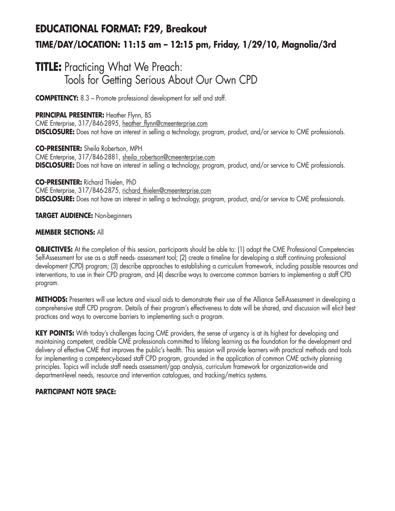# **EDUCATIONAL FORMAT: F29, Breakout TIME/DAY/LOCATION: 11:15 am – 12:15 pm, Friday, 1/29/10, Magnolia/3rd**

### **TITLE:** Practicing What We Preach: Tools for Getting Serious About Our Own CPD

**COMPETENCY:** 8.3 – Promote professional development for self and staff.

### **PRINCIPAL PRESENTER:** Heather Flynn, BS

CME Enterprise, 317/846-2895, heather\_flynn@cmeenterprise.com **DISCLOSURE:** Does not have an interest in selling a technology, program, product, and/or service to CME professionals.

**CO-PRESENTER:** Sheila Robertson, MPH CME Enterprise, 317/846-2881, sheila\_robertson@cmeenterprise.com **DISCLOSURE:** Does not have an interest in selling a technology, program, product, and/or service to CME professionals.

**CO-PRESENTER:** Richard Thielen, PhD CME Enterprise, 317/846-2875, richard\_thielen@cmeenterprise.com **DISCLOSURE:** Does not have an interest in selling a technology, program, product, and/or service to CME professionals.

### **TARGET AUDIENCE:** Non-beginners

### **MEMBER SECTIONS:** All

**OBJECTIVES:** At the completion of this session, participants should be able to: (1) adapt the CME Professional Competencies Self-Assessment for use as a staff needs- assessment tool; (2) create a timeline for developing a staff continuing professional development (CPD) program; (3) describe approaches to establishing a curriculum framework, including possible resources and interventions, to use in their CPD program, and (4) describe ways to overcome common barriers to implementing a staff CPD program.

**METHODS:** Presenters will use lecture and visual aids to demonstrate their use of the Alliance Self-Assessment in developing a comprehensive staff CPD program. Details of their program's effectiveness to date will be shared, and discussion will elicit best practices and ways to overcome barriers to implementing such a program.

**KEY POINTS:** With today's challenges facing CME providers, the sense of urgency is at its highest for developing and maintaining competent, credible CME professionals committed to lifelong learning as the foundation for the development and delivery of effective CME that improves the public's health. This session will provide learners with practical methods and tools for implementing a competency-based staff CPD program, grounded in the application of common CME activity planning principles. Topics will include staff needs assessment/gap analysis, curriculum framework for organization-wide and department-level needs, resource and intervention catalogues, and tracking/metrics systems.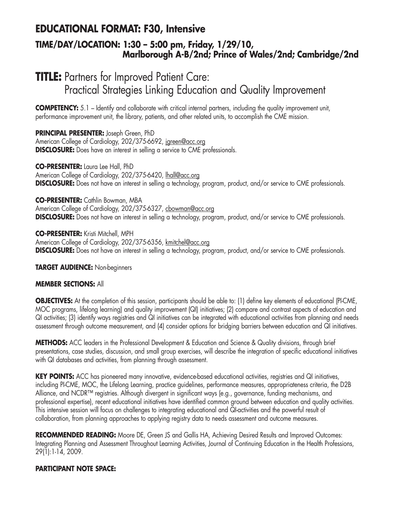### **EDUCATIONAL FORMAT: F30, Intensive**

### **TIME/DAY/LOCATION: 1:30 – 5:00 pm, Friday, 1/29/10, Marlborough A-B/2nd; Prince of Wales/2nd; Cambridge/2nd**

## **TITLE:** Partners for Improved Patient Care: Practical Strategies Linking Education and Quality Improvement

**COMPETENCY:** 5.1 – Identify and collaborate with critical internal partners, including the quality improvement unit, performance improvement unit, the library, patients, and other related units, to accomplish the CME mission.

### **PRINCIPAL PRESENTER:** Joseph Green, PhD

American College of Cardiology, 202/375-6692, jgreen@acc.org **DISCLOSURE:** Does have an interest in selling a service to CME professionals.

#### **CO-PRESENTER:** Laura Lee Hall, PhD American College of Cardiology, 202/375-6420, lhall@acc.org **DISCLOSURE:** Does not have an interest in selling a technology, program, product, and/or service to CME professionals.

**CO-PRESENTER:** Cathlin Bowman, MBA American College of Cardiology, 202/375-6327, cbowman@acc.org **DISCLOSURE:** Does not have an interest in selling a technology, program, product, and/or service to CME professionals.

**CO-PRESENTER:** Kristi Mitchell, MPH American College of Cardiology, 202/375-6356, kmitchel@acc.org **DISCLOSURE:** Does not have an interest in selling a technology, program, product, and/or service to CME professionals.

**TARGET AUDIENCE:** Non-beginners

### **MEMBER SECTIONS:** All

**OBJECTIVES:** At the completion of this session, participants should be able to: (1) define key elements of educational (PI-CME, MOC programs, lifelong learning) and quality improvement (QI) initiatives; (2) compare and contrast aspects of education and QI activities; (3) identify ways registries and QI initiatives can be integrated with educational activities from planning and needs assessment through outcome measurement, and (4) consider options for bridging barriers between education and QI initiatives.

**METHODS:** ACC leaders in the Professional Development & Education and Science & Quality divisions, through brief presentations, case studies, discussion, and small group exercises, will describe the integration of specific educational initiatives with QI databases and activities, from planning through assessment.

**KEY POINTS:** ACC has pioneered many innovative, evidence-based educational activities, registries and QI initiatives, including PI-CME, MOC, the Lifelong Learning, practice guidelines, performance measures, appropriateness criteria, the D2B Alliance, and NCDR™ registries. Although divergent in significant ways (e.g., governance, funding mechanisms, and professional expertise), recent educational initiatives have identified common ground between education and quality activities. This intensive session will focus on challenges to integrating educational and QI-activities and the powerful result of collaboration, from planning approaches to applying registry data to needs assessment and outcome measures.

RECOMMENDED READING: Moore DE, Green JS and Gallis HA, Achieving Desired Results and Improved Outcomes: Integrating Planning and Assessment Throughout Learning Activities, Journal of Continuing Education in the Health Professions, 29(1):1-14, 2009.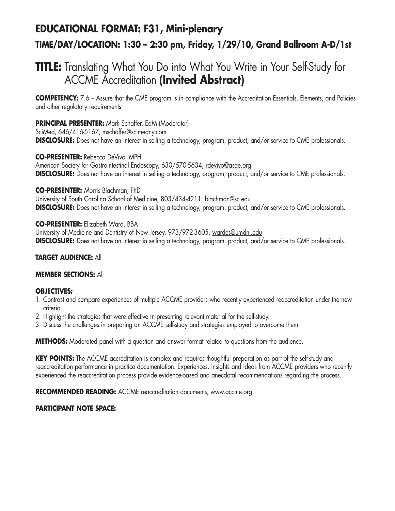## **EDUCATIONAL FORMAT: F31, Mini-plenary TIME/DAY/LOCATION: 1:30 – 2:30 pm, Friday, 1/29/10, Grand Ballroom A-D/1st**

## **TITLE:** Translating What You Do into What You Write in Your Self-Study for ACCME Accreditation **(Invited Abstract)**

**COMPETENCY:** 7.6 – Assure that the CME program is in compliance with the Accreditation Essentials, Elements, and Policies and other regulatory requirements.

**PRINCIPAL PRESENTER:** Mark Schaffer, EdM (Moderator)

SciMed, 646/416-5167, mschaffer@scimedny.com **DISCLOSURE:** Does not have an interest in selling a technology, program, product, and/or service to CME professionals.

**CO-PRESENTER:** Rebecca DeVivo, MPH American Society for Gastrointestinal Endoscopy, 630/570-5634, rdevivo@asge.org **DISCLOSURE:** Does not have an interest in selling a technology, program, product, and/or service to CME professionals.

**CO-PRESENTER:** Morris Blachman, PhD

University of South Carolina School of Medicine, 803/434-4211, blachman@sc.edu **DISCLOSURE:** Does not have an interest in selling a technology, program, product, and/or service to CME professionals.

**CO-PRESENTER:** Elizabeth Ward, BBA

University of Medicine and Dentistry of New Jersey, 973/972-3605, wardes@umdnj.edu **DISCLOSURE:** Does not have an interest in selling a technology, program, product, and/or service to CME professionals.

### **TARGET AUDIENCE:** All

### **MEMBER SECTIONS:** All

### **OBJECTIVES:**

- 1. Contrast and compare experiences of multiple ACCME providers who recently experienced reaccreditation under the new criteria.
- 2. Highlight the strategies that were effective in presenting relevant material for the self-study.
- 3. Discuss the challenges in preparing an ACCME self-study and strategies employed to overcome them.

**METHODS:** Moderated panel with a question and answer format related to questions from the audience.

**KEY POINTS:** The ACCME accreditation is complex and requires thoughtful preparation as part of the self-study and reaccreditation performance in practice documentation. Experiences, insights and ideas from ACCME providers who recently experienced the reaccreditation process provide evidence-based and anecdotal recommendations regarding the process.

**RECOMMENDED READING:** ACCME reaccreditation documents, www.accme.org.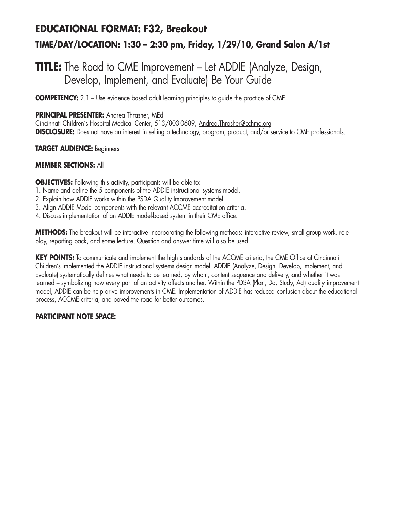## **EDUCATIONAL FORMAT: F32, Breakout TIME/DAY/LOCATION: 1:30 – 2:30 pm, Friday, 1/29/10, Grand Salon A/1st**

### **TITLE:** The Road to CME Improvement – Let ADDIE (Analyze, Design, Develop, Implement, and Evaluate) Be Your Guide

**COMPETENCY:** 2.1 – Use evidence based adult learning principles to quide the practice of CME.

### **PRINCIPAL PRESENTER:** Andrea Thrasher, MEd

Cincinnati Children's Hospital Medical Center, 513/803-0689, Andrea.Thrasher@cchmc.org **DISCLOSURE:** Does not have an interest in selling a technology, program, product, and/or service to CME professionals.

#### **TARGET AUDIENCE:** Beginners

### **MEMBER SECTIONS:** All

**OBJECTIVES:** Following this activity, participants will be able to:

- 1. Name and define the 5 components of the ADDIE instructional systems model.
- 2. Explain how ADDIE works within the PSDA Quality Improvement model.
- 3. Align ADDIE Model components with the relevant ACCME accreditation criteria.
- 4. Discuss implementation of an ADDIE model-based system in their CME office.

**METHODS:** The breakout will be interactive incorporating the following methods: interactive review, small group work, role play, reporting back, and some lecture. Question and answer time will also be used.

**KEY POINTS:** To communicate and implement the high standards of the ACCME criteria, the CME Office at Cincinnati Children's implemented the ADDIE instructional systems design model. ADDIE (Analyze, Design, Develop, Implement, and Evaluate) systematically defines what needs to be learned, by whom, content sequence and delivery, and whether it was learned – symbolizing how every part of an activity affects another. Within the PDSA (Plan, Do, Study, Act) quality improvement model, ADDIE can be help drive improvements in CME. Implementation of ADDIE has reduced confusion about the educational process, ACCME criteria, and paved the road for better outcomes.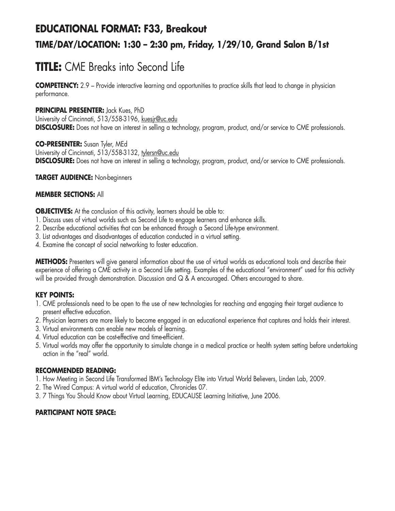# **EDUCATIONAL FORMAT: F33, Breakout TIME/DAY/LOCATION: 1:30 – 2:30 pm, Friday, 1/29/10, Grand Salon B/1st**

# **TITLE:** CME Breaks into Second Life

**COMPETENCY:** 2.9 – Provide interactive learning and opportunities to practice skills that lead to change in physician performance.

### **PRINCIPAL PRESENTER:** Jack Kues, PhD

University of Cincinnati, 513/558-3196, kuesjr@uc.edu **DISCLOSURE:** Does not have an interest in selling a technology, program, product, and/or service to CME professionals.

**CO-PRESENTER:** Susan Tyler, MEd

University of Cincinnati, 513/558-3132, tylersn@uc.edu

**DISCLOSURE:** Does not have an interest in selling a technology, program, product, and/or service to CME professionals.

**TARGET AUDIENCE:** Non-beginners

### **MEMBER SECTIONS:** All

**OBJECTIVES:** At the conclusion of this activity, learners should be able to:

- 1. Discuss uses of virtual worlds such as Second Life to engage learners and enhance skills.
- 2. Describe educational activities that can be enhanced through a Second Life-type environment.
- 3. List advantages and disadvantages of education conducted in a virtual setting.
- 4. Examine the concept of social networking to foster education.

**METHODS:** Presenters will give general information about the use of virtual worlds as educational tools and describe their experience of offering a CME activity in a Second Life setting. Examples of the educational "environment" used for this activity will be provided through demonstration. Discussion and Q & A encouraged. Others encouraged to share.

### **KEY POINTS:**

- 1. CME professionals need to be open to the use of new technologies for reaching and engaging their target audience to present effective education.
- 2. Physician learners are more likely to become engaged in an educational experience that captures and holds their interest.
- 3. Virtual environments can enable new models of learning.
- 4. Virtual education can be cost-effective and time-efficient.
- 5. Virtual worlds may offer the opportunity to simulate change in a medical practice or health system setting before undertaking action in the "real" world.

### **RECOMMENDED READING:**

- 1. How Meeting in Second Life Transformed IBM's Technology Elite into Virtual World Believers, Linden Lab, 2009.
- 2. The Wired Campus: A virtual world of education, Chronicles 07.
- 3. 7 Things You Should Know about Virtual Learning, EDUCAUSE Learning Initiative, June 2006.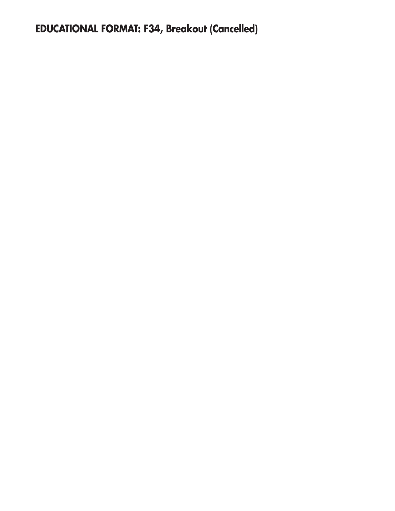**EDUCATIONAL FORMAT: F34, Breakout (Cancelled)**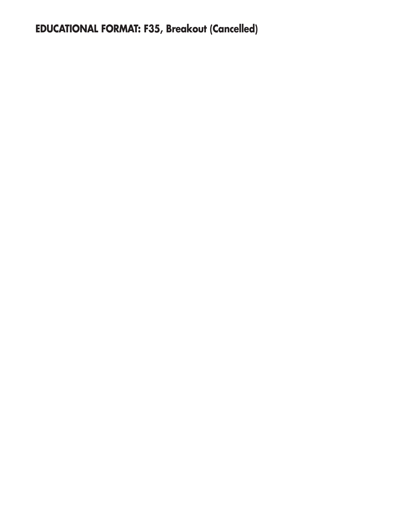**EDUCATIONAL FORMAT: F35, Breakout (Cancelled)**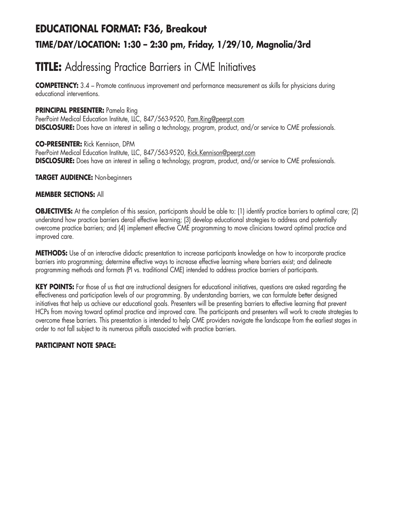# **EDUCATIONAL FORMAT: F36, Breakout TIME/DAY/LOCATION: 1:30 – 2:30 pm, Friday, 1/29/10, Magnolia/3rd**

# **TITLE:** Addressing Practice Barriers in CME Initiatives

**COMPETENCY:** 3.4 – Promote continuous improvement and performance measurement as skills for physicians during educational interventions.

### **PRINCIPAL PRESENTER:** Pamela Ring

PeerPoint Medical Education Institute, LLC, 847/563-9520, Pam.Ring@peerpt.com **DISCLOSURE:** Does have an interest in selling a technology, program, product, and/or service to CME professionals.

#### **CO-PRESENTER:** Rick Kennison, DPM

PeerPoint Medical Education Institute, LLC, 847/563-9520, Rick.Kennison@peerpt.com **DISCLOSURE:** Does have an interest in selling a technology, program, product, and/or service to CME professionals.

### **TARGET AUDIENCE:** Non-beginners

### **MEMBER SECTIONS:** All

**OBJECTIVES:** At the completion of this session, participants should be able to: (1) identify practice barriers to optimal care; (2) understand how practice barriers derail effective learning; (3) develop educational strategies to address and potentially overcome practice barriers; and (4) implement effective CME programming to move clinicians toward optimal practice and improved care.

**METHODS:** Use of an interactive didactic presentation to increase participants knowledge on how to incorporate practice barriers into programming; determine effective ways to increase effective learning where barriers exist; and delineate programming methods and formats (PI vs. traditional CME) intended to address practice barriers of participants.

**KEY POINTS:** For those of us that are instructional designers for educational initiatives, questions are asked regarding the effectiveness and participation levels of our programming. By understanding barriers, we can formulate better designed initiatives that help us achieve our educational goals. Presenters will be presenting barriers to effective learning that prevent HCPs from moving toward optimal practice and improved care. The participants and presenters will work to create strategies to overcome these barriers. This presentation is intended to help CME providers navigate the landscape from the earliest stages in order to not fall subject to its numerous pitfalls associated with practice barriers.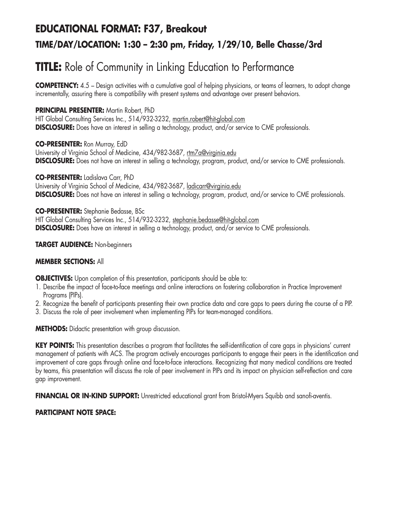# **EDUCATIONAL FORMAT: F37, Breakout TIME/DAY/LOCATION: 1:30 – 2:30 pm, Friday, 1/29/10, Belle Chasse/3rd**

# **TITLE:** Role of Community in Linking Education to Performance

**COMPETENCY:** 4.5 – Design activities with a cumulative goal of helping physicians, or teams of learners, to adopt change incrementally, assuring there is compatibility with present systems and advantage over present behaviors.

### **PRINCIPAL PRESENTER:** Martin Robert, PhD

HIT Global Consulting Services Inc., 514/932-3232, martin.robert@hit-global.com **DISCLOSURE:** Does have an interest in selling a technology, product, and/or service to CME professionals.

### **CO-PRESENTER:** Ron Murray, EdD

University of Virginia School of Medicine, 434/982-3687, rtm7a@virginia.edu **DISCLOSURE:** Does not have an interest in selling a technology, program, product, and/or service to CME professionals.

### **CO-PRESENTER:** Ladislava Carr, PhD

University of Virginia School of Medicine, 434/982-3687, ladicarr@virginia.edu **DISCLOSURE:** Does not have an interest in selling a technology, program, product, and/or service to CME professionals.

**CO-PRESENTER:** Stephanie Bedasse, BSc HIT Global Consulting Services Inc., 514/932-3232, stephanie.bedasse@hit-global.com **DISCLOSURE:** Does have an interest in selling a technology, product, and/or service to CME professionals.

### **TARGET AUDIENCE:** Non-beginners

### **MEMBER SECTIONS:** All

**OBJECTIVES:** Upon completion of this presentation, participants should be able to:

- 1. Describe the impact of face-to-face meetings and online interactions on fostering collaboration in Practice Improvement Programs (PIPs).
- 2. Recognize the benefit of participants presenting their own practice data and care gaps to peers during the course of a PIP.
- 3. Discuss the role of peer involvement when implementing PIPs for team-managed conditions.

**METHODS:** Didactic presentation with group discussion.

**KEY POINTS:** This presentation describes a program that facilitates the self-identification of care gaps in physicians' current management of patients with ACS. The program actively encourages participants to engage their peers in the identification and improvement of care gaps through online and face-to-face interactions. Recognizing that many medical conditions are treated by teams, this presentation will discuss the role of peer involvement in PIPs and its impact on physician self-reflection and care gap improvement.

**FINANCIAL OR IN-KIND SUPPORT:** Unrestricted educational grant from Bristol-Myers Squibb and sanofi-aventis.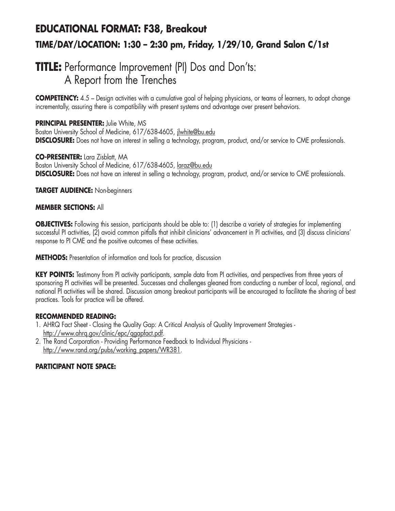# **EDUCATIONAL FORMAT: F38, Breakout TIME/DAY/LOCATION: 1:30 – 2:30 pm, Friday, 1/29/10, Grand Salon C/1st**

## **TITLE:** Performance Improvement (PI) Dos and Don'ts: A Report from the Trenches

**COMPETENCY:** 4.5 – Design activities with a cumulative goal of helping physicians, or teams of learners, to adopt change incrementally, assuring there is compatibility with present systems and advantage over present behaviors.

**PRINCIPAL PRESENTER:** Julie White, MS Boston University School of Medicine, 617/638-4605, jlwhite@bu.edu **DISCLOSURE:** Does not have an interest in selling a technology, program, product, and/or service to CME professionals.

**CO-PRESENTER:** Lara Zisblatt, MA Boston University School of Medicine, 617/638-4605, laraz@bu.edu **DISCLOSURE:** Does not have an interest in selling a technology, program, product, and/or service to CME professionals.

### **TARGET AUDIENCE:** Non-beginners

### **MEMBER SECTIONS:** All

**OBJECTIVES:** Following this session, participants should be able to: (1) describe a variety of strategies for implementing successful PI activities, (2) avoid common pitfalls that inhibit clinicians' advancement in PI activities, and (3) discuss clinicians' response to PI CME and the positive outcomes of these activities.

**METHODS:** Presentation of information and tools for practice, discussion

**KEY POINTS:** Testimony from PI activity participants, sample data from PI activities, and perspectives from three years of sponsoring PI activities will be presented. Successes and challenges gleaned from conducting a number of local, regional, and national PI activities will be shared. Discussion among breakout participants will be encouraged to facilitate the sharing of best practices. Tools for practice will be offered.

#### **RECOMMENDED READING:**

- 1. AHRQ Fact Sheet Closing the Quality Gap: A Critical Analysis of Quality Improvement Strategies http://www.ahrq.gov/clinic/epc/qgapfact.pdf.
- 2. The Rand Corporation Providing Performance Feedback to Individual Physicians http://www.rand.org/pubs/working\_papers/WR381.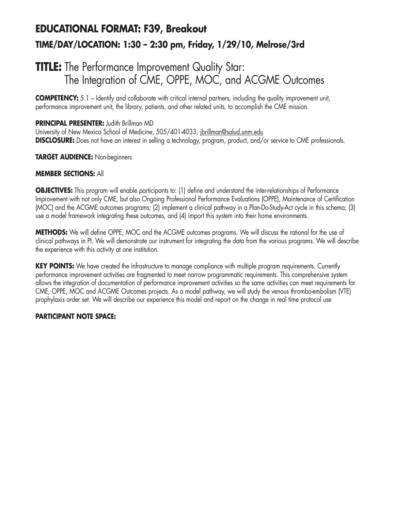# **EDUCATIONAL FORMAT: F39, Breakout TIME/DAY/LOCATION: 1:30 – 2:30 pm, Friday, 1/29/10, Melrose/3rd**

## **TITLE:** The Performance Improvement Quality Star: The Integration of CME, OPPE, MOC, and ACGME Outcomes

**COMPETENCY:** 5.1 – Identify and collaborate with critical internal partners, including the quality improvement unit, performance improvement unit, the library, patients, and other related units, to accomplish the CME mission.

### **PRINCIPAL PRESENTER:** Judith Brillman MD

University of New Mexico School of Medicine, 505/401-4033, jbrillman@salud.unm.edu **DISCLOSURE:** Does not have an interest in selling a technology, program, product, and/or service to CME professionals.

### **TARGET AUDIENCE:** Non-beginners

### **MEMBER SECTIONS:** All

**OBJECTIVES:** This program will enable participants to: (1) define and understand the inter-relationships of Performance Improvement with not only CME, but also Ongoing Professional Performance Evaluations (OPPE), Maintenance of Certification (MOC) and the ACGME outcomes programs; (2) implement a clinical pathway in a Plan-Do-Study-Act cycle in this schema; (3) use a model framework integrating these outcomes, and (4) import this system into their home environments.

**METHODS:** We will define OPPE, MOC and the ACGME outcomes programs. We will discuss the rational for the use of clinical pathways in PI. We will demonstrate our instrument for integrating the data from the various programs. We will describe the experience with this activity at one institution.

**KEY POINTS:** We have created the infrastructure to manage compliance with multiple program requirements. Currently performance improvement activities are fragmented to meet narrow programmatic requirements. This comprehensive system allows the integration of documentation of performance improvement activities so the same activities can meet requirements for CME, OPPE, MOC and ACGME Outcomes projects. As a model pathway, we will study the venous thrombo-embolism (VTE) prophylaxis order set. We will describe our experience this model and report on the change in real time protocol use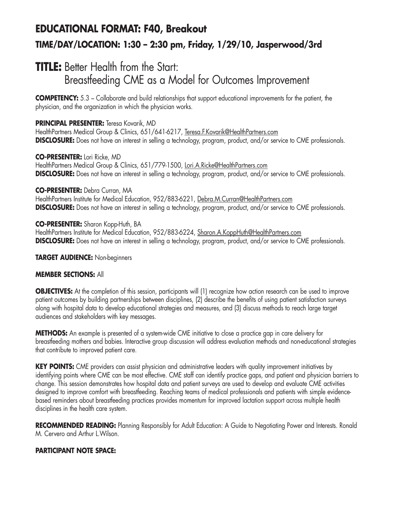# **EDUCATIONAL FORMAT: F40, Breakout TIME/DAY/LOCATION: 1:30 – 2:30 pm, Friday, 1/29/10, Jasperwood/3rd**

## **TITLE:** Better Health from the Start: Breastfeeding CME as a Model for Outcomes Improvement

**COMPETENCY:** 5.3 – Collaborate and build relationships that support educational improvements for the patient, the physician, and the organization in which the physician works.

## **PRINCIPAL PRESENTER:** Teresa Kovarik, MD

HealthPartners Medical Group & Clinics, 651/641-6217, Teresa.F.Kovarik@HealthPartners.com **DISCLOSURE:** Does not have an interest in selling a technology, program, product, and/or service to CME professionals.

### **CO-PRESENTER:** Lori Ricke, MD

HealthPartners Medical Group & Clinics, 651/779-1500, Lori.A.Ricke@HealthPartners.com **DISCLOSURE:** Does not have an interest in selling a technology, program, product, and/or service to CME professionals.

### **CO-PRESENTER:** Debra Curran, MA

HealthPartners Institute for Medical Education, 952/883-6221, Debra.M.Curran@HealthPartners.com **DISCLOSURE:** Does not have an interest in selling a technology, program, product, and/or service to CME professionals.

### **CO-PRESENTER:** Sharon Kopp-Huth, BA

HealthPartners Institute for Medical Education, 952/883-6224, Sharon.A.KoppHuth@HealthPartners.com **DISCLOSURE:** Does not have an interest in selling a technology, program, product, and/or service to CME professionals.

### **TARGET AUDIENCE:** Non-beginners

## **MEMBER SECTIONS:** All

**OBJECTIVES:** At the completion of this session, participants will (1) recognize how action research can be used to improve patient outcomes by building partnerships between disciplines, (2) describe the benefits of using patient satisfaction surveys along with hospital data to develop educational strategies and measures, and (3) discuss methods to reach large target audiences and stakeholders with key messages.

**METHODS:** An example is presented of a system-wide CME initiative to close a practice gap in care delivery for breastfeeding mothers and babies. Interactive group discussion will address evaluation methods and non-educational strategies that contribute to improved patient care.

**KEY POINTS:** CME providers can assist physician and administrative leaders with quality improvement initiatives by identifying points where CME can be most effective. CME staff can identify practice gaps, and patient and physician barriers to change. This session demonstrates how hospital data and patient surveys are used to develop and evaluate CME activities designed to improve comfort with breastfeeding. Reaching teams of medical professionals and patients with simple evidencebased reminders about breastfeeding practices provides momentum for improved lactation support across multiple health disciplines in the health care system.

RECOMMENDED READING: Planning Responsibly for Adult Education: A Guide to Negotiating Power and Interests. Ronald M. Cervero and Arthur L.Wilson.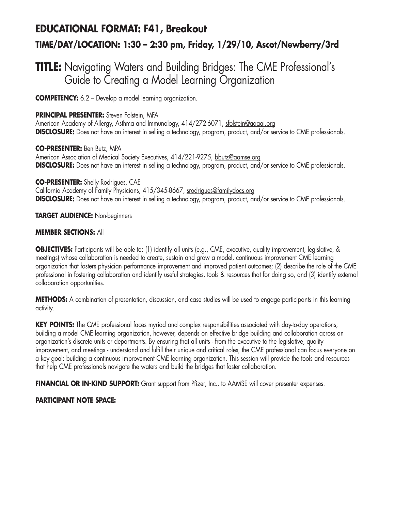# **EDUCATIONAL FORMAT: F41, Breakout TIME/DAY/LOCATION: 1:30 – 2:30 pm, Friday, 1/29/10, Ascot/Newberry/3rd**

## **TITLE:** Navigating Waters and Building Bridges: The CME Professional's Guide to Creating a Model Learning Organization

**COMPETENCY:** 6.2 – Develop a model learning organization.

### **PRINCIPAL PRESENTER:** Steven Folstein, MFA

American Academy of Allergy, Asthma and Immunology, 414/272-6071, sfolstein@aaaai.org **DISCLOSURE:** Does not have an interest in selling a technology, program, product, and/or service to CME professionals.

**CO-PRESENTER:** Ben Butz, MPA American Association of Medical Society Executives, 414/221-9275, bbutz@aamse.org **DISCLOSURE:** Does not have an interest in selling a technology, program, product, and/or service to CME professionals.

**CO-PRESENTER:** Shelly Rodrigues, CAE California Academy of Family Physicians, 415/345-8667, srodrigues@familydocs.org **DISCLOSURE:** Does not have an interest in selling a technology, program, product, and/or service to CME professionals.

### **TARGET AUDIENCE:** Non-beginners

### **MEMBER SECTIONS:** All

**OBJECTIVES:** Participants will be able to: (1) identify all units (e.g., CME, executive, quality improvement, legislative, & meetings) whose collaboration is needed to create, sustain and grow a model, continuous improvement CME learning organization that fosters physician performance improvement and improved patient outcomes; (2) describe the role of the CME professional in fostering collaboration and identify useful strategies, tools & resources that for doing so, and (3) identify external collaboration opportunities.

**METHODS:** A combination of presentation, discussion, and case studies will be used to engage participants in this learning activity.

**KEY POINTS:** The CME professional faces myriad and complex responsibilities associated with day-to-day operations; building a model CME learning organization, however, depends on effective bridge building and collaboration across an organization's discrete units or departments. By ensuring that all units - from the executive to the legislative, quality improvement, and meetings - understand and fulfill their unique and critical roles, the CME professional can focus everyone on a key goal: building a continuous improvement CME learning organization. This session will provide the tools and resources that help CME professionals navigate the waters and build the bridges that foster collaboration.

**FINANCIAL OR IN-KIND SUPPORT:** Grant support from Pfizer, Inc., to AAMSE will cover presenter expenses.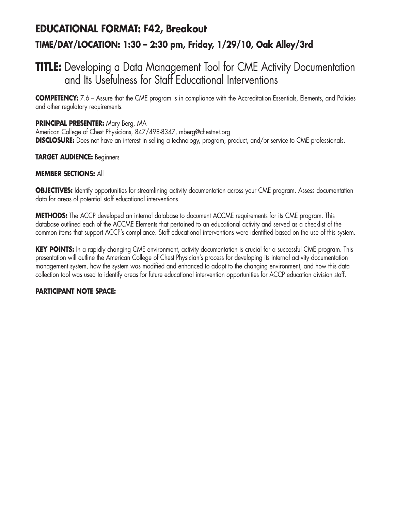# **EDUCATIONAL FORMAT: F42, Breakout TIME/DAY/LOCATION: 1:30 – 2:30 pm, Friday, 1/29/10, Oak Alley/3rd**

## **TITLE:** Developing a Data Management Tool for CME Activity Documentation and Its Usefulness for Staff Educational Interventions

**COMPETENCY:** 7.6 – Assure that the CME program is in compliance with the Accreditation Essentials, Elements, and Policies and other regulatory requirements.

### **PRINCIPAL PRESENTER:** Mary Berg, MA

American College of Chest Physicians, 847/498-8347, mberg@chestnet.org **DISCLOSURE:** Does not have an interest in selling a technology, program, product, and/or service to CME professionals.

### **TARGET AUDIENCE:** Beginners

### **MEMBER SECTIONS:** All

**OBJECTIVES:** Identify opportunities for streamlining activity documentation across your CME program. Assess documentation data for areas of potential staff educational interventions.

**METHODS:** The ACCP developed an internal database to document ACCME requirements for its CME program. This database outlined each of the ACCME Elements that pertained to an educational activity and served as a checklist of the common items that support ACCP's compliance. Staff educational interventions were identified based on the use of this system.

**KEY POINTS:** In a rapidly changing CME environment, activity documentation is crucial for a successful CME program. This presentation will outline the American College of Chest Physician's process for developing its internal activity documentation management system, how the system was modified and enhanced to adapt to the changing environment, and how this data collection tool was used to identify areas for future educational intervention opportunities for ACCP education division staff.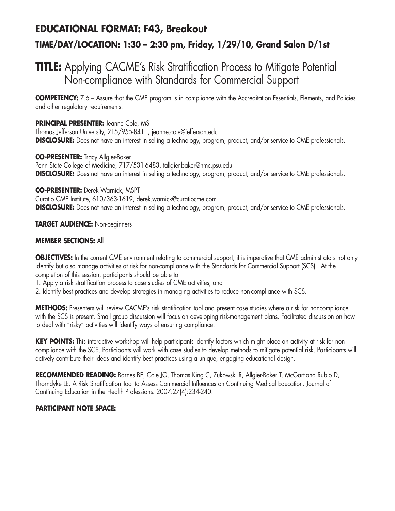# **EDUCATIONAL FORMAT: F43, Breakout TIME/DAY/LOCATION: 1:30 – 2:30 pm, Friday, 1/29/10, Grand Salon D/1st**

## **TITLE:** Applying CACME's Risk Stratification Process to Mitigate Potential Non-compliance with Standards for Commercial Support

**COMPETENCY:** 7.6 – Assure that the CME program is in compliance with the Accreditation Essentials, Elements, and Policies and other regulatory requirements.

## **PRINCIPAL PRESENTER:** Jeanne Cole, MS

Thomas Jefferson University, 215/955-8411, jeanne.cole@jefferson.edu **DISCLOSURE:** Does not have an interest in selling a technology, program, product, and/or service to CME professionals.

### **CO-PRESENTER:** Tracy Allgier-Baker

Penn State College of Medicine, 717/531-6483, tallgier-baker@hmc.psu.edu **DISCLOSURE:** Does not have an interest in selling a technology, program, product, and/or service to CME professionals.

**CO-PRESENTER:** Derek Warnick, MSPT Curatio CME Institute, 610/363-1619, derek.warnick@curatiocme.com **DISCLOSURE:** Does not have an interest in selling a technology, program, product, and/or service to CME professionals.

### **TARGET AUDIENCE:** Non-beginners

### **MEMBER SECTIONS:** All

**OBJECTIVES:** In the current CME environment relating to commercial support, it is imperative that CME administrators not only identify but also manage activities at risk for non-compliance with the Standards for Commercial Support (SCS). At the completion of this session, participants should be able to:

- 1. Apply a risk stratification process to case studies of CME activities, and
- 2. Identify best practices and develop strategies in managing activities to reduce non-compliance with SCS.

**METHODS:** Presenters will review CACME's risk stratification tool and present case studies where a risk for noncompliance with the SCS is present. Small group discussion will focus on developing risk-management plans. Facilitated discussion on how to deal with "risky" activities will identify ways of ensuring compliance.

**KEY POINTS:** This interactive workshop will help participants identify factors which might place an activity at risk for noncompliance with the SCS. Participants will work with case studies to develop methods to mitigate potential risk. Participants will actively contribute their ideas and identify best practices using a unique, engaging educational design.

**RECOMMENDED READING:** Barnes BE, Cole JG, Thomas King C, Zukowski R, Allgier-Baker T, McGartland Rubio D, Thorndyke LE. A Risk Stratification Tool to Assess Commercial Influences on Continuing Medical Education. Journal of Continuing Education in the Health Professions. 2007:27(4):234-240.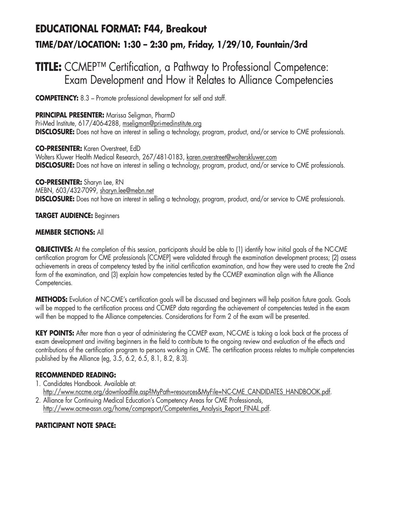# **EDUCATIONAL FORMAT: F44, Breakout TIME/DAY/LOCATION: 1:30 – 2:30 pm, Friday, 1/29/10, Fountain/3rd**

## **TITLE:** CCMEP™ Certification, a Pathway to Professional Competence: Exam Development and How it Relates to Alliance Competencies

**COMPETENCY:** 8.3 – Promote professional development for self and staff.

**PRINCIPAL PRESENTER:** Marissa Seligman, PharmD Pri-Med Institute, 617/406-4288, mseligman@pri-medinstitute.org **DISCLOSURE:** Does not have an interest in selling a technology, program, product, and/or service to CME professionals.

**CO-PRESENTER:** Karen Overstreet, EdD Wolters Kluwer Health Medical Research, 267/481-0183, karen.overstreet@wolterskluwer.com **DISCLOSURE:** Does not have an interest in selling a technology, program, product, and/or service to CME professionals.

**CO-PRESENTER:** Sharyn Lee, RN MEBN, 603/432-7099, sharyn.lee@mebn.net **DISCLOSURE:** Does not have an interest in selling a technology, program, product, and/or service to CME professionals.

### **TARGET AUDIENCE:** Beginners

### **MEMBER SECTIONS:** All

**OBJECTIVES:** At the completion of this session, participants should be able to (1) identify how initial goals of the NC-CME certification program for CME professionals [CCMEP] were validated through the examination development process; (2) assess achievements in areas of competency tested by the initial certification examination, and how they were used to create the 2nd form of the examination, and (3) explain how competencies tested by the CCMEP examination align with the Alliance Competencies.

**METHODS:** Evolution of NC-CME's certification goals will be discussed and beginners will help position future goals. Goals will be mapped to the certification process and CCMEP data regarding the achievement of competencies tested in the exam will then be mapped to the Alliance competencies. Considerations for Form 2 of the exam will be presented.

**KEY POINTS:** After more than a year of administering the CCMEP exam, NC-CME is taking a look back at the process of exam development and inviting beginners in the field to contribute to the ongoing review and evaluation of the effects and contributions of the certification program to persons working in CME. The certification process relates to multiple competencies published by the Alliance (eg, 3.5, 6.2, 6.5, 8.1, 8.2, 8.3).

### **RECOMMENDED READING:**

- 1. Candidates Handbook. Available at: http://www.nccme.org/downloadfile.asp?MyPath=resources&MyFile=NC-CME\_CANDIDATES\_HANDBOOK.pdf.
- 2. Alliance for Continuing Medical Education's Competency Areas for CME Professionals, http://www.acme-assn.org/home/compreport/Competenties\_Analysis\_Report\_FINAL.pdf.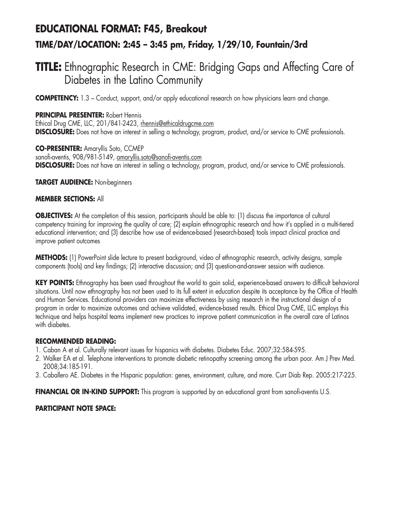# **EDUCATIONAL FORMAT: F45, Breakout TIME/DAY/LOCATION: 2:45 – 3:45 pm, Friday, 1/29/10, Fountain/3rd**

## **TITLE:** Ethnographic Research in CME: Bridging Gaps and Affecting Care of Diabetes in the Latino Community

**COMPETENCY:** 1.3 – Conduct, support, and/or apply educational research on how physicians learn and change.

**PRINCIPAL PRESENTER:** Robert Hennis Ethical Drug CME, LLC, 201/841-2423, rhennis@ethicaldrugcme.com **DISCLOSURE:** Does not have an interest in selling a technology, program, product, and/or service to CME professionals.

**CO-PRESENTER:** Amaryllis Soto, CCMEP sanofi-aventis, 908/981-5149, amaryllis.soto@sanofi-aventis.com **DISCLOSURE:** Does not have an interest in selling a technology, program, product, and/or service to CME professionals.

**TARGET AUDIENCE:** Non-beginners

#### **MEMBER SECTIONS:** All

**OBJECTIVES:** At the completion of this session, participants should be able to: (1) discuss the importance of cultural competency training for improving the quality of care; (2) explain ethnographic research and how it's applied in a multi-tiered educational intervention; and (3) describe how use of evidence-based (research-based) tools impact clinical practice and improve patient outcomes

**METHODS:** (1) PowerPoint slide lecture to present background, video of ethnographic research, activity designs, sample components (tools) and key findings; (2) interactive discussion; and (3) question-and-answer session with audience.

**KEY POINTS:** Ethnography has been used throughout the world to gain solid, experience-based answers to difficult behavioral situations. Until now ethnography has not been used to its full extent in education despite its acceptance by the Office of Health and Human Services. Educational providers can maximize effectiveness by using research in the instructional design of a program in order to maximize outcomes and achieve validated, evidence-based results. Ethical Drug CME, LLC employs this technique and helps hospital teams implement new practices to improve patient communication in the overall care of Latinos with diabetes.

#### **RECOMMENDED READING:**

- 1. Caban A et al. Culturally relevant issues for hispanics with diabetes. Diabetes Educ. 2007;32:584-595.
- 2. Walker EA et al. Telephone interventions to promote diabetic retinopathy screening among the urban poor. Am J Prev Med. 2008;34:185-191.
- 3. Caballero AE. Diabetes in the Hispanic population: genes, environment, culture, and more. Curr Diab Rep. 2005:217-225.

**FINANCIAL OR IN-KIND SUPPORT:** This program is supported by an educational grant from sanofi-aventis U.S.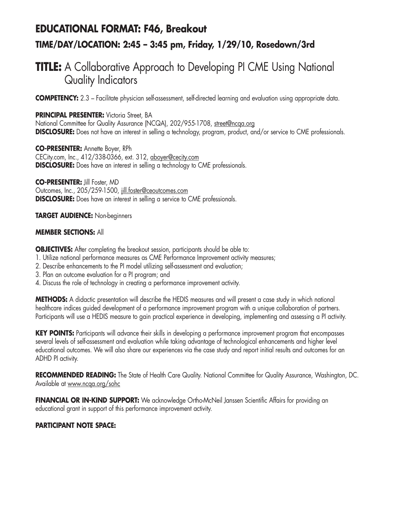# **EDUCATIONAL FORMAT: F46, Breakout TIME/DAY/LOCATION: 2:45 – 3:45 pm, Friday, 1/29/10, Rosedown/3rd**

## **TITLE:** A Collaborative Approach to Developing PI CME Using National Quality Indicators

**COMPETENCY:** 2.3 – Facilitate physician self-assessment, self-directed learning and evaluation using appropriate data.

**PRINCIPAL PRESENTER:** Victoria Street, BA National Committee for Quality Assurance (NCQA), 202/955-1708, street@ncqa.org **DISCLOSURE:** Does not have an interest in selling a technology, program, product, and/or service to CME professionals.

**CO-PRESENTER:** Annette Boyer, RPh CECity.com, Inc., 412/338-0366, ext. 312, aboyer@cecity.com **DISCLOSURE:** Does have an interest in selling a technology to CME professionals.

**CO-PRESENTER:** Jill Foster, MD Outcomes, Inc., 205/259-1500, jill.foster@ceoutcomes.com **DISCLOSURE:** Does have an interest in selling a service to CME professionals.

### **TARGET AUDIENCE:** Non-beginners

### **MEMBER SECTIONS:** All

**OBJECTIVES:** After completing the breakout session, participants should be able to:

- 1. Utilize national performance measures as CME Performance Improvement activity measures;
- 2. Describe enhancements to the PI model utilizing self-assessment and evaluation;
- 3. Plan an outcome evaluation for a PI program; and
- 4. Discuss the role of technology in creating a performance improvement activity.

**METHODS:** A didactic presentation will describe the HEDIS measures and will present a case study in which national healthcare indices guided development of a performance improvement program with a unique collaboration of partners. Participants will use a HEDIS measure to gain practical experience in developing, implementing and assessing a PI activity.

**KEY POINTS:** Participants will advance their skills in developing a performance improvement program that encompasses several levels of self-assessment and evaluation while taking advantage of technological enhancements and higher level educational outcomes. We will also share our experiences via the case study and report initial results and outcomes for an ADHD PI activity.

**RECOMMENDED READING:** The State of Health Care Quality. National Committee for Quality Assurance, Washington, DC. Available at www.ncqa.org/sohc

**FINANCIAL OR IN-KIND SUPPORT:** We acknowledge Ortho-McNeil Janssen Scientific Affairs for providing an educational grant in support of this performance improvement activity.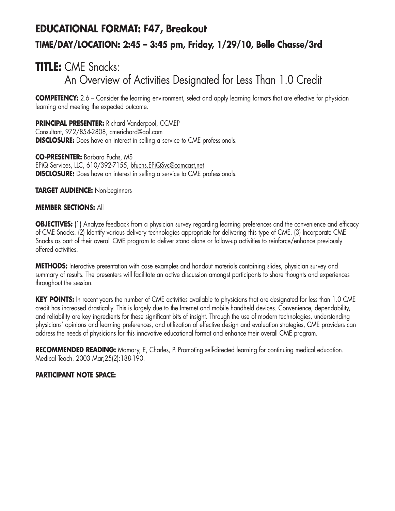# **EDUCATIONAL FORMAT: F47, Breakout TIME/DAY/LOCATION: 2:45 – 3:45 pm, Friday, 1/29/10, Belle Chasse/3rd**

## **TITLE:** CME Snacks: An Overview of Activities Designated for Less Than 1.0 Credit

**COMPETENCY:** 2.6 – Consider the learning environment, select and apply learning formats that are effective for physician learning and meeting the expected outcome.

**PRINCIPAL PRESENTER:** Richard Vanderpool, CCMEP Consultant, 972/854-2808, cmerichard@aol.com **DISCLOSURE:** Does have an interest in selling a service to CME professionals.

**CO-PRESENTER:** Barbara Fuchs, MS EPiQ Services, LLC, 610/392-7155, bfuchs.EPiQSvc@comcast,net **DISCLOSURE:** Does have an interest in selling a service to CME professionals.

### **TARGET AUDIENCE:** Non-beginners

### **MEMBER SECTIONS:** All

**OBJECTIVES:** (1) Analyze feedback from a physician survey regarding learning preferences and the convenience and efficacy of CME Snacks. (2) Identify various delivery technologies appropriate for delivering this type of CME. (3) Incorporate CME Snacks as part of their overall CME program to deliver stand alone or follow-up activities to reinforce/enhance previously offered activities.

**METHODS:** Interactive presentation with case examples and handout materials containing slides, physician survey and summary of results. The presenters will facilitate an active discussion amongst participants to share thoughts and experiences throughout the session.

**KEY POINTS:** In recent years the number of CME activities available to physicians that are designated for less than 1.0 CME credit has increased drastically. This is largely due to the Internet and mobile handheld devices. Convenience, dependability, and reliability are key ingredients for these significant bits of insight. Through the use of modern technologies, understanding physicians' opinions and learning preferences, and utilization of effective design and evaluation strategies, CME providers can address the needs of physicians for this innovative educational format and enhance their overall CME program.

**RECOMMENDED READING:** Mamary, E, Charles, P. Promoting self-directed learning for continuing medical education. Medical Teach. 2003 Mar;25(2):188-190.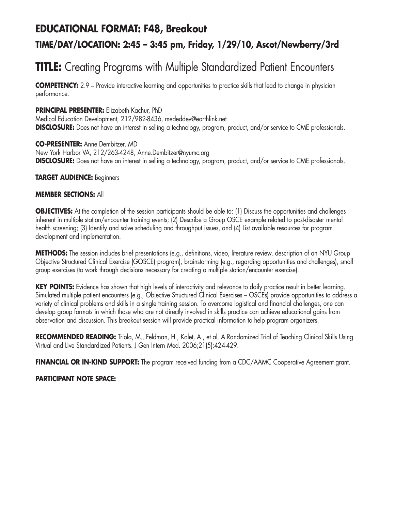## **EDUCATIONAL FORMAT: F48, Breakout**

## **TIME/DAY/LOCATION: 2:45 – 3:45 pm, Friday, 1/29/10, Ascot/Newberry/3rd**

# **TITLE:** Creating Programs with Multiple Standardized Patient Encounters

**COMPETENCY:** 2.9 – Provide interactive learning and opportunities to practice skills that lead to change in physician performance.

### **PRINCIPAL PRESENTER:** Elizabeth Kachur, PhD

Medical Education Development, 212/982-8436, mededdev@earthlink.net **DISCLOSURE:** Does not have an interest in selling a technology, program, product, and/or service to CME professionals.

#### **CO-PRESENTER:** Anne Dembitzer, MD

New York Harbor VA, 212/263-4248, Anne.Dembitzer@nyumc.org **DISCLOSURE:** Does not have an interest in selling a technology, program, product, and/or service to CME professionals.

### **TARGET AUDIENCE:** Beginners

### **MEMBER SECTIONS:** All

**OBJECTIVES:** At the completion of the session participants should be able to: (1) Discuss the opportunities and challenges inherent in multiple station/encounter training events; (2) Describe a Group OSCE example related to post-disaster mental health screening; (3) Identify and solve scheduling and throughput issues, and (4) List available resources for program development and implementation.

**METHODS:** The session includes brief presentations (e.g., definitions, video, literature review, description of an NYU Group Objective Structured Clinical Exercise (GOSCE) program), brainstorming (e.g., regarding opportunities and challenges), small group exercises (to work through decisions necessary for creating a multiple station/encounter exercise).

**KEY POINTS:** Evidence has shown that high levels of interactivity and relevance to daily practice result in better learning. Simulated multiple patient encounters (e.g., Objective Structured Clinical Exercises – OSCEs) provide opportunities to address a variety of clinical problems and skills in a single training session. To overcome logistical and financial challenges, one can develop group formats in which those who are not directly involved in skills practice can achieve educational gains from observation and discussion. This breakout session will provide practical information to help program organizers.

**RECOMMENDED READING:** Triola, M., Feldman, H., Kalet, A., et al. A Randomized Trial of Teaching Clinical Skills Using Virtual and Live Standardized Patients. J Gen Intern Med. 2006;21(5):424-429.

**FINANCIAL OR IN-KIND SUPPORT:** The program received funding from a CDC/AAMC Cooperative Agreement grant.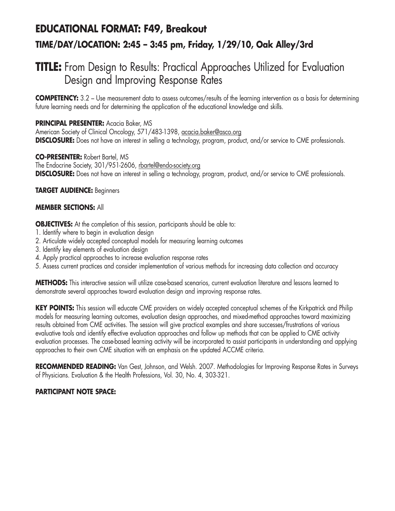# **EDUCATIONAL FORMAT: F49, Breakout TIME/DAY/LOCATION: 2:45 – 3:45 pm, Friday, 1/29/10, Oak Alley/3rd**

## **TITLE:** From Design to Results: Practical Approaches Utilized for Evaluation Design and Improving Response Rates

**COMPETENCY:** 3.2 – Use measurement data to assess outcomes/results of the learning intervention as a basis for determining future learning needs and for determining the application of the educational knowledge and skills.

## **PRINCIPAL PRESENTER:** Acacia Baker, MS

American Society of Clinical Oncology, 571/483-1398, acacia.baker@asco.org **DISCLOSURE:** Does not have an interest in selling a technology, program, product, and/or service to CME professionals.

**CO-PRESENTER:** Robert Bartel, MS The Endocrine Society, 301/951-2606, rbartel@endo-society.org **DISCLOSURE:** Does not have an interest in selling a technology, program, product, and/or service to CME professionals.

### **TARGET AUDIENCE:** Beginners

### **MEMBER SECTIONS:** All

**OBJECTIVES:** At the completion of this session, participants should be able to:

- 1. Identify where to begin in evaluation design
- 2. Articulate widely accepted conceptual models for measuring learning outcomes
- 3. Identify key elements of evaluation design
- 4. Apply practical approaches to increase evaluation response rates
- 5. Assess current practices and consider implementation of various methods for increasing data collection and accuracy

**METHODS:** This interactive session will utilize case-based scenarios, current evaluation literature and lessons learned to demonstrate several approaches toward evaluation design and improving response rates.

KEY POINTS: This session will educate CME providers on widely accepted conceptual schemes of the Kirkpatrick and Philip models for measuring learning outcomes, evaluation design approaches, and mixed-method approaches toward maximizing results obtained from CME activities. The session will give practical examples and share successes/frustrations of various evaluative tools and identify effective evaluation approaches and follow up methods that can be applied to CME activity evaluation processes. The case-based learning activity will be incorporated to assist participants in understanding and applying approaches to their own CME situation with an emphasis on the updated ACCME criteria.

**RECOMMENDED READING:** Van Gest, Johnson, and Welsh. 2007. Methodologies for Improving Response Rates in Surveys of Physicians. Evaluation & the Health Professions, Vol. 30, No. 4, 303-321.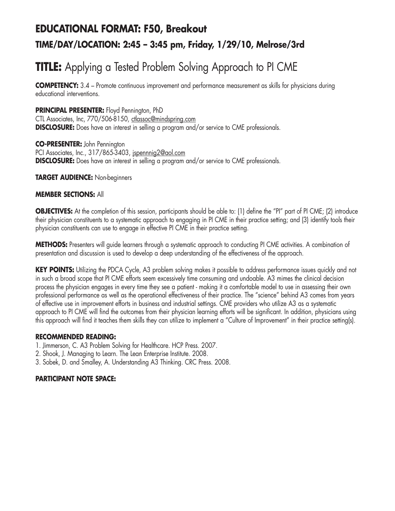# **EDUCATIONAL FORMAT: F50, Breakout TIME/DAY/LOCATION: 2:45 – 3:45 pm, Friday, 1/29/10, Melrose/3rd**

# **TITLE:** Applying a Tested Problem Solving Approach to PI CME

**COMPETENCY:** 3.4 – Promote continuous improvement and performance measurement as skills for physicians during educational interventions.

### **PRINCIPAL PRESENTER:** Floyd Pennington, PhD

CTL Associates, Inc, 770/506-8150, ctlassoc@mindspring.com **DISCLOSURE:** Does have an interest in selling a program and/or service to CME professionals.

## **CO-PRESENTER:** John Pennington

PCI Associates, Inc., 317/865-3403, jspennnig2@aol.com **DISCLOSURE:** Does have an interest in selling a program and/or service to CME professionals.

### **TARGET AUDIENCE:** Non-beginners

### **MEMBER SECTIONS:** All

**OBJECTIVES:** At the completion of this session, participants should be able to: (1) define the "PI" part of PI CME; (2) introduce their physician constituents to a systematic approach to engaging in PI CME in their practice setting; and (3) identify tools their physician constituents can use to engage in effective PI CME in their practice setting.

**METHODS:** Presenters will guide learners through a systematic approach to conducting PI CME activities. A combination of presentation and discussion is used to develop a deep understanding of the effectiveness of the approach.

**KEY POINTS:** Utilizing the PDCA Cycle, A3 problem solving makes it possible to address performance issues quickly and not in such a broad scope that PI CME efforts seem excessively time consuming and undoable. A3 mimes the clinical decision process the physician engages in every time they see a patient - making it a comfortable model to use in assessing their own professional performance as well as the operational effectiveness of their practice. The "science" behind A3 comes from years of effective use in improvement efforts in business and industrial settings. CME providers who utilize A3 as a systematic approach to PI CME will find the outcomes from their physician learning efforts will be significant. In addition, physicians using this approach will find it teaches them skills they can utilize to implement a "Culture of Improvement" in their practice setting(s).

### **RECOMMENDED READING:**

- 1. Jimmerson, C. A3 Problem Solving for Healthcare. HCP Press. 2007.
- 2. Shook, J. Managing to Learn. The Lean Enterprise Institute. 2008.
- 3. Sobek, D. and Smalley, A. Understanding A3 Thinking. CRC Press. 2008.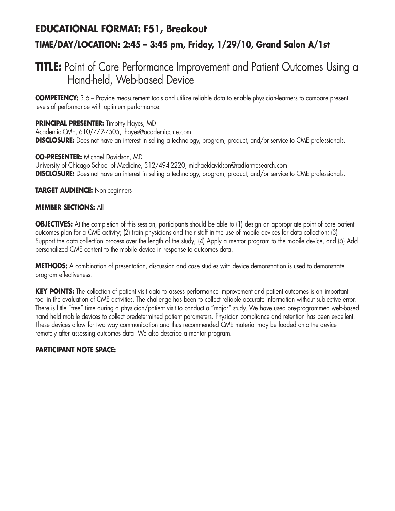## **EDUCATIONAL FORMAT: F51, Breakout TIME/DAY/LOCATION: 2:45 – 3:45 pm, Friday, 1/29/10, Grand Salon A/1st**

## **TITLE:** Point of Care Performance Improvement and Patient Outcomes Using a Hand-held, Web-based Device

**COMPETENCY:** 3.6 – Provide measurement tools and utilize reliable data to enable physician-learners to compare present levels of performance with optimum performance.

**PRINCIPAL PRESENTER:** Timothy Hayes, MD Academic CME, 610/772-7505, thayes@academiccme.com **DISCLOSURE:** Does not have an interest in selling a technology, program, product, and/or service to CME professionals.

**CO-PRESENTER:** Michael Davidson, MD University of Chicago School of Medicine, 312/494-2220, michaeldavidson@radiantresearch.com **DISCLOSURE:** Does not have an interest in selling a technology, program, product, and/or service to CME professionals.

**TARGET AUDIENCE:** Non-beginners

### **MEMBER SECTIONS:** All

**OBJECTIVES:** At the completion of this session, participants should be able to (1) design an appropriate point of care patient outcomes plan for a CME activity; (2) train physicians and their staff in the use of mobile devices for data collection; (3) Support the data collection process over the length of the study; (4) Apply a mentor program to the mobile device, and (5) Add personalized CME content to the mobile device in response to outcomes data.

**METHODS:** A combination of presentation, discussion and case studies with device demonstration is used to demonstrate program effectiveness.

**KEY POINTS:** The collection of patient visit data to assess performance improvement and patient outcomes is an important tool in the evaluation of CME activities. The challenge has been to collect reliable accurate information without subjective error. There is little "free" time during a physician/patient visit to conduct a "major" study. We have used pre-programmed web-based hand held mobile devices to collect predetermined patient parameters. Physician compliance and retention has been excellent. These devices allow for two way communication and thus recommended CME material may be loaded onto the device remotely after assessing outcomes data. We also describe a mentor program.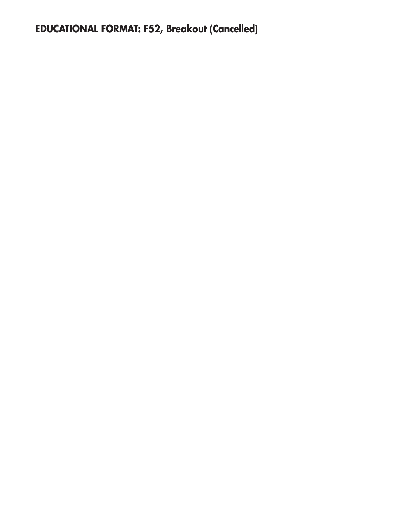**EDUCATIONAL FORMAT: F52, Breakout (Cancelled)**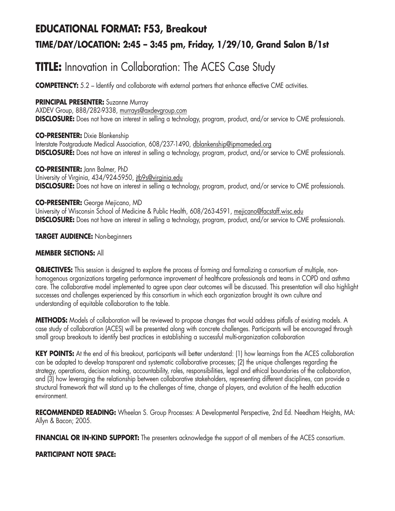# **EDUCATIONAL FORMAT: F53, Breakout**

## **TIME/DAY/LOCATION: 2:45 – 3:45 pm, Friday, 1/29/10, Grand Salon B/1st**

# **TITLE:** Innovation in Collaboration: The ACES Case Study

**COMPETENCY:** 5.2 – Identify and collaborate with external partners that enhance effective CME activities.

### **PRINCIPAL PRESENTER:** Suzanne Murray

AXDEV Group, 888/282-9338, murrays@axdevgroup.com **DISCLOSURE:** Does not have an interest in selling a technology, program, product, and/or service to CME professionals.

**CO-PRESENTER:** Dixie Blankenship Interstate Postgraduate Medical Association, 608/237-1490, dblankenship@ipmameded.org **DISCLOSURE:** Does not have an interest in selling a technology, program, product, and/or service to CME professionals.

**CO-PRESENTER:** Jann Balmer, PhD University of Virginia, 434/924-5950, jtb9s@virginia.edu **DISCLOSURE:** Does not have an interest in selling a technology, program, product, and/or service to CME professionals.

### **CO-PRESENTER:** George Mejicano, MD

University of Wisconsin School of Medicine & Public Health, 608/263-4591, mejicano@facstaff.wisc.edu **DISCLOSURE:** Does not have an interest in selling a technology, program, product, and/or service to CME professionals.

### **TARGET AUDIENCE:** Non-beginners

### **MEMBER SECTIONS:** All

**OBJECTIVES:** This session is designed to explore the process of forming and formalizing a consortium of multiple, nonhomogenous organizations targeting performance improvement of healthcare professionals and teams in COPD and asthma care. The collaborative model implemented to agree upon clear outcomes will be discussed. This presentation will also highlight successes and challenges experienced by this consortium in which each organization brought its own culture and understanding of equitable collaboration to the table.

**METHODS:** Models of collaboration will be reviewed to propose changes that would address pitfalls of existing models. A case study of collaboration (ACES) will be presented along with concrete challenges. Participants will be encouraged through small group breakouts to identify best practices in establishing a successful multi-organization collaboration

**KEY POINTS:** At the end of this breakout, participants will better understand: (1) how learnings from the ACES collaboration can be adapted to develop transparent and systematic collaborative processes; (2) the unique challenges regarding the strategy, operations, decision making, accountability, roles, responsibilities, legal and ethical boundaries of the collaboration, and (3) how leveraging the relationship between collaborative stakeholders, representing different disciplines, can provide a structural framework that will stand up to the challenges of time, change of players, and evolution of the health education environment.

**RECOMMENDED READING:** Wheelan S. Group Processes: A Developmental Perspective, 2nd Ed. Needham Heights, MA: Allyn & Bacon; 2005.

**FINANCIAL OR IN-KIND SUPPORT:** The presenters acknowledge the support of all members of the ACES consortium.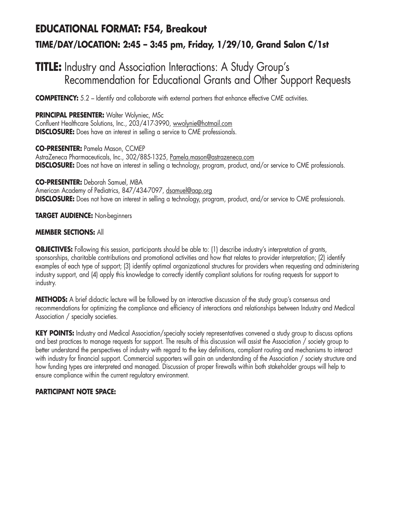# **EDUCATIONAL FORMAT: F54, Breakout TIME/DAY/LOCATION: 2:45 – 3:45 pm, Friday, 1/29/10, Grand Salon C/1st**

## **TITLE:** Industry and Association Interactions: A Study Group's Recommendation for Educational Grants and Other Support Requests

**COMPETENCY:** 5.2 – Identify and collaborate with external partners that enhance effective CME activities.

**PRINCIPAL PRESENTER: Walter Wolyniec, MSc** 

Confluent Healthcare Solutions, Inc., 203/417-3990, wwolynie@hotmail.com **DISCLOSURE:** Does have an interest in selling a service to CME professionals.

**CO-PRESENTER:** Pamela Mason, CCMEP AstraZeneca Pharmaceuticals, Inc., 302/885-1325, Pamela.mason@astrazeneca.com **DISCLOSURE:** Does not have an interest in selling a technology, program, product, and/or service to CME professionals.

**CO-PRESENTER:** Deborah Samuel, MBA American Academy of Pediatrics, 847/434-7097, dsamuel@aap.org **DISCLOSURE:** Does not have an interest in selling a technology, program, product, and/or service to CME professionals.

### **TARGET AUDIENCE:** Non-beginners

### **MEMBER SECTIONS:** All

**OBJECTIVES:** Following this session, participants should be able to: (1) describe industry's interpretation of grants, sponsorships, charitable contributions and promotional activities and how that relates to provider interpretation; (2) identify examples of each type of support; (3) identify optimal organizational structures for providers when requesting and administering industry support, and (4) apply this knowledge to correctly identify compliant solutions for routing requests for support to industry.

**METHODS:** A brief didactic lecture will be followed by an interactive discussion of the study group's consensus and recommendations for optimizing the compliance and efficiency of interactions and relationships between Industry and Medical Association / specialty societies.

**KEY POINTS:** Industry and Medical Association/specialty society representatives convened a study group to discuss options and best practices to manage requests for support. The results of this discussion will assist the Association / society group to better understand the perspectives of industry with regard to the key definitions, compliant routing and mechanisms to interact with industry for financial support. Commercial supporters will gain an understanding of the Association / society structure and how funding types are interpreted and managed. Discussion of proper firewalls within both stakeholder groups will help to ensure compliance within the current regulatory environment.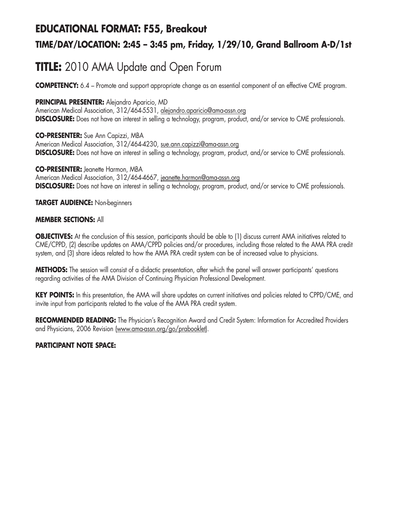## **EDUCATIONAL FORMAT: F55, Breakout**

## **TIME/DAY/LOCATION: 2:45 – 3:45 pm, Friday, 1/29/10, Grand Ballroom A-D/1st**

# **TITLE:** 2010 AMA Update and Open Forum

**COMPETENCY:** 6.4 – Promote and support appropriate change as an essential component of an effective CME program.

**PRINCIPAL PRESENTER:** Alejandro Aparicio, MD

American Medical Association, 312/464-5531, alejandro.aparicio@ama-assn.org **DISCLOSURE:** Does not have an interest in selling a technology, program, product, and/or service to CME professionals.

**CO-PRESENTER:** Sue Ann Capizzi, MBA American Medical Association, 312/464-4230, sue.ann.capizzi@ama-assn.org **DISCLOSURE:** Does not have an interest in selling a technology, program, product, and/or service to CME professionals.

**CO-PRESENTER:** Jeanette Harmon, MBA American Medical Association, 312/464-4667, jeanette.harmon@ama-assn.org **DISCLOSURE:** Does not have an interest in selling a technology, program, product, and/or service to CME professionals.

**TARGET AUDIENCE:** Non-beginners

#### **MEMBER SECTIONS:** All

**OBJECTIVES:** At the conclusion of this session, participants should be able to (1) discuss current AMA initiatives related to CME/CPPD, (2) describe updates on AMA/CPPD policies and/or procedures, including those related to the AMA PRA credit system, and (3) share ideas related to how the AMA PRA credit system can be of increased value to physicians.

**METHODS:** The session will consist of a didactic presentation, after which the panel will answer participants' questions regarding activities of the AMA Division of Continuing Physician Professional Development.

**KEY POINTS:** In this presentation, the AMA will share updates on current initiatives and policies related to CPPD/CME, and invite input from participants related to the value of the AMA PRA credit system.

**RECOMMENDED READING:** The Physician's Recognition Award and Credit System: Information for Accredited Providers and Physicians, 2006 Revision (www.ama-assn.org/go/prabooklet).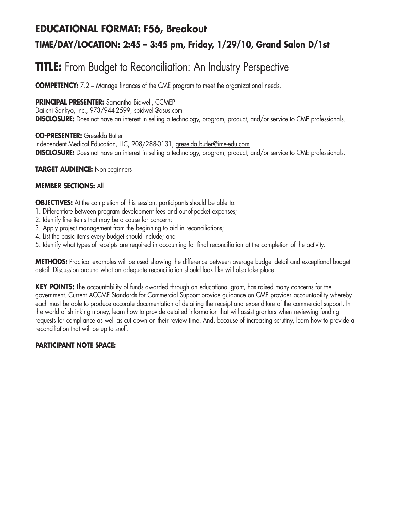## **EDUCATIONAL FORMAT: F56, Breakout TIME/DAY/LOCATION: 2:45 – 3:45 pm, Friday, 1/29/10, Grand Salon D/1st**

# **TITLE:** From Budget to Reconciliation: An Industry Perspective

**COMPETENCY:** 7.2 – Manage finances of the CME program to meet the organizational needs.

### **PRINCIPAL PRESENTER:** Samantha Bidwell, CCMEP

Daiichi Sankyo, Inc., 973/944-2599, sbidwell@dsus.com **DISCLOSURE:** Does not have an interest in selling a technology, program, product, and/or service to CME professionals.

### **CO-PRESENTER:** Greselda Butler

Independent Medical Education, LLC, 908/288-0131, greselda.butler@ime-edu.com **DISCLOSURE:** Does not have an interest in selling a technology, program, product, and/or service to CME professionals.

### **TARGET AUDIENCE:** Non-beginners

### **MEMBER SECTIONS:** All

**OBJECTIVES:** At the completion of this session, participants should be able to:

- 1. Differentiate between program development fees and out-of-pocket expenses;
- 2. Identify line items that may be a cause for concern;
- 3. Apply project management from the beginning to aid in reconciliations;
- 4. List the basic items every budget should include; and
- 5. Identify what types of receipts are required in accounting for final reconciliation at the completion of the activity.

**METHODS:** Practical examples will be used showing the difference between average budget detail and exceptional budget detail. Discussion around what an adequate reconciliation should look like will also take place.

**KEY POINTS:** The accountability of funds awarded through an educational grant, has raised many concerns for the government. Current ACCME Standards for Commercial Support provide guidance on CME provider accountability whereby each must be able to produce accurate documentation of detailing the receipt and expenditure of the commercial support. In the world of shrinking money, learn how to provide detailed information that will assist grantors when reviewing funding requests for compliance as well as cut down on their review time. And, because of increasing scrutiny, learn how to provide a reconciliation that will be up to snuff.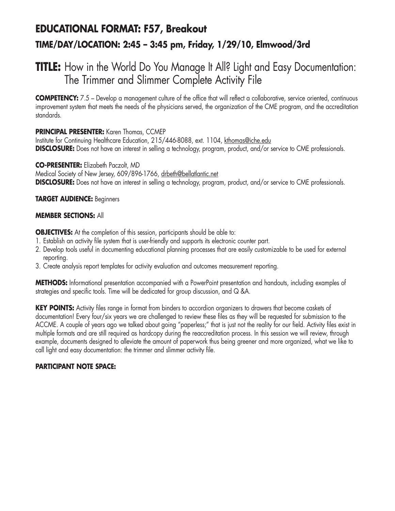# **EDUCATIONAL FORMAT: F57, Breakout TIME/DAY/LOCATION: 2:45 – 3:45 pm, Friday, 1/29/10, Elmwood/3rd**

## **TITLE:** How in the World Do You Manage It All? Light and Easy Documentation: The Trimmer and Slimmer Complete Activity File

**COMPETENCY:** 7.5 – Develop a management culture of the office that will reflect a collaborative, service oriented, continuous improvement system that meets the needs of the physicians served, the organization of the CME program, and the accreditation standards.

### **PRINCIPAL PRESENTER:** Karen Thomas, CCMEP

Institute for Continuing Healthcare Education, 215/446-8088, ext. 1104, kthomas@iche.edu **DISCLOSURE:** Does not have an interest in selling a technology, program, product, and/or service to CME professionals.

### **CO-PRESENTER:** Elizabeth Paczolt, MD

Medical Society of New Jersey, 609/896-1766, drbeth@bellatlantic.net **DISCLOSURE:** Does not have an interest in selling a technology, program, product, and/or service to CME professionals.

### **TARGET AUDIENCE:** Beginners

### **MEMBER SECTIONS:** All

**OBJECTIVES:** At the completion of this session, participants should be able to:

- 1. Establish an activity file system that is user-friendly and supports its electronic counter part.
- 2. Develop tools useful in documenting educational planning processes that are easily customizable to be used for external reporting.
- 3. Create analysis report templates for activity evaluation and outcomes measurement reporting.

**METHODS:** Informational presentation accompanied with a PowerPoint presentation and handouts, including examples of strategies and specific tools. Time will be dedicated for group discussion, and Q &A.

**KEY POINTS:** Activity files range in format from binders to accordion organizers to drawers that become caskets of documentation! Every four/six years we are challenged to review these files as they will be requested for submission to the ACCME. A couple of years ago we talked about going "paperless;" that is just not the reality for our field. Activity files exist in multiple formats and are still required as hardcopy during the reaccreditation process. In this session we will review, through example, documents designed to alleviate the amount of paperwork thus being greener and more organized, what we like to call light and easy documentation: the trimmer and slimmer activity file.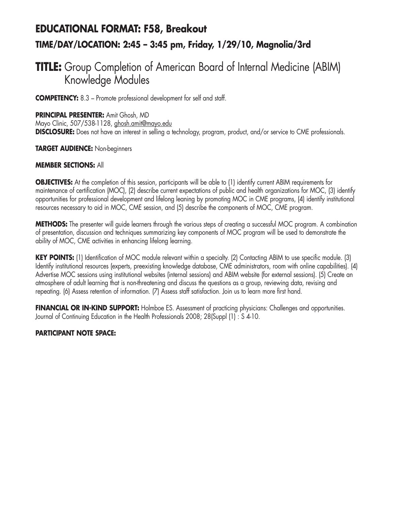# **EDUCATIONAL FORMAT: F58, Breakout TIME/DAY/LOCATION: 2:45 – 3:45 pm, Friday, 1/29/10, Magnolia/3rd**

## **TITLE:** Group Completion of American Board of Internal Medicine (ABIM) Knowledge Modules

**COMPETENCY:** 8.3 – Promote professional development for self and staff.

**PRINCIPAL PRESENTER:** Amit Ghosh, MD

Mayo Clinic, 507/538-1128, ghosh.amit@mayo.edu **DISCLOSURE:** Does not have an interest in selling a technology, program, product, and/or service to CME professionals.

**TARGET AUDIENCE:** Non-beginners

### **MEMBER SECTIONS:** All

**OBJECTIVES:** At the completion of this session, participants will be able to (1) identify current ABIM requirements for maintenance of certification (MOC), (2) describe current expectations of public and health organizations for MOC, (3) identify opportunities for professional development and lifelong leaning by promoting MOC in CME programs, (4) identify institutional resources necessary to aid in MOC, CME session, and (5) describe the components of MOC, CME program.

**METHODS:** The presenter will guide learners through the various steps of creating a successful MOC program. A combination of presentation, discussion and techniques summarizing key components of MOC program will be used to demonstrate the ability of MOC, CME activities in enhancing lifelong learning.

**KEY POINTS:** (1) Identification of MOC module relevant within a specialty. (2) Contacting ABIM to use specific module. (3) Identify institutional resources (experts, preexisting knowledge database, CME administrators, room with online capabilities). (4) Advertise MOC sessions using institutional websites (internal sessions) and ABIM website (for external sessions). (5) Create an atmosphere of adult learning that is non-threatening and discuss the questions as a group, reviewing data, revising and repeating. (6) Assess retention of information. (7) Assess staff satisfaction. Join us to learn more first hand.

**FINANCIAL OR IN-KIND SUPPORT:** Holmboe ES. Assessment of practicing physicians: Challenges and opportunities. Journal of Continuing Education in the Health Professionals 2008; 28(Suppl (1) : S 4-10.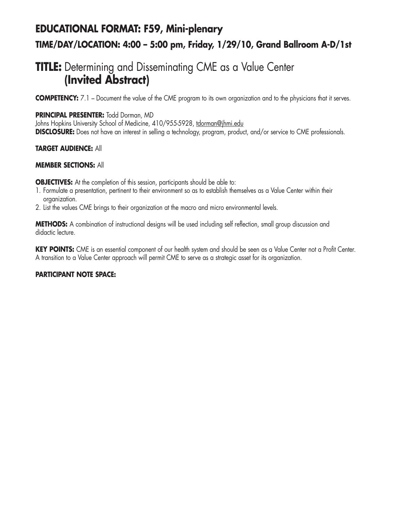# **EDUCATIONAL FORMAT: F59, Mini-plenary TIME/DAY/LOCATION: 4:00 – 5:00 pm, Friday, 1/29/10, Grand Ballroom A-D/1st**

## **TITLE:** Determining and Disseminating CME as a Value Center **(Invited Abstract)**

**COMPETENCY:** 7.1 – Document the value of the CME program to its own organization and to the physicians that it serves.

### **PRINCIPAL PRESENTER:** Todd Dorman, MD

Johns Hopkins University School of Medicine, 410/955-5928, tdorman@jhmi.edu **DISCLOSURE:** Does not have an interest in selling a technology, program, product, and/or service to CME professionals.

### **TARGET AUDIENCE:** All

### **MEMBER SECTIONS:** All

**OBJECTIVES:** At the completion of this session, participants should be able to:

- 1. Formulate a presentation, pertinent to their environment so as to establish themselves as a Value Center within their organization.
- 2. List the values CME brings to their organization at the macro and micro environmental levels.

**METHODS:** A combination of instructional designs will be used including self reflection, small group discussion and didactic lecture.

**KEY POINTS:** CME is an essential component of our health system and should be seen as a Value Center not a Profit Center. A transition to a Value Center approach will permit CME to serve as a strategic asset for its organization.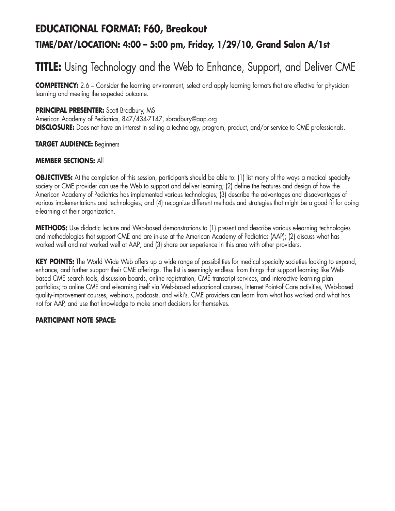# **EDUCATIONAL FORMAT: F60, Breakout TIME/DAY/LOCATION: 4:00 – 5:00 pm, Friday, 1/29/10, Grand Salon A/1st**

# **TITLE:** Using Technology and the Web to Enhance, Support, and Deliver CME

**COMPETENCY:** 2.6 – Consider the learning environment, select and apply learning formats that are effective for physician learning and meeting the expected outcome.

### **PRINCIPAL PRESENTER:** Scott Bradbury, MS

American Academy of Pediatrics, 847/434-7147, sbradbury@aap.org **DISCLOSURE:** Does not have an interest in selling a technology, program, product, and/or service to CME professionals.

#### **TARGET AUDIENCE:** Beginners

#### **MEMBER SECTIONS:** All

**OBJECTIVES:** At the completion of this session, participants should be able to: (1) list many of the ways a medical specialty society or CME provider can use the Web to support and deliver learning; (2) define the features and design of how the American Academy of Pediatrics has implemented various technologies; (3) describe the advantages and disadvantages of various implementations and technologies; and (4) recognize different methods and strategies that might be a good fit for doing e-learning at their organization.

**METHODS:** Use didactic lecture and Web-based demonstrations to (1) present and describe various e-learning technologies and methodologies that support CME and are in-use at the American Academy of Pediatrics (AAP); (2) discuss what has worked well and not worked well at AAP; and (3) share our experience in this area with other providers.

**KEY POINTS:** The World Wide Web offers up a wide range of possibilities for medical specialty societies looking to expand, enhance, and further support their CME offerings. The list is seemingly endless: from things that support learning like Webbased CME search tools, discussion boards, online registration, CME transcript services, and interactive learning plan portfolios; to online CME and e-learning itself via Web-based educational courses, Internet Point-of Care activities, Web-based quality-improvement courses, webinars, podcasts, and wiki's. CME providers can learn from what has worked and what has not for AAP, and use that knowledge to make smart decisions for themselves.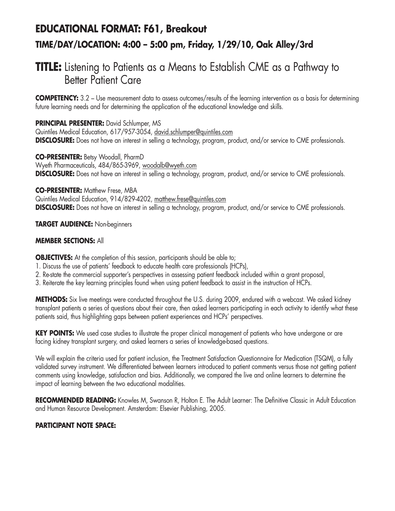# **EDUCATIONAL FORMAT: F61, Breakout TIME/DAY/LOCATION: 4:00 – 5:00 pm, Friday, 1/29/10, Oak Alley/3rd**

## **TITLE:** Listening to Patients as a Means to Establish CME as a Pathway to Better Patient Care

**COMPETENCY:** 3.2 – Use measurement data to assess outcomes/results of the learning intervention as a basis for determining future learning needs and for determining the application of the educational knowledge and skills.

### **PRINCIPAL PRESENTER:** David Schlumper, MS

Quintiles Medical Education, 617/957-3054, david.schlumper@quintiles.com **DISCLOSURE:** Does not have an interest in selling a technology, program, product, and/or service to CME professionals.

**CO-PRESENTER:** Betsy Woodall, PharmD Wyeth Pharmaceuticals, 484/865-3969, woodalb@wyeth.com **DISCLOSURE:** Does not have an interest in selling a technology, program, product, and/or service to CME professionals.

### **CO-PRESENTER: Matthew Frese, MBA**

Quintiles Medical Education, 914/829-4202, matthew.frese@quintiles.com **DISCLOSURE:** Does not have an interest in selling a technology, program, product, and/or service to CME professionals.

### **TARGET AUDIENCE:** Non-beginners

### **MEMBER SECTIONS:** All

**OBJECTIVES:** At the completion of this session, participants should be able to;

- 1. Discuss the use of patients' feedback to educate health care professionals (HCPs),
- 2. Re-state the commercial supporter's perspectives in assessing patient feedback included within a grant proposal,
- 3. Reiterate the key learning principles found when using patient feedback to assist in the instruction of HCPs.

**METHODS:** Six live meetings were conducted throughout the U.S. during 2009, endured with a webcast. We asked kidney transplant patients a series of questions about their care, then asked learners participating in each activity to identify what these patients said, thus highlighting gaps between patient experiences and HCPs' perspectives.

**KEY POINTS:** We used case studies to illustrate the proper clinical management of patients who have undergone or are facing kidney transplant surgery, and asked learners a series of knowledge-based questions.

We will explain the criteria used for patient inclusion, the Treatment Satisfaction Questionnaire for Medication (TSQM), a fully validated survey instrument. We differentiated between learners introduced to patient comments versus those not getting patient comments using knowledge, satisfaction and bias. Additionally, we compared the live and online learners to determine the impact of learning between the two educational modalities.

**RECOMMENDED READING:** Knowles M, Swanson R, Holton E. The Adult Learner: The Definitive Classic in Adult Education and Human Resource Development. Amsterdam: Elsevier Publishing, 2005.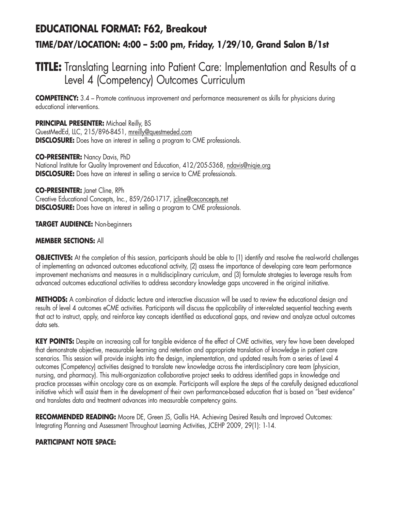# **EDUCATIONAL FORMAT: F62, Breakout TIME/DAY/LOCATION: 4:00 – 5:00 pm, Friday, 1/29/10, Grand Salon B/1st**

## **TITLE:** Translating Learning into Patient Care: Implementation and Results of a Level 4 (Competency) Outcomes Curriculum

**COMPETENCY:** 3.4 – Promote continuous improvement and performance measurement as skills for physicians during educational interventions.

**PRINCIPAL PRESENTER:** Michael Reilly, BS QuestMedEd, LLC, 215/896-8451, mreilly@questmeded.com **DISCLOSURE:** Does have an interest in selling a program to CME professionals.

**CO-PRESENTER:** Nancy Davis, PhD National Institute for Quality Improvement and Education, 412/205-5368, ndavis@niqie.org **DISCLOSURE:** Does have an interest in selling a service to CME professionals.

**CO-PRESENTER:** Janet Cline, RPh Creative Educational Concepts, Inc., 859/260-1717, jcline@ceconcepts.net **DISCLOSURE:** Does have an interest in selling a program to CME professionals.

**TARGET AUDIENCE:** Non-beginners

### **MEMBER SECTIONS:** All

**OBJECTIVES:** At the completion of this session, participants should be able to (1) identify and resolve the real-world challenges of implementing an advanced outcomes educational activity, (2) assess the importance of developing care team performance improvement mechanisms and measures in a multidisciplinary curriculum, and (3) formulate strategies to leverage results from advanced outcomes educational activities to address secondary knowledge gaps uncovered in the original initiative.

**METHODS:** A combination of didactic lecture and interactive discussion will be used to review the educational design and results of level 4 outcomes eCME activities. Participants will discuss the applicability of inter-related sequential teaching events that act to instruct, apply, and reinforce key concepts identified as educational gaps, and review and analyze actual outcomes data sets.

KEY POINTS: Despite an increasing call for tangible evidence of the effect of CME activities, very few have been developed that demonstrate objective, measurable learning and retention and appropriate translation of knowledge in patient care scenarios. This session will provide insights into the design, implementation, and updated results from a series of Level 4 outcomes (Competency) activities designed to translate new knowledge across the interdisciplinary care team (physician, nursing, and pharmacy). This multi-organization collaborative project seeks to address identified gaps in knowledge and practice processes within oncology care as an example. Participants will explore the steps of the carefully designed educational initiative which will assist them in the development of their own performance-based education that is based on "best evidence" and translates data and treatment advances into measurable competency gains.

**RECOMMENDED READING:** Moore DE, Green JS, Gallis HA. Achieving Desired Results and Improved Outcomes: Integrating Planning and Assessment Throughout Learning Activities, JCEHP 2009, 29(1): 1-14.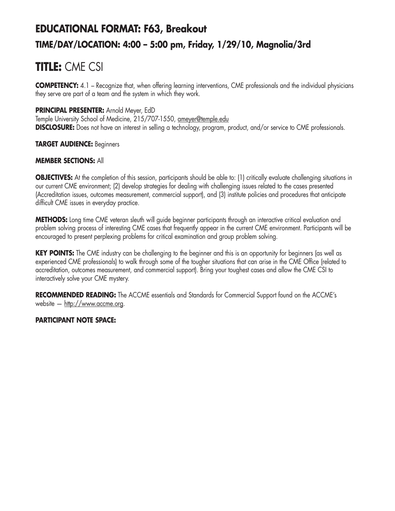# **EDUCATIONAL FORMAT: F63, Breakout TIME/DAY/LOCATION: 4:00 – 5:00 pm, Friday, 1/29/10, Magnolia/3rd**

# **TITLE:** CME CSI

**COMPETENCY:** 4.1 – Recognize that, when offering learning interventions, CME professionals and the individual physicians they serve are part of a team and the system in which they work.

### **PRINCIPAL PRESENTER:** Arnold Meyer, EdD

Temple University School of Medicine, 215/707-1550, ameyer@temple.edu **DISCLOSURE:** Does not have an interest in selling a technology, program, product, and/or service to CME professionals.

### **TARGET AUDIENCE:** Beginners

### **MEMBER SECTIONS:** All

**OBJECTIVES:** At the completion of this session, participants should be able to: (1) critically evaluate challenging situations in our current CME environment; (2) develop strategies for dealing with challenging issues related to the cases presented (Accreditation issues, outcomes measurement, commercial support), and (3) institute policies and procedures that anticipate difficult CME issues in everyday practice.

**METHODS:** Long time CME veteran sleuth will guide beginner participants through an interactive critical evaluation and problem solving process of interesting CME cases that frequently appear in the current CME environment. Participants will be encouraged to present perplexing problems for critical examination and group problem solving.

**KEY POINTS:** The CME industry can be challenging to the beginner and this is an opportunity for beginners (as well as experienced CME professionals) to walk through some of the tougher situations that can arise in the CME Office (related to accreditation, outcomes measurement, and commercial support). Bring your toughest cases and allow the CME CSI to interactively solve your CME mystery.

**RECOMMENDED READING:** The ACCME essentials and Standards for Commercial Support found on the ACCME's website — http://www.accme.org.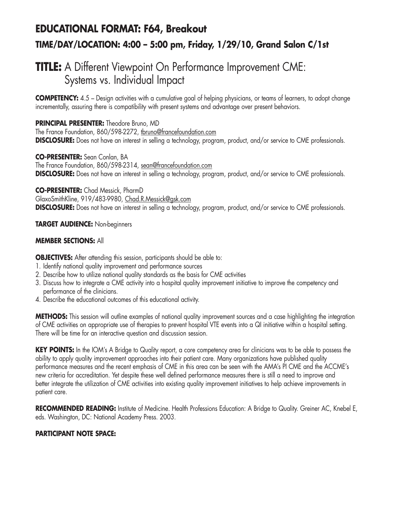# **EDUCATIONAL FORMAT: F64, Breakout TIME/DAY/LOCATION: 4:00 – 5:00 pm, Friday, 1/29/10, Grand Salon C/1st**

## **TITLE:** A Different Viewpoint On Performance Improvement CME: Systems vs. Individual Impact

**COMPETENCY:** 4.5 – Design activities with a cumulative goal of helping physicians, or teams of learners, to adopt change incrementally, assuring there is compatibility with present systems and advantage over present behaviors.

## **PRINCIPAL PRESENTER:** Theodore Bruno, MD

The France Foundation, 860/598-2272, tbruno@francefoundation.com **DISCLOSURE:** Does not have an interest in selling a technology, program, product, and/or service to CME professionals.

**CO-PRESENTER:** Sean Conlan, BA The France Foundation, 860/598-2314, sean@francefoundation.com **DISCLOSURE:** Does not have an interest in selling a technology, program, product, and/or service to CME professionals.

**CO-PRESENTER:** Chad Messick, PharmD GlaxoSmithKline, 919/483-9980, Chad.R.Messick@gsk.com **DISCLOSURE:** Does not have an interest in selling a technology, program, product, and/or service to CME professionals.

### **TARGET AUDIENCE:** Non-beginners

### **MEMBER SECTIONS:** All

**OBJECTIVES:** After attending this session, participants should be able to:

- 1. Identify national quality improvement and performance sources
- 2. Describe how to utilize national quality standards as the basis for CME activities
- 3. Discuss how to integrate a CME activity into a hospital quality improvement initiative to improve the competency and performance of the clinicians.
- 4. Describe the educational outcomes of this educational activity.

**METHODS:** This session will outline examples of national quality improvement sources and a case highlighting the integration of CME activities on appropriate use of therapies to prevent hospital VTE events into a QI initiative within a hospital setting. There will be time for an interactive question and discussion session.

**KEY POINTS:** In the IOM's A Bridge to Quality report, a core competency area for clinicians was to be able to possess the ability to apply quality improvement approaches into their patient care. Many organizations have published quality performance measures and the recent emphasis of CME in this area can be seen with the AMA's PI CME and the ACCME's new criteria for accreditation. Yet despite these well defined performance measures there is still a need to improve and better integrate the utilization of CME activities into existing quality improvement initiatives to help achieve improvements in patient care.

**RECOMMENDED READING:** Institute of Medicine. Health Professions Education: A Bridge to Quality. Greiner AC, Knebel E, eds. Washington, DC: National Academy Press. 2003.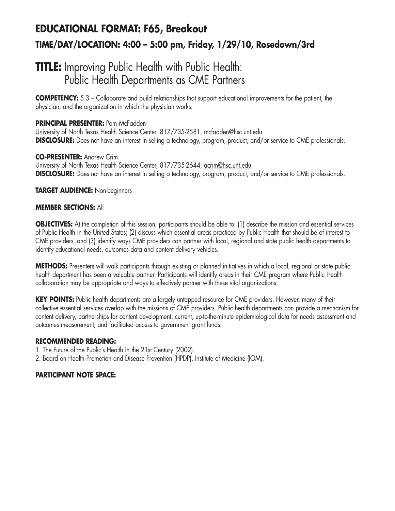# **EDUCATIONAL FORMAT: F65, Breakout TIME/DAY/LOCATION: 4:00 – 5:00 pm, Friday, 1/29/10, Rosedown/3rd**

## **TITLE:** Improving Public Health with Public Health: Public Health Departments as CME Partners

**COMPETENCY:** 5.3 – Collaborate and build relationships that support educational improvements for the patient, the physician, and the organization in which the physician works.

### **PRINCIPAL PRESENTER:** Pam McFadden

University of North Texas Health Science Center, 817/735-2581, mcfadden@hsc.unt.edu **DISCLOSURE:** Does not have an interest in selling a technology, program, product, and/or service to CME professionals.

### **CO-PRESENTER:** Andrew Crim

University of North Texas Health Science Center, 817/735-2644, acrim@hsc.unt.edu **DISCLOSURE:** Does not have an interest in selling a technology, program, product, and/or service to CME professionals.

### **TARGET AUDIENCE:** Non-beginners

### **MEMBER SECTIONS:** All

**OBJECTIVES:** At the completion of this session, participants should be able to: (1) describe the mission and essential services of Public Health in the United States; (2) discuss which essential areas practiced by Public Health that should be of interest to CME providers, and (3) identify ways CME providers can partner with local, regional and state public health departments to identify educational needs, outcomes data and content delivery vehicles.

**METHODS:** Presenters will walk participants through existing or planned initiatives in which a local, regional or state public health department has been a valuable partner. Participants will identify areas in their CME program where Public Health collaboration may be appropriate and ways to effectively partner with these vital organizations.

**KEY POINTS:** Public health departments are a largely untapped resource for CME providers. However, many of their collective essential services overlap with the missions of CME providers. Public health departments can provide a mechanism for content delivery, partnerships for content development, current, up-to-the-minute epidemiological data for needs assessment and outcomes measurement, and facilitated access to government grant funds.

#### **RECOMMENDED READING:**

- 1. The Future of the Public's Health in the 21st Century (2002).
- 2. Board on Health Promotion and Disease Prevention (HPDP), Institute of Medicine (IOM).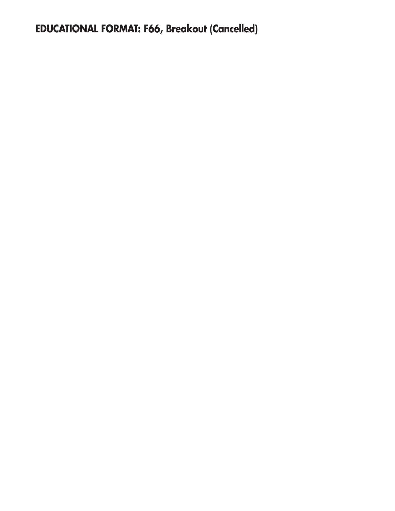**EDUCATIONAL FORMAT: F66, Breakout (Cancelled)**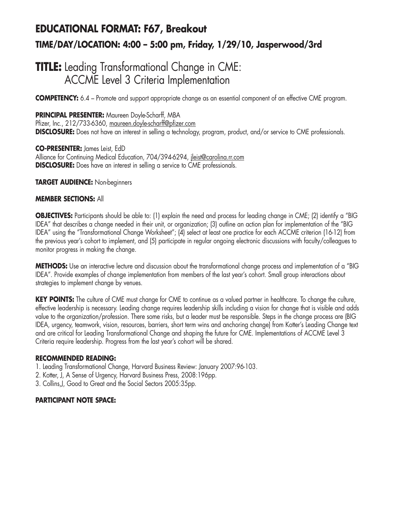# **EDUCATIONAL FORMAT: F67, Breakout TIME/DAY/LOCATION: 4:00 – 5:00 pm, Friday, 1/29/10, Jasperwood/3rd**

## **TITLE:** Leading Transformational Change in CME: ACCME Level 3 Criteria Implementation

**COMPETENCY:** 6.4 – Promote and support appropriate change as an essential component of an effective CME program.

### **PRINCIPAL PRESENTER:** Maureen Doyle-Scharff, MBA

Pfizer, Inc., 212/733-6360, maureen.doyle-scharff@pfizer.com **DISCLOSURE:** Does not have an interest in selling a technology, program, product, and/or service to CME professionals.

**CO-PRESENTER:** James Leist, EdD Alliance for Continuing Medical Education, 704/394-6294, jleist@carolina.rr.com **DISCLOSURE:** Does have an interest in selling a service to CME professionals.

**TARGET AUDIENCE:** Non-beginners

### **MEMBER SECTIONS:** All

**OBJECTIVES:** Participants should be able to: (1) explain the need and process for leading change in CME; (2) identify a "BIG IDEA" that describes a change needed in their unit, or organization; (3) outline an action plan for implementation of the "BIG IDEA" using the "Transformational Change Worksheet"; (4) select at least one practice for each ACCME criterion (16-12) from the previous year's cohort to implement, and (5) participate in regular ongoing electronic discussions with faculty/colleagues to monitor progress in making the change.

**METHODS:** Use an interactive lecture and discussion about the transformational change process and implementation of a "BIG IDEA". Provide examples of change implementation from members of the last year's cohort. Small group interactions about strategies to implement change by venues.

**KEY POINTS:** The culture of CME must change for CME to continue as a valued partner in healthcare. To change the culture, effective leadership is necessary. Leading change requires leadership skills including a vision for change that is visible and adds value to the organization/profession. There some risks, but a leader must be responsible. Steps in the change process are (BIG IDEA, urgency, teamwork, vision, resources, barriers, short term wins and anchoring change) from Kotter's Leading Change text and are critical for Leading Transformational Change and shaping the future for CME. Implementations of ACCME Level 3 Criteria require leadership. Progress from the last year's cohort will be shared.

#### **RECOMMENDED READING:**

- 1. Leading Transformational Change, Harvard Business Review: January 2007:96-103.
- 2. Kotter, J, A Sense of Urgency, Harvard Business Press, 2008:196pp.
- 3. Collins,J, Good to Great and the Social Sectors 2005:35pp.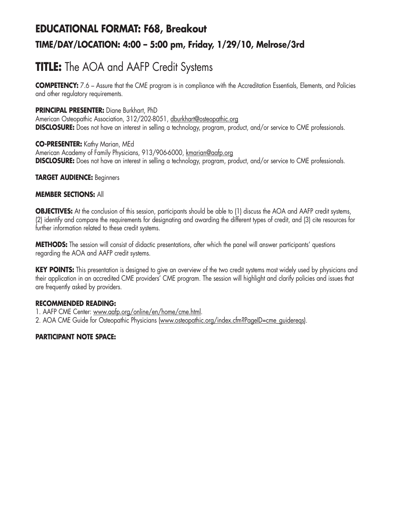# **EDUCATIONAL FORMAT: F68, Breakout TIME/DAY/LOCATION: 4:00 – 5:00 pm, Friday, 1/29/10, Melrose/3rd**

# **TITLE:** The AOA and AAFP Credit Systems

**COMPETENCY:** 7.6 – Assure that the CME program is in compliance with the Accreditation Essentials, Elements, and Policies and other regulatory requirements.

### **PRINCIPAL PRESENTER:** Diane Burkhart, PhD

American Osteopathic Association, 312/202-8051, dburkhart@osteopathic.org **DISCLOSURE:** Does not have an interest in selling a technology, program, product, and/or service to CME professionals.

### **CO-PRESENTER:** Kathy Marian, MEd

American Academy of Family Physicians, 913/906-6000, kmarian@aafp.org **DISCLOSURE:** Does not have an interest in selling a technology, program, product, and/or service to CME professionals.

### **TARGET AUDIENCE:** Beginners

### **MEMBER SECTIONS:** All

**OBJECTIVES:** At the conclusion of this session, participants should be able to (1) discuss the AOA and AAFP credit systems, (2) identify and compare the requirements for designating and awarding the different types of credit, and (3) cite resources for further information related to these credit systems.

**METHODS:** The session will consist of didactic presentations, after which the panel will answer participants' questions regarding the AOA and AAFP credit systems.

**KEY POINTS:** This presentation is designed to give an overview of the two credit systems most widely used by physicians and their application in an accredited CME providers' CME program. The session will highlight and clarify policies and issues that are frequently asked by providers.

## **RECOMMENDED READING:**

1. AAFP CME Center: www.aafp.org/online/en/home/cme.html.

2. AOA CME Guide for Osteopathic Physicians (www.osteopathic.org/index.cfm?PageID=cme\_guidereqs).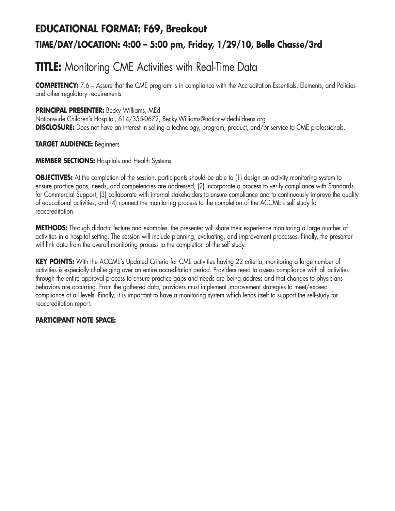# **EDUCATIONAL FORMAT: F69, Breakout TIME/DAY/LOCATION: 4:00 – 5:00 pm, Friday, 1/29/10, Belle Chasse/3rd**

# **TITLE:** Monitoring CME Activities with Real-Time Data

**COMPETENCY:** 7.6 – Assure that the CME program is in compliance with the Accreditation Essentials, Elements, and Policies and other regulatory requirements.

### **PRINCIPAL PRESENTER:** Becky Williams, MEd

Nationwide Children's Hospital, 614/355-0672, Becky.Williams@nationwidechildrens.org **DISCLOSURE:** Does not have an interest in selling a technology, program, product, and/or service to CME professionals.

### **TARGET AUDIENCE:** Beginners

### **MEMBER SECTIONS:** Hospitals and Health Systems

**OBJECTIVES:** At the completion of the session, participants should be able to (1) design an activity monitoring system to ensure practice gaps, needs, and competencies are addressed, (2) incorporate a process to verify compliance with Standards for Commercial Support, (3) collaborate with internal stakeholders to ensure compliance and to continuously improve the quality of educational activities, and (4) connect the monitoring process to the completion of the ACCME's self study for reaccreditation.

**METHODS:** Through didactic lecture and examples, the presenter will share their experience monitoring a large number of activities in a hospital setting. The session will include planning, evaluating, and improvement processes. Finally, the presenter will link data from the overall monitoring process to the completion of the self study.

**KEY POINTS:** With the ACCME's Updated Criteria for CME activities having 22 criteria, monitoring a large number of activities is especially challenging over an entire accreditation period. Providers need to assess compliance with all activities through the entire approval process to ensure practice gaps and needs are being address and that changes to physicians behaviors are occurring. From the gathered data, providers must implement improvement strategies to meet/exceed compliance at all levels. Finally, it is important to have a monitoring system which lends itself to support the self-study for reaccreditation report.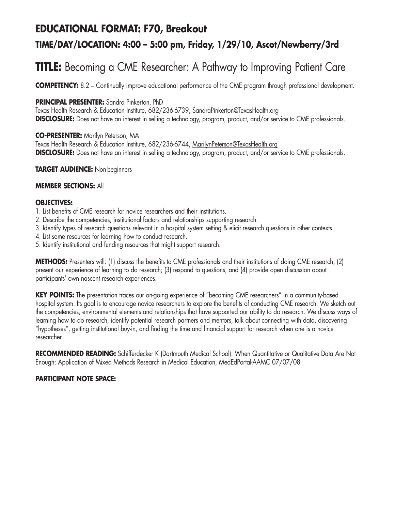## **EDUCATIONAL FORMAT: F70, Breakout**

## **TIME/DAY/LOCATION: 4:00 – 5:00 pm, Friday, 1/29/10, Ascot/Newberry/3rd**

# **TITLE:** Becoming a CME Researcher: A Pathway to Improving Patient Care

**COMPETENCY:** 8.2 – Continually improve educational performance of the CME program through professional development.

### **PRINCIPAL PRESENTER:** Sandra Pinkerton, PhD

Texas Health Research & Education Institute, 682/236-6739, SandraPinkerton@TexasHealth.org **DISCLOSURE:** Does not have an interest in selling a technology, program, product, and/or service to CME professionals.

### **CO-PRESENTER:** Marilyn Peterson, MA

Texas Health Research & Education Institute, 682/236-6744, MarilynPeterson@TexasHealth.org **DISCLOSURE:** Does not have an interest in selling a technology, program, product, and/or service to CME professionals.

### **TARGET AUDIENCE:** Non-beginners

### **MEMBER SECTIONS:** All

#### **OBJECTIVES:**

- 1. List benefits of CME research for novice researchers and their institutions.
- 2. Describe the competencies, institutional factors and relationships supporting research.
- 3. Identify types of research questions relevant in a hospital system setting & elicit research questions in other contexts.
- 4. List some resources for learning how to conduct research.
- 5. Identify institutional and funding resources that might support research.

**METHODS:** Presenters will: (1) discuss the benefits to CME professionals and their institutions of doing CME research; (2) present our experience of learning to do research; (3) respond to questions, and (4) provide open discussion about participants' own nascent research experiences.

**KEY POINTS:** The presentation traces our on-going experience of "becoming CME researchers" in a community-based hospital system. Its goal is to encourage novice researchers to explore the benefits of conducting CME research. We sketch out the competencies, environmental elements and relationships that have supported our ability to do research. We discuss ways of learning how to do research, identify potential research partners and mentors, talk about connecting with data, discovering "hypotheses", getting institutional buy-in, and finding the time and financial support for research when one is a novice researcher.

**RECOMMENDED READING:** Schifferdecker K (Dartmouth Medical School): When Quantitative or Qualitative Data Are Not Enough: Application of Mixed Methods Research in Medical Education, MedEdPortal-AAMC 07/07/08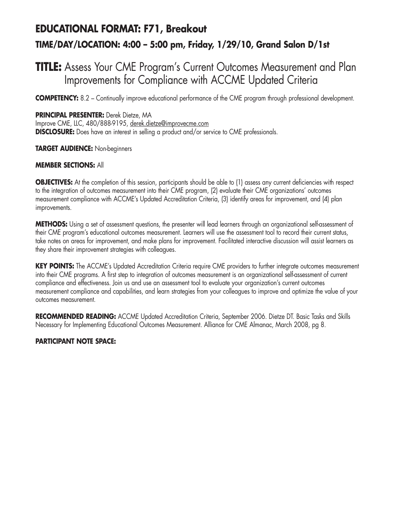# **EDUCATIONAL FORMAT: F71, Breakout TIME/DAY/LOCATION: 4:00 – 5:00 pm, Friday, 1/29/10, Grand Salon D/1st**

## **TITLE:** Assess Your CME Program's Current Outcomes Measurement and Plan Improvements for Compliance with ACCME Updated Criteria

**COMPETENCY:** 8.2 – Continually improve educational performance of the CME program through professional development.

#### **PRINCIPAL PRESENTER:** Derek Dietze, MA

Improve CME, LLC, 480/888-9195, derek.dietze@improvecme.com **DISCLOSURE:** Does have an interest in selling a product and/or service to CME professionals.

#### **TARGET AUDIENCE:** Non-beginners

#### **MEMBER SECTIONS:** All

**OBJECTIVES:** At the completion of this session, participants should be able to (1) assess any current deficiencies with respect to the integration of outcomes measurement into their CME program, (2) evaluate their CME organizations' outcomes measurement compliance with ACCME's Updated Accreditation Criteria, (3) identify areas for improvement, and (4) plan improvements.

**METHODS:** Using a set of assessment questions, the presenter will lead learners through an organizational self-assessment of their CME program's educational outcomes measurement. Learners will use the assessment tool to record their current status, take notes on areas for improvement, and make plans for improvement. Facilitated interactive discussion will assist learners as they share their improvement strategies with colleagues.

KEY POINTS: The ACCME's Updated Accreditation Criteria require CME providers to further integrate outcomes measurement into their CME programs. A first step to integration of outcomes measurement is an organizational self-assessment of current compliance and effectiveness. Join us and use an assessment tool to evaluate your organization's current outcomes measurement compliance and capabilities, and learn strategies from your colleagues to improve and optimize the value of your outcomes measurement.

**RECOMMENDED READING:** ACCME Updated Accreditation Criteria, September 2006. Dietze DT. Basic Tasks and Skills Necessary for Implementing Educational Outcomes Measurement. Alliance for CME Almanac, March 2008, pg 8.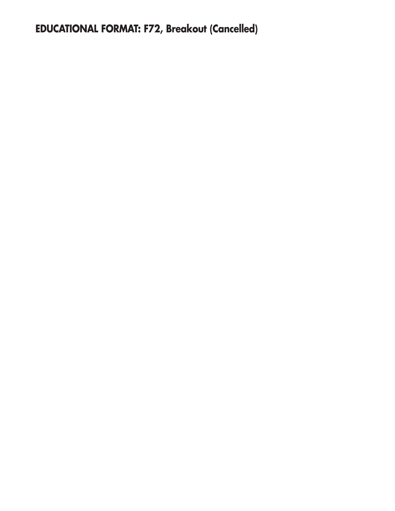# **EDUCATIONAL FORMAT: F72, Breakout (Cancelled)**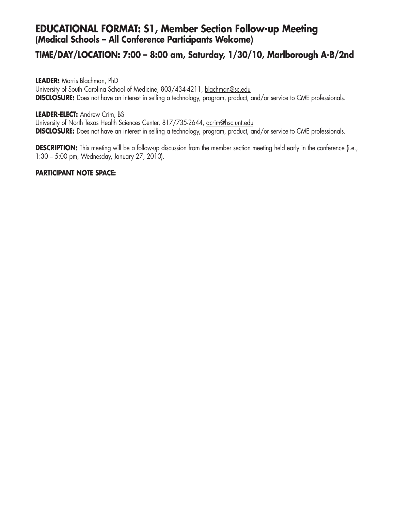### **EDUCATIONAL FORMAT: S1, Member Section Follow-up Meeting (Medical Schools – All Conference Participants Welcome)**

### **TIME/DAY/LOCATION: 7:00 – 8:00 am, Saturday, 1/30/10, Marlborough A-B/2nd**

**LEADER:** Morris Blachman, PhD University of South Carolina School of Medicine, 803/434-4211, blachman@sc.edu **DISCLOSURE:** Does not have an interest in selling a technology, program, product, and/or service to CME professionals.

#### **LEADER-ELECT:** Andrew Crim, BS

University of North Texas Health Sciences Center, 817/735-2644, acrim@hsc.unt.edu **DISCLOSURE:** Does not have an interest in selling a technology, program, product, and/or service to CME professionals.

**DESCRIPTION:** This meeting will be a follow-up discussion from the member section meeting held early in the conference (i.e., 1:30 – 5:00 pm, Wednesday, January 27, 2010).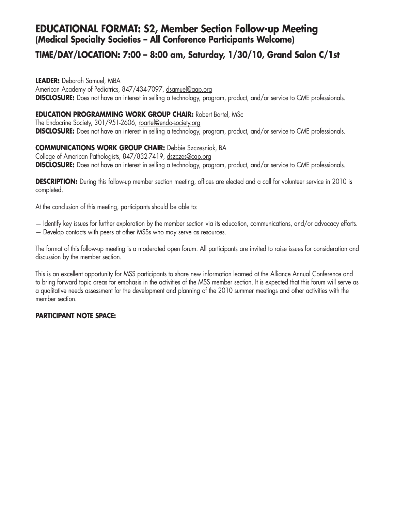### **EDUCATIONAL FORMAT: S2, Member Section Follow-up Meeting (Medical Specialty Societies – All Conference Participants Welcome)**

### **TIME/DAY/LOCATION: 7:00 – 8:00 am, Saturday, 1/30/10, Grand Salon C/1st**

**LEADER:** Deborah Samuel, MBA American Academy of Pediatrics, 847/434-7097, dsamuel@aap.org **DISCLOSURE:** Does not have an interest in selling a technology, program, product, and/or service to CME professionals.

#### **EDUCATION PROGRAMMING WORK GROUP CHAIR:** Robert Bartel, MSc

The Endocrine Society, 301/951-2606, rbartel@endo-society.org **DISCLOSURE:** Does not have an interest in selling a technology, program, product, and/or service to CME professionals.

#### **COMMUNICATIONS WORK GROUP CHAIR:** Debbie Szczesniak, BA

College of American Pathologists, 847/832-7419, dszczes@cap.org **DISCLOSURE:** Does not have an interest in selling a technology, program, product, and/or service to CME professionals.

**DESCRIPTION:** During this follow-up member section meeting, offices are elected and a call for volunteer service in 2010 is completed.

At the conclusion of this meeting, participants should be able to:

- Identify key issues for further exploration by the member section via its education, communications, and/or advocacy efforts.
- Develop contacts with peers at other MSSs who may serve as resources.

The format of this follow-up meeting is a moderated open forum. All participants are invited to raise issues for consideration and discussion by the member section.

This is an excellent opportunity for MSS participants to share new information learned at the Alliance Annual Conference and to bring forward topic areas for emphasis in the activities of the MSS member section. It is expected that this forum will serve as a qualitative needs assessment for the development and planning of the 2010 summer meetings and other activities with the member section.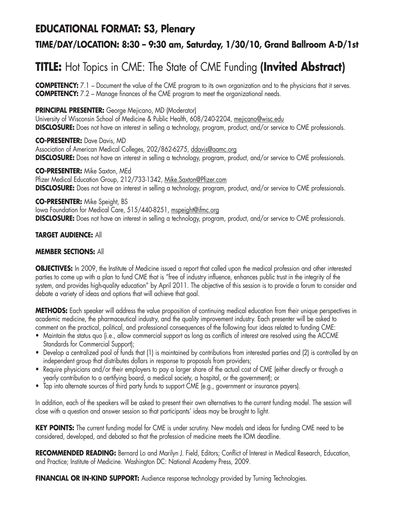### **EDUCATIONAL FORMAT: S3, Plenary**

### **TIME/DAY/LOCATION: 8:30 – 9:30 am, Saturday, 1/30/10, Grand Ballroom A-D/1st**

# **TITLE:** Hot Topics in CME: The State of CME Funding **(Invited Abstract)**

**COMPETENCY:** 7.1 – Document the value of the CME program to its own organization and to the physicians that it serves. **COMPETENCY:** 7.2 – Manage finances of the CME program to meet the organizational needs.

#### **PRINCIPAL PRESENTER:** George Mejicano, MD (Moderator)

University of Wisconsin School of Medicine & Public Health, 608/240-2204, mejicano@wisc.edu **DISCLOSURE:** Does not have an interest in selling a technology, program, product, and/or service to CME professionals.

**CO-PRESENTER:** Dave Davis, MD Association of American Medical Colleges, 202/862-6275, ddavis@aamc.org **DISCLOSURE:** Does not have an interest in selling a technology, program, product, and/or service to CME professionals.

**CO-PRESENTER:** Mike Saxton, MEd Pfizer Medical Education Group, 212/733-1342, Mike.Saxton@Pfizer.com **DISCLOSURE:** Does not have an interest in selling a technology, program, product, and/or service to CME professionals.

#### **CO-PRESENTER:** Mike Speight, BS

Iowa Foundation for Medical Care, 515/440-8251, mspeight@ifmc.org **DISCLOSURE:** Does not have an interest in selling a technology, program, product, and/or service to CME professionals.

#### **TARGET AUDIENCE:** All

#### **MEMBER SECTIONS:** All

**OBJECTIVES:** In 2009, the Institute of Medicine issued a report that called upon the medical profession and other interested parties to come up with a plan to fund CME that is "free of industry influence, enhances public trust in the integrity of the system, and provides high-quality education" by April 2011. The objective of this session is to provide a forum to consider and debate a variety of ideas and options that will achieve that goal.

**METHODS:** Each speaker will address the value proposition of continuing medical education from their unique perspectives in academic medicine, the pharmaceutical industry, and the quality improvement industry. Each presenter will be asked to comment on the practical, political, and professional consequences of the following four ideas related to funding CME:

- Maintain the status quo (i.e., allow commercial support as long as conflicts of interest are resolved using the ACCME Standards for Commercial Support);
- Develop a centralized pool of funds that (1) is maintained by contributions from interested parties and (2) is controlled by an independent group that distributes dollars in response to proposals from providers;
- Require physicians and/or their employers to pay a larger share of the actual cost of CME (either directly or through a yearly contribution to a certifying board, a medical society, a hospital, or the government); or
- Tap into alternate sources of third party funds to support CME (e.g., government or insurance payers).

In addition, each of the speakers will be asked to present their own alternatives to the current funding model. The session will close with a question and answer session so that participants' ideas may be brought to light.

**KEY POINTS:** The current funding model for CME is under scrutiny. New models and ideas for funding CME need to be considered, developed, and debated so that the profession of medicine meets the IOM deadline.

**RECOMMENDED READING:** Bernard Lo and Marilyn J. Field, Editors; Conflict of Interest in Medical Research, Education, and Practice; Institute of Medicine. Washington DC: National Academy Press, 2009.

**FINANCIAL OR IN-KIND SUPPORT:** Audience response technology provided by Turning Technologies.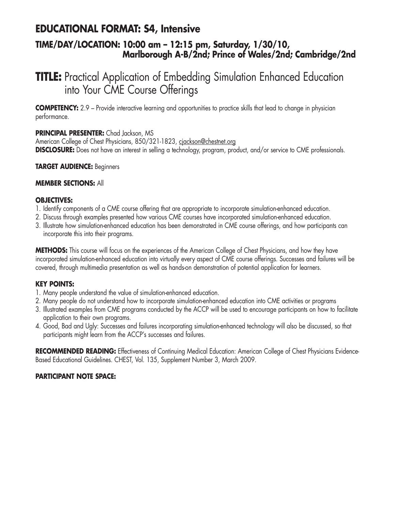### **EDUCATIONAL FORMAT: S4, Intensive**

### **TIME/DAY/LOCATION: 10:00 am – 12:15 pm, Saturday, 1/30/10, Marlborough A-B/2nd; Prince of Wales/2nd; Cambridge/2nd**

## **TITLE:** Practical Application of Embedding Simulation Enhanced Education into Your CME Course Offerings

**COMPETENCY:** 2.9 – Provide interactive learning and opportunities to practice skills that lead to change in physician performance.

#### **PRINCIPAL PRESENTER:** Chad Jackson, MS

American College of Chest Physicians, 850/321-1823, cjackson@chestnet.org **DISCLOSURE:** Does not have an interest in selling a technology, program, product, and/or service to CME professionals.

#### **TARGET AUDIENCE:** Beginners

#### **MEMBER SECTIONS:** All

#### **OBJECTIVES:**

- 1. Identify components of a CME course offering that are appropriate to incorporate simulation-enhanced education.
- 2. Discuss through examples presented how various CME courses have incorporated simulation-enhanced education.
- 3. Illustrate how simulation-enhanced education has been demonstrated in CME course offerings, and how participants can incorporate this into their programs.

**METHODS:** This course will focus on the experiences of the American College of Chest Physicians, and how they have incorporated simulation-enhanced education into virtually every aspect of CME course offerings. Successes and failures will be covered, through multimedia presentation as well as hands-on demonstration of potential application for learners.

#### **KEY POINTS:**

- 1. Many people understand the value of simulation-enhanced education.
- 2. Many people do not understand how to incorporate simulation-enhanced education into CME activities or programs
- 3. Illustrated examples from CME programs conducted by the ACCP will be used to encourage participants on how to facilitate application to their own programs.
- 4. Good, Bad and Ugly: Successes and failures incorporating simulation-enhanced technology will also be discussed, so that participants might learn from the ACCP's successes and failures.

RECOMMENDED READING: Effectiveness of Continuing Medical Education: American College of Chest Physicians Evidence-Based Educational Guidelines. CHEST, Vol. 135, Supplement Number 3, March 2009.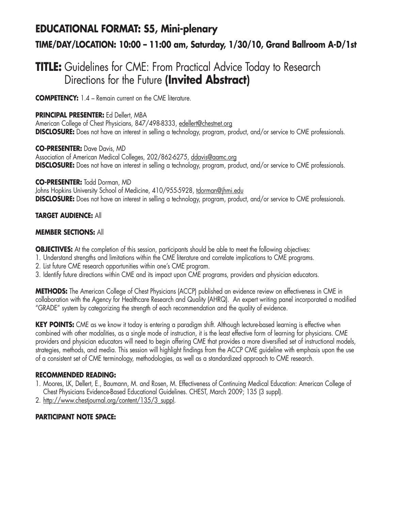## **EDUCATIONAL FORMAT: S5, Mini-plenary TIME/DAY/LOCATION: 10:00 – 11:00 am, Saturday, 1/30/10, Grand Ballroom A-D/1st**

## **TITLE:** Guidelines for CME: From Practical Advice Today to Research Directions for the Future **(Invited Abstract)**

**COMPETENCY:** 1.4 – Remain current on the CME literature.

**PRINCIPAL PRESENTER:** Ed Dellert, MBA

American College of Chest Physicians, 847/498-8333, edellert@chestnet.org **DISCLOSURE:** Does not have an interest in selling a technology, program, product, and/or service to CME professionals.

**CO-PRESENTER:** Dave Davis, MD Association of American Medical Colleges, 202/862-6275, ddavis@aamc.org **DISCLOSURE:** Does not have an interest in selling a technology, program, product, and/or service to CME professionals.

**CO-PRESENTER:** Todd Dorman, MD Johns Hopkins University School of Medicine, 410/955-5928, tdorman@jhmi.edu **DISCLOSURE:** Does not have an interest in selling a technology, program, product, and/or service to CME professionals.

#### **TARGET AUDIENCE:** All

#### **MEMBER SECTIONS:** All

**OBJECTIVES:** At the completion of this session, participants should be able to meet the following objectives:

- 1. Understand strengths and limitations within the CME literature and correlate implications to CME programs.
- 2. List future CME research opportunities within one's CME program.
- 3. Identify future directions within CME and its impact upon CME programs, providers and physician educators.

**METHODS:** The American College of Chest Physicians (ACCP) published an evidence review on effectiveness in CME in collaboration with the Agency for Healthcare Research and Quality (AHRQ). An expert writing panel incorporated a modified "GRADE" system by categorizing the strength of each recommendation and the quality of evidence.

**KEY POINTS:** CME as we know it today is entering a paradigm shift. Although lecture-based learning is effective when combined with other modalities, as a single mode of instruction, it is the least effective form of learning for physicians. CME providers and physician educators will need to begin offering CME that provides a more diversified set of instructional models, strategies, methods, and media. This session will highlight findings from the ACCP CME guideline with emphasis upon the use of a consistent set of CME terminology, methodologies, as well as a standardized approach to CME research.

#### **RECOMMENDED READING:**

- 1. Moores, LK, Dellert, E., Baumann, M. and Rosen, M. Effectiveness of Continuing Medical Education: American College of Chest Physicians Evidence-Based Educational Guidelines. CHEST, March 2009; 135 (3 suppl).
- 2. http://www.chestjournal.org/content/135/3\_suppl.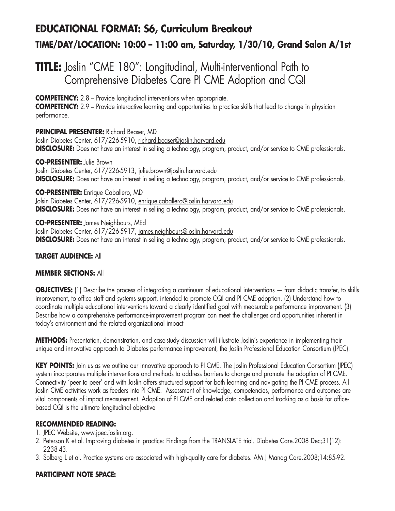# **EDUCATIONAL FORMAT: S6, Curriculum Breakout TIME/DAY/LOCATION: 10:00 – 11:00 am, Saturday, 1/30/10, Grand Salon A/1st**

## **TITLE:** Joslin "CME 180": Longitudinal, Multi-interventional Path to Comprehensive Diabetes Care PI CME Adoption and CQI

**COMPETENCY:** 2.8 – Provide longitudinal interventions when appropriate.

**COMPETENCY:** 2.9 – Provide interactive learning and opportunities to practice skills that lead to change in physician performance.

#### **PRINCIPAL PRESENTER:** Richard Beaser, MD

Joslin Diabetes Center, 617/226-5910, richard.beaser@joslin.harvard.edu **DISCLOSURE:** Does not have an interest in selling a technology, program, product, and/or service to CME professionals.

#### **CO-PRESENTER:** Julie Brown

Joslin Diabetes Center, 617/226-5913, julie.brown@joslin.harvard.edu **DISCLOSURE:** Does not have an interest in selling a technology, program, product, and/or service to CME professionals.

**CO-PRESENTER:** Enrique Caballero, MD Jolsin Diabetes Center, 617/226-5910, enrique.caballero@joslin.harvard.edu **DISCLOSURE:** Does not have an interest in selling a technology, program, product, and/or service to CME professionals.

**CO-PRESENTER:** James Neighbours, MEd

Joslin Diabetes Center, 617/226-5917, james.neighbours@joslin.harvard.edu **DISCLOSURE:** Does not have an interest in selling a technology, program, product, and/or service to CME professionals.

#### **TARGET AUDIENCE:** All

#### **MEMBER SECTIONS:** All

**OBJECTIVES:** (1) Describe the process of integrating a continuum of educational interventions — from didactic transfer, to skills improvement, to office staff and systems support, intended to promote CQI and PI CME adoption. (2) Understand how to coordinate multiple educational interventions toward a clearly identified goal with measurable performance improvement. (3) Describe how a comprehensive performance-improvement program can meet the challenges and opportunities inherent in today's environment and the related organizational impact

**METHODS:** Presentation, demonstration, and case-study discussion will illustrate Joslin's experience in implementing their unique and innovative approach to Diabetes performance improvement, the Joslin Professional Education Consortium (JPEC).

KEY POINTS: Join us as we outline our innovative approach to PI CME. The Joslin Professional Education Consortium (JPEC) system incorporates multiple interventions and methods to address barriers to change and promote the adoption of PI CME. Connectivity 'peer to peer' and with Joslin offers structured support for both learning and navigating the PI CME process. All Joslin CME activities work as feeders into PI CME. Assessment of knowledge, competencies, performance and outcomes are vital components of impact measurement. Adoption of PI CME and related data collection and tracking as a basis for officebased CQI is the ultimate longitudinal objective

#### **RECOMMENDED READING:**

- 1. JPEC Website, www.jpec.joslin.org.
- 2. Peterson K et al. Improving diabetes in practice: Findings from the TRANSLATE trial. Diabetes Care.2008 Dec;31(12): 2238-43.
- 3. Solberg L et al. Practice systems are associated with high-quality care for diabetes. AM J Manag Care.2008;14:85-92.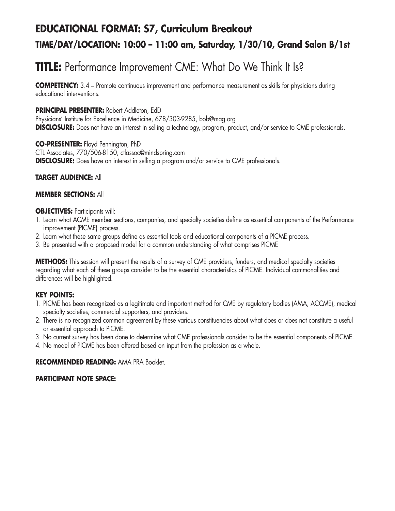# **EDUCATIONAL FORMAT: S7, Curriculum Breakout TIME/DAY/LOCATION: 10:00 – 11:00 am, Saturday, 1/30/10, Grand Salon B/1st**

# **TITLE:** Performance Improvement CME: What Do We Think It Is?

**COMPETENCY:** 3.4 – Promote continuous improvement and performance measurement as skills for physicians during educational interventions.

#### **PRINCIPAL PRESENTER:** Robert Addleton, EdD

Physicians' Institute for Excellence in Medicine, 678/303-9285, bob@mag.org **DISCLOSURE:** Does not have an interest in selling a technology, program, product, and/or service to CME professionals.

**CO-PRESENTER:** Floyd Pennington, PhD CTL Associates, 770/506-8150, ctlassoc@mindspring.com **DISCLOSURE:** Does have an interest in selling a program and/or service to CME professionals.

#### **TARGET AUDIENCE:** All

#### **MEMBER SECTIONS:** All

#### **OBJECTIVES:** Participants will:

- 1. Learn what ACME member sections, companies, and specialty societies define as essential components of the Performance improvement (PICME) process.
- 2. Learn what these same groups define as essential tools and educational components of a PICME process.
- 3. Be presented with a proposed model for a common understanding of what comprises PICME

**METHODS:** This session will present the results of a survey of CME providers, funders, and medical specialty societies regarding what each of these groups consider to be the essential characteristics of PICME. Individual commonalities and differences will be highlighted.

#### **KEY POINTS:**

- 1. PICME has been recognized as a legitimate and important method for CME by regulatory bodies (AMA, ACCME), medical specialty societies, commercial supporters, and providers.
- 2. There is no recognized common agreement by these various constituencies about what does or does not constitute a useful or essential approach to PICME.
- 3. No current survey has been done to determine what CME professionals consider to be the essential components of PICME.
- 4. No model of PICME has been offered based on input from the profession as a whole.

#### **RECOMMENDED READING:** AMA PRA Booklet.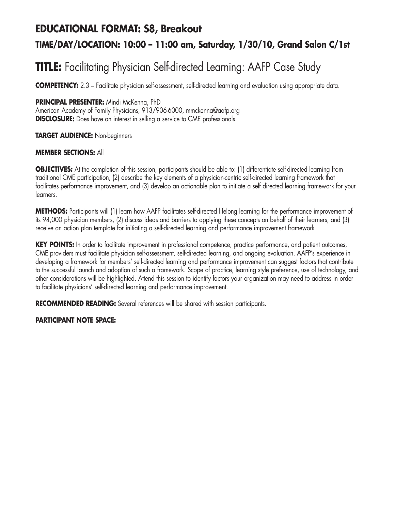## **EDUCATIONAL FORMAT: S8, Breakout TIME/DAY/LOCATION: 10:00 – 11:00 am, Saturday, 1/30/10, Grand Salon C/1st**

# **TITLE:** Facilitating Physician Self-directed Learning: AAFP Case Study

**COMPETENCY:** 2.3 – Facilitate physician self-assessment, self-directed learning and evaluation using appropriate data.

#### **PRINCIPAL PRESENTER:** Mindi McKenna, PhD

American Academy of Family Physicians, 913/906-6000, mmckenna@aafp.org **DISCLOSURE:** Does have an interest in selling a service to CME professionals.

#### **TARGET AUDIENCE:** Non-beginners

#### **MEMBER SECTIONS:** All

**OBJECTIVES:** At the completion of this session, participants should be able to: (1) differentiate self-directed learning from traditional CME participation, (2) describe the key elements of a physician-centric self-directed learning framework that facilitates performance improvement, and (3) develop an actionable plan to initiate a self directed learning framework for your learners.

**METHODS:** Participants will (1) learn how AAFP facilitates self-directed lifelong learning for the performance improvement of its 94,000 physician members, (2) discuss ideas and barriers to applying these concepts on behalf of their learners, and (3) receive an action plan template for initiating a self-directed learning and performance improvement framework

**KEY POINTS:** In order to facilitate improvement in professional competence, practice performance, and patient outcomes, CME providers must facilitate physician self-assessment, self-directed learning, and ongoing evaluation. AAFP's experience in developing a framework for members' self-directed learning and performance improvement can suggest factors that contribute to the successful launch and adoption of such a framework. Scope of practice, learning style preference, use of technology, and other considerations will be highlighted. Attend this session to identify factors your organization may need to address in order to facilitate physicians' self-directed learning and performance improvement.

**RECOMMENDED READING:** Several references will be shared with session participants.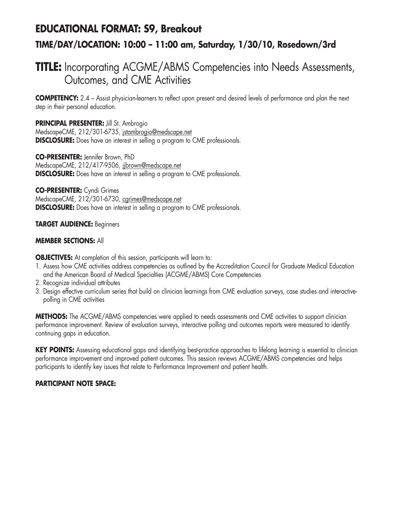## **EDUCATIONAL FORMAT: S9, Breakout TIME/DAY/LOCATION: 10:00 – 11:00 am, Saturday, 1/30/10, Rosedown/3rd**

### **TITLE:** Incorporating ACGME/ABMS Competencies into Needs Assessments, Outcomes, and CME Activities

**COMPETENCY:** 2.4 – Assist physician-learners to reflect upon present and desired levels of performance and plan the next step in their personal education.

**PRINCIPAL PRESENTER:** Jill St. Ambrogio MedscapeCME, 212/301-6735, jstambrogio@medscape.net **DISCLOSURE:** Does have an interest in selling a program to CME professionals.

**CO-PRESENTER:** Jennifer Brown, PhD MedscapeCME, 212/417-9506, jjbrown@medscape.net **DISCLOSURE:** Does have an interest in selling a program to CME professionals.

**CO-PRESENTER:** Cyndi Grimes MedscapeCME, 212/301-6730, cgrimes@medscape.net **DISCLOSURE:** Does have an interest in selling a program to CME professionals.

#### **TARGET AUDIENCE:** Beginners

#### **MEMBER SECTIONS:** All

**OBJECTIVES:** At completion of this session, participants will learn to:

- 1. Assess how CME activities address competencies as outlined by the Accreditation Council for Graduate Medical Education and the American Board of Medical Specialties (ACGME/ABMS) Core Competencies
- 2. Recognize individual attributes
- 3. Design effective curriculum series that build on clinician learnings from CME evaluation surveys, case studies and interactivepolling in CME activities

**METHODS:** The ACGME/ABMS competencies were applied to needs assessments and CME activities to support clinician performance improvement. Review of evaluation surveys, interactive polling and outcomes reports were measured to identify continuing gaps in education.

**KEY POINTS:** Assessing educational gaps and identifying best-practice approaches to lifelong learning is essential to clinician performance improvement and improved patient outcomes. This session reviews ACGME/ABMS competencies and helps participants to identify key issues that relate to Performance Improvement and patient health.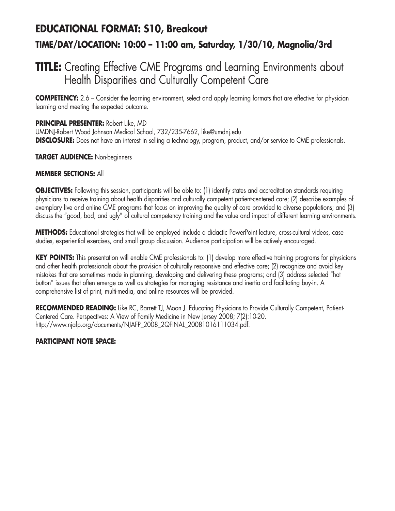## **EDUCATIONAL FORMAT: S10, Breakout TIME/DAY/LOCATION: 10:00 – 11:00 am, Saturday, 1/30/10, Magnolia/3rd**

## **TITLE:** Creating Effective CME Programs and Learning Environments about Health Disparities and Culturally Competent Care

**COMPETENCY:** 2.6 – Consider the learning environment, select and apply learning formats that are effective for physician learning and meeting the expected outcome.

#### **PRINCIPAL PRESENTER:** Robert Like, MD

UMDNJ-Robert Wood Johnson Medical School, 732/235-7662, like@umdnj.edu **DISCLOSURE:** Does not have an interest in selling a technology, program, product, and/or service to CME professionals.

#### **TARGET AUDIENCE:** Non-beginners

#### **MEMBER SECTIONS:** All

**OBJECTIVES:** Following this session, participants will be able to: (1) identify states and accreditation standards requiring physicians to receive training about health disparities and culturally competent patient-centered care; (2) describe examples of exemplary live and online CME programs that focus on improving the quality of care provided to diverse populations; and (3) discuss the "good, bad, and ugly" of cultural competency training and the value and impact of different learning environments.

**METHODS:** Educational strategies that will be employed include a didactic PowerPoint lecture, cross-cultural videos, case studies, experiential exercises, and small group discussion. Audience participation will be actively encouraged.

**KEY POINTS:** This presentation will enable CME professionals to: (1) develop more effective training programs for physicians and other health professionals about the provision of culturally responsive and effective care; (2) recognize and avoid key mistakes that are sometimes made in planning, developing and delivering these programs; and (3) address selected "hot button" issues that often emerge as well as strategies for managing resistance and inertia and facilitating buy-in. A comprehensive list of print, multi-media, and online resources will be provided.

RECOMMENDED READING: Like RC, Barrett TJ, Moon J. Educating Physicians to Provide Culturally Competent, Patient-Centered Care. Perspectives: A View of Family Medicine in New Jersey 2008; 7(2):10-20. http://www.njafp.org/documents/NJAFP\_2008\_2QFINAL\_20081016111034.pdf.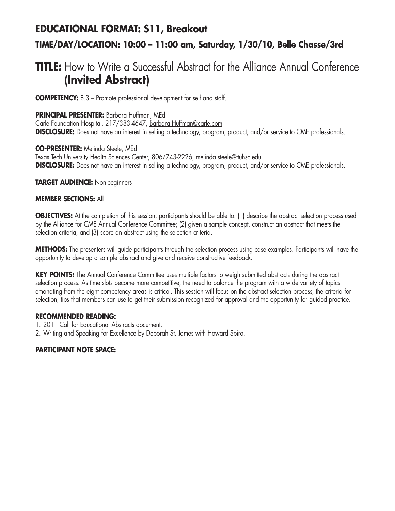# **EDUCATIONAL FORMAT: S11, Breakout TIME/DAY/LOCATION: 10:00 – 11:00 am, Saturday, 1/30/10, Belle Chasse/3rd**

## **TITLE:** How to Write a Successful Abstract for the Alliance Annual Conference **(Invited Abstract)**

**COMPETENCY:** 8.3 – Promote professional development for self and staff.

#### **PRINCIPAL PRESENTER:** Barbara Huffman, MEd

Carle Foundation Hospital, 217/383-4647, Barbara.Huffman@carle.com **DISCLOSURE:** Does not have an interest in selling a technology, program, product, and/or service to CME professionals.

**CO-PRESENTER:** Melinda Steele, MEd Texas Tech University Health Sciences Center, 806/743-2226, melinda.steele@ttuhsc.edu **DISCLOSURE:** Does not have an interest in selling a technology, program, product, and/or service to CME professionals.

**TARGET AUDIENCE:** Non-beginners

#### **MEMBER SECTIONS:** All

**OBJECTIVES:** At the completion of this session, participants should be able to: (1) describe the abstract selection process used by the Alliance for CME Annual Conference Committee; (2) given a sample concept, construct an abstract that meets the selection criteria, and (3) score an abstract using the selection criteria.

**METHODS:** The presenters will guide participants through the selection process using case examples. Participants will have the opportunity to develop a sample abstract and give and receive constructive feedback.

**KEY POINTS:** The Annual Conference Committee uses multiple factors to weigh submitted abstracts during the abstract selection process. As time slots become more competitive, the need to balance the program with a wide variety of topics emanating from the eight competency areas is critical. This session will focus on the abstract selection process, the criteria for selection, tips that members can use to get their submission recognized for approval and the opportunity for guided practice.

#### **RECOMMENDED READING:**

- 1. 2011 Call for Educational Abstracts document.
- 2. Writing and Speaking for Excellence by Deborah St. James with Howard Spiro.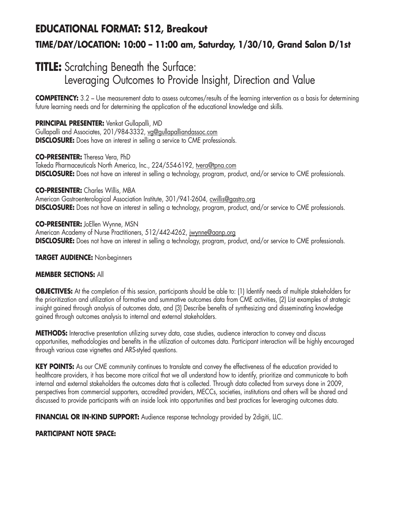# **EDUCATIONAL FORMAT: S12, Breakout TIME/DAY/LOCATION: 10:00 – 11:00 am, Saturday, 1/30/10, Grand Salon D/1st**

## **TITLE:** Scratching Beneath the Surface: Leveraging Outcomes to Provide Insight, Direction and Value

**COMPETENCY:** 3.2 – Use measurement data to assess outcomes/results of the learning intervention as a basis for determining future learning needs and for determining the application of the educational knowledge and skills.

**PRINCIPAL PRESENTER:** Venkat Gullapalli, MD Gullapalli and Associates, 201/984-3332, vg@gullapalliandassoc.com **DISCLOSURE:** Does have an interest in selling a service to CME professionals.

**CO-PRESENTER:** Theresa Vera, PhD Takeda Pharmaceuticals North America, Inc., 224/554-6192, tvera@tpna.com **DISCLOSURE:** Does not have an interest in selling a technology, program, product, and/or service to CME professionals.

**CO-PRESENTER:** Charles Willis, MBA American Gastroenterological Association Institute, 301/941-2604, cwillis@gastro.org **DISCLOSURE:** Does not have an interest in selling a technology, program, product, and/or service to CME professionals.

**CO-PRESENTER:** JoEllen Wynne, MSN American Academy of Nurse Practitioners, 512/442-4262, jwynne@aanp.org **DISCLOSURE:** Does not have an interest in selling a technology, program, product, and/or service to CME professionals.

**TARGET AUDIENCE:** Non-beginners

#### **MEMBER SECTIONS:** All

**OBJECTIVES:** At the completion of this session, participants should be able to: (1) Identify needs of multiple stakeholders for the prioritization and utilization of formative and summative outcomes data from CME activities, (2) List examples of strategic insight gained through analysis of outcomes data, and (3) Describe benefits of synthesizing and disseminating knowledge gained through outcomes analysis to internal and external stakeholders.

**METHODS:** Interactive presentation utilizing survey data, case studies, audience interaction to convey and discuss opportunities, methodologies and benefits in the utilization of outcomes data. Participant interaction will be highly encouraged through various case vignettes and ARS-styled questions.

**KEY POINTS:** As our CME community continues to translate and convey the effectiveness of the education provided to healthcare providers, it has become more critical that we all understand how to identify, prioritize and communicate to both internal and external stakeholders the outcomes data that is collected. Through data collected from surveys done in 2009, perspectives from commercial supporters, accredited providers, MECCs, societies, institutions and others will be shared and discussed to provide participants with an inside look into opportunities and best practices for leveraging outcomes data.

**FINANCIAL OR IN-KIND SUPPORT:** Audience response technology provided by 2digiti, LLC.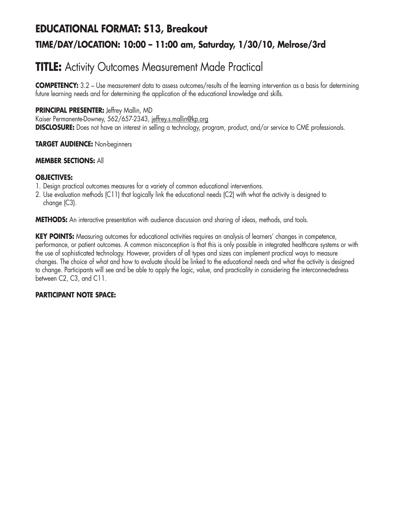# **EDUCATIONAL FORMAT: S13, Breakout TIME/DAY/LOCATION: 10:00 – 11:00 am, Saturday, 1/30/10, Melrose/3rd**

## **TITLE:** Activity Outcomes Measurement Made Practical

**COMPETENCY:** 3.2 – Use measurement data to assess outcomes/results of the learning intervention as a basis for determining future learning needs and for determining the application of the educational knowledge and skills.

#### **PRINCIPAL PRESENTER:** Jeffrey Mallin, MD

Kaiser Permanente-Downey, 562/657-2343, jeffrey.s.mallin@kp.org **DISCLOSURE:** Does not have an interest in selling a technology, program, product, and/or service to CME professionals.

#### **TARGET AUDIENCE:** Non-beginners

#### **MEMBER SECTIONS:** All

#### **OBJECTIVES:**

- 1. Design practical outcomes measures for a variety of common educational interventions.
- 2. Use evaluation methods (C11) that logically link the educational needs (C2) with what the activity is designed to change (C3).

**METHODS:** An interactive presentation with audience discussion and sharing of ideas, methods, and tools.

**KEY POINTS:** Measuring outcomes for educational activities requires an analysis of learners' changes in competence, performance, or patient outcomes. A common misconception is that this is only possible in integrated healthcare systems or with the use of sophisticated technology. However, providers of all types and sizes can implement practical ways to measure changes. The choice of what and how to evaluate should be linked to the educational needs and what the activity is designed to change. Participants will see and be able to apply the logic, value, and practicality in considering the interconnectedness between C2, C3, and C11.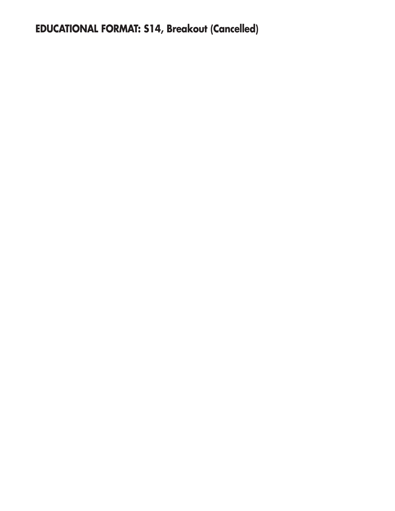# **EDUCATIONAL FORMAT: S14, Breakout (Cancelled)**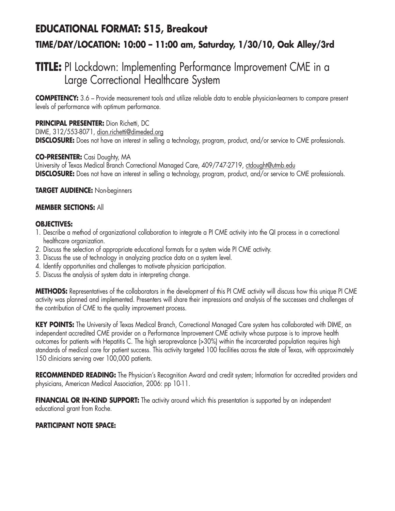## **EDUCATIONAL FORMAT: S15, Breakout TIME/DAY/LOCATION: 10:00 – 11:00 am, Saturday, 1/30/10, Oak Alley/3rd**

## **TITLE:** PI Lockdown: Implementing Performance Improvement CME in a Large Correctional Healthcare System

**COMPETENCY:** 3.6 – Provide measurement tools and utilize reliable data to enable physician-learners to compare present levels of performance with optimum performance.

#### **PRINCIPAL PRESENTER:** Dion Richetti, DC

DIME, 312/553-8071, dion.richetti@dimeded.org **DISCLOSURE:** Does not have an interest in selling a technology, program, product, and/or service to CME professionals.

#### **CO-PRESENTER:** Casi Doughty, MA

University of Texas Medical Branch Correctional Managed Care, 409/747-2719, ctdought@utmb.edu **DISCLOSURE:** Does not have an interest in selling a technology, program, product, and/or service to CME professionals.

#### **TARGET AUDIENCE:** Non-beginners

#### **MEMBER SECTIONS:** All

#### **OBJECTIVES:**

- 1. Describe a method of organizational collaboration to integrate a PI CME activity into the QI process in a correctional healthcare organization.
- 2. Discuss the selection of appropriate educational formats for a system wide PI CME activity.
- 3. Discuss the use of technology in analyzing practice data on a system level.
- 4. Identify opportunities and challenges to motivate physician participation.
- 5. Discuss the analysis of system data in interpreting change.

**METHODS:** Representatives of the collaborators in the development of this PI CME activity will discuss how this unique PI CME activity was planned and implemented. Presenters will share their impressions and analysis of the successes and challenges of the contribution of CME to the quality improvement process.

**KEY POINTS:** The University of Texas Medical Branch, Correctional Managed Care system has collaborated with DIME, an independent accredited CME provider on a Performance Improvement CME activity whose purpose is to improve health outcomes for patients with Hepatitis C. The high seroprevalance (>30%) within the incarcerated population requires high standards of medical care for patient success. This activity targeted 100 facilities across the state of Texas, with approximately 150 clinicians serving over 100,000 patients.

**RECOMMENDED READING:** The Physician's Recognition Award and credit system; Information for accredited providers and physicians, American Medical Association, 2006: pp 10-11.

**FINANCIAL OR IN-KIND SUPPORT:** The activity around which this presentation is supported by an independent educational grant from Roche.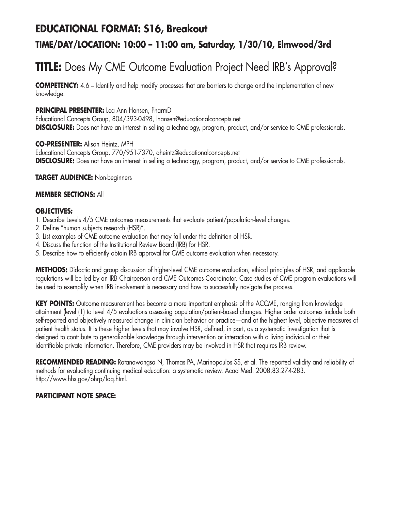### **EDUCATIONAL FORMAT: S16, Breakout**

### **TIME/DAY/LOCATION: 10:00 – 11:00 am, Saturday, 1/30/10, Elmwood/3rd**

# **TITLE:** Does My CME Outcome Evaluation Project Need IRB's Approval?

**COMPETENCY:** 4.6 – Identify and help modify processes that are barriers to change and the implementation of new knowledge.

#### **PRINCIPAL PRESENTER:** Lea Ann Hansen, PharmD

Educational Concepts Group, 804/393-0498, lhansen@educationalconcepts.net **DISCLOSURE:** Does not have an interest in selling a technology, program, product, and/or service to CME professionals.

**CO-PRESENTER:** Alison Heintz, MPH

Educational Concepts Group, 770/951-7370, aheintz@educationalconcepts.net **DISCLOSURE:** Does not have an interest in selling a technology, program, product, and/or service to CME professionals.

**TARGET AUDIENCE:** Non-beginners

#### **MEMBER SECTIONS:** All

#### **OBJECTIVES:**

- 1. Describe Levels 4/5 CME outcomes measurements that evaluate patient/population-level changes.
- 2. Define "human subjects research (HSR)".
- 3. List examples of CME outcome evaluation that may fall under the definition of HSR.
- 4. Discuss the function of the Institutional Review Board (IRB) for HSR.
- 5. Describe how to efficiently obtain IRB approval for CME outcome evaluation when necessary.

**METHODS:** Didactic and group discussion of higher-level CME outcome evaluation, ethical principles of HSR, and applicable regulations will be led by an IRB Chairperson and CME Outcomes Coordinator. Case studies of CME program evaluations will be used to exemplify when IRB involvement is necessary and how to successfully navigate the process.

**KEY POINTS:** Outcome measurement has become a more important emphasis of the ACCME, ranging from knowledge attainment (level (1) to level 4/5 evaluations assessing population/patient-based changes. Higher order outcomes include both self-reported and objectively measured change in clinician behavior or practice—and at the highest level, objective measures of patient health status. It is these higher levels that may involve HSR, defined, in part, as a systematic investigation that is designed to contribute to generalizable knowledge through intervention or interaction with a living individual or their identifiable private information. Therefore, CME providers may be involved in HSR that requires IRB review.

**RECOMMENDED READING:** Ratanawongsa N, Thomas PA, Marinopoulos SS, et al. The reported validity and reliability of methods for evaluating continuing medical education: a systematic review. Acad Med. 2008;83:274-283. http://www.hhs.gov/ohrp/faq.html.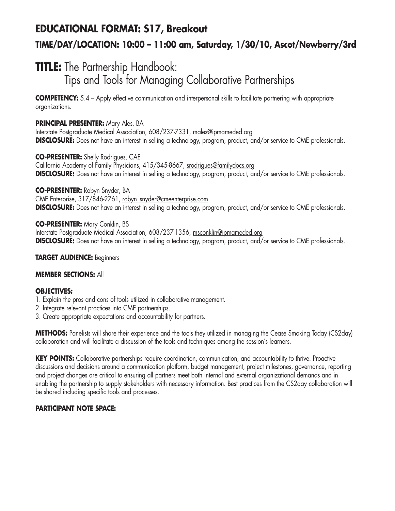## **EDUCATIONAL FORMAT: S17, Breakout TIME/DAY/LOCATION: 10:00 – 11:00 am, Saturday, 1/30/10, Ascot/Newberry/3rd**

## **TITLE:** The Partnership Handbook: Tips and Tools for Managing Collaborative Partnerships

**COMPETENCY:** 5.4 – Apply effective communication and interpersonal skills to facilitate partnering with appropriate organizations.

#### **PRINCIPAL PRESENTER:** Mary Ales, BA

Interstate Postgraduate Medical Association, 608/237-7331, males@ipmameded.org **DISCLOSURE:** Does not have an interest in selling a technology, program, product, and/or service to CME professionals.

**CO-PRESENTER:** Shelly Rodrigues, CAE California Academy of Family Physicians, 415/345-8667, srodrigues@familydocs.org **DISCLOSURE:** Does not have an interest in selling a technology, program, product, and/or service to CME professionals.

**CO-PRESENTER:** Robyn Snyder, BA CME Enterprise, 317/846-2761, robyn\_snyder@cmeenterprise.com **DISCLOSURE:** Does not have an interest in selling a technology, program, product, and/or service to CME professionals.

**CO-PRESENTER:** Mary Conklin, BS Interstate Postgraduate Medical Association, 608/237-1356, msconklin@ipmameded.org **DISCLOSURE:** Does not have an interest in selling a technology, program, product, and/or service to CME professionals.

#### **TARGET AUDIENCE:** Beginners

#### **MEMBER SECTIONS:** All

#### **OBJECTIVES:**

- 1. Explain the pros and cons of tools utilized in collaborative management.
- 2. Integrate relevant practices into CME partnerships.
- 3. Create appropriate expectations and accountability for partners.

**METHODS:** Panelists will share their experience and the tools they utilized in managing the Cease Smoking Today (CS2day) collaboration and will facilitate a discussion of the tools and techniques among the session's learners.

KEY POINTS: Collaborative partnerships require coordination, communication, and accountability to thrive. Proactive discussions and decisions around a communication platform, budget management, project milestones, governance, reporting and project changes are critical to ensuring all partners meet both internal and external organizational demands and in enabling the partnership to supply stakeholders with necessary information. Best practices from the CS2day collaboration will be shared including specific tools and processes.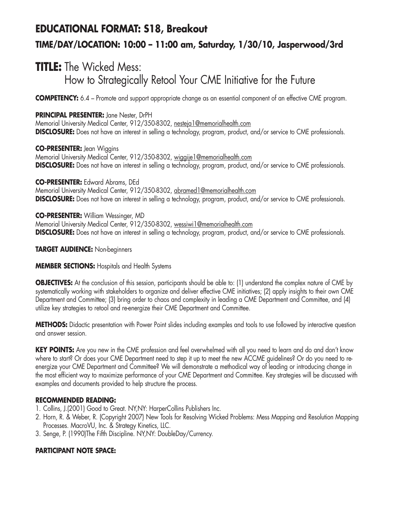# **EDUCATIONAL FORMAT: S18, Breakout TIME/DAY/LOCATION: 10:00 – 11:00 am, Saturday, 1/30/10, Jasperwood/3rd**

### **TITLE:** The Wicked Mess: How to Strategically Retool Your CME Initiative for the Future

**COMPETENCY:** 6.4 – Promote and support appropriate change as an essential component of an effective CME program.

#### **PRINCIPAL PRESENTER:** Jane Nester, DrPH

Memorial University Medical Center, 912/350-8302, nesteja1@memorialhealth.com **DISCLOSURE:** Does not have an interest in selling a technology, program, product, and/or service to CME professionals.

**CO-PRESENTER:** Jean Wiggins Memorial University Medical Center, 912/350-8302, wiggije1@memorialhealth.com **DISCLOSURE:** Does not have an interest in selling a technology, program, product, and/or service to CME professionals.

**CO-PRESENTER:** Edward Abrams, DEd Memorial University Medical Center, 912/350-8302, abramed1@memorialhealth.com **DISCLOSURE:** Does not have an interest in selling a technology, program, product, and/or service to CME professionals.

**CO-PRESENTER:** William Wessinger, MD Memorial University Medical Center, 912/350-8302, wessiwi1@memorialhealth.com **DISCLOSURE:** Does not have an interest in selling a technology, program, product, and/or service to CME professionals.

#### **TARGET AUDIENCE:** Non-beginners

#### **MEMBER SECTIONS:** Hospitals and Health Systems

**OBJECTIVES:** At the conclusion of this session, participants should be able to: (1) understand the complex nature of CME by systematically working with stakeholders to organize and deliver effective CME initiatives; (2) apply insights to their own CME Department and Committee; (3) bring order to chaos and complexity in leading a CME Department and Committee, and (4) utilize key strategies to retool and re-energize their CME Department and Committee.

**METHODS:** Didactic presentation with Power Point slides including examples and tools to use followed by interactive question and answer session.

**KEY POINTS:** Are you new in the CME profession and feel overwhelmed with all you need to learn and do and don't know where to start? Or does your CME Department need to step it up to meet the new ACCME guidelines? Or do you need to reenergize your CME Department and Committee? We will demonstrate a methodical way of leading or introducing change in the most efficient way to maximize performance of your CME Department and Committee. Key strategies will be discussed with examples and documents provided to help structure the process.

#### **RECOMMENDED READING:**

- 1. Collins, J.(2001) Good to Great. NY,NY: HarperCollins Publishers Inc.
- 2. Horn, R. & Weber, R. (Copyright 2007) New Tools for Resolving Wicked Problems: Mess Mapping and Resolution Mapping Processes. MacroVU, Inc. & Strategy Kinetics, LLC.
- 3. Senge, P. (1990)The Fifth Discipline. NY,NY: DoubleDay/Currency.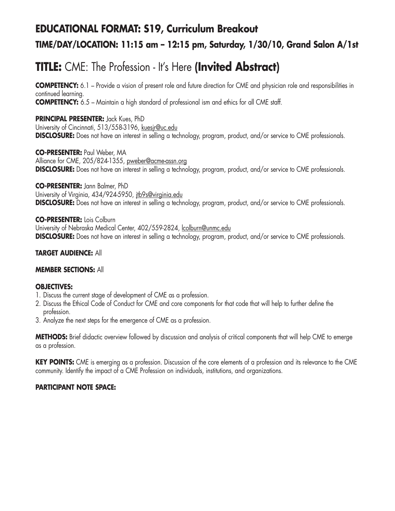# **EDUCATIONAL FORMAT: S19, Curriculum Breakout TIME/DAY/LOCATION: 11:15 am – 12:15 pm, Saturday, 1/30/10, Grand Salon A/1st**

# **TITLE:** CME: The Profession - It's Here **(Invited Abstract)**

**COMPETENCY:** 6.1 – Provide a vision of present role and future direction for CME and physician role and responsibilities in continued learning. **COMPETENCY:** 6.5 – Maintain a high standard of professional ism and ethics for all CME staff.

**PRINCIPAL PRESENTER:** Jack Kues, PhD University of Cincinnati, 513/558-3196, kuesjr@uc.edu **DISCLOSURE:** Does not have an interest in selling a technology, program, product, and/or service to CME professionals.

**CO-PRESENTER:** Paul Weber, MA Alliance for CME, 205/824-1355, pweber@acme-assn.org **DISCLOSURE:** Does not have an interest in selling a technology, program, product, and/or service to CME professionals.

**CO-PRESENTER:** Jann Balmer, PhD University of Virginia, 434/924-5950, jtb9s@virginia.edu **DISCLOSURE:** Does not have an interest in selling a technology, program, product, and/or service to CME professionals.

**CO-PRESENTER:** Lois Colburn University of Nebraska Medical Center, 402/559-2824, lcolburn@unmc.edu **DISCLOSURE:** Does not have an interest in selling a technology, program, product, and/or service to CME professionals.

#### **TARGET AUDIENCE:** All

#### **MEMBER SECTIONS:** All

#### **OBJECTIVES:**

- 1. Discuss the current stage of development of CME as a profession.
- 2. Discuss the Ethical Code of Conduct for CME and core components for that code that will help to further define the profession.
- 3. Analyze the next steps for the emergence of CME as a profession.

**METHODS:** Brief didactic overview followed by discussion and analysis of critical components that will help CME to emerge as a profession.

**KEY POINTS:** CME is emerging as a profession. Discussion of the core elements of a profession and its relevance to the CME community. Identify the impact of a CME Profession on individuals, institutions, and organizations.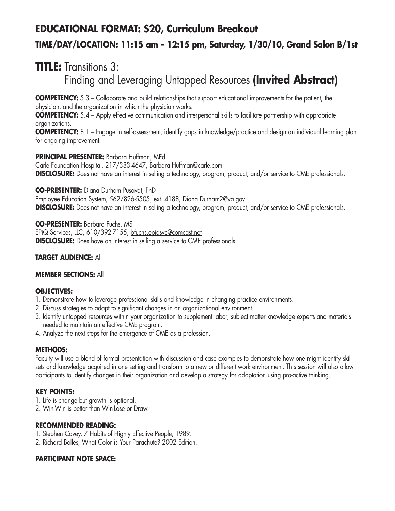# **EDUCATIONAL FORMAT: S20, Curriculum Breakout TIME/DAY/LOCATION: 11:15 am – 12:15 pm, Saturday, 1/30/10, Grand Salon B/1st**

## **TITLE:** Transitions 3: Finding and Leveraging Untapped Resources **(Invited Abstract)**

**COMPETENCY:** 5.3 – Collaborate and build relationships that support educational improvements for the patient, the physician, and the organization in which the physician works.

**COMPETENCY:** 5.4 – Apply effective communication and interpersonal skills to facilitate partnership with appropriate organizations.

**COMPETENCY:** 8.1 – Engage in self-assessment, identify gaps in knowledge/practice and design an individual learning plan for ongoing improvement.

#### **PRINCIPAL PRESENTER:** Barbara Huffman, MEd

Carle Foundation Hospital, 217/383-4647, Barbara.Huffman@carle.com **DISCLOSURE:** Does not have an interest in selling a technology, program, product, and/or service to CME professionals.

**CO-PRESENTER:** Diana Durham Pusavat, PhD

Employee Education System, 562/826-5505, ext. 4188, Diana.Durham2@va.gov **DISCLOSURE:** Does not have an interest in selling a technology, program, product, and/or service to CME professionals.

**CO-PRESENTER:** Barbara Fuchs, MS EPiQ Services, LLC, 610/392-7155, bfuchs.epiqsvc@comcast,net **DISCLOSURE:** Does have an interest in selling a service to CME professionals.

#### **TARGET AUDIENCE:** All

#### **MEMBER SECTIONS:** All

#### **OBJECTIVES:**

- 1. Demonstrate how to leverage professional skills and knowledge in changing practice environments.
- 2. Discuss strategies to adapt to significant changes in an organizational environment.
- 3. Identify untapped resources within your organization to supplement labor, subject matter knowledge experts and materials needed to maintain an effective CME program.
- 4. Analyze the next steps for the emergence of CME as a profession.

#### **METHODS:**

Faculty will use a blend of formal presentation with discussion and case examples to demonstrate how one might identify skill sets and knowledge acquired in one setting and transform to a new or different work environment. This session will also allow participants to identify changes in their organization and develop a strategy for adaptation using pro-active thinking.

#### **KEY POINTS:**

- 1. Life is change but growth is optional.
- 2. Win-Win is better than Win-Lose or Draw.

#### **RECOMMENDED READING:**

- 1. Stephen Covey, 7 Habits of Highly Effective People, 1989.
- 2. Richard Bolles, What Color is Your Parachute? 2002 Edition.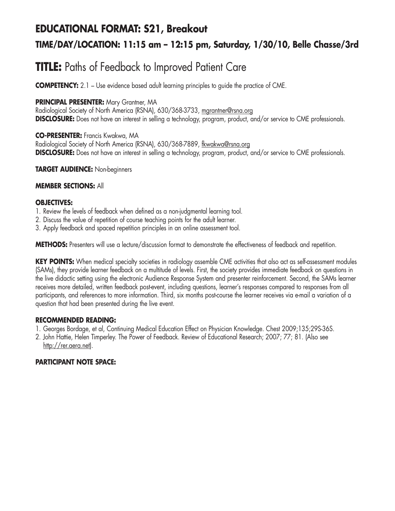### **EDUCATIONAL FORMAT: S21, Breakout**

### **TIME/DAY/LOCATION: 11:15 am – 12:15 pm, Saturday, 1/30/10, Belle Chasse/3rd**

# **TITLE:** Paths of Feedback to Improved Patient Care

**COMPETENCY:** 2.1 – Use evidence based adult learning principles to guide the practice of CME.

#### **PRINCIPAL PRESENTER:** Mary Grantner, MA

Radiological Society of North America (RSNA), 630/368-3733, mgrantner@rsna.org **DISCLOSURE:** Does not have an interest in selling a technology, program, product, and/or service to CME professionals.

#### **CO-PRESENTER:** Francis Kwakwa, MA

Radiological Society of North America (RSNA), 630/368-7889, fkwakwa@rsna.org **DISCLOSURE:** Does not have an interest in selling a technology, program, product, and/or service to CME professionals.

#### **TARGET AUDIENCE:** Non-beginners

#### **MEMBER SECTIONS:** All

#### **OBJECTIVES:**

- 1. Review the levels of feedback when defined as a non-judgmental learning tool.
- 2. Discuss the value of repetition of course teaching points for the adult learner.
- 3. Apply feedback and spaced repetition principles in an online assessment tool.

**METHODS:** Presenters will use a lecture/discussion format to demonstrate the effectiveness of feedback and repetition.

**KEY POINTS:** When medical specialty societies in radiology assemble CME activities that also act as self-assessment modules (SAMs), they provide learner feedback on a multitude of levels. First, the society provides immediate feedback on questions in the live didactic setting using the electronic Audience Response System and presenter reinforcement. Second, the SAMs learner receives more detailed, written feedback post-event, including questions, learner's responses compared to responses from all participants, and references to more information. Third, six months post-course the learner receives via e-mail a variation of a question that had been presented during the live event.

#### **RECOMMENDED READING:**

- 1. Georges Bordage, et al, Continuing Medical Education Effect on Physician Knowledge. Chest 2009;135;29S-36S.
- 2. John Hattie, Helen Timperley. The Power of Feedback. Review of Educational Research; 2007; 77; 81. (Also see http://rer.aera.net).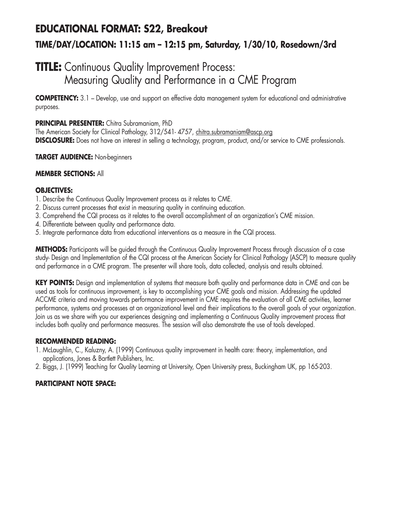## **EDUCATIONAL FORMAT: S22, Breakout TIME/DAY/LOCATION: 11:15 am – 12:15 pm, Saturday, 1/30/10, Rosedown/3rd**

## **TITLE:** Continuous Quality Improvement Process: Measuring Quality and Performance in a CME Program

**COMPETENCY:** 3.1 – Develop, use and support an effective data management system for educational and administrative purposes.

#### **PRINCIPAL PRESENTER:** Chitra Subramaniam, PhD

The American Society for Clinical Pathology, 312/541- 4757, chitra.subramaniam@ascp.org **DISCLOSURE:** Does not have an interest in selling a technology, program, product, and/or service to CME professionals.

#### **TARGET AUDIENCE:** Non-beginners

#### **MEMBER SECTIONS:** All

#### **OBJECTIVES:**

- 1. Describe the Continuous Quality Improvement process as it relates to CME.
- 2. Discuss current processes that exist in measuring quality in continuing education.
- 3. Comprehend the CQI process as it relates to the overall accomplishment of an organization's CME mission.
- 4. Differentiate between quality and performance data.
- 5. Integrate performance data from educational interventions as a measure in the CQI process.

**METHODS:** Participants will be guided through the Continuous Quality Improvement Process through discussion of a case study- Design and Implementation of the CQI process at the American Society for Clinical Pathology (ASCP) to measure quality and performance in a CME program. The presenter will share tools, data collected, analysis and results obtained.

**KEY POINTS:** Design and implementation of systems that measure both quality and performance data in CME and can be used as tools for continuous improvement, is key to accomplishing your CME goals and mission. Addressing the updated ACCME criteria and moving towards performance improvement in CME requires the evaluation of all CME activities, learner performance, systems and processes at an organizational level and their implications to the overall goals of your organization. Join us as we share with you our experiences designing and implementing a Continuous Quality improvement process that includes both quality and performance measures. The session will also demonstrate the use of tools developed.

#### **RECOMMENDED READING:**

- 1. McLaughlin, C., Kaluzny, A. (1999) Continuous quality improvement in health care: theory, implementation, and applications, Jones & Bartlett Publishers, Inc.
- 2. Biggs, J. (1999) Teaching for Quality Learning at University, Open University press, Buckingham UK, pp 165-203.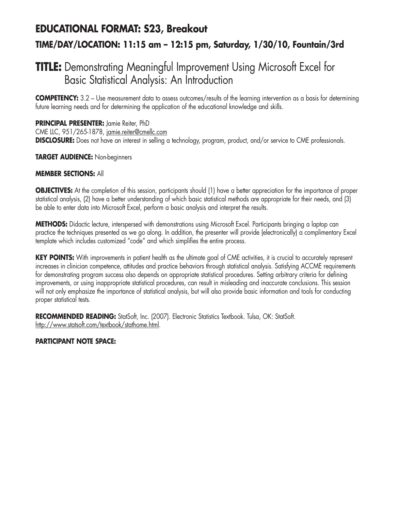## **EDUCATIONAL FORMAT: S23, Breakout TIME/DAY/LOCATION: 11:15 am – 12:15 pm, Saturday, 1/30/10, Fountain/3rd**

## **TITLE:** Demonstrating Meaningful Improvement Using Microsoft Excel for Basic Statistical Analysis: An Introduction

**COMPETENCY:** 3.2 – Use measurement data to assess outcomes/results of the learning intervention as a basis for determining future learning needs and for determining the application of the educational knowledge and skills.

**PRINCIPAL PRESENTER:** Jamie Reiter, PhD CME LLC, 951/265-1878, jamie.reiter@cmellc.com **DISCLOSURE:** Does not have an interest in selling a technology, program, product, and/or service to CME professionals.

#### **TARGET AUDIENCE:** Non-beginners

#### **MEMBER SECTIONS:** All

**OBJECTIVES:** At the completion of this session, participants should (1) have a better appreciation for the importance of proper statistical analysis, (2) have a better understanding of which basic statistical methods are appropriate for their needs, and (3) be able to enter data into Microsoft Excel, perform a basic analysis and interpret the results.

**METHODS:** Didactic lecture, interspersed with demonstrations using Microsoft Excel. Participants bringing a laptop can practice the techniques presented as we go along. In addition, the presenter will provide (electronically) a complimentary Excel template which includes customized "code" and which simplifies the entire process.

**KEY POINTS:** With improvements in patient health as the ultimate goal of CME activities, it is crucial to accurately represent increases in clinician competence, attitudes and practice behaviors through statistical analysis. Satisfying ACCME requirements for demonstrating program success also depends on appropriate statistical procedures. Setting arbitrary criteria for defining improvements, or using inappropriate statistical procedures, can result in misleading and inaccurate conclusions. This session will not only emphasize the importance of statistical analysis, but will also provide basic information and tools for conducting proper statistical tests.

**RECOMMENDED READING:** StatSoft, Inc. (2007). Electronic Statistics Textbook. Tulsa, OK: StatSoft. http://www.statsoft.com/textbook/stathome.html.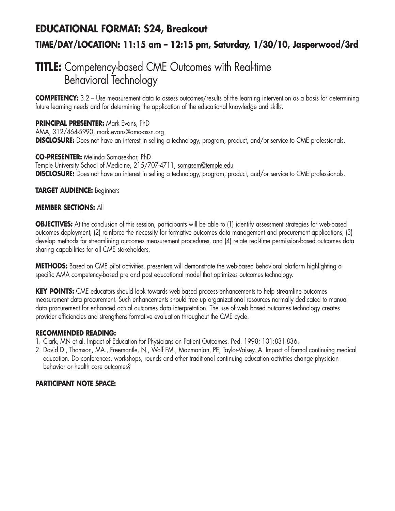### **EDUCATIONAL FORMAT: S24, Breakout**

### **TIME/DAY/LOCATION: 11:15 am – 12:15 pm, Saturday, 1/30/10, Jasperwood/3rd**

### **TITLE:** Competency-based CME Outcomes with Real-time Behavioral Technology

**COMPETENCY:** 3.2 – Use measurement data to assess outcomes/results of the learning intervention as a basis for determining future learning needs and for determining the application of the educational knowledge and skills.

#### **PRINCIPAL PRESENTER:** Mark Evans, PhD

AMA, 312/464-5990, mark.evans@ama-assn.org **DISCLOSURE:** Does not have an interest in selling a technology, program, product, and/or service to CME professionals.

#### **CO-PRESENTER:** Melinda Somasekhar, PhD

Temple University School of Medicine, 215/707-4711, somasem@temple.edu **DISCLOSURE:** Does not have an interest in selling a technology, program, product, and/or service to CME professionals.

#### **TARGET AUDIENCE:** Beginners

#### **MEMBER SECTIONS:** All

**OBJECTIVES:** At the conclusion of this session, participants will be able to (1) identify assessment strategies for web-based outcomes deployment, (2) reinforce the necessity for formative outcomes data management and procurement applications, (3) develop methods for streamlining outcomes measurement procedures, and (4) relate real-time permission-based outcomes data sharing capabilities for all CME stakeholders.

**METHODS:** Based on CME pilot activities, presenters will demonstrate the web-based behavioral platform highlighting a specific AMA competency-based pre and post educational model that optimizes outcomes technology.

**KEY POINTS:** CME educators should look towards web-based process enhancements to help streamline outcomes measurement data procurement. Such enhancements should free up organizational resources normally dedicated to manual data procurement for enhanced actual outcomes data interpretation. The use of web based outcomes technology creates provider efficiencies and strengthens formative evaluation throughout the CME cycle.

#### **RECOMMENDED READING:**

- 1. Clark, MN et al. Impact of Education for Physicians on Patient Outcomes. Ped. 1998; 101:831-836.
- 2. David D., Thomson, MA., Freemantle, N., Wolf FM., Mazmanian, PE, Taylor-Vaisey, A. Impact of formal continuing medical education. Do conferences, workshops, rounds and other traditional continuing education activities change physician behavior or health care outcomes?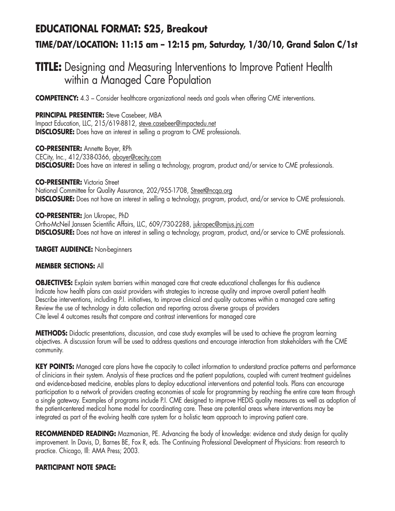### **EDUCATIONAL FORMAT: S25, Breakout**

### **TIME/DAY/LOCATION: 11:15 am – 12:15 pm, Saturday, 1/30/10, Grand Salon C/1st**

### **TITLE:** Designing and Measuring Interventions to Improve Patient Health within a Managed Care Population

**COMPETENCY:** 4.3 – Consider healthcare organizational needs and goals when offering CME interventions.

**PRINCIPAL PRESENTER:** Steve Casebeer, MBA Impact Education, LLC, 215/619-8812, steve.casebeer@impactedu.net **DISCLOSURE:** Does have an interest in selling a program to CME professionals.

**CO-PRESENTER:** Annette Boyer, RPh CECity, Inc., 412/338-0366, aboyer@cecity.com **DISCLOSURE:** Does have an interest in selling a technology, program, product and/or service to CME professionals.

**CO-PRESENTER:** Victoria Street National Committee for Quality Assurance, 202/955-1708, Street@ncqa.org **DISCLOSURE:** Does not have an interest in selling a technology, program, product, and/or service to CME professionals.

**CO-PRESENTER:** Jon Ukropec, PhD Ortho-McNeil Janssen Scientific Affairs, LLC, 609/730-2288, jukropec@omjus.jnj.com **DISCLOSURE:** Does not have an interest in selling a technology, program, product, and/or service to CME professionals.

**TARGET AUDIENCE:** Non-beginners

#### **MEMBER SECTIONS:** All

**OBJECTIVES:** Explain system barriers within managed care that create educational challenges for this audience Indicate how health plans can assist providers with strategies to increase quality and improve overall patient health Describe interventions, including P.I. initiatives, to improve clinical and quality outcomes within a managed care setting Review the use of technology in data collection and reporting across diverse groups of providers Cite level 4 outcomes results that compare and contrast interventions for managed care

**METHODS:** Didactic presentations, discussion, and case study examples will be used to achieve the program learning objectives. A discussion forum will be used to address questions and encourage interaction from stakeholders with the CME community.

**KEY POINTS:** Managed care plans have the capacity to collect information to understand practice patterns and performance of clinicians in their system. Analysis of these practices and the patient populations, coupled with current treatment guidelines and evidence-based medicine, enables plans to deploy educational interventions and potential tools. Plans can encourage participation to a network of providers creating economies of scale for programming by reaching the entire care team through a single gateway. Examples of programs include P.I. CME designed to improve HEDIS quality measures as well as adoption of the patient-centered medical home model for coordinating care. These are potential areas where interventions may be integrated as part of the evolving health care system for a holistic team approach to improving patient care.

**RECOMMENDED READING:** Mazmanian, PE. Advancing the body of knowledge: evidence and study design for quality improvement. In Davis, D, Barnes BE, Fox R, eds. The Continuing Professional Development of Physicians: from research to practice. Chicago, Ill: AMA Press; 2003.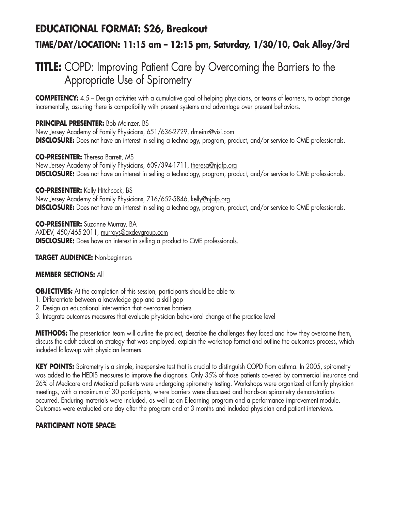### **EDUCATIONAL FORMAT: S26, Breakout**

### **TIME/DAY/LOCATION: 11:15 am – 12:15 pm, Saturday, 1/30/10, Oak Alley/3rd**

## **TITLE:** COPD: Improving Patient Care by Overcoming the Barriers to the Appropriate Use of Spirometry

**COMPETENCY:** 4.5 – Design activities with a cumulative goal of helping physicians, or teams of learners, to adopt change incrementally, assuring there is compatibility with present systems and advantage over present behaviors.

#### **PRINCIPAL PRESENTER:** Bob Meinzer, BS

New Jersey Academy of Family Physicians, 651/636-2729, rlmeinz@visi.com **DISCLOSURE:** Does not have an interest in selling a technology, program, product, and/or service to CME professionals.

**CO-PRESENTER:** Theresa Barrett, MS New Jersey Academy of Family Physicians, 609/394-1711, theresa@njafp.org **DISCLOSURE:** Does not have an interest in selling a technology, program, product, and/or service to CME professionals.

#### **CO-PRESENTER:** Kelly Hitchcock, BS

New Jersey Academy of Family Physicians, 716/652-5846, kelly@njafp.org **DISCLOSURE:** Does not have an interest in selling a technology, program, product, and/or service to CME professionals.

**CO-PRESENTER:** Suzanne Murray, BA AXDEV, 450/465-2011, murrays@axdevgroup.com **DISCLOSURE:** Does have an interest in selling a product to CME professionals.

#### **TARGET AUDIENCE:** Non-beginners

#### **MEMBER SECTIONS:** All

**OBJECTIVES:** At the completion of this session, participants should be able to:

- 1. Differentiate between a knowledge gap and a skill gap
- 2. Design an educational intervention that overcomes barriers
- 3. Integrate outcomes measures that evaluate physician behavioral change at the practice level

**METHODS:** The presentation team will outline the project, describe the challenges they faced and how they overcame them, discuss the adult education strategy that was employed, explain the workshop format and outline the outcomes process, which included follow-up with physician learners.

**KEY POINTS:** Spirometry is a simple, inexpensive test that is crucial to distinguish COPD from asthma. In 2005, spirometry was added to the HEDIS measures to improve the diagnosis. Only 35% of those patients covered by commercial insurance and 26% of Medicare and Medicaid patients were undergoing spirometry testing. Workshops were organized at family physician meetings, with a maximum of 30 participants, where barriers were discussed and hands-on spirometry demonstrations occurred. Enduring materials were included, as well as an E-learning program and a performance improvement module. Outcomes were evaluated one day after the program and at 3 months and included physician and patient interviews.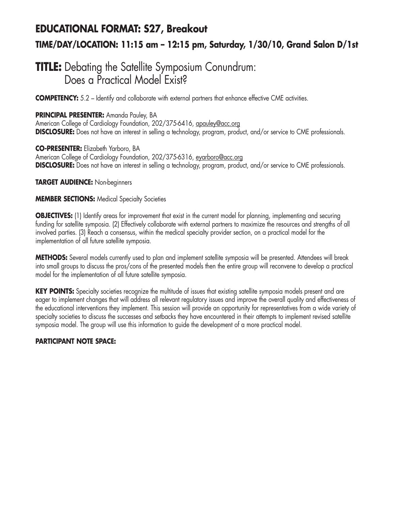## **EDUCATIONAL FORMAT: S27, Breakout TIME/DAY/LOCATION: 11:15 am – 12:15 pm, Saturday, 1/30/10, Grand Salon D/1st**

### **TITLE:** Debating the Satellite Symposium Conundrum: Does a Practical Model Exist?

**COMPETENCY:** 5.2 – Identify and collaborate with external partners that enhance effective CME activities.

#### **PRINCIPAL PRESENTER:** Amanda Pauley, BA

American College of Cardiology Foundation, 202/375-6416, apauley@acc.org **DISCLOSURE:** Does not have an interest in selling a technology, program, product, and/or service to CME professionals.

**CO-PRESENTER:** Elizabeth Yarboro, BA American College of Cardiology Foundation, 202/375-6316, eyarboro@acc.org **DISCLOSURE:** Does not have an interest in selling a technology, program, product, and/or service to CME professionals.

**TARGET AUDIENCE:** Non-beginners

#### **MEMBER SECTIONS: Medical Specialty Societies**

**OBJECTIVES:** (1) Identify areas for improvement that exist in the current model for planning, implementing and securing funding for satellite symposia. (2) Effectively collaborate with external partners to maximize the resources and strengths of all involved parties. (3) Reach a consensus, within the medical specialty provider section, on a practical model for the implementation of all future satellite symposia.

**METHODS:** Several models currently used to plan and implement satellite symposia will be presented. Attendees will break into small groups to discuss the pros/cons of the presented models then the entire group will reconvene to develop a practical model for the implementation of all future satellite symposia.

**KEY POINTS:** Specialty societies recognize the multitude of issues that existing satellite symposia models present and are eager to implement changes that will address all relevant regulatory issues and improve the overall quality and effectiveness of the educational interventions they implement. This session will provide an opportunity for representatives from a wide variety of specialty societies to discuss the successes and setbacks they have encountered in their attempts to implement revised satellite symposia model. The group will use this information to guide the development of a more practical model.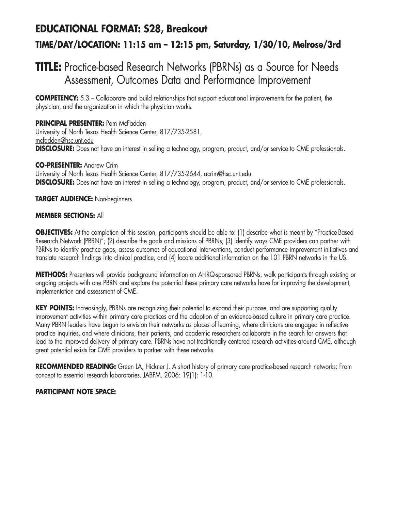### **EDUCATIONAL FORMAT: S28, Breakout**

### **TIME/DAY/LOCATION: 11:15 am – 12:15 pm, Saturday, 1/30/10, Melrose/3rd**

## **TITLE:** Practice-based Research Networks (PBRNs) as a Source for Needs Assessment, Outcomes Data and Performance Improvement

**COMPETENCY:** 5.3 – Collaborate and build relationships that support educational improvements for the patient, the physician, and the organization in which the physician works.

#### **PRINCIPAL PRESENTER: Pam McFadden**

University of North Texas Health Science Center, 817/735-2581, mcfadden@hsc.unt.edu **DISCLOSURE:** Does not have an interest in selling a technology, program, product, and/or service to CME professionals.

**CO-PRESENTER:** Andrew Crim University of North Texas Health Science Center, 817/735-2644, acrim@hsc.unt.edu **DISCLOSURE:** Does not have an interest in selling a technology, program, product, and/or service to CME professionals.

#### **TARGET AUDIENCE:** Non-beginners

#### **MEMBER SECTIONS:** All

**OBJECTIVES:** At the completion of this session, participants should be able to: (1) describe what is meant by "Practice-Based Research Network (PBRN)"; (2) describe the goals and missions of PBRNs; (3) identify ways CME providers can partner with PBRNs to identify practice gaps, assess outcomes of educational interventions, conduct performance improvement initiatives and translate research findings into clinical practice, and (4) locate additional information on the 101 PBRN networks in the US.

**METHODS:** Presenters will provide background information on AHRQ-sponsored PBRNs, walk participants through existing or ongoing projects with one PBRN and explore the potential these primary care networks have for improving the development, implementation and assessment of CME.

**KEY POINTS:** Increasingly, PBRNs are recognizing their potential to expand their purpose, and are supporting quality improvement activities within primary care practices and the adoption of an evidence-based culture in primary care practice. Many PBRN leaders have begun to envision their networks as places of learning, where clinicians are engaged in reflective practice inquiries, and where clinicians, their patients, and academic researchers collaborate in the search for answers that lead to the improved delivery of primary care. PBRNs have not traditionally centered research activities around CME, although great potential exists for CME providers to partner with these networks.

**RECOMMENDED READING:** Green LA, Hickner J. A short history of primary care practice-based research networks: From concept to essential research laboratories. JABFM. 2006: 19(1): 1-10.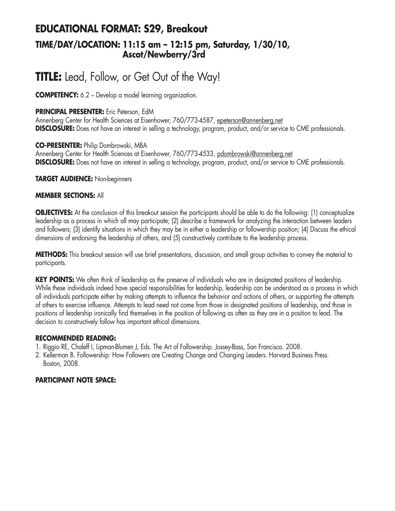### **EDUCATIONAL FORMAT: S29, Breakout TIME/DAY/LOCATION: 11:15 am – 12:15 pm, Saturday, 1/30/10, Ascot/Newberry/3rd**

# **TITLE:** Lead, Follow, or Get Out of the Way!

**COMPETENCY:** 6.2 – Develop a model learning organization.

#### **PRINCIPAL PRESENTER:** Eric Peterson, EdM

Annenberg Center for Health Sciences at Eisenhower, 760/773-4587, epeterson@annenberg.net **DISCLOSURE:** Does not have an interest in selling a technology, program, product, and/or service to CME professionals.

#### **CO-PRESENTER:** Philip Dombrowski, MBA

Annenberg Center for Health Sciences at Eisenhower, 760/773-4533, pdombrowski@annenberg.net **DISCLOSURE:** Does not have an interest in selling a technology, program, product, and/or service to CME professionals.

#### **TARGET AUDIENCE:** Non-beginners

#### **MEMBER SECTIONS:** All

**OBJECTIVES:** At the conclusion of this breakout session the participants should be able to do the following: (1) conceptualize leadership as a process in which all may participate; (2) describe a framework for analyzing the interaction between leaders and followers; (3) identify situations in which they may be in either a leadership or followership position; (4) Discuss the ethical dimensions of endorsing the leadership of others, and (5) constructively contribute to the leadership process.

**METHODS:** This breakout session will use brief presentations, discussion, and small group activities to convey the material to participants.

**KEY POINTS:** We often think of leadership as the preserve of individuals who are in designated positions of leadership. While these individuals indeed have special responsibilities for leadership, leadership can be understood as a process in which all individuals participate either by making attempts to influence the behavior and actions of others, or supporting the attempts of others to exercise influence. Attempts to lead need not come from those in designated positions of leadership, and those in positions of leadership ironically find themselves in the position of following as often as they are in a position to lead. The decision to constructively follow has important ethical dimensions.

#### **RECOMMENDED READING:**

- 1. Riggio RE, Chaleff I, Lipman-Blumen J, Eds. The Art of Followership. Jossey-Bass, San Francisco. 2008.
- 2. Kellerman B. Followership: How Followers are Creating Change and Changing Leaders. Harvard Business Press. Boston, 2008.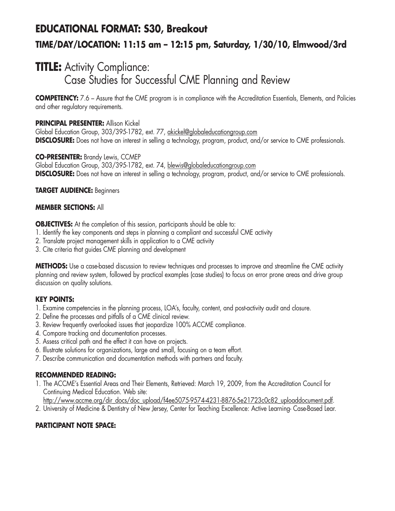## **EDUCATIONAL FORMAT: S30, Breakout TIME/DAY/LOCATION: 11:15 am – 12:15 pm, Saturday, 1/30/10, Elmwood/3rd**

### **TITLE:** Activity Compliance: Case Studies for Successful CME Planning and Review

**COMPETENCY:** 7.6 – Assure that the CME program is in compliance with the Accreditation Essentials, Elements, and Policies and other regulatory requirements.

#### **PRINCIPAL PRESENTER:** Allison Kickel

Global Education Group, 303/395-1782, ext. 77, akickel@globaleducationgroup.com **DISCLOSURE:** Does not have an interest in selling a technology, program, product, and/or service to CME professionals.

#### **CO-PRESENTER:** Brandy Lewis, CCMEP

Global Education Group, 303/395-1782, ext. 74, blewis@globaleducationgroup.com **DISCLOSURE:** Does not have an interest in selling a technology, program, product, and/or service to CME professionals.

#### **TARGET AUDIENCE:** Beginners

#### **MEMBER SECTIONS:** All

**OBJECTIVES:** At the completion of this session, participants should be able to:

- 1. Identify the key components and steps in planning a compliant and successful CME activity
- 2. Translate project management skills in application to a CME activity
- 3. Cite criteria that guides CME planning and development

**METHODS:** Use a case-based discussion to review techniques and processes to improve and streamline the CME activity planning and review system, followed by practical examples (case studies) to focus on error prone areas and drive group discussion on quality solutions.

#### **KEY POINTS:**

- 1. Examine competencies in the planning process, LOA's, faculty, content, and post-activity audit and closure.
- 2. Define the processes and pitfalls of a CME clinical review.
- 3. Review frequently overlooked issues that jeopardize 100% ACCME compliance.
- 4. Compare tracking and documentation processes.
- 5. Assess critical path and the effect it can have on projects.
- 6. Illustrate solutions for organizations, large and small, focusing on a team effort.
- 7. Describe communication and documentation methods with partners and faculty.

#### **RECOMMENDED READING:**

1. The ACCME's Essential Areas and Their Elements, Retrieved: March 19, 2009, from the Accreditation Council for Continuing Medical Education. Web site:

http://www.accme.org/dir\_docs/doc\_upload/f4ee5075-9574-4231-8876-5e21723c0c82\_uploaddocument.pdf. 2. University of Medicine & Dentistry of New Jersey, Center for Teaching Excellence: Active Learning- Case-Based Lear.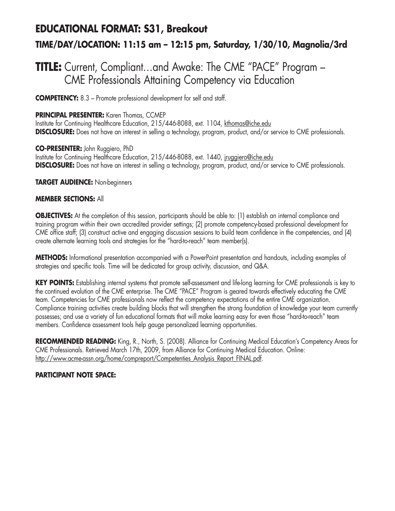# **EDUCATIONAL FORMAT: S31, Breakout TIME/DAY/LOCATION: 11:15 am – 12:15 pm, Saturday, 1/30/10, Magnolia/3rd**

## **TITLE:** Current, Compliant…and Awake: The CME "PACE" Program – CME Professionals Attaining Competency via Education

**COMPETENCY:** 8.3 – Promote professional development for self and staff.

#### **PRINCIPAL PRESENTER:** Karen Thomas, CCMEP

Institute for Continuing Healthcare Education, 215/446-8088, ext. 1104, kthomas@iche.edu **DISCLOSURE:** Does not have an interest in selling a technology, program, product, and/or service to CME professionals.

**CO-PRESENTER:** John Ruggiero, PhD Institute for Continuing Healthcare Education, 215/446-8088, ext. 1440, jruggiero@iche.edu **DISCLOSURE:** Does not have an interest in selling a technology, program, product, and/or service to CME professionals.

**TARGET AUDIENCE:** Non-beginners

#### **MEMBER SECTIONS:** All

**OBJECTIVES:** At the completion of this session, participants should be able to: (1) establish an internal compliance and training program within their own accredited provider settings; (2) promote competency-based professional development for CME office staff; (3) construct active and engaging discussion sessions to build team confidence in the competencies, and (4) create alternate learning tools and strategies for the "hard-to-reach" team member(s).

**METHODS:** Informational presentation accompanied with a PowerPoint presentation and handouts, including examples of strategies and specific tools. Time will be dedicated for group activity, discussion, and Q&A.

**KEY POINTS:** Establishing internal systems that promote self-assessment and life-long learning for CME professionals is key to the continued evolution of the CME enterprise. The CME "PACE" Program is geared towards effectively educating the CME team. Competencies for CME professionals now reflect the competency expectations of the entire CME organization. Compliance training activities create building blocks that will strengthen the strong foundation of knowledge your team currently possesses; and use a variety of fun educational formats that will make learning easy for even those "hard-to-reach" team members. Confidence assessment tools help gauge personalized learning opportunities.

**RECOMMENDED READING:** King, R., North, S. (2008). Alliance for Continuing Medical Education's Competency Areas for CME Professionals. Retrieved March 17th, 2009, from Alliance for Continuing Medical Education. Online: http://www.acme-assn.org/home/compreport/Competenties\_Analysis\_Report\_FINAL.pdf.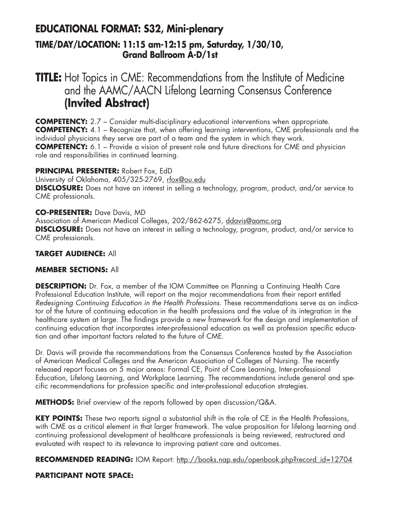### **EDUCATIONAL FORMAT: S32, Mini-plenary TIME/DAY/LOCATION: 11:15 am-12:15 pm, Saturday, 1/30/10, Grand Ballroom A-D/1st**

## **TITLE:** Hot Topics in CME: Recommendations from the Institute of Medicine and the AAMC/AACN Lifelong Learning Consensus Conference **(Invited Abstract)**

**COMPETENCY:** 2.7 – Consider multi-disciplinary educational interventions when appropriate. **COMPETENCY:** 4.1 – Recognize that, when offering learning interventions, CME professionals and the individual physicians they serve are part of a team and the system in which they work. **COMPETENCY:** 6.1 – Provide a vision of present role and future directions for CME and physician role and responsibilities in continued learning.

#### **PRINCIPAL PRESENTER:** Robert Fox, EdD

University of Oklahoma, 405/325-2769, rfox@ou.edu **DISCLOSURE:** Does not have an interest in selling a technology, program, product, and/or service to CME professionals.

#### **CO-PRESENTER:** Dave Davis, MD

Association of American Medical Colleges, 202/862-6275, ddavis@aamc.org **DISCLOSURE:** Does not have an interest in selling a technology, program, product, and/or service to CME professionals.

#### **TARGET AUDIENCE:** All

#### **MEMBER SECTIONS:** All

**DESCRIPTION:** Dr. Fox, a member of the IOM Committee on Planning a Continuing Health Care Professional Education Institute, will report on the major recommendations from their report entitled *Redesigning Continuing Education in the Health Professions*. These recommendations serve as an indicator of the future of continuing education in the health professions and the value of its integration in the healthcare system at large. The findings provide a new framework for the design and implementation of continuing education that incorporates inter-professional education as well as profession specific education and other important factors related to the future of CME.

Dr. Davis will provide the recommendations from the Consensus Conference hosted by the Association of American Medical Colleges and the American Association of Colleges of Nursing. The recently released report focuses on 5 major areas: Formal CE, Point of Care Learning, Inter-professional Education, Lifelong Learning, and Workplace Learning. The recommendations include general and specific recommendations for profession specific and inter-professional education strategies.

**METHODS:** Brief overview of the reports followed by open discussion/Q&A.

**KEY POINTS:** These two reports signal a substantial shift in the role of CE in the Health Professions, with CME as a critical element in that larger framework. The value proposition for lifelong learning and continuing professional development of healthcare professionals is being reviewed, restructured and evaluated with respect to its relevance to improving patient care and outcomes.

RECOMMENDED READING: IOM Report: http://books.nap.edu/openbook.php?record\_id=12704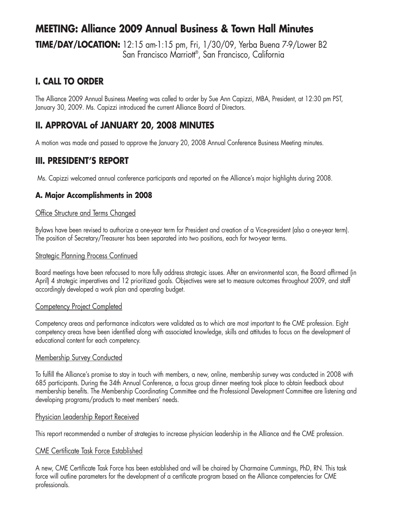### **MEETING: Alliance 2009 Annual Business & Town Hall Minutes**

**TIME/DAY/LOCATION:** 12:15 am-1:15 pm, Fri, 1/30/09, Yerba Buena 7-9/Lower B2 San Francisco Marriott<sup>®</sup>, San Francisco, California

### **I. CALL TO ORDER**

The Alliance 2009 Annual Business Meeting was called to order by Sue Ann Capizzi, MBA, President, at 12:30 pm PST, January 30, 2009. Ms. Capizzi introduced the current Alliance Board of Directors.

### **II. APPROVAL of JANUARY 20, 2008 MINUTES**

A motion was made and passed to approve the January 20, 2008 Annual Conference Business Meeting minutes.

### **III. PRESIDENT'S REPORT**

Ms. Capizzi welcomed annual conference participants and reported on the Alliance's major highlights during 2008.

#### **A. Major Accomplishments in 2008**

#### Office Structure and Terms Changed

Bylaws have been revised to authorize a one-year term for President and creation of a Vice-president (also a one-year term). The position of Secretary/Treasurer has been separated into two positions, each for two-year terms.

#### **Strategic Planning Process Continued**

Board meetings have been refocused to more fully address strategic issues. After an environmental scan, the Board affirmed (in April) 4 strategic imperatives and 12 prioritized goals. Objectives were set to measure outcomes throughout 2009, and staff accordingly developed a work plan and operating budget.

#### Competency Project Completed

Competency areas and performance indicators were validated as to which are most important to the CME profession. Eight competency areas have been identified along with associated knowledge, skills and attitudes to focus on the development of educational content for each competency.

#### Membership Survey Conducted

To fulfill the Alliance's promise to stay in touch with members, a new, online, membership survey was conducted in 2008 with 685 participants. During the 34th Annual Conference, a focus group dinner meeting took place to obtain feedback about membership benefits. The Membership Coordinating Committee and the Professional Development Committee are listening and developing programs/products to meet members' needs.

#### Physician Leadership Report Received

This report recommended a number of strategies to increase physician leadership in the Alliance and the CME profession.

#### CME Certificate Task Force Established

A new, CME Certificate Task Force has been established and will be chaired by Charmaine Cummings, PhD, RN. This task force will outline parameters for the development of a certificate program based on the Alliance competencies for CME professionals.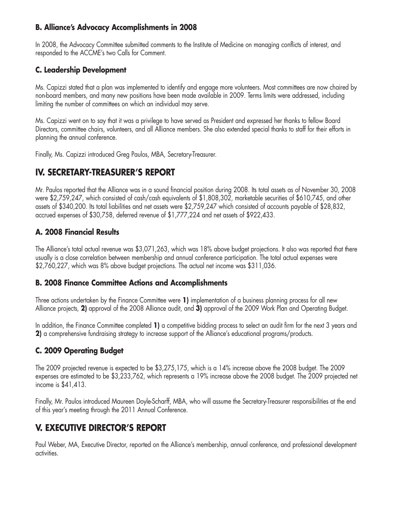#### **B. Alliance's Advocacy Accomplishments in 2008**

In 2008, the Advocacy Committee submitted comments to the Institute of Medicine on managing conflicts of interest, and responded to the ACCME's two Calls for Comment.

#### **C. Leadership Development**

Ms. Capizzi stated that a plan was implemented to identify and engage more volunteers. Most committees are now chaired by non-board members, and many new positions have been made available in 2009. Terms limits were addressed, including limiting the number of committees on which an individual may serve.

Ms. Capizzi went on to say that it was a privilege to have served as President and expressed her thanks to fellow Board Directors, committee chairs, volunteers, and all Alliance members. She also extended special thanks to staff for their efforts in planning the annual conference.

Finally, Ms. Capizzi introduced Greg Paulos, MBA, Secretary-Treasurer.

### **IV. SECRETARY-TREASURER'S REPORT**

Mr. Paulos reported that the Alliance was in a sound financial position during 2008. Its total assets as of November 30, 2008 were \$2,759,247, which consisted of cash/cash equivalents of \$1,808,302, marketable securities of \$610,745, and other assets of \$340,200. Its total liabilities and net assets were \$2,759,247 which consisted of accounts payable of \$28,832, accrued expenses of \$30,758, deferred revenue of \$1,777,224 and net assets of \$922,433.

#### **A. 2008 Financial Results**

The Alliance's total actual revenue was \$3,071,263, which was 18% above budget projections. It also was reported that there usually is a close correlation between membership and annual conference participation. The total actual expenses were \$2,760,227, which was 8% above budget projections. The actual net income was \$311,036.

#### **B. 2008 Finance Committee Actions and Accomplishments**

Three actions undertaken by the Finance Committee were **1)** implementation of a business planning process for all new Alliance projects, **2)** approval of the 2008 Alliance audit, and **3)** approval of the 2009 Work Plan and Operating Budget.

In addition, the Finance Committee completed **1)** a competitive bidding process to select an audit firm for the next 3 years and **2)** a comprehensive fundraising strategy to increase support of the Alliance's educational programs/products.

### **C. 2009 Operating Budget**

The 2009 projected revenue is expected to be \$3,275,175, which is a 14% increase above the 2008 budget. The 2009 expenses are estimated to be \$3,233,762, which represents a 19% increase above the 2008 budget. The 2009 projected net income is \$41,413.

Finally, Mr. Paulos introduced Maureen Doyle-Scharff, MBA, who will assume the Secretary-Treasurer responsibilities at the end of this year's meeting through the 2011 Annual Conference.

### **V. EXECUTIVE DIRECTOR'S REPORT**

Paul Weber, MA, Executive Director, reported on the Alliance's membership, annual conference, and professional development activities.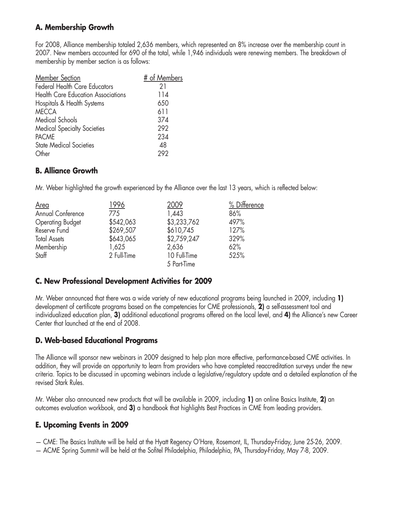### **A. Membership Growth**

For 2008, Alliance membership totaled 2,636 members, which represented an 8% increase over the membership count in 2007. New members accounted for 690 of the total, while 1,946 individuals were renewing members. The breakdown of membership by member section is as follows:

| Member Section                            | # of Members |
|-------------------------------------------|--------------|
| <b>Federal Health Care Educators</b>      | 21           |
| <b>Health Care Education Associations</b> | 114          |
| Hospitals & Health Systems                | 650          |
| <b>MECCA</b>                              | 611          |
| Medical Schools                           | 374          |
| <b>Medical Specialty Societies</b>        | 292          |
| <b>PACME</b>                              | 234          |
| <b>State Medical Societies</b>            | 48           |
| Other                                     | 202          |

#### **B. Alliance Growth**

Mr. Weber highlighted the growth experienced by the Alliance over the last 13 years, which is reflected below:

| Area                    | 1996        | 2009         | % Difference |
|-------------------------|-------------|--------------|--------------|
| Annual Conference       | 775         | 1,443        | 86%          |
| <b>Operating Budget</b> | \$542,063   | \$3,233,762  | 497%         |
| Reserve Fund            | \$269,507   | \$610,745    | 127%         |
| <b>Total Assets</b>     | \$643,065   | \$2,759,247  | 329%         |
| Membership              | 1,625       | 2,636        | 62%          |
| Staff                   | 2 Full-Time | 10 Full-Time | 525%         |
|                         |             | 5 Part-Time  |              |

### **C. New Professional Development Activities for 2009**

Mr. Weber announced that there was a wide variety of new educational programs being launched in 2009, including **1)** development of certificate programs based on the competencies for CME professionals, **2)** a self-assessment tool and individualized education plan, **3)** additional educational programs offered on the local level, and **4)** the Alliance's new Career Center that launched at the end of 2008.

### **D. Web-based Educational Programs**

The Alliance will sponsor new webinars in 2009 designed to help plan more effective, performance-based CME activities. In addition, they will provide an opportunity to learn from providers who have completed reaccreditation surveys under the new criteria. Topics to be discussed in upcoming webinars include a legislative/regulatory update and a detailed explanation of the revised Stark Rules.

Mr. Weber also announced new products that will be available in 2009, including **1)** an online Basics Institute, **2)** an outcomes evaluation workbook, and **3)** a handbook that highlights Best Practices in CME from leading providers.

### **E. Upcoming Events in 2009**

— CME: The Basics Institute will be held at the Hyatt Regency O'Hare, Rosemont, IL, Thursday-Friday, June 25-26, 2009.

— ACME Spring Summit will be held at the Sofitel Philadelphia, Philadelphia, PA, Thursday-Friday, May 7-8, 2009.